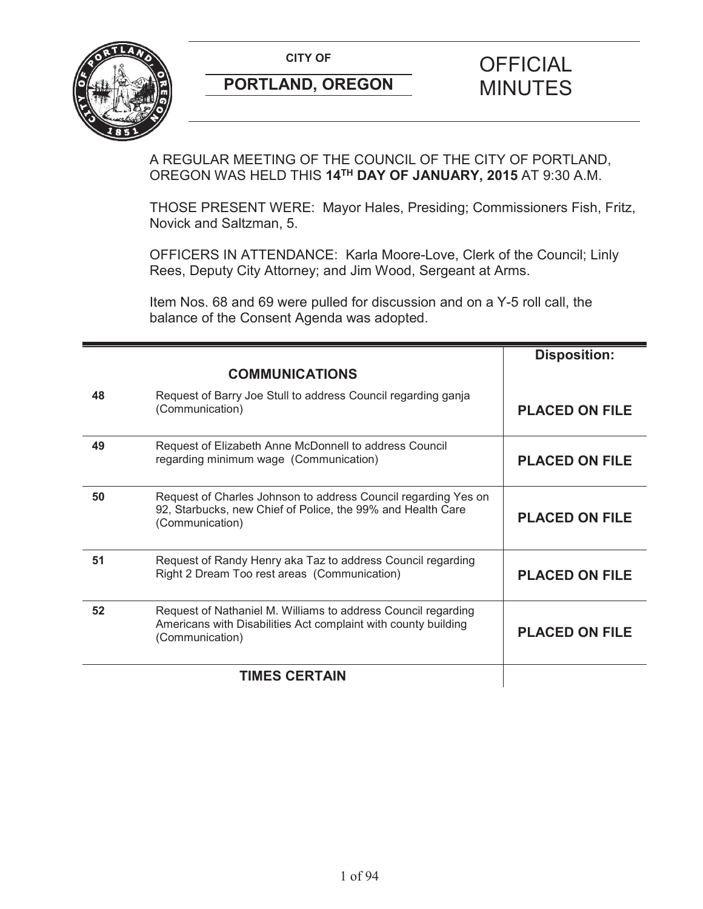

A REGULAR MEETING OF THE COUNCIL OF THE CITY OF PORTLAND, OREGON WAS HELD THIS **14TH DAY OF JANUARY, 2015** AT 9:30 A.M.

THOSE PRESENT WERE: Mayor Hales, Presiding; Commissioners Fish, Fritz, Novick and Saltzman, 5.

OFFICERS IN ATTENDANCE: Karla Moore-Love, Clerk of the Council; Linly Rees, Deputy City Attorney; and Jim Wood, Sergeant at Arms.

Item Nos. 68 and 69 were pulled for discussion and on a Y-5 roll call, the balance of the Consent Agenda was adopted.

|    |                                                                                                                                                    | <b>Disposition:</b>   |
|----|----------------------------------------------------------------------------------------------------------------------------------------------------|-----------------------|
|    | <b>COMMUNICATIONS</b>                                                                                                                              |                       |
| 48 | Request of Barry Joe Stull to address Council regarding ganja<br>(Communication)                                                                   | <b>PLACED ON FILE</b> |
| 49 | Request of Elizabeth Anne McDonnell to address Council<br>regarding minimum wage (Communication)                                                   | <b>PLACED ON FILE</b> |
| 50 | Request of Charles Johnson to address Council regarding Yes on<br>92, Starbucks, new Chief of Police, the 99% and Health Care<br>(Communication)   | <b>PLACED ON FILE</b> |
| 51 | Request of Randy Henry aka Taz to address Council regarding<br>Right 2 Dream Too rest areas (Communication)                                        | <b>PLACED ON FILE</b> |
| 52 | Request of Nathaniel M. Williams to address Council regarding<br>Americans with Disabilities Act complaint with county building<br>(Communication) | <b>PLACED ON FILE</b> |
|    | <b>TIMES CERTAIN</b>                                                                                                                               |                       |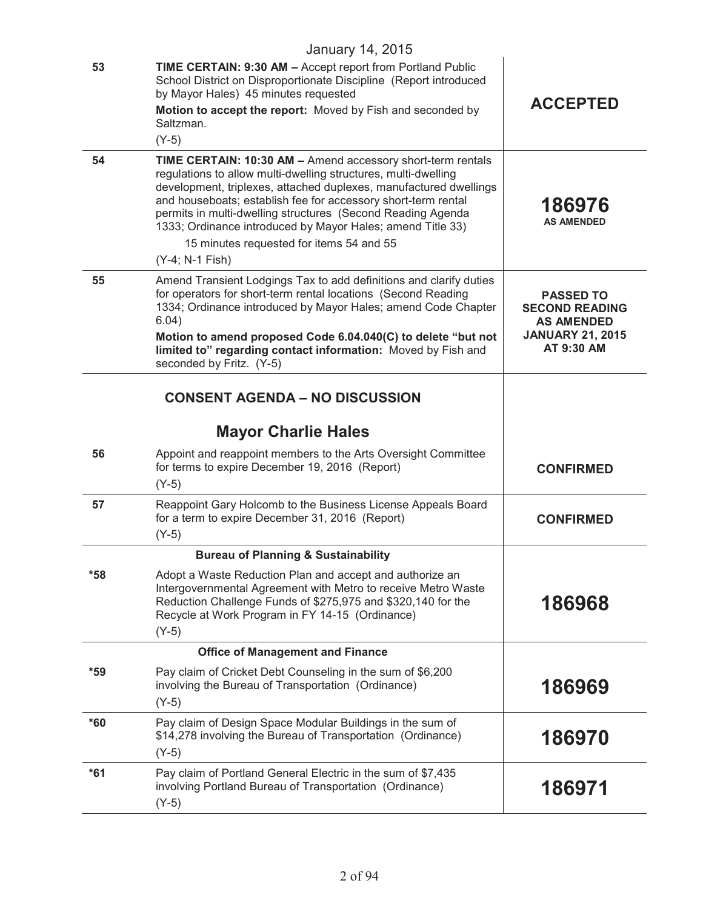|       | <b>January 14, 2015</b>                                                                                                                                                                                                                                                                                                                                                                                                                                         |                                                                                                         |
|-------|-----------------------------------------------------------------------------------------------------------------------------------------------------------------------------------------------------------------------------------------------------------------------------------------------------------------------------------------------------------------------------------------------------------------------------------------------------------------|---------------------------------------------------------------------------------------------------------|
| 53    | TIME CERTAIN: 9:30 AM - Accept report from Portland Public<br>School District on Disproportionate Discipline (Report introduced<br>by Mayor Hales) 45 minutes requested<br>Motion to accept the report: Moved by Fish and seconded by<br>Saltzman.<br>$(Y-5)$                                                                                                                                                                                                   | <b>ACCEPTED</b>                                                                                         |
| 54    | TIME CERTAIN: 10:30 AM - Amend accessory short-term rentals<br>regulations to allow multi-dwelling structures, multi-dwelling<br>development, triplexes, attached duplexes, manufactured dwellings<br>and houseboats; establish fee for accessory short-term rental<br>permits in multi-dwelling structures (Second Reading Agenda<br>1333; Ordinance introduced by Mayor Hales; amend Title 33)<br>15 minutes requested for items 54 and 55<br>(Y-4; N-1 Fish) | 186976<br><b>AS AMENDED</b>                                                                             |
| 55    | Amend Transient Lodgings Tax to add definitions and clarify duties<br>for operators for short-term rental locations (Second Reading<br>1334; Ordinance introduced by Mayor Hales; amend Code Chapter<br>6.04)<br>Motion to amend proposed Code 6.04.040(C) to delete "but not<br>limited to" regarding contact information: Moved by Fish and<br>seconded by Fritz. (Y-5)                                                                                       | <b>PASSED TO</b><br><b>SECOND READING</b><br><b>AS AMENDED</b><br><b>JANUARY 21, 2015</b><br>AT 9:30 AM |
|       | <b>CONSENT AGENDA - NO DISCUSSION</b>                                                                                                                                                                                                                                                                                                                                                                                                                           |                                                                                                         |
|       | <b>Mayor Charlie Hales</b>                                                                                                                                                                                                                                                                                                                                                                                                                                      |                                                                                                         |
| 56    | Appoint and reappoint members to the Arts Oversight Committee<br>for terms to expire December 19, 2016 (Report)<br>$(Y-5)$                                                                                                                                                                                                                                                                                                                                      | <b>CONFIRMED</b>                                                                                        |
| 57    | Reappoint Gary Holcomb to the Business License Appeals Board<br>for a term to expire December 31, 2016 (Report)<br>$(Y-5)$                                                                                                                                                                                                                                                                                                                                      | <b>CONFIRMED</b>                                                                                        |
|       | <b>Bureau of Planning &amp; Sustainability</b>                                                                                                                                                                                                                                                                                                                                                                                                                  |                                                                                                         |
| *58   | Adopt a Waste Reduction Plan and accept and authorize an<br>Intergovernmental Agreement with Metro to receive Metro Waste<br>Reduction Challenge Funds of \$275,975 and \$320,140 for the<br>Recycle at Work Program in FY 14-15 (Ordinance)<br>$(Y-5)$                                                                                                                                                                                                         | 186968                                                                                                  |
|       | <b>Office of Management and Finance</b>                                                                                                                                                                                                                                                                                                                                                                                                                         |                                                                                                         |
| *59   | Pay claim of Cricket Debt Counseling in the sum of \$6,200<br>involving the Bureau of Transportation (Ordinance)<br>$(Y-5)$                                                                                                                                                                                                                                                                                                                                     | 186969                                                                                                  |
| $*60$ | Pay claim of Design Space Modular Buildings in the sum of<br>\$14,278 involving the Bureau of Transportation (Ordinance)<br>$(Y-5)$                                                                                                                                                                                                                                                                                                                             | 186970                                                                                                  |
| $*61$ | Pay claim of Portland General Electric in the sum of \$7,435<br>involving Portland Bureau of Transportation (Ordinance)<br>$(Y-5)$                                                                                                                                                                                                                                                                                                                              | 186971                                                                                                  |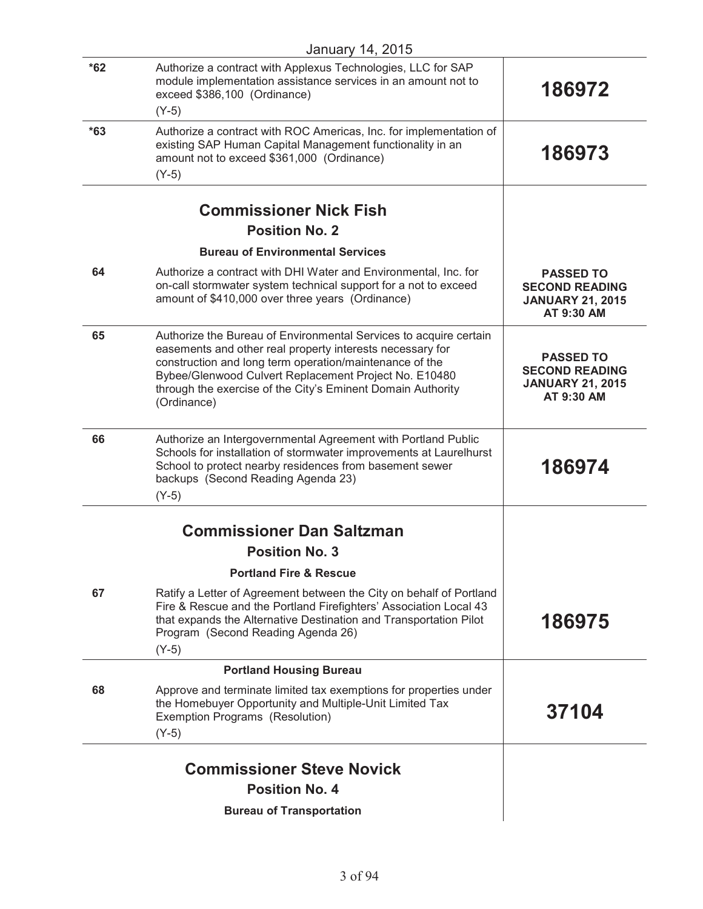|       | January 14, 2015                                                                                                                                                                                                                                                                                                                 |                                                                                    |
|-------|----------------------------------------------------------------------------------------------------------------------------------------------------------------------------------------------------------------------------------------------------------------------------------------------------------------------------------|------------------------------------------------------------------------------------|
| $*62$ | Authorize a contract with Applexus Technologies, LLC for SAP<br>module implementation assistance services in an amount not to<br>exceed \$386,100 (Ordinance)<br>$(Y-5)$                                                                                                                                                         | 186972                                                                             |
| $*63$ | Authorize a contract with ROC Americas, Inc. for implementation of<br>existing SAP Human Capital Management functionality in an<br>amount not to exceed \$361,000 (Ordinance)<br>$(Y-5)$                                                                                                                                         | 186973                                                                             |
|       |                                                                                                                                                                                                                                                                                                                                  |                                                                                    |
|       | <b>Commissioner Nick Fish</b>                                                                                                                                                                                                                                                                                                    |                                                                                    |
|       | <b>Position No. 2</b>                                                                                                                                                                                                                                                                                                            |                                                                                    |
|       | <b>Bureau of Environmental Services</b>                                                                                                                                                                                                                                                                                          |                                                                                    |
| 64    | Authorize a contract with DHI Water and Environmental, Inc. for<br>on-call stormwater system technical support for a not to exceed<br>amount of \$410,000 over three years (Ordinance)                                                                                                                                           | <b>PASSED TO</b><br><b>SECOND READING</b><br><b>JANUARY 21, 2015</b><br>AT 9:30 AM |
| 65    | Authorize the Bureau of Environmental Services to acquire certain<br>easements and other real property interests necessary for<br>construction and long term operation/maintenance of the<br>Bybee/Glenwood Culvert Replacement Project No. E10480<br>through the exercise of the City's Eminent Domain Authority<br>(Ordinance) | <b>PASSED TO</b><br><b>SECOND READING</b><br><b>JANUARY 21, 2015</b><br>AT 9:30 AM |
| 66    | Authorize an Intergovernmental Agreement with Portland Public<br>Schools for installation of stormwater improvements at Laurelhurst<br>School to protect nearby residences from basement sewer<br>backups (Second Reading Agenda 23)<br>$(Y-5)$                                                                                  | 186974                                                                             |
|       |                                                                                                                                                                                                                                                                                                                                  |                                                                                    |
|       | <b>Commissioner Dan Saltzman</b>                                                                                                                                                                                                                                                                                                 |                                                                                    |
|       | <b>Position No. 3</b>                                                                                                                                                                                                                                                                                                            |                                                                                    |
|       | <b>Portland Fire &amp; Rescue</b>                                                                                                                                                                                                                                                                                                |                                                                                    |
| 67    | Ratify a Letter of Agreement between the City on behalf of Portland<br>Fire & Rescue and the Portland Firefighters' Association Local 43<br>that expands the Alternative Destination and Transportation Pilot<br>Program (Second Reading Agenda 26)<br>$(Y-5)$                                                                   | 186975                                                                             |
|       | <b>Portland Housing Bureau</b>                                                                                                                                                                                                                                                                                                   |                                                                                    |
| 68    | Approve and terminate limited tax exemptions for properties under<br>the Homebuyer Opportunity and Multiple-Unit Limited Tax<br>Exemption Programs (Resolution)<br>$(Y-5)$                                                                                                                                                       | 37104                                                                              |
|       |                                                                                                                                                                                                                                                                                                                                  |                                                                                    |
|       | <b>Commissioner Steve Novick</b><br><b>Position No. 4</b>                                                                                                                                                                                                                                                                        |                                                                                    |
|       |                                                                                                                                                                                                                                                                                                                                  |                                                                                    |
|       | <b>Bureau of Transportation</b>                                                                                                                                                                                                                                                                                                  |                                                                                    |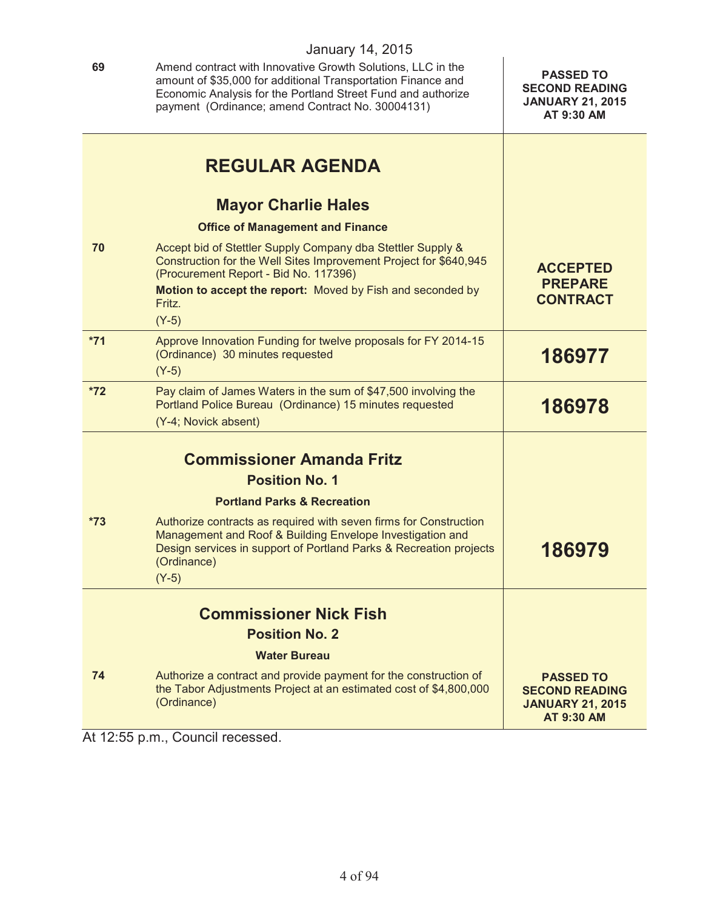**69** Amend contract with Innovative Growth Solutions, LLC in the amount of \$35,000 for additional Transportation Finance and Economic Analysis for the Portland Street Fund and authorize payment (Ordinance; amend Contract No. 30004131) **PASSED TO SECOND READING JANUARY 21, 2015 AT 9:30 AM REGULAR AGENDA Mayor Charlie Hales Office of Management and Finance 70** Accept bid of Stettler Supply Company dba Stettler Supply & Construction for the Well Sites Improvement Project for \$640,945 (Procurement Report - Bid No. 117396) **Motion to accept the report:** Moved by Fish and seconded by Fritz. (Y-5) **ACCEPTED PREPARE CONTRACT \*71** Approve Innovation Funding for twelve proposals for FY 2014-15 (Ordinance) 30 minutes requested (Y-5) **186977 \*72** Pay claim of James Waters in the sum of \$47,500 involving the Portland Police Bureau (Ordinance) 15 minutes requested (Y-4; Novick absent) **186978 Commissioner Amanda Fritz Position No. 1 Portland Parks & Recreation \*73** Authorize contracts as required with seven firms for Construction Management and Roof & Building Envelope Investigation and Design services in support of Portland Parks & Recreation projects (Ordinance) (Y-5) **186979 Commissioner Nick Fish Position No. 2**

**Water Bureau**

**74** Authorize a contract and provide payment for the construction of the Tabor Adjustments Project at an estimated cost of \$4,800,000 (Ordinance) **PASSED TO SECOND READING JANUARY 21, 2015 AT 9:30 AM**

At 12:55 p.m., Council recessed.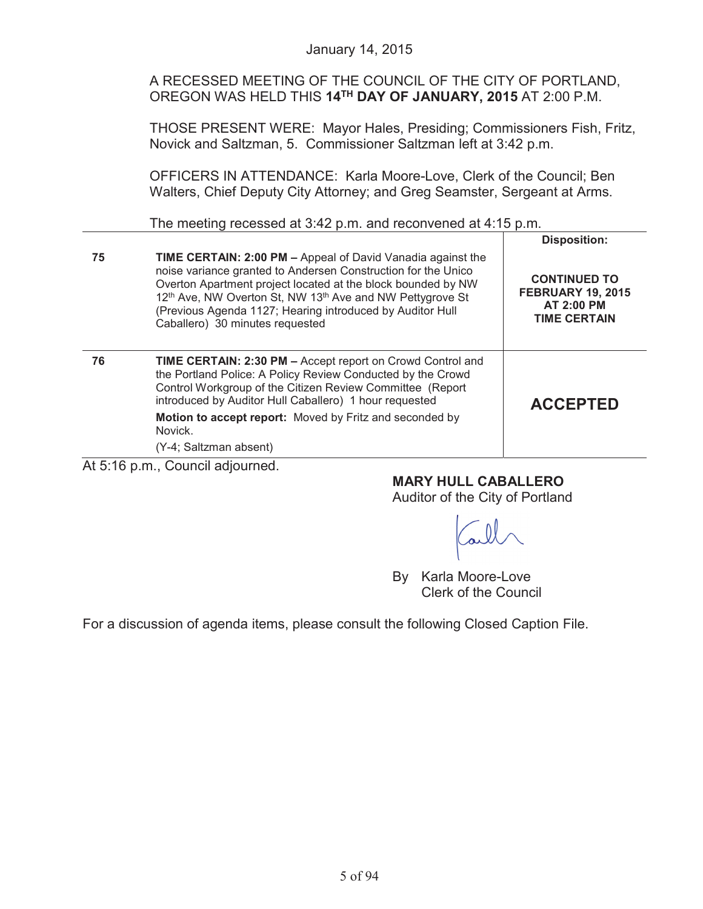A RECESSED MEETING OF THE COUNCIL OF THE CITY OF PORTLAND, OREGON WAS HELD THIS **14TH DAY OF JANUARY, 2015** AT 2:00 P.M.

THOSE PRESENT WERE: Mayor Hales, Presiding; Commissioners Fish, Fritz, Novick and Saltzman, 5. Commissioner Saltzman left at 3:42 p.m.

OFFICERS IN ATTENDANCE: Karla Moore-Love, Clerk of the Council; Ben Walters, Chief Deputy City Attorney; and Greg Seamster, Sergeant at Arms.

The meeting recessed at 3:42 p.m. and reconvened at 4:15 p.m.

|          |                                                                                                                                                                                                                                                                                                                                                                                          | <b>Disposition:</b>                                                                         |
|----------|------------------------------------------------------------------------------------------------------------------------------------------------------------------------------------------------------------------------------------------------------------------------------------------------------------------------------------------------------------------------------------------|---------------------------------------------------------------------------------------------|
| 75       | <b>TIME CERTAIN: 2:00 PM - Appeal of David Vanadia against the</b><br>noise variance granted to Andersen Construction for the Unico<br>Overton Apartment project located at the block bounded by NW<br>12 <sup>th</sup> Ave, NW Overton St, NW 13 <sup>th</sup> Ave and NW Pettygrove St<br>(Previous Agenda 1127; Hearing introduced by Auditor Hull<br>Caballero) 30 minutes requested | <b>CONTINUED TO</b><br><b>FEBRUARY 19, 2015</b><br><b>AT 2:00 PM</b><br><b>TIME CERTAIN</b> |
| 76       | <b>TIME CERTAIN: 2:30 PM - Accept report on Crowd Control and</b><br>the Portland Police: A Policy Review Conducted by the Crowd<br>Control Workgroup of the Citizen Review Committee (Report<br>introduced by Auditor Hull Caballero) 1 hour requested<br>Motion to accept report: Moved by Fritz and seconded by<br>Novick.<br>(Y-4; Saltzman absent)                                  | <b>ACCEPTED</b>                                                                             |
| $\cdots$ | $\sim$ $\sim$                                                                                                                                                                                                                                                                                                                                                                            |                                                                                             |

At 5:16 p.m., Council adjourned.

**MARY HULL CABALLERO** Auditor of the City of Portland

By Karla Moore-Love Clerk of the Council

For a discussion of agenda items, please consult the following Closed Caption File.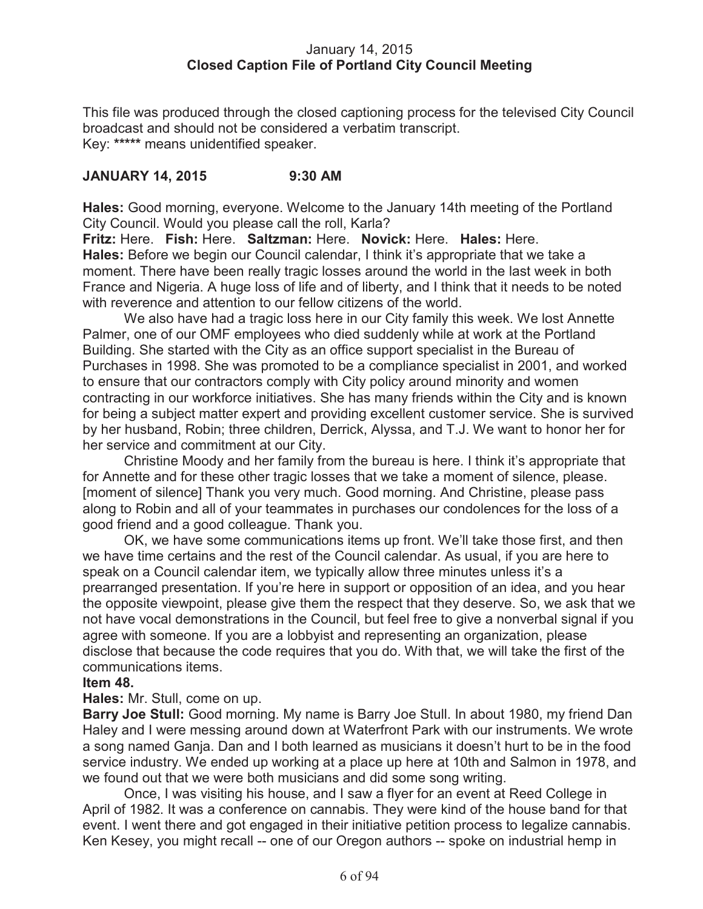## January 14, 2015 **Closed Caption File of Portland City Council Meeting**

This file was produced through the closed captioning process for the televised City Council broadcast and should not be considered a verbatim transcript. Key: **\*\*\*\*\*** means unidentified speaker.

# **JANUARY 14, 2015 9:30 AM**

**Hales:** Good morning, everyone. Welcome to the January 14th meeting of the Portland City Council. Would you please call the roll, Karla?

**Fritz:** Here. **Fish:** Here. **Saltzman:** Here. **Novick:** Here. **Hales:** Here. **Hales:** Before we begin our Council calendar, I think it's appropriate that we take a moment. There have been really tragic losses around the world in the last week in both France and Nigeria. A huge loss of life and of liberty, and I think that it needs to be noted with reverence and attention to our fellow citizens of the world.

We also have had a tragic loss here in our City family this week. We lost Annette Palmer, one of our OMF employees who died suddenly while at work at the Portland Building. She started with the City as an office support specialist in the Bureau of Purchases in 1998. She was promoted to be a compliance specialist in 2001, and worked to ensure that our contractors comply with City policy around minority and women contracting in our workforce initiatives. She has many friends within the City and is known for being a subject matter expert and providing excellent customer service. She is survived by her husband, Robin; three children, Derrick, Alyssa, and T.J. We want to honor her for her service and commitment at our City.

Christine Moody and her family from the bureau is here. I think it's appropriate that for Annette and for these other tragic losses that we take a moment of silence, please. [moment of silence] Thank you very much. Good morning. And Christine, please pass along to Robin and all of your teammates in purchases our condolences for the loss of a good friend and a good colleague. Thank you.

OK, we have some communications items up front. We'll take those first, and then we have time certains and the rest of the Council calendar. As usual, if you are here to speak on a Council calendar item, we typically allow three minutes unless it's a prearranged presentation. If you're here in support or opposition of an idea, and you hear the opposite viewpoint, please give them the respect that they deserve. So, we ask that we not have vocal demonstrations in the Council, but feel free to give a nonverbal signal if you agree with someone. If you are a lobbyist and representing an organization, please disclose that because the code requires that you do. With that, we will take the first of the communications items.

# **Item 48.**

**Hales:** Mr. Stull, come on up.

**Barry Joe Stull:** Good morning. My name is Barry Joe Stull. In about 1980, my friend Dan Haley and I were messing around down at Waterfront Park with our instruments. We wrote a song named Ganja. Dan and I both learned as musicians it doesn't hurt to be in the food service industry. We ended up working at a place up here at 10th and Salmon in 1978, and we found out that we were both musicians and did some song writing.

Once, I was visiting his house, and I saw a flyer for an event at Reed College in April of 1982. It was a conference on cannabis. They were kind of the house band for that event. I went there and got engaged in their initiative petition process to legalize cannabis. Ken Kesey, you might recall -- one of our Oregon authors -- spoke on industrial hemp in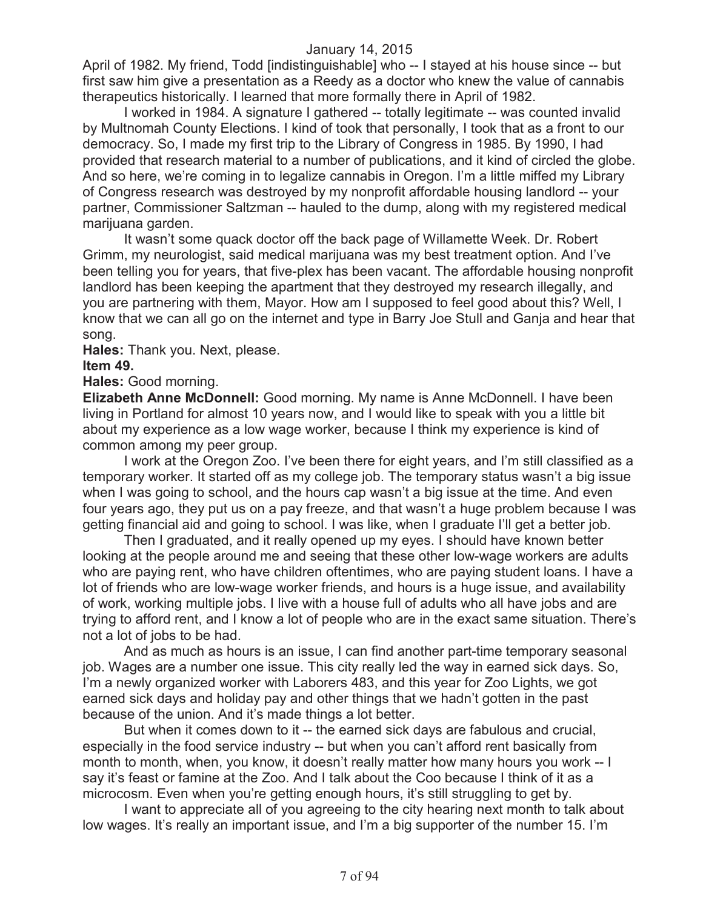April of 1982. My friend, Todd [indistinguishable] who -- I stayed at his house since -- but first saw him give a presentation as a Reedy as a doctor who knew the value of cannabis therapeutics historically. I learned that more formally there in April of 1982.

I worked in 1984. A signature I gathered -- totally legitimate -- was counted invalid by Multnomah County Elections. I kind of took that personally, I took that as a front to our democracy. So, I made my first trip to the Library of Congress in 1985. By 1990, I had provided that research material to a number of publications, and it kind of circled the globe. And so here, we're coming in to legalize cannabis in Oregon. I'm a little miffed my Library of Congress research was destroyed by my nonprofit affordable housing landlord -- your partner, Commissioner Saltzman -- hauled to the dump, along with my registered medical marijuana garden.

It wasn't some quack doctor off the back page of Willamette Week. Dr. Robert Grimm, my neurologist, said medical marijuana was my best treatment option. And I've been telling you for years, that five-plex has been vacant. The affordable housing nonprofit landlord has been keeping the apartment that they destroyed my research illegally, and you are partnering with them, Mayor. How am I supposed to feel good about this? Well, I know that we can all go on the internet and type in Barry Joe Stull and Ganja and hear that song.

**Hales:** Thank you. Next, please.

#### **Item 49.**

#### **Hales:** Good morning.

**Elizabeth Anne McDonnell:** Good morning. My name is Anne McDonnell. I have been living in Portland for almost 10 years now, and I would like to speak with you a little bit about my experience as a low wage worker, because I think my experience is kind of common among my peer group.

I work at the Oregon Zoo. I've been there for eight years, and I'm still classified as a temporary worker. It started off as my college job. The temporary status wasn't a big issue when I was going to school, and the hours cap wasn't a big issue at the time. And even four years ago, they put us on a pay freeze, and that wasn't a huge problem because I was getting financial aid and going to school. I was like, when I graduate I'll get a better job.

Then I graduated, and it really opened up my eyes. I should have known better looking at the people around me and seeing that these other low-wage workers are adults who are paying rent, who have children oftentimes, who are paying student loans. I have a lot of friends who are low-wage worker friends, and hours is a huge issue, and availability of work, working multiple jobs. I live with a house full of adults who all have jobs and are trying to afford rent, and I know a lot of people who are in the exact same situation. There's not a lot of jobs to be had.

And as much as hours is an issue, I can find another part-time temporary seasonal job. Wages are a number one issue. This city really led the way in earned sick days. So, I'm a newly organized worker with Laborers 483, and this year for Zoo Lights, we got earned sick days and holiday pay and other things that we hadn't gotten in the past because of the union. And it's made things a lot better.

But when it comes down to it -- the earned sick days are fabulous and crucial, especially in the food service industry -- but when you can't afford rent basically from month to month, when, you know, it doesn't really matter how many hours you work -- I say it's feast or famine at the Zoo. And I talk about the Coo because I think of it as a microcosm. Even when you're getting enough hours, it's still struggling to get by.

I want to appreciate all of you agreeing to the city hearing next month to talk about low wages. It's really an important issue, and I'm a big supporter of the number 15. I'm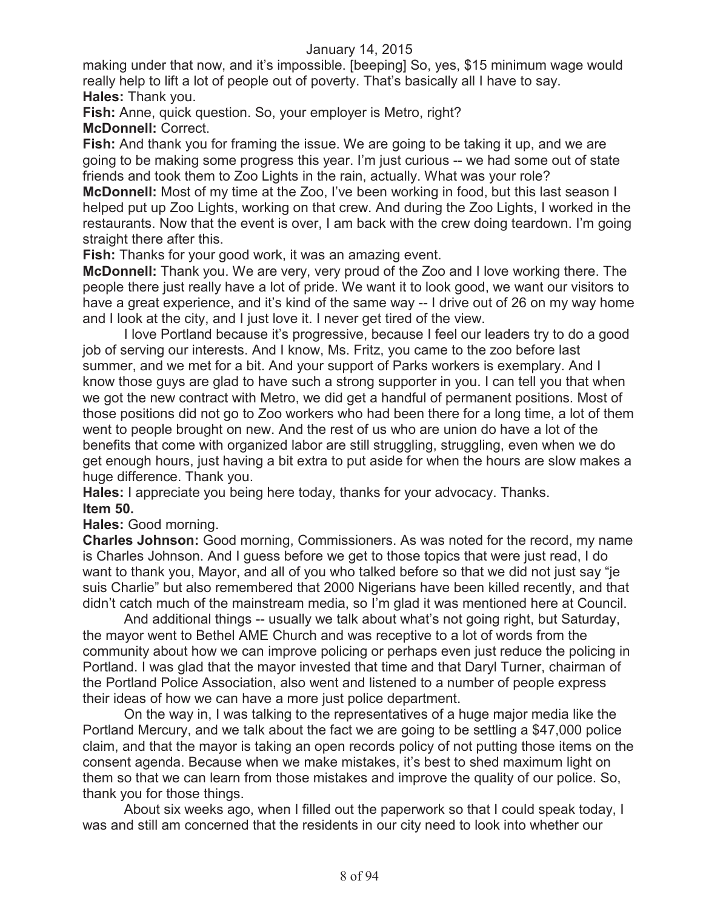making under that now, and it's impossible. [beeping] So, yes, \$15 minimum wage would really help to lift a lot of people out of poverty. That's basically all I have to say. **Hales:** Thank you.

**Fish:** Anne, quick question. So, your employer is Metro, right?

**McDonnell:** Correct.

**Fish:** And thank you for framing the issue. We are going to be taking it up, and we are going to be making some progress this year. I'm just curious -- we had some out of state friends and took them to Zoo Lights in the rain, actually. What was your role?

**McDonnell:** Most of my time at the Zoo, I've been working in food, but this last season I helped put up Zoo Lights, working on that crew. And during the Zoo Lights, I worked in the restaurants. Now that the event is over, I am back with the crew doing teardown. I'm going straight there after this.

**Fish:** Thanks for your good work, it was an amazing event.

**McDonnell:** Thank you. We are very, very proud of the Zoo and I love working there. The people there just really have a lot of pride. We want it to look good, we want our visitors to have a great experience, and it's kind of the same way -- I drive out of 26 on my way home and I look at the city, and I just love it. I never get tired of the view.

I love Portland because it's progressive, because I feel our leaders try to do a good job of serving our interests. And I know, Ms. Fritz, you came to the zoo before last summer, and we met for a bit. And your support of Parks workers is exemplary. And I know those guys are glad to have such a strong supporter in you. I can tell you that when we got the new contract with Metro, we did get a handful of permanent positions. Most of those positions did not go to Zoo workers who had been there for a long time, a lot of them went to people brought on new. And the rest of us who are union do have a lot of the benefits that come with organized labor are still struggling, struggling, even when we do get enough hours, just having a bit extra to put aside for when the hours are slow makes a huge difference. Thank you.

**Hales:** I appreciate you being here today, thanks for your advocacy. Thanks. **Item 50.**

**Hales:** Good morning.

**Charles Johnson:** Good morning, Commissioners. As was noted for the record, my name is Charles Johnson. And I guess before we get to those topics that were just read, I do want to thank you, Mayor, and all of you who talked before so that we did not just say "je suis Charlie" but also remembered that 2000 Nigerians have been killed recently, and that didn't catch much of the mainstream media, so I'm glad it was mentioned here at Council.

And additional things -- usually we talk about what's not going right, but Saturday, the mayor went to Bethel AME Church and was receptive to a lot of words from the community about how we can improve policing or perhaps even just reduce the policing in Portland. I was glad that the mayor invested that time and that Daryl Turner, chairman of the Portland Police Association, also went and listened to a number of people express their ideas of how we can have a more just police department.

On the way in, I was talking to the representatives of a huge major media like the Portland Mercury, and we talk about the fact we are going to be settling a \$47,000 police claim, and that the mayor is taking an open records policy of not putting those items on the consent agenda. Because when we make mistakes, it's best to shed maximum light on them so that we can learn from those mistakes and improve the quality of our police. So, thank you for those things.

About six weeks ago, when I filled out the paperwork so that I could speak today, I was and still am concerned that the residents in our city need to look into whether our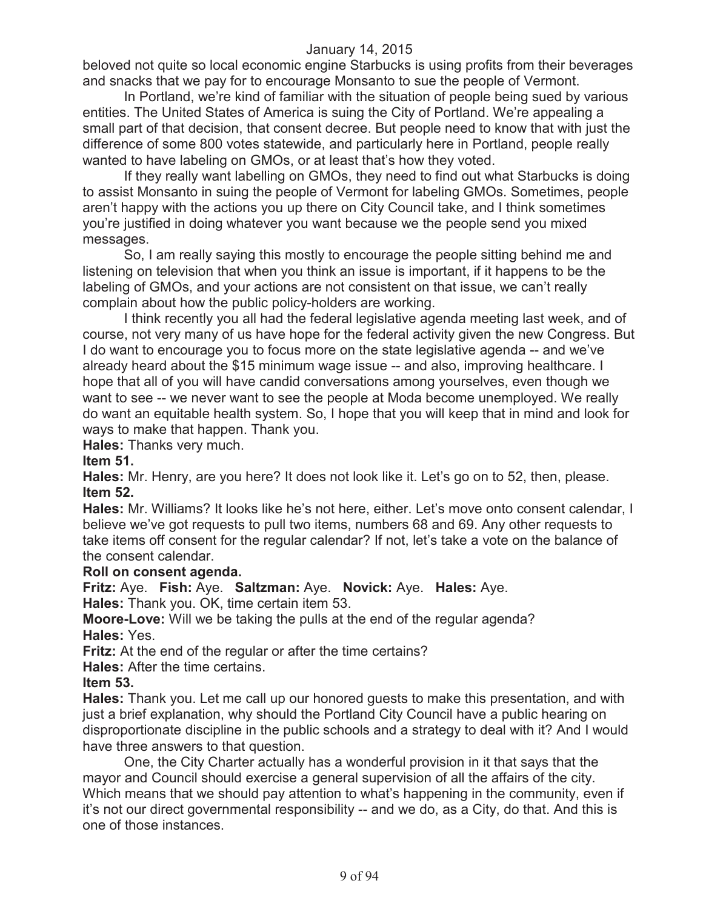beloved not quite so local economic engine Starbucks is using profits from their beverages and snacks that we pay for to encourage Monsanto to sue the people of Vermont.

In Portland, we're kind of familiar with the situation of people being sued by various entities. The United States of America is suing the City of Portland. We're appealing a small part of that decision, that consent decree. But people need to know that with just the difference of some 800 votes statewide, and particularly here in Portland, people really wanted to have labeling on GMOs, or at least that's how they voted.

If they really want labelling on GMOs, they need to find out what Starbucks is doing to assist Monsanto in suing the people of Vermont for labeling GMOs. Sometimes, people aren't happy with the actions you up there on City Council take, and I think sometimes you're justified in doing whatever you want because we the people send you mixed messages.

So, I am really saying this mostly to encourage the people sitting behind me and listening on television that when you think an issue is important, if it happens to be the labeling of GMOs, and your actions are not consistent on that issue, we can't really complain about how the public policy-holders are working.

I think recently you all had the federal legislative agenda meeting last week, and of course, not very many of us have hope for the federal activity given the new Congress. But I do want to encourage you to focus more on the state legislative agenda -- and we've already heard about the \$15 minimum wage issue -- and also, improving healthcare. I hope that all of you will have candid conversations among yourselves, even though we want to see -- we never want to see the people at Moda become unemployed. We really do want an equitable health system. So, I hope that you will keep that in mind and look for ways to make that happen. Thank you.

**Hales:** Thanks very much.

#### **Item 51.**

**Hales:** Mr. Henry, are you here? It does not look like it. Let's go on to 52, then, please. **Item 52.**

**Hales:** Mr. Williams? It looks like he's not here, either. Let's move onto consent calendar, I believe we've got requests to pull two items, numbers 68 and 69. Any other requests to take items off consent for the regular calendar? If not, let's take a vote on the balance of the consent calendar.

# **Roll on consent agenda.**

**Fritz:** Aye. **Fish:** Aye. **Saltzman:** Aye. **Novick:** Aye. **Hales:** Aye.

**Hales:** Thank you. OK, time certain item 53.

**Moore-Love:** Will we be taking the pulls at the end of the regular agenda? **Hales:** Yes.

**Fritz:** At the end of the regular or after the time certains?

**Hales:** After the time certains.

#### **Item 53.**

**Hales:** Thank you. Let me call up our honored guests to make this presentation, and with just a brief explanation, why should the Portland City Council have a public hearing on disproportionate discipline in the public schools and a strategy to deal with it? And I would have three answers to that question.

One, the City Charter actually has a wonderful provision in it that says that the mayor and Council should exercise a general supervision of all the affairs of the city. Which means that we should pay attention to what's happening in the community, even if it's not our direct governmental responsibility -- and we do, as a City, do that. And this is one of those instances.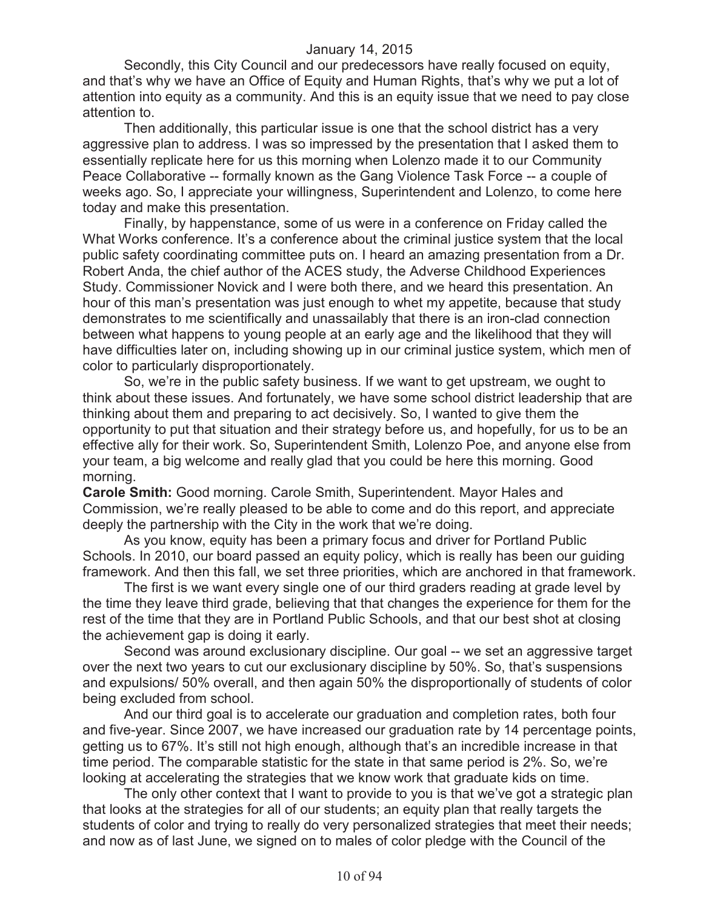Secondly, this City Council and our predecessors have really focused on equity, and that's why we have an Office of Equity and Human Rights, that's why we put a lot of attention into equity as a community. And this is an equity issue that we need to pay close attention to.

Then additionally, this particular issue is one that the school district has a very aggressive plan to address. I was so impressed by the presentation that I asked them to essentially replicate here for us this morning when Lolenzo made it to our Community Peace Collaborative -- formally known as the Gang Violence Task Force -- a couple of weeks ago. So, I appreciate your willingness, Superintendent and Lolenzo, to come here today and make this presentation.

Finally, by happenstance, some of us were in a conference on Friday called the What Works conference. It's a conference about the criminal justice system that the local public safety coordinating committee puts on. I heard an amazing presentation from a Dr. Robert Anda, the chief author of the ACES study, the Adverse Childhood Experiences Study. Commissioner Novick and I were both there, and we heard this presentation. An hour of this man's presentation was just enough to whet my appetite, because that study demonstrates to me scientifically and unassailably that there is an iron-clad connection between what happens to young people at an early age and the likelihood that they will have difficulties later on, including showing up in our criminal justice system, which men of color to particularly disproportionately.

So, we're in the public safety business. If we want to get upstream, we ought to think about these issues. And fortunately, we have some school district leadership that are thinking about them and preparing to act decisively. So, I wanted to give them the opportunity to put that situation and their strategy before us, and hopefully, for us to be an effective ally for their work. So, Superintendent Smith, Lolenzo Poe, and anyone else from your team, a big welcome and really glad that you could be here this morning. Good morning.

**Carole Smith:** Good morning. Carole Smith, Superintendent. Mayor Hales and Commission, we're really pleased to be able to come and do this report, and appreciate deeply the partnership with the City in the work that we're doing.

As you know, equity has been a primary focus and driver for Portland Public Schools. In 2010, our board passed an equity policy, which is really has been our guiding framework. And then this fall, we set three priorities, which are anchored in that framework.

The first is we want every single one of our third graders reading at grade level by the time they leave third grade, believing that that changes the experience for them for the rest of the time that they are in Portland Public Schools, and that our best shot at closing the achievement gap is doing it early.

Second was around exclusionary discipline. Our goal -- we set an aggressive target over the next two years to cut our exclusionary discipline by 50%. So, that's suspensions and expulsions/ 50% overall, and then again 50% the disproportionally of students of color being excluded from school.

And our third goal is to accelerate our graduation and completion rates, both four and five-year. Since 2007, we have increased our graduation rate by 14 percentage points, getting us to 67%. It's still not high enough, although that's an incredible increase in that time period. The comparable statistic for the state in that same period is 2%. So, we're looking at accelerating the strategies that we know work that graduate kids on time.

The only other context that I want to provide to you is that we've got a strategic plan that looks at the strategies for all of our students; an equity plan that really targets the students of color and trying to really do very personalized strategies that meet their needs; and now as of last June, we signed on to males of color pledge with the Council of the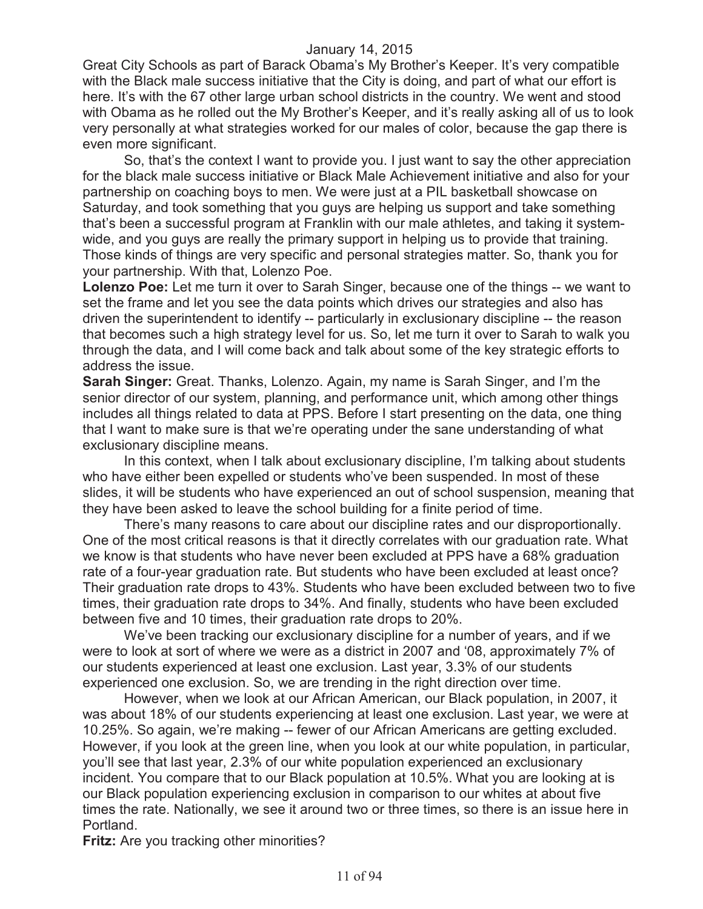Great City Schools as part of Barack Obama's My Brother's Keeper. It's very compatible with the Black male success initiative that the City is doing, and part of what our effort is here. It's with the 67 other large urban school districts in the country. We went and stood with Obama as he rolled out the My Brother's Keeper, and it's really asking all of us to look very personally at what strategies worked for our males of color, because the gap there is even more significant.

So, that's the context I want to provide you. I just want to say the other appreciation for the black male success initiative or Black Male Achievement initiative and also for your partnership on coaching boys to men. We were just at a PIL basketball showcase on Saturday, and took something that you guys are helping us support and take something that's been a successful program at Franklin with our male athletes, and taking it systemwide, and you guys are really the primary support in helping us to provide that training. Those kinds of things are very specific and personal strategies matter. So, thank you for your partnership. With that, Lolenzo Poe.

**Lolenzo Poe:** Let me turn it over to Sarah Singer, because one of the things -- we want to set the frame and let you see the data points which drives our strategies and also has driven the superintendent to identify -- particularly in exclusionary discipline -- the reason that becomes such a high strategy level for us. So, let me turn it over to Sarah to walk you through the data, and I will come back and talk about some of the key strategic efforts to address the issue.

**Sarah Singer:** Great. Thanks, Lolenzo. Again, my name is Sarah Singer, and I'm the senior director of our system, planning, and performance unit, which among other things includes all things related to data at PPS. Before I start presenting on the data, one thing that I want to make sure is that we're operating under the sane understanding of what exclusionary discipline means.

In this context, when I talk about exclusionary discipline, I'm talking about students who have either been expelled or students who've been suspended. In most of these slides, it will be students who have experienced an out of school suspension, meaning that they have been asked to leave the school building for a finite period of time.

There's many reasons to care about our discipline rates and our disproportionally. One of the most critical reasons is that it directly correlates with our graduation rate. What we know is that students who have never been excluded at PPS have a 68% graduation rate of a four-year graduation rate. But students who have been excluded at least once? Their graduation rate drops to 43%. Students who have been excluded between two to five times, their graduation rate drops to 34%. And finally, students who have been excluded between five and 10 times, their graduation rate drops to 20%.

We've been tracking our exclusionary discipline for a number of years, and if we were to look at sort of where we were as a district in 2007 and '08, approximately 7% of our students experienced at least one exclusion. Last year, 3.3% of our students experienced one exclusion. So, we are trending in the right direction over time.

However, when we look at our African American, our Black population, in 2007, it was about 18% of our students experiencing at least one exclusion. Last year, we were at 10.25%. So again, we're making -- fewer of our African Americans are getting excluded. However, if you look at the green line, when you look at our white population, in particular, you'll see that last year, 2.3% of our white population experienced an exclusionary incident. You compare that to our Black population at 10.5%. What you are looking at is our Black population experiencing exclusion in comparison to our whites at about five times the rate. Nationally, we see it around two or three times, so there is an issue here in Portland.

**Fritz:** Are you tracking other minorities?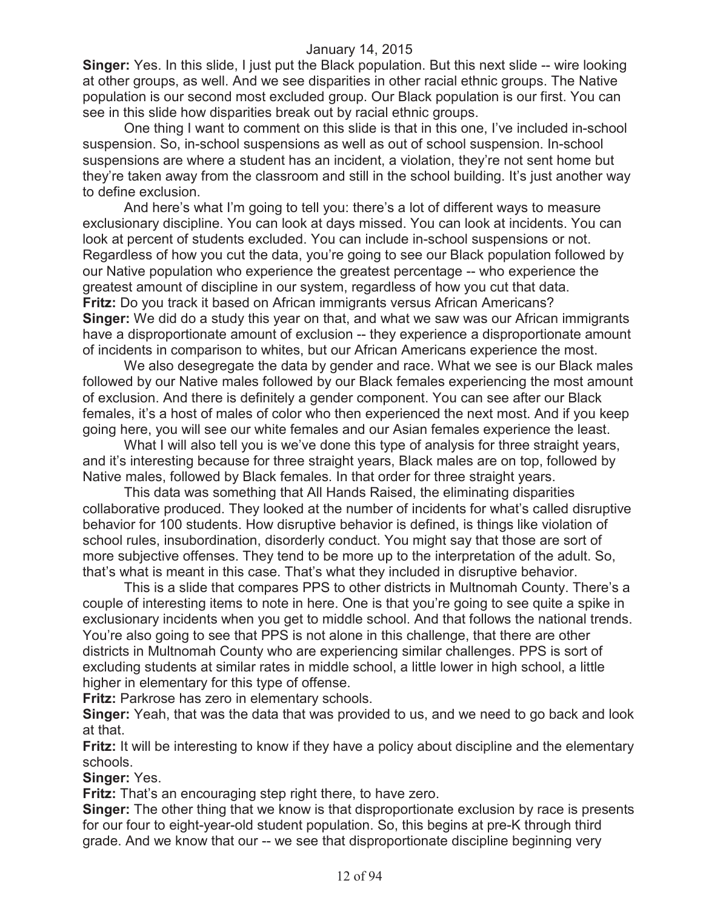**Singer:** Yes. In this slide, I just put the Black population. But this next slide -- wire looking at other groups, as well. And we see disparities in other racial ethnic groups. The Native population is our second most excluded group. Our Black population is our first. You can see in this slide how disparities break out by racial ethnic groups.

One thing I want to comment on this slide is that in this one, I've included in-school suspension. So, in-school suspensions as well as out of school suspension. In-school suspensions are where a student has an incident, a violation, they're not sent home but they're taken away from the classroom and still in the school building. It's just another way to define exclusion.

And here's what I'm going to tell you: there's a lot of different ways to measure exclusionary discipline. You can look at days missed. You can look at incidents. You can look at percent of students excluded. You can include in-school suspensions or not. Regardless of how you cut the data, you're going to see our Black population followed by our Native population who experience the greatest percentage -- who experience the greatest amount of discipline in our system, regardless of how you cut that data. **Fritz:** Do you track it based on African immigrants versus African Americans? **Singer:** We did do a study this year on that, and what we saw was our African immigrants have a disproportionate amount of exclusion -- they experience a disproportionate amount of incidents in comparison to whites, but our African Americans experience the most.

We also desegregate the data by gender and race. What we see is our Black males followed by our Native males followed by our Black females experiencing the most amount of exclusion. And there is definitely a gender component. You can see after our Black females, it's a host of males of color who then experienced the next most. And if you keep going here, you will see our white females and our Asian females experience the least.

What I will also tell you is we've done this type of analysis for three straight years, and it's interesting because for three straight years, Black males are on top, followed by Native males, followed by Black females. In that order for three straight years.

This data was something that All Hands Raised, the eliminating disparities collaborative produced. They looked at the number of incidents for what's called disruptive behavior for 100 students. How disruptive behavior is defined, is things like violation of school rules, insubordination, disorderly conduct. You might say that those are sort of more subjective offenses. They tend to be more up to the interpretation of the adult. So, that's what is meant in this case. That's what they included in disruptive behavior.

This is a slide that compares PPS to other districts in Multnomah County. There's a couple of interesting items to note in here. One is that you're going to see quite a spike in exclusionary incidents when you get to middle school. And that follows the national trends. You're also going to see that PPS is not alone in this challenge, that there are other districts in Multnomah County who are experiencing similar challenges. PPS is sort of excluding students at similar rates in middle school, a little lower in high school, a little higher in elementary for this type of offense.

**Fritz:** Parkrose has zero in elementary schools.

**Singer:** Yeah, that was the data that was provided to us, and we need to go back and look at that.

**Fritz:** It will be interesting to know if they have a policy about discipline and the elementary schools.

**Singer:** Yes.

**Fritz:** That's an encouraging step right there, to have zero.

**Singer:** The other thing that we know is that disproportionate exclusion by race is presents for our four to eight-year-old student population. So, this begins at pre-K through third grade. And we know that our -- we see that disproportionate discipline beginning very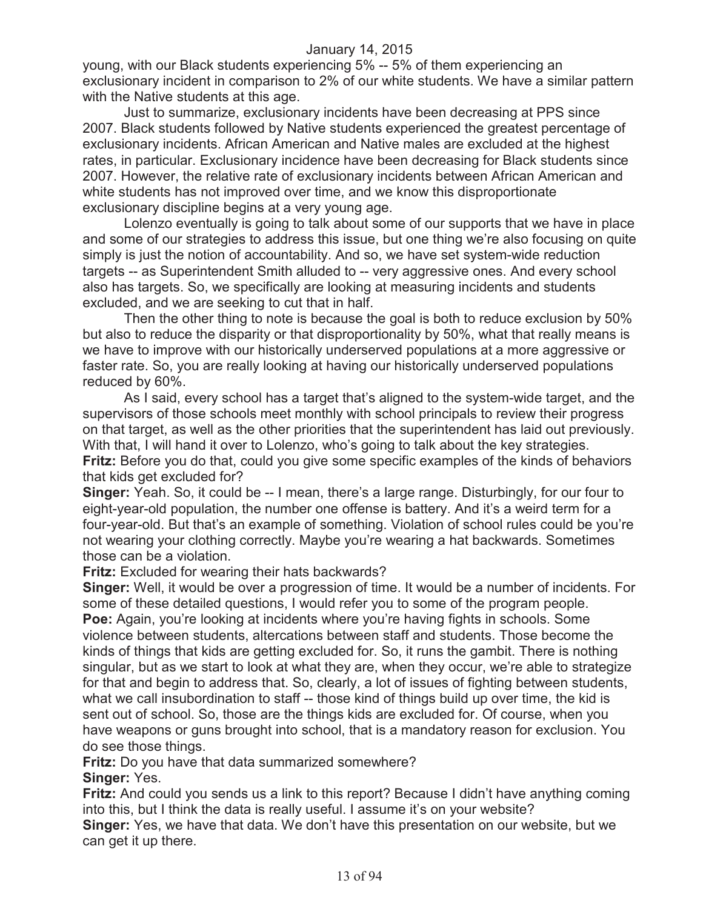young, with our Black students experiencing 5% -- 5% of them experiencing an exclusionary incident in comparison to 2% of our white students. We have a similar pattern with the Native students at this age.

Just to summarize, exclusionary incidents have been decreasing at PPS since 2007. Black students followed by Native students experienced the greatest percentage of exclusionary incidents. African American and Native males are excluded at the highest rates, in particular. Exclusionary incidence have been decreasing for Black students since 2007. However, the relative rate of exclusionary incidents between African American and white students has not improved over time, and we know this disproportionate exclusionary discipline begins at a very young age.

Lolenzo eventually is going to talk about some of our supports that we have in place and some of our strategies to address this issue, but one thing we're also focusing on quite simply is just the notion of accountability. And so, we have set system-wide reduction targets -- as Superintendent Smith alluded to -- very aggressive ones. And every school also has targets. So, we specifically are looking at measuring incidents and students excluded, and we are seeking to cut that in half.

Then the other thing to note is because the goal is both to reduce exclusion by 50% but also to reduce the disparity or that disproportionality by 50%, what that really means is we have to improve with our historically underserved populations at a more aggressive or faster rate. So, you are really looking at having our historically underserved populations reduced by 60%.

As I said, every school has a target that's aligned to the system-wide target, and the supervisors of those schools meet monthly with school principals to review their progress on that target, as well as the other priorities that the superintendent has laid out previously. With that, I will hand it over to Lolenzo, who's going to talk about the key strategies. **Fritz:** Before you do that, could you give some specific examples of the kinds of behaviors that kids get excluded for?

**Singer:** Yeah. So, it could be -- I mean, there's a large range. Disturbingly, for our four to eight-year-old population, the number one offense is battery. And it's a weird term for a four-year-old. But that's an example of something. Violation of school rules could be you're not wearing your clothing correctly. Maybe you're wearing a hat backwards. Sometimes those can be a violation.

**Fritz:** Excluded for wearing their hats backwards?

**Singer:** Well, it would be over a progression of time. It would be a number of incidents. For some of these detailed questions, I would refer you to some of the program people. **Poe:** Again, you're looking at incidents where you're having fights in schools. Some violence between students, altercations between staff and students. Those become the kinds of things that kids are getting excluded for. So, it runs the gambit. There is nothing singular, but as we start to look at what they are, when they occur, we're able to strategize for that and begin to address that. So, clearly, a lot of issues of fighting between students, what we call insubordination to staff -- those kind of things build up over time, the kid is sent out of school. So, those are the things kids are excluded for. Of course, when you have weapons or guns brought into school, that is a mandatory reason for exclusion. You do see those things.

**Fritz:** Do you have that data summarized somewhere? **Singer:** Yes.

**Fritz:** And could you sends us a link to this report? Because I didn't have anything coming into this, but I think the data is really useful. I assume it's on your website? **Singer:** Yes, we have that data. We don't have this presentation on our website, but we can get it up there.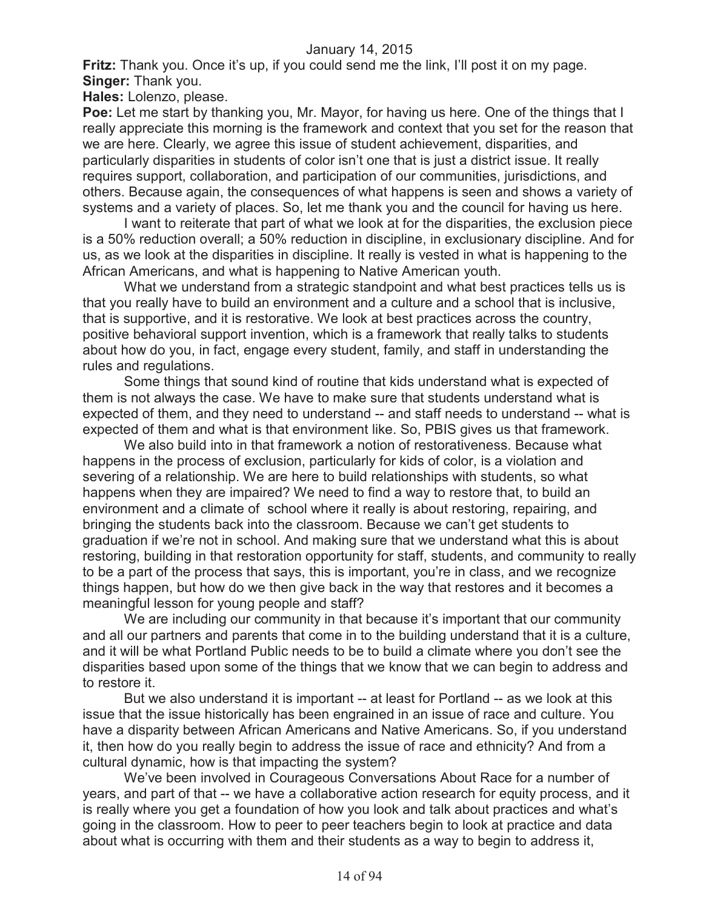**Fritz:** Thank you. Once it's up, if you could send me the link, I'll post it on my page. **Singer:** Thank you.

**Hales:** Lolenzo, please.

**Poe:** Let me start by thanking you, Mr. Mayor, for having us here. One of the things that I really appreciate this morning is the framework and context that you set for the reason that we are here. Clearly, we agree this issue of student achievement, disparities, and particularly disparities in students of color isn't one that is just a district issue. It really requires support, collaboration, and participation of our communities, jurisdictions, and others. Because again, the consequences of what happens is seen and shows a variety of systems and a variety of places. So, let me thank you and the council for having us here.

I want to reiterate that part of what we look at for the disparities, the exclusion piece is a 50% reduction overall; a 50% reduction in discipline, in exclusionary discipline. And for us, as we look at the disparities in discipline. It really is vested in what is happening to the African Americans, and what is happening to Native American youth.

What we understand from a strategic standpoint and what best practices tells us is that you really have to build an environment and a culture and a school that is inclusive, that is supportive, and it is restorative. We look at best practices across the country, positive behavioral support invention, which is a framework that really talks to students about how do you, in fact, engage every student, family, and staff in understanding the rules and regulations.

Some things that sound kind of routine that kids understand what is expected of them is not always the case. We have to make sure that students understand what is expected of them, and they need to understand -- and staff needs to understand -- what is expected of them and what is that environment like. So, PBIS gives us that framework.

We also build into in that framework a notion of restorativeness. Because what happens in the process of exclusion, particularly for kids of color, is a violation and severing of a relationship. We are here to build relationships with students, so what happens when they are impaired? We need to find a way to restore that, to build an environment and a climate of school where it really is about restoring, repairing, and bringing the students back into the classroom. Because we can't get students to graduation if we're not in school. And making sure that we understand what this is about restoring, building in that restoration opportunity for staff, students, and community to really to be a part of the process that says, this is important, you're in class, and we recognize things happen, but how do we then give back in the way that restores and it becomes a meaningful lesson for young people and staff?

We are including our community in that because it's important that our community and all our partners and parents that come in to the building understand that it is a culture, and it will be what Portland Public needs to be to build a climate where you don't see the disparities based upon some of the things that we know that we can begin to address and to restore it.

But we also understand it is important -- at least for Portland -- as we look at this issue that the issue historically has been engrained in an issue of race and culture. You have a disparity between African Americans and Native Americans. So, if you understand it, then how do you really begin to address the issue of race and ethnicity? And from a cultural dynamic, how is that impacting the system?

We've been involved in Courageous Conversations About Race for a number of years, and part of that -- we have a collaborative action research for equity process, and it is really where you get a foundation of how you look and talk about practices and what's going in the classroom. How to peer to peer teachers begin to look at practice and data about what is occurring with them and their students as a way to begin to address it,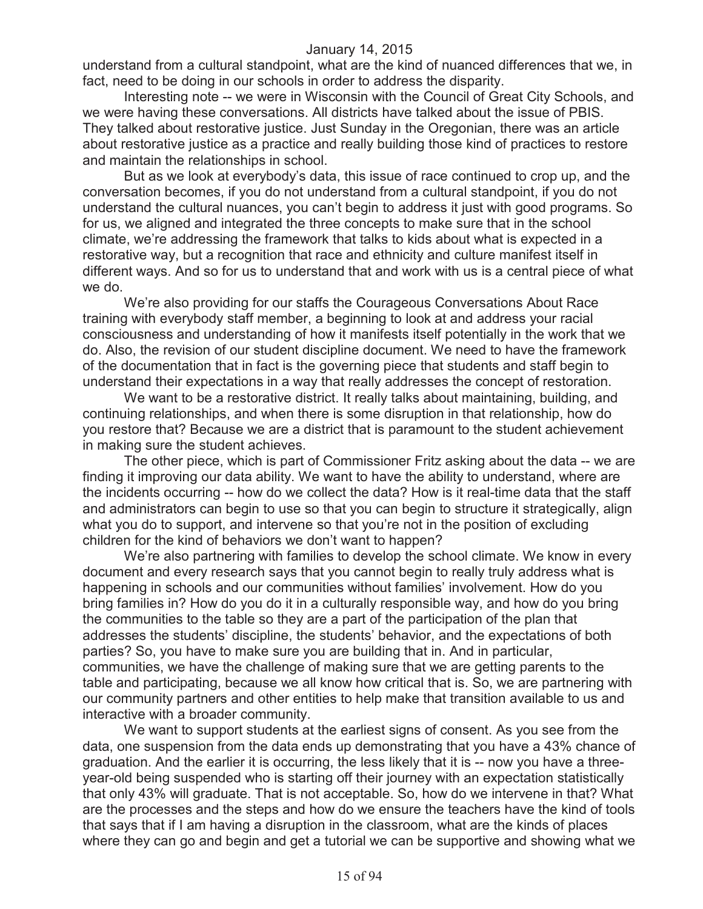understand from a cultural standpoint, what are the kind of nuanced differences that we, in fact, need to be doing in our schools in order to address the disparity.

Interesting note -- we were in Wisconsin with the Council of Great City Schools, and we were having these conversations. All districts have talked about the issue of PBIS. They talked about restorative justice. Just Sunday in the Oregonian, there was an article about restorative justice as a practice and really building those kind of practices to restore and maintain the relationships in school.

But as we look at everybody's data, this issue of race continued to crop up, and the conversation becomes, if you do not understand from a cultural standpoint, if you do not understand the cultural nuances, you can't begin to address it just with good programs. So for us, we aligned and integrated the three concepts to make sure that in the school climate, we're addressing the framework that talks to kids about what is expected in a restorative way, but a recognition that race and ethnicity and culture manifest itself in different ways. And so for us to understand that and work with us is a central piece of what we do.

We're also providing for our staffs the Courageous Conversations About Race training with everybody staff member, a beginning to look at and address your racial consciousness and understanding of how it manifests itself potentially in the work that we do. Also, the revision of our student discipline document. We need to have the framework of the documentation that in fact is the governing piece that students and staff begin to understand their expectations in a way that really addresses the concept of restoration.

We want to be a restorative district. It really talks about maintaining, building, and continuing relationships, and when there is some disruption in that relationship, how do you restore that? Because we are a district that is paramount to the student achievement in making sure the student achieves.

The other piece, which is part of Commissioner Fritz asking about the data -- we are finding it improving our data ability. We want to have the ability to understand, where are the incidents occurring -- how do we collect the data? How is it real-time data that the staff and administrators can begin to use so that you can begin to structure it strategically, align what you do to support, and intervene so that you're not in the position of excluding children for the kind of behaviors we don't want to happen?

We're also partnering with families to develop the school climate. We know in every document and every research says that you cannot begin to really truly address what is happening in schools and our communities without families' involvement. How do you bring families in? How do you do it in a culturally responsible way, and how do you bring the communities to the table so they are a part of the participation of the plan that addresses the students' discipline, the students' behavior, and the expectations of both parties? So, you have to make sure you are building that in. And in particular, communities, we have the challenge of making sure that we are getting parents to the table and participating, because we all know how critical that is. So, we are partnering with our community partners and other entities to help make that transition available to us and interactive with a broader community.

We want to support students at the earliest signs of consent. As you see from the data, one suspension from the data ends up demonstrating that you have a 43% chance of graduation. And the earlier it is occurring, the less likely that it is -- now you have a threeyear-old being suspended who is starting off their journey with an expectation statistically that only 43% will graduate. That is not acceptable. So, how do we intervene in that? What are the processes and the steps and how do we ensure the teachers have the kind of tools that says that if I am having a disruption in the classroom, what are the kinds of places where they can go and begin and get a tutorial we can be supportive and showing what we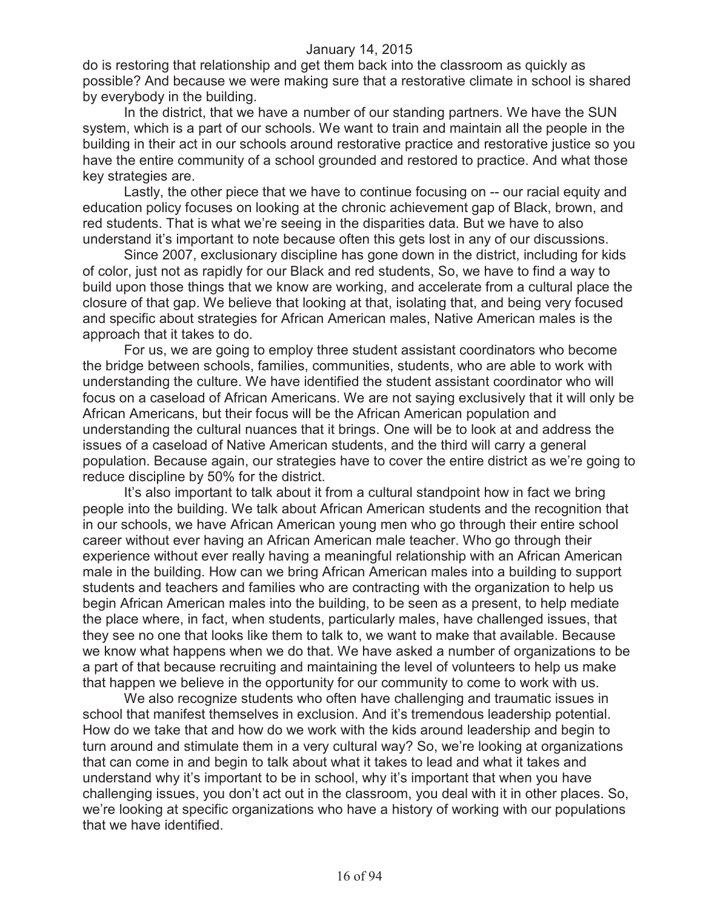do is restoring that relationship and get them back into the classroom as quickly as possible? And because we were making sure that a restorative climate in school is shared by everybody in the building.

In the district, that we have a number of our standing partners. We have the SUN system, which is a part of our schools. We want to train and maintain all the people in the building in their act in our schools around restorative practice and restorative justice so you have the entire community of a school grounded and restored to practice. And what those key strategies are.

Lastly, the other piece that we have to continue focusing on -- our racial equity and education policy focuses on looking at the chronic achievement gap of Black, brown, and red students. That is what we're seeing in the disparities data. But we have to also understand it's important to note because often this gets lost in any of our discussions.

Since 2007, exclusionary discipline has gone down in the district, including for kids of color, just not as rapidly for our Black and red students, So, we have to find a way to build upon those things that we know are working, and accelerate from a cultural place the closure of that gap. We believe that looking at that, isolating that, and being very focused and specific about strategies for African American males, Native American males is the approach that it takes to do.

For us, we are going to employ three student assistant coordinators who become the bridge between schools, families, communities, students, who are able to work with understanding the culture. We have identified the student assistant coordinator who will focus on a caseload of African Americans. We are not saying exclusively that it will only be African Americans, but their focus will be the African American population and understanding the cultural nuances that it brings. One will be to look at and address the issues of a caseload of Native American students, and the third will carry a general population. Because again, our strategies have to cover the entire district as we're going to reduce discipline by 50% for the district.

It's also important to talk about it from a cultural standpoint how in fact we bring people into the building. We talk about African American students and the recognition that in our schools, we have African American young men who go through their entire school career without ever having an African American male teacher. Who go through their experience without ever really having a meaningful relationship with an African American male in the building. How can we bring African American males into a building to support students and teachers and families who are contracting with the organization to help us begin African American males into the building, to be seen as a present, to help mediate the place where, in fact, when students, particularly males, have challenged issues, that they see no one that looks like them to talk to, we want to make that available. Because we know what happens when we do that. We have asked a number of organizations to be a part of that because recruiting and maintaining the level of volunteers to help us make that happen we believe in the opportunity for our community to come to work with us.

We also recognize students who often have challenging and traumatic issues in school that manifest themselves in exclusion. And it's tremendous leadership potential. How do we take that and how do we work with the kids around leadership and begin to turn around and stimulate them in a very cultural way? So, we're looking at organizations that can come in and begin to talk about what it takes to lead and what it takes and understand why it's important to be in school, why it's important that when you have challenging issues, you don't act out in the classroom, you deal with it in other places. So, we're looking at specific organizations who have a history of working with our populations that we have identified.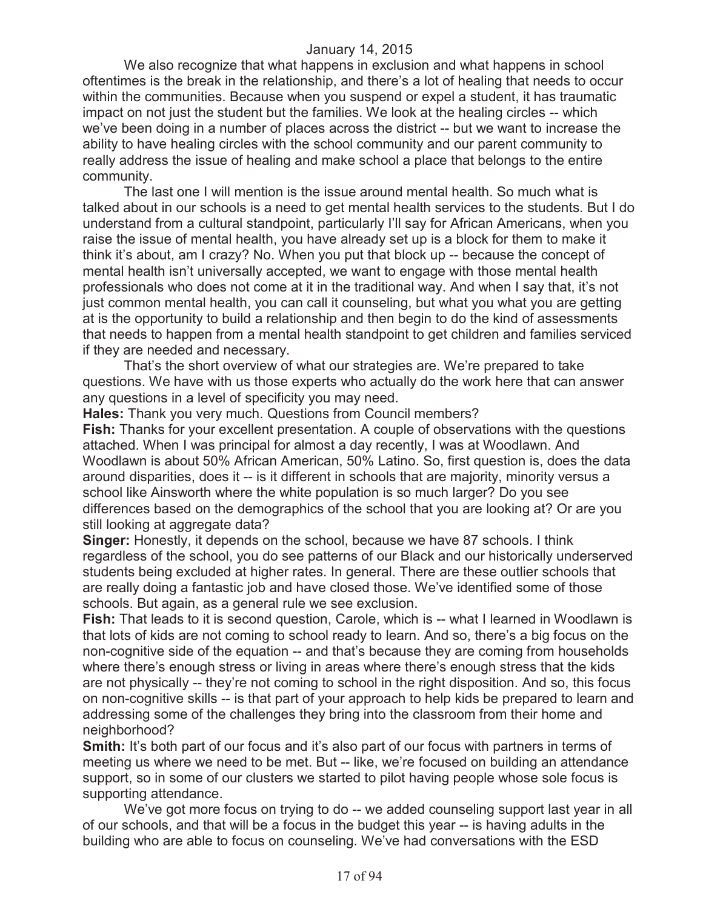We also recognize that what happens in exclusion and what happens in school oftentimes is the break in the relationship, and there's a lot of healing that needs to occur within the communities. Because when you suspend or expel a student, it has traumatic impact on not just the student but the families. We look at the healing circles -- which we've been doing in a number of places across the district -- but we want to increase the ability to have healing circles with the school community and our parent community to really address the issue of healing and make school a place that belongs to the entire community.

The last one I will mention is the issue around mental health. So much what is talked about in our schools is a need to get mental health services to the students. But I do understand from a cultural standpoint, particularly I'll say for African Americans, when you raise the issue of mental health, you have already set up is a block for them to make it think it's about, am I crazy? No. When you put that block up -- because the concept of mental health isn't universally accepted, we want to engage with those mental health professionals who does not come at it in the traditional way. And when I say that, it's not just common mental health, you can call it counseling, but what you what you are getting at is the opportunity to build a relationship and then begin to do the kind of assessments that needs to happen from a mental health standpoint to get children and families serviced if they are needed and necessary.

That's the short overview of what our strategies are. We're prepared to take questions. We have with us those experts who actually do the work here that can answer any questions in a level of specificity you may need.

**Hales:** Thank you very much. Questions from Council members?

**Fish:** Thanks for your excellent presentation. A couple of observations with the questions attached. When I was principal for almost a day recently, I was at Woodlawn. And Woodlawn is about 50% African American, 50% Latino. So, first question is, does the data around disparities, does it -- is it different in schools that are majority, minority versus a school like Ainsworth where the white population is so much larger? Do you see differences based on the demographics of the school that you are looking at? Or are you still looking at aggregate data?

**Singer:** Honestly, it depends on the school, because we have 87 schools. I think regardless of the school, you do see patterns of our Black and our historically underserved students being excluded at higher rates. In general. There are these outlier schools that are really doing a fantastic job and have closed those. We've identified some of those schools. But again, as a general rule we see exclusion.

**Fish:** That leads to it is second question, Carole, which is -- what I learned in Woodlawn is that lots of kids are not coming to school ready to learn. And so, there's a big focus on the non-cognitive side of the equation -- and that's because they are coming from households where there's enough stress or living in areas where there's enough stress that the kids are not physically -- they're not coming to school in the right disposition. And so, this focus on non-cognitive skills -- is that part of your approach to help kids be prepared to learn and addressing some of the challenges they bring into the classroom from their home and neighborhood?

**Smith:** It's both part of our focus and it's also part of our focus with partners in terms of meeting us where we need to be met. But -- like, we're focused on building an attendance support, so in some of our clusters we started to pilot having people whose sole focus is supporting attendance.

We've got more focus on trying to do -- we added counseling support last year in all of our schools, and that will be a focus in the budget this year -- is having adults in the building who are able to focus on counseling. We've had conversations with the ESD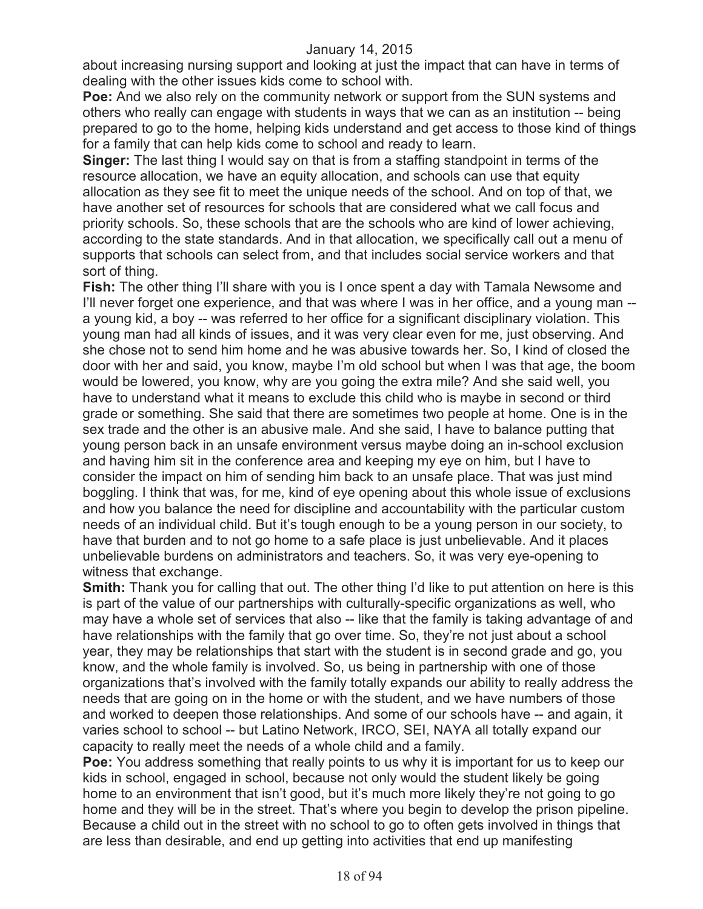about increasing nursing support and looking at just the impact that can have in terms of dealing with the other issues kids come to school with.

**Poe:** And we also rely on the community network or support from the SUN systems and others who really can engage with students in ways that we can as an institution -- being prepared to go to the home, helping kids understand and get access to those kind of things for a family that can help kids come to school and ready to learn.

**Singer:** The last thing I would say on that is from a staffing standpoint in terms of the resource allocation, we have an equity allocation, and schools can use that equity allocation as they see fit to meet the unique needs of the school. And on top of that, we have another set of resources for schools that are considered what we call focus and priority schools. So, these schools that are the schools who are kind of lower achieving, according to the state standards. And in that allocation, we specifically call out a menu of supports that schools can select from, and that includes social service workers and that sort of thing.

**Fish:** The other thing I'll share with you is I once spent a day with Tamala Newsome and I'll never forget one experience, and that was where I was in her office, and a young man -a young kid, a boy -- was referred to her office for a significant disciplinary violation. This young man had all kinds of issues, and it was very clear even for me, just observing. And she chose not to send him home and he was abusive towards her. So, I kind of closed the door with her and said, you know, maybe I'm old school but when I was that age, the boom would be lowered, you know, why are you going the extra mile? And she said well, you have to understand what it means to exclude this child who is maybe in second or third grade or something. She said that there are sometimes two people at home. One is in the sex trade and the other is an abusive male. And she said, I have to balance putting that young person back in an unsafe environment versus maybe doing an in-school exclusion and having him sit in the conference area and keeping my eye on him, but I have to consider the impact on him of sending him back to an unsafe place. That was just mind boggling. I think that was, for me, kind of eye opening about this whole issue of exclusions and how you balance the need for discipline and accountability with the particular custom needs of an individual child. But it's tough enough to be a young person in our society, to have that burden and to not go home to a safe place is just unbelievable. And it places unbelievable burdens on administrators and teachers. So, it was very eye-opening to witness that exchange.

**Smith:** Thank you for calling that out. The other thing I'd like to put attention on here is this is part of the value of our partnerships with culturally-specific organizations as well, who may have a whole set of services that also -- like that the family is taking advantage of and have relationships with the family that go over time. So, they're not just about a school year, they may be relationships that start with the student is in second grade and go, you know, and the whole family is involved. So, us being in partnership with one of those organizations that's involved with the family totally expands our ability to really address the needs that are going on in the home or with the student, and we have numbers of those and worked to deepen those relationships. And some of our schools have -- and again, it varies school to school -- but Latino Network, IRCO, SEI, NAYA all totally expand our capacity to really meet the needs of a whole child and a family.

**Poe:** You address something that really points to us why it is important for us to keep our kids in school, engaged in school, because not only would the student likely be going home to an environment that isn't good, but it's much more likely they're not going to go home and they will be in the street. That's where you begin to develop the prison pipeline. Because a child out in the street with no school to go to often gets involved in things that are less than desirable, and end up getting into activities that end up manifesting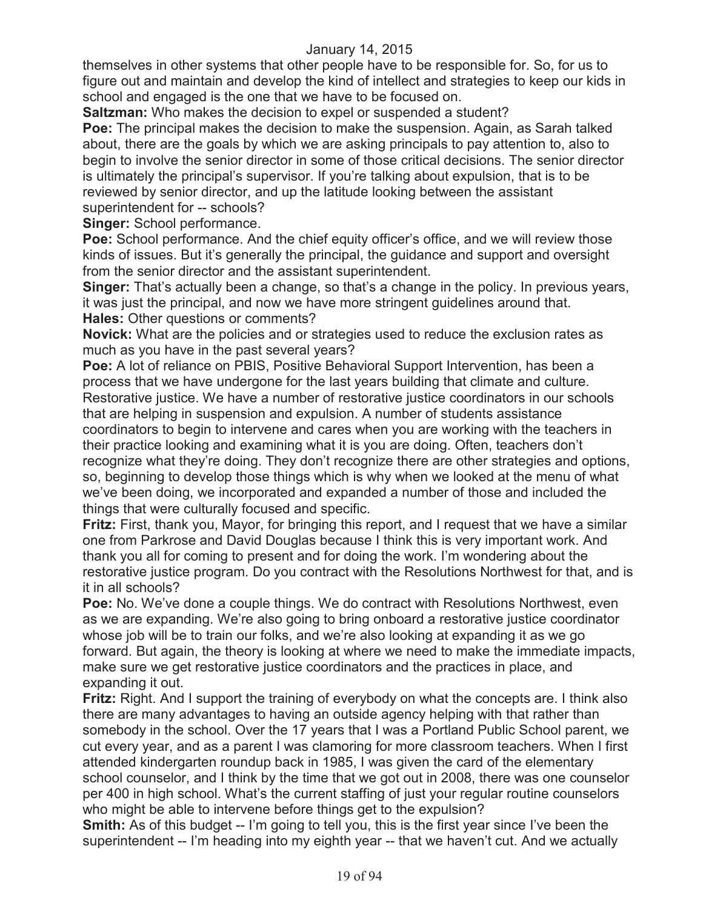themselves in other systems that other people have to be responsible for. So, for us to figure out and maintain and develop the kind of intellect and strategies to keep our kids in school and engaged is the one that we have to be focused on.

**Saltzman:** Who makes the decision to expel or suspended a student?

**Poe:** The principal makes the decision to make the suspension. Again, as Sarah talked about, there are the goals by which we are asking principals to pay attention to, also to begin to involve the senior director in some of those critical decisions. The senior director is ultimately the principal's supervisor. If you're talking about expulsion, that is to be reviewed by senior director, and up the latitude looking between the assistant superintendent for -- schools?

**Singer:** School performance.

**Poe:** School performance. And the chief equity officer's office, and we will review those kinds of issues. But it's generally the principal, the guidance and support and oversight from the senior director and the assistant superintendent.

Singer: That's actually been a change, so that's a change in the policy. In previous years, it was just the principal, and now we have more stringent guidelines around that. **Hales:** Other questions or comments?

**Novick:** What are the policies and or strategies used to reduce the exclusion rates as much as you have in the past several years?

**Poe:** A lot of reliance on PBIS, Positive Behavioral Support Intervention, has been a process that we have undergone for the last years building that climate and culture. Restorative justice. We have a number of restorative justice coordinators in our schools that are helping in suspension and expulsion. A number of students assistance coordinators to begin to intervene and cares when you are working with the teachers in their practice looking and examining what it is you are doing. Often, teachers don't recognize what they're doing. They don't recognize there are other strategies and options, so, beginning to develop those things which is why when we looked at the menu of what we've been doing, we incorporated and expanded a number of those and included the things that were culturally focused and specific.

**Fritz:** First, thank you, Mayor, for bringing this report, and I request that we have a similar one from Parkrose and David Douglas because I think this is very important work. And thank you all for coming to present and for doing the work. I'm wondering about the restorative justice program. Do you contract with the Resolutions Northwest for that, and is it in all schools?

**Poe:** No. We've done a couple things. We do contract with Resolutions Northwest, even as we are expanding. We're also going to bring onboard a restorative justice coordinator whose job will be to train our folks, and we're also looking at expanding it as we go forward. But again, the theory is looking at where we need to make the immediate impacts, make sure we get restorative justice coordinators and the practices in place, and expanding it out.

**Fritz:** Right. And I support the training of everybody on what the concepts are. I think also there are many advantages to having an outside agency helping with that rather than somebody in the school. Over the 17 years that I was a Portland Public School parent, we cut every year, and as a parent I was clamoring for more classroom teachers. When I first attended kindergarten roundup back in 1985, I was given the card of the elementary school counselor, and I think by the time that we got out in 2008, there was one counselor per 400 in high school. What's the current staffing of just your regular routine counselors who might be able to intervene before things get to the expulsion?

**Smith:** As of this budget -- I'm going to tell you, this is the first year since I've been the superintendent -- I'm heading into my eighth year -- that we haven't cut. And we actually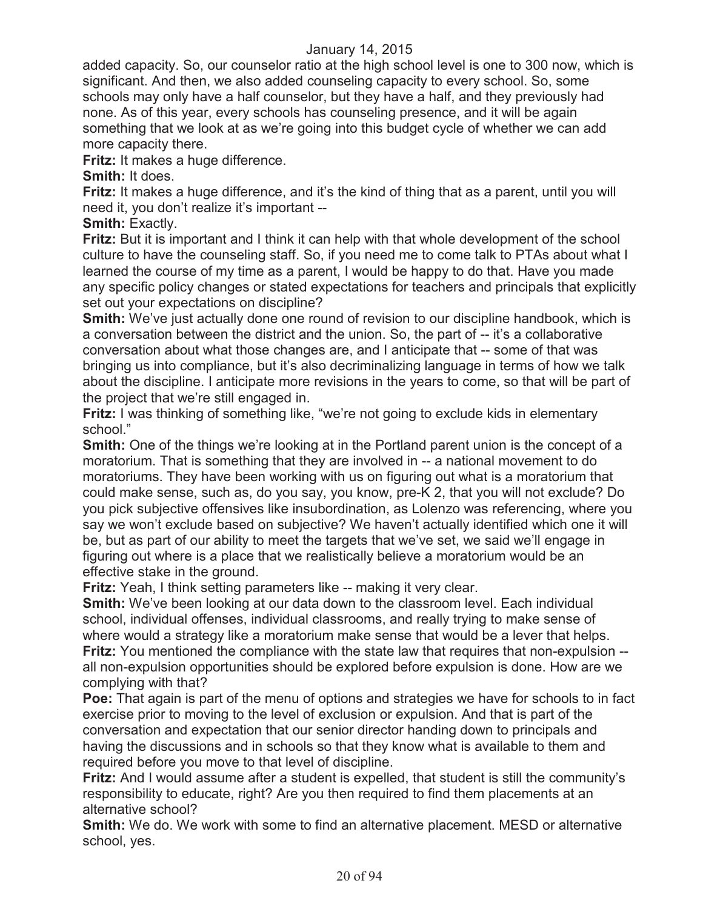added capacity. So, our counselor ratio at the high school level is one to 300 now, which is significant. And then, we also added counseling capacity to every school. So, some schools may only have a half counselor, but they have a half, and they previously had none. As of this year, every schools has counseling presence, and it will be again something that we look at as we're going into this budget cycle of whether we can add more capacity there.

**Fritz:** It makes a huge difference.

**Smith:** It does.

**Fritz:** It makes a huge difference, and it's the kind of thing that as a parent, until you will need it, you don't realize it's important --

**Smith: Exactly.** 

**Fritz:** But it is important and I think it can help with that whole development of the school culture to have the counseling staff. So, if you need me to come talk to PTAs about what I learned the course of my time as a parent, I would be happy to do that. Have you made any specific policy changes or stated expectations for teachers and principals that explicitly set out your expectations on discipline?

**Smith:** We've just actually done one round of revision to our discipline handbook, which is a conversation between the district and the union. So, the part of -- it's a collaborative conversation about what those changes are, and I anticipate that -- some of that was bringing us into compliance, but it's also decriminalizing language in terms of how we talk about the discipline. I anticipate more revisions in the years to come, so that will be part of the project that we're still engaged in.

**Fritz:** I was thinking of something like, "we're not going to exclude kids in elementary school."

**Smith:** One of the things we're looking at in the Portland parent union is the concept of a moratorium. That is something that they are involved in -- a national movement to do moratoriums. They have been working with us on figuring out what is a moratorium that could make sense, such as, do you say, you know, pre-K 2, that you will not exclude? Do you pick subjective offensives like insubordination, as Lolenzo was referencing, where you say we won't exclude based on subjective? We haven't actually identified which one it will be, but as part of our ability to meet the targets that we've set, we said we'll engage in figuring out where is a place that we realistically believe a moratorium would be an effective stake in the ground.

**Fritz:** Yeah, I think setting parameters like -- making it very clear.

**Smith:** We've been looking at our data down to the classroom level. Each individual school, individual offenses, individual classrooms, and really trying to make sense of where would a strategy like a moratorium make sense that would be a lever that helps. **Fritz:** You mentioned the compliance with the state law that requires that non-expulsion - all non-expulsion opportunities should be explored before expulsion is done. How are we complying with that?

**Poe:** That again is part of the menu of options and strategies we have for schools to in fact exercise prior to moving to the level of exclusion or expulsion. And that is part of the conversation and expectation that our senior director handing down to principals and having the discussions and in schools so that they know what is available to them and required before you move to that level of discipline.

**Fritz:** And I would assume after a student is expelled, that student is still the community's responsibility to educate, right? Are you then required to find them placements at an alternative school?

**Smith:** We do. We work with some to find an alternative placement. MESD or alternative school, yes.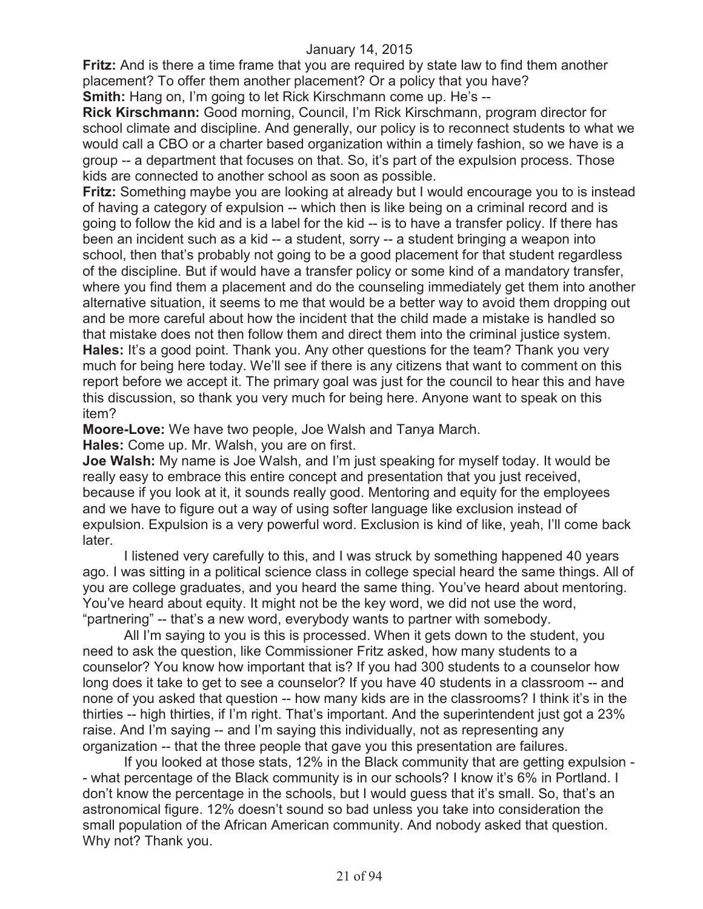**Fritz:** And is there a time frame that you are required by state law to find them another placement? To offer them another placement? Or a policy that you have? **Smith:** Hang on, I'm going to let Rick Kirschmann come up. He's --

**Rick Kirschmann:** Good morning, Council, I'm Rick Kirschmann, program director for school climate and discipline. And generally, our policy is to reconnect students to what we would call a CBO or a charter based organization within a timely fashion, so we have is a group -- a department that focuses on that. So, it's part of the expulsion process. Those kids are connected to another school as soon as possible.

**Fritz:** Something maybe you are looking at already but I would encourage you to is instead of having a category of expulsion -- which then is like being on a criminal record and is going to follow the kid and is a label for the kid -- is to have a transfer policy. If there has been an incident such as a kid -- a student, sorry -- a student bringing a weapon into school, then that's probably not going to be a good placement for that student regardless of the discipline. But if would have a transfer policy or some kind of a mandatory transfer, where you find them a placement and do the counseling immediately get them into another alternative situation, it seems to me that would be a better way to avoid them dropping out and be more careful about how the incident that the child made a mistake is handled so that mistake does not then follow them and direct them into the criminal justice system. **Hales:** It's a good point. Thank you. Any other questions for the team? Thank you very much for being here today. We'll see if there is any citizens that want to comment on this report before we accept it. The primary goal was just for the council to hear this and have this discussion, so thank you very much for being here. Anyone want to speak on this item?

**Moore-Love:** We have two people, Joe Walsh and Tanya March.

**Hales:** Come up. Mr. Walsh, you are on first.

**Joe Walsh:** My name is Joe Walsh, and I'm just speaking for myself today. It would be really easy to embrace this entire concept and presentation that you just received, because if you look at it, it sounds really good. Mentoring and equity for the employees and we have to figure out a way of using softer language like exclusion instead of expulsion. Expulsion is a very powerful word. Exclusion is kind of like, yeah, I'll come back later.

I listened very carefully to this, and I was struck by something happened 40 years ago. I was sitting in a political science class in college special heard the same things. All of you are college graduates, and you heard the same thing. You've heard about mentoring. You've heard about equity. It might not be the key word, we did not use the word, "partnering" -- that's a new word, everybody wants to partner with somebody.

All I'm saying to you is this is processed. When it gets down to the student, you need to ask the question, like Commissioner Fritz asked, how many students to a counselor? You know how important that is? If you had 300 students to a counselor how long does it take to get to see a counselor? If you have 40 students in a classroom -- and none of you asked that question -- how many kids are in the classrooms? I think it's in the thirties -- high thirties, if I'm right. That's important. And the superintendent just got a 23% raise. And I'm saying -- and I'm saying this individually, not as representing any organization -- that the three people that gave you this presentation are failures.

If you looked at those stats, 12% in the Black community that are getting expulsion - - what percentage of the Black community is in our schools? I know it's 6% in Portland. I don't know the percentage in the schools, but I would guess that it's small. So, that's an astronomical figure. 12% doesn't sound so bad unless you take into consideration the small population of the African American community. And nobody asked that question. Why not? Thank you.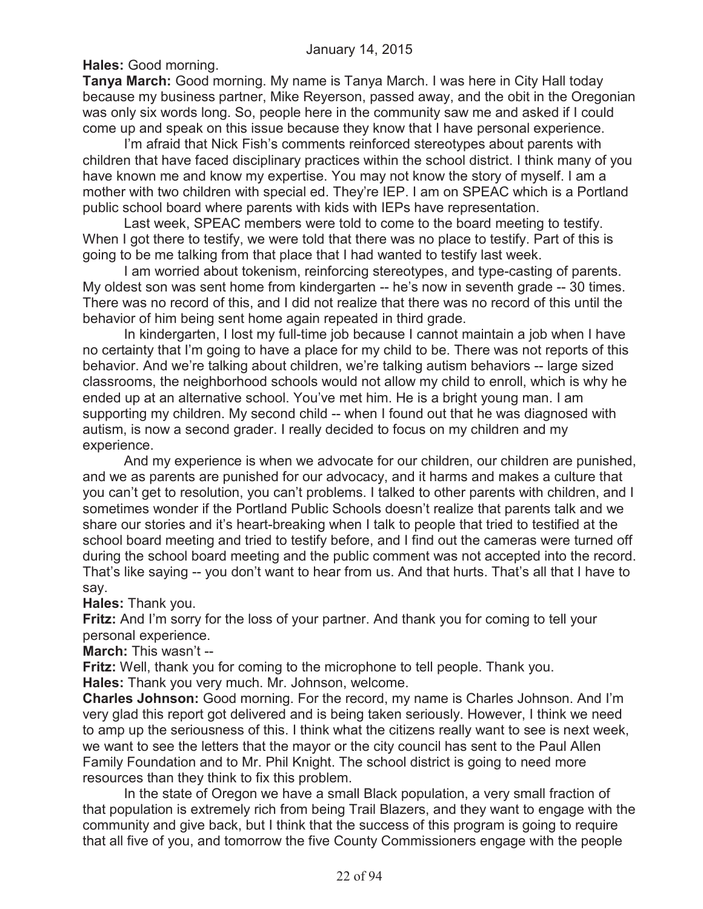**Hales:** Good morning.

**Tanya March:** Good morning. My name is Tanya March. I was here in City Hall today because my business partner, Mike Reyerson, passed away, and the obit in the Oregonian was only six words long. So, people here in the community saw me and asked if I could come up and speak on this issue because they know that I have personal experience.

I'm afraid that Nick Fish's comments reinforced stereotypes about parents with children that have faced disciplinary practices within the school district. I think many of you have known me and know my expertise. You may not know the story of myself. I am a mother with two children with special ed. They're IEP. I am on SPEAC which is a Portland public school board where parents with kids with IEPs have representation.

Last week, SPEAC members were told to come to the board meeting to testify. When I got there to testify, we were told that there was no place to testify. Part of this is going to be me talking from that place that I had wanted to testify last week.

I am worried about tokenism, reinforcing stereotypes, and type-casting of parents. My oldest son was sent home from kindergarten -- he's now in seventh grade -- 30 times. There was no record of this, and I did not realize that there was no record of this until the behavior of him being sent home again repeated in third grade.

In kindergarten, I lost my full-time job because I cannot maintain a job when I have no certainty that I'm going to have a place for my child to be. There was not reports of this behavior. And we're talking about children, we're talking autism behaviors -- large sized classrooms, the neighborhood schools would not allow my child to enroll, which is why he ended up at an alternative school. You've met him. He is a bright young man. I am supporting my children. My second child -- when I found out that he was diagnosed with autism, is now a second grader. I really decided to focus on my children and my experience.

And my experience is when we advocate for our children, our children are punished, and we as parents are punished for our advocacy, and it harms and makes a culture that you can't get to resolution, you can't problems. I talked to other parents with children, and I sometimes wonder if the Portland Public Schools doesn't realize that parents talk and we share our stories and it's heart-breaking when I talk to people that tried to testified at the school board meeting and tried to testify before, and I find out the cameras were turned off during the school board meeting and the public comment was not accepted into the record. That's like saying -- you don't want to hear from us. And that hurts. That's all that I have to say.

# **Hales:** Thank you.

**Fritz:** And I'm sorry for the loss of your partner. And thank you for coming to tell your personal experience.

**March:** This wasn't --

**Fritz:** Well, thank you for coming to the microphone to tell people. Thank you.

**Hales:** Thank you very much. Mr. Johnson, welcome.

**Charles Johnson:** Good morning. For the record, my name is Charles Johnson. And I'm very glad this report got delivered and is being taken seriously. However, I think we need to amp up the seriousness of this. I think what the citizens really want to see is next week, we want to see the letters that the mayor or the city council has sent to the Paul Allen Family Foundation and to Mr. Phil Knight. The school district is going to need more resources than they think to fix this problem.

In the state of Oregon we have a small Black population, a very small fraction of that population is extremely rich from being Trail Blazers, and they want to engage with the community and give back, but I think that the success of this program is going to require that all five of you, and tomorrow the five County Commissioners engage with the people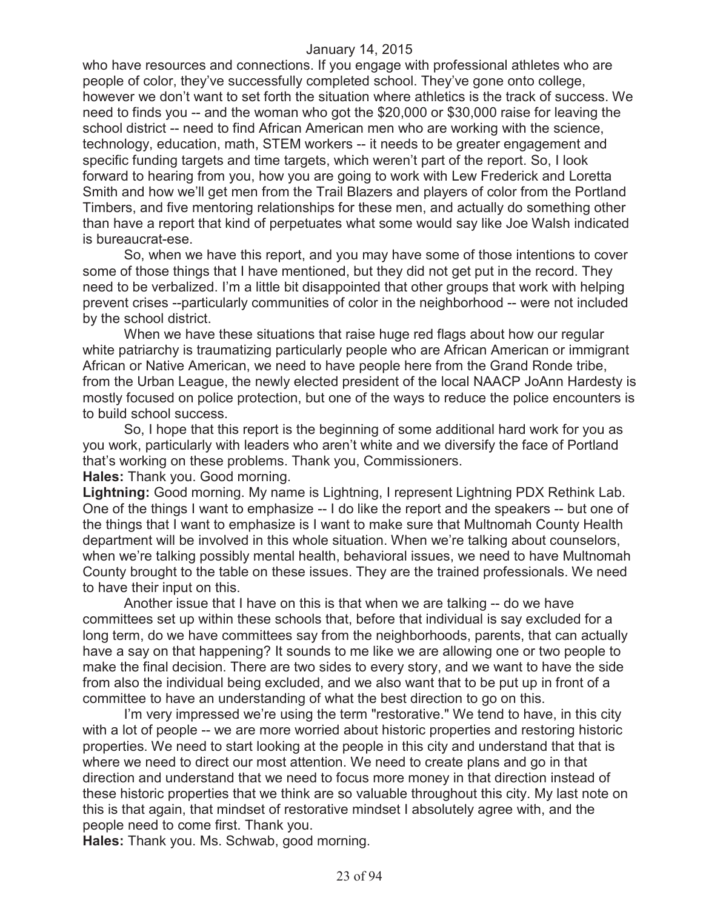who have resources and connections. If you engage with professional athletes who are people of color, they've successfully completed school. They've gone onto college, however we don't want to set forth the situation where athletics is the track of success. We need to finds you -- and the woman who got the \$20,000 or \$30,000 raise for leaving the school district -- need to find African American men who are working with the science, technology, education, math, STEM workers -- it needs to be greater engagement and specific funding targets and time targets, which weren't part of the report. So, I look forward to hearing from you, how you are going to work with Lew Frederick and Loretta Smith and how we'll get men from the Trail Blazers and players of color from the Portland Timbers, and five mentoring relationships for these men, and actually do something other than have a report that kind of perpetuates what some would say like Joe Walsh indicated is bureaucrat-ese.

So, when we have this report, and you may have some of those intentions to cover some of those things that I have mentioned, but they did not get put in the record. They need to be verbalized. I'm a little bit disappointed that other groups that work with helping prevent crises --particularly communities of color in the neighborhood -- were not included by the school district.

When we have these situations that raise huge red flags about how our regular white patriarchy is traumatizing particularly people who are African American or immigrant African or Native American, we need to have people here from the Grand Ronde tribe, from the Urban League, the newly elected president of the local NAACP JoAnn Hardesty is mostly focused on police protection, but one of the ways to reduce the police encounters is to build school success.

So, I hope that this report is the beginning of some additional hard work for you as you work, particularly with leaders who aren't white and we diversify the face of Portland that's working on these problems. Thank you, Commissioners.

**Hales:** Thank you. Good morning.

**Lightning:** Good morning. My name is Lightning, I represent Lightning PDX Rethink Lab. One of the things I want to emphasize -- I do like the report and the speakers -- but one of the things that I want to emphasize is I want to make sure that Multnomah County Health department will be involved in this whole situation. When we're talking about counselors, when we're talking possibly mental health, behavioral issues, we need to have Multnomah County brought to the table on these issues. They are the trained professionals. We need to have their input on this.

Another issue that I have on this is that when we are talking -- do we have committees set up within these schools that, before that individual is say excluded for a long term, do we have committees say from the neighborhoods, parents, that can actually have a say on that happening? It sounds to me like we are allowing one or two people to make the final decision. There are two sides to every story, and we want to have the side from also the individual being excluded, and we also want that to be put up in front of a committee to have an understanding of what the best direction to go on this.

I'm very impressed we're using the term "restorative." We tend to have, in this city with a lot of people -- we are more worried about historic properties and restoring historic properties. We need to start looking at the people in this city and understand that that is where we need to direct our most attention. We need to create plans and go in that direction and understand that we need to focus more money in that direction instead of these historic properties that we think are so valuable throughout this city. My last note on this is that again, that mindset of restorative mindset I absolutely agree with, and the people need to come first. Thank you.

**Hales:** Thank you. Ms. Schwab, good morning.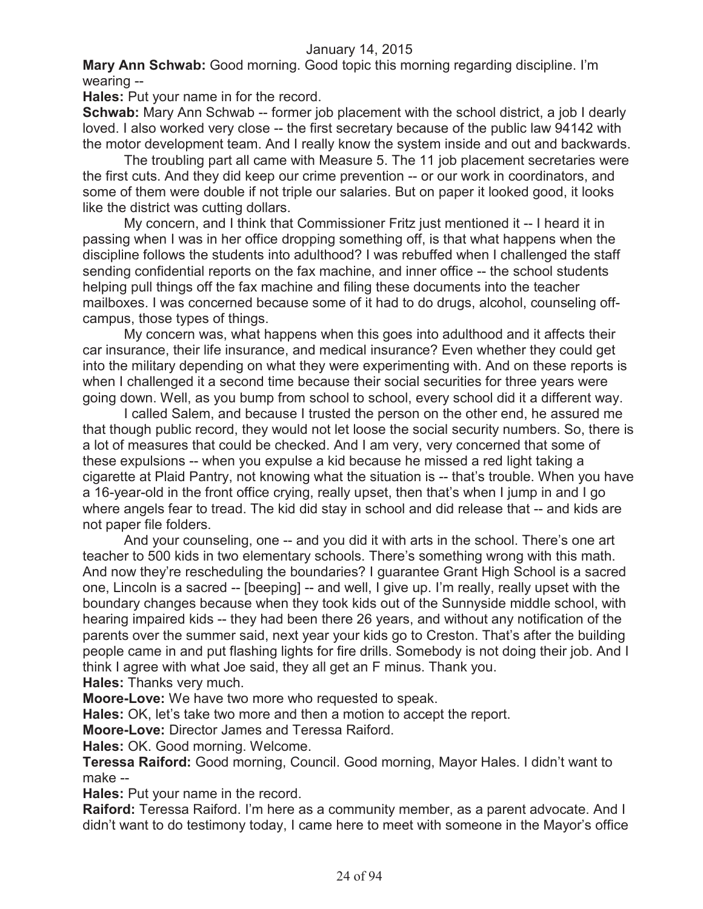**Mary Ann Schwab:** Good morning. Good topic this morning regarding discipline. I'm wearing --

**Hales:** Put your name in for the record.

**Schwab:** Mary Ann Schwab -- former job placement with the school district, a job I dearly loved. I also worked very close -- the first secretary because of the public law 94142 with the motor development team. And I really know the system inside and out and backwards.

The troubling part all came with Measure 5. The 11 job placement secretaries were the first cuts. And they did keep our crime prevention -- or our work in coordinators, and some of them were double if not triple our salaries. But on paper it looked good, it looks like the district was cutting dollars.

My concern, and I think that Commissioner Fritz just mentioned it -- I heard it in passing when I was in her office dropping something off, is that what happens when the discipline follows the students into adulthood? I was rebuffed when I challenged the staff sending confidential reports on the fax machine, and inner office -- the school students helping pull things off the fax machine and filing these documents into the teacher mailboxes. I was concerned because some of it had to do drugs, alcohol, counseling offcampus, those types of things.

My concern was, what happens when this goes into adulthood and it affects their car insurance, their life insurance, and medical insurance? Even whether they could get into the military depending on what they were experimenting with. And on these reports is when I challenged it a second time because their social securities for three years were going down. Well, as you bump from school to school, every school did it a different way.

I called Salem, and because I trusted the person on the other end, he assured me that though public record, they would not let loose the social security numbers. So, there is a lot of measures that could be checked. And I am very, very concerned that some of these expulsions -- when you expulse a kid because he missed a red light taking a cigarette at Plaid Pantry, not knowing what the situation is -- that's trouble. When you have a 16-year-old in the front office crying, really upset, then that's when I jump in and I go where angels fear to tread. The kid did stay in school and did release that -- and kids are not paper file folders.

And your counseling, one -- and you did it with arts in the school. There's one art teacher to 500 kids in two elementary schools. There's something wrong with this math. And now they're rescheduling the boundaries? I guarantee Grant High School is a sacred one, Lincoln is a sacred -- [beeping] -- and well, I give up. I'm really, really upset with the boundary changes because when they took kids out of the Sunnyside middle school, with hearing impaired kids -- they had been there 26 years, and without any notification of the parents over the summer said, next year your kids go to Creston. That's after the building people came in and put flashing lights for fire drills. Somebody is not doing their job. And I think I agree with what Joe said, they all get an F minus. Thank you.

**Hales:** Thanks very much.

**Moore-Love:** We have two more who requested to speak.

**Hales:** OK, let's take two more and then a motion to accept the report.

**Moore-Love:** Director James and Teressa Raiford.

**Hales:** OK. Good morning. Welcome.

**Teressa Raiford:** Good morning, Council. Good morning, Mayor Hales. I didn't want to make --

**Hales:** Put your name in the record.

**Raiford:** Teressa Raiford. I'm here as a community member, as a parent advocate. And I didn't want to do testimony today, I came here to meet with someone in the Mayor's office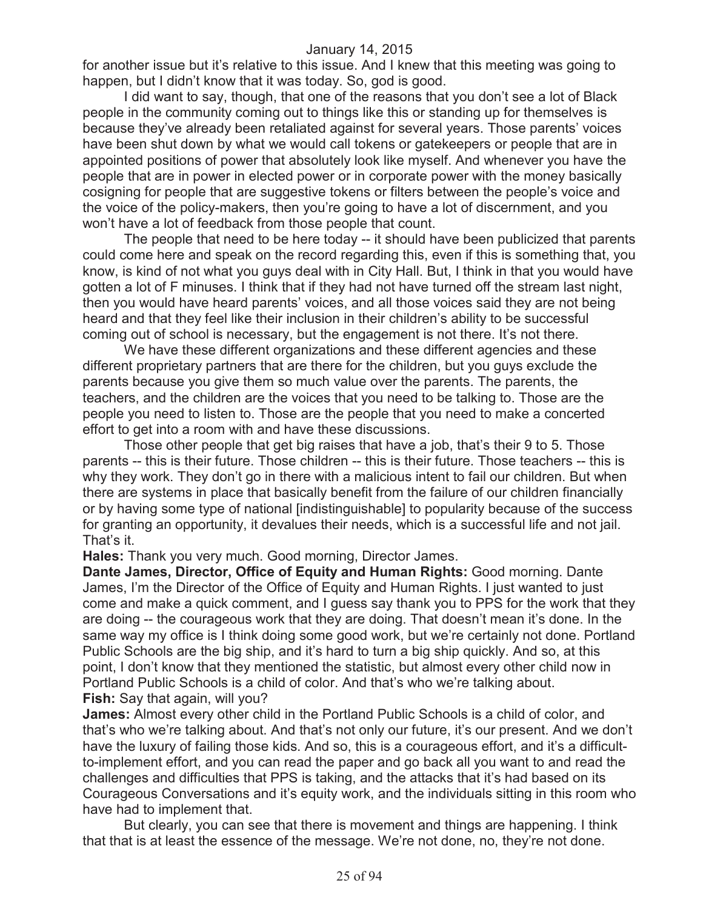for another issue but it's relative to this issue. And I knew that this meeting was going to happen, but I didn't know that it was today. So, god is good.

I did want to say, though, that one of the reasons that you don't see a lot of Black people in the community coming out to things like this or standing up for themselves is because they've already been retaliated against for several years. Those parents' voices have been shut down by what we would call tokens or gatekeepers or people that are in appointed positions of power that absolutely look like myself. And whenever you have the people that are in power in elected power or in corporate power with the money basically cosigning for people that are suggestive tokens or filters between the people's voice and the voice of the policy-makers, then you're going to have a lot of discernment, and you won't have a lot of feedback from those people that count.

The people that need to be here today -- it should have been publicized that parents could come here and speak on the record regarding this, even if this is something that, you know, is kind of not what you guys deal with in City Hall. But, I think in that you would have gotten a lot of F minuses. I think that if they had not have turned off the stream last night, then you would have heard parents' voices, and all those voices said they are not being heard and that they feel like their inclusion in their children's ability to be successful coming out of school is necessary, but the engagement is not there. It's not there.

We have these different organizations and these different agencies and these different proprietary partners that are there for the children, but you guys exclude the parents because you give them so much value over the parents. The parents, the teachers, and the children are the voices that you need to be talking to. Those are the people you need to listen to. Those are the people that you need to make a concerted effort to get into a room with and have these discussions.

Those other people that get big raises that have a job, that's their 9 to 5. Those parents -- this is their future. Those children -- this is their future. Those teachers -- this is why they work. They don't go in there with a malicious intent to fail our children. But when there are systems in place that basically benefit from the failure of our children financially or by having some type of national [indistinguishable] to popularity because of the success for granting an opportunity, it devalues their needs, which is a successful life and not jail. That's it.

**Hales:** Thank you very much. Good morning, Director James.

**Dante James, Director, Office of Equity and Human Rights:** Good morning. Dante James, I'm the Director of the Office of Equity and Human Rights. I just wanted to just come and make a quick comment, and I guess say thank you to PPS for the work that they are doing -- the courageous work that they are doing. That doesn't mean it's done. In the same way my office is I think doing some good work, but we're certainly not done. Portland Public Schools are the big ship, and it's hard to turn a big ship quickly. And so, at this point, I don't know that they mentioned the statistic, but almost every other child now in Portland Public Schools is a child of color. And that's who we're talking about. **Fish:** Say that again, will you?

**James:** Almost every other child in the Portland Public Schools is a child of color, and that's who we're talking about. And that's not only our future, it's our present. And we don't have the luxury of failing those kids. And so, this is a courageous effort, and it's a difficultto-implement effort, and you can read the paper and go back all you want to and read the challenges and difficulties that PPS is taking, and the attacks that it's had based on its Courageous Conversations and it's equity work, and the individuals sitting in this room who have had to implement that.

But clearly, you can see that there is movement and things are happening. I think that that is at least the essence of the message. We're not done, no, they're not done.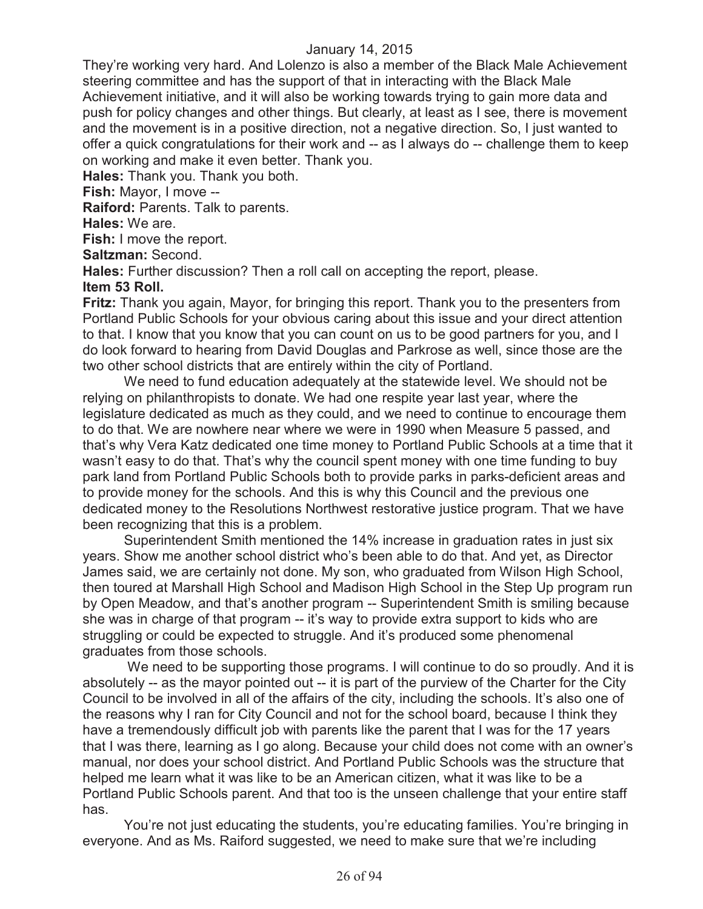They're working very hard. And Lolenzo is also a member of the Black Male Achievement steering committee and has the support of that in interacting with the Black Male Achievement initiative, and it will also be working towards trying to gain more data and push for policy changes and other things. But clearly, at least as I see, there is movement and the movement is in a positive direction, not a negative direction. So, I just wanted to offer a quick congratulations for their work and -- as I always do -- challenge them to keep on working and make it even better. Thank you.

**Hales:** Thank you. Thank you both.

**Fish:** Mayor, I move --

**Raiford:** Parents. Talk to parents.

**Hales:** We are.

**Fish:** I move the report.

**Saltzman:** Second.

**Hales:** Further discussion? Then a roll call on accepting the report, please.

## **Item 53 Roll.**

**Fritz:** Thank you again, Mayor, for bringing this report. Thank you to the presenters from Portland Public Schools for your obvious caring about this issue and your direct attention to that. I know that you know that you can count on us to be good partners for you, and I do look forward to hearing from David Douglas and Parkrose as well, since those are the two other school districts that are entirely within the city of Portland.

We need to fund education adequately at the statewide level. We should not be relying on philanthropists to donate. We had one respite year last year, where the legislature dedicated as much as they could, and we need to continue to encourage them to do that. We are nowhere near where we were in 1990 when Measure 5 passed, and that's why Vera Katz dedicated one time money to Portland Public Schools at a time that it wasn't easy to do that. That's why the council spent money with one time funding to buy park land from Portland Public Schools both to provide parks in parks-deficient areas and to provide money for the schools. And this is why this Council and the previous one dedicated money to the Resolutions Northwest restorative justice program. That we have been recognizing that this is a problem.

Superintendent Smith mentioned the 14% increase in graduation rates in just six years. Show me another school district who's been able to do that. And yet, as Director James said, we are certainly not done. My son, who graduated from Wilson High School, then toured at Marshall High School and Madison High School in the Step Up program run by Open Meadow, and that's another program -- Superintendent Smith is smiling because she was in charge of that program -- it's way to provide extra support to kids who are struggling or could be expected to struggle. And it's produced some phenomenal graduates from those schools.

We need to be supporting those programs. I will continue to do so proudly. And it is absolutely -- as the mayor pointed out -- it is part of the purview of the Charter for the City Council to be involved in all of the affairs of the city, including the schools. It's also one of the reasons why I ran for City Council and not for the school board, because I think they have a tremendously difficult job with parents like the parent that I was for the 17 years that I was there, learning as I go along. Because your child does not come with an owner's manual, nor does your school district. And Portland Public Schools was the structure that helped me learn what it was like to be an American citizen, what it was like to be a Portland Public Schools parent. And that too is the unseen challenge that your entire staff has.

You're not just educating the students, you're educating families. You're bringing in everyone. And as Ms. Raiford suggested, we need to make sure that we're including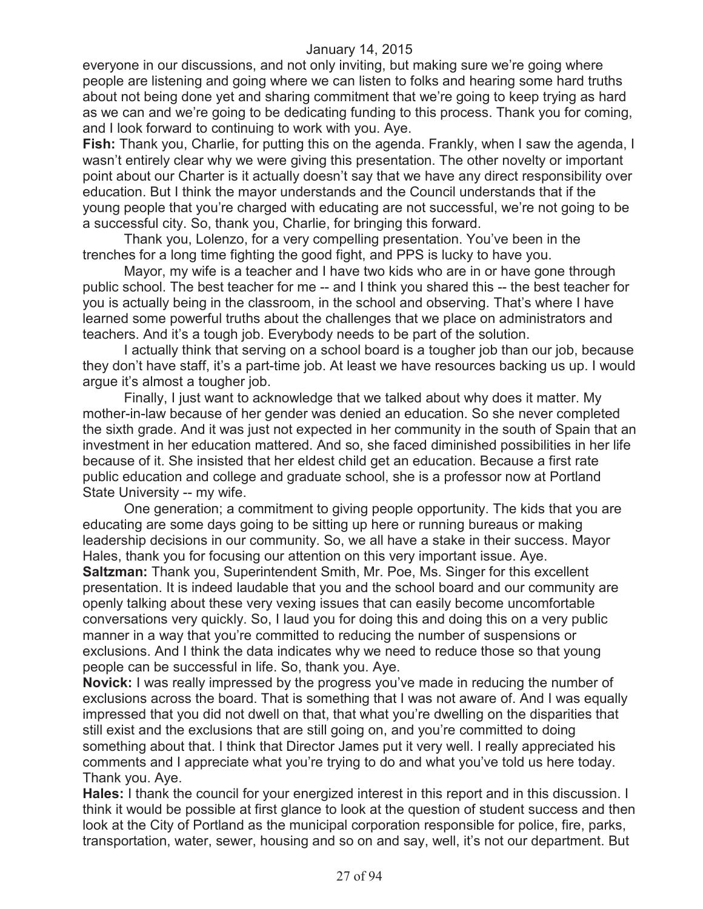everyone in our discussions, and not only inviting, but making sure we're going where people are listening and going where we can listen to folks and hearing some hard truths about not being done yet and sharing commitment that we're going to keep trying as hard as we can and we're going to be dedicating funding to this process. Thank you for coming, and I look forward to continuing to work with you. Aye.

**Fish:** Thank you, Charlie, for putting this on the agenda. Frankly, when I saw the agenda, I wasn't entirely clear why we were giving this presentation. The other novelty or important point about our Charter is it actually doesn't say that we have any direct responsibility over education. But I think the mayor understands and the Council understands that if the young people that you're charged with educating are not successful, we're not going to be a successful city. So, thank you, Charlie, for bringing this forward.

Thank you, Lolenzo, for a very compelling presentation. You've been in the trenches for a long time fighting the good fight, and PPS is lucky to have you.

Mayor, my wife is a teacher and I have two kids who are in or have gone through public school. The best teacher for me -- and I think you shared this -- the best teacher for you is actually being in the classroom, in the school and observing. That's where I have learned some powerful truths about the challenges that we place on administrators and teachers. And it's a tough job. Everybody needs to be part of the solution.

I actually think that serving on a school board is a tougher job than our job, because they don't have staff, it's a part-time job. At least we have resources backing us up. I would argue it's almost a tougher job.

Finally, I just want to acknowledge that we talked about why does it matter. My mother-in-law because of her gender was denied an education. So she never completed the sixth grade. And it was just not expected in her community in the south of Spain that an investment in her education mattered. And so, she faced diminished possibilities in her life because of it. She insisted that her eldest child get an education. Because a first rate public education and college and graduate school, she is a professor now at Portland State University -- my wife.

One generation; a commitment to giving people opportunity. The kids that you are educating are some days going to be sitting up here or running bureaus or making leadership decisions in our community. So, we all have a stake in their success. Mayor Hales, thank you for focusing our attention on this very important issue. Aye. **Saltzman:** Thank you, Superintendent Smith, Mr. Poe, Ms. Singer for this excellent presentation. It is indeed laudable that you and the school board and our community are openly talking about these very vexing issues that can easily become uncomfortable conversations very quickly. So, I laud you for doing this and doing this on a very public manner in a way that you're committed to reducing the number of suspensions or exclusions. And I think the data indicates why we need to reduce those so that young people can be successful in life. So, thank you. Aye.

**Novick:** I was really impressed by the progress you've made in reducing the number of exclusions across the board. That is something that I was not aware of. And I was equally impressed that you did not dwell on that, that what you're dwelling on the disparities that still exist and the exclusions that are still going on, and you're committed to doing something about that. I think that Director James put it very well. I really appreciated his comments and I appreciate what you're trying to do and what you've told us here today. Thank you. Aye.

**Hales:** I thank the council for your energized interest in this report and in this discussion. I think it would be possible at first glance to look at the question of student success and then look at the City of Portland as the municipal corporation responsible for police, fire, parks, transportation, water, sewer, housing and so on and say, well, it's not our department. But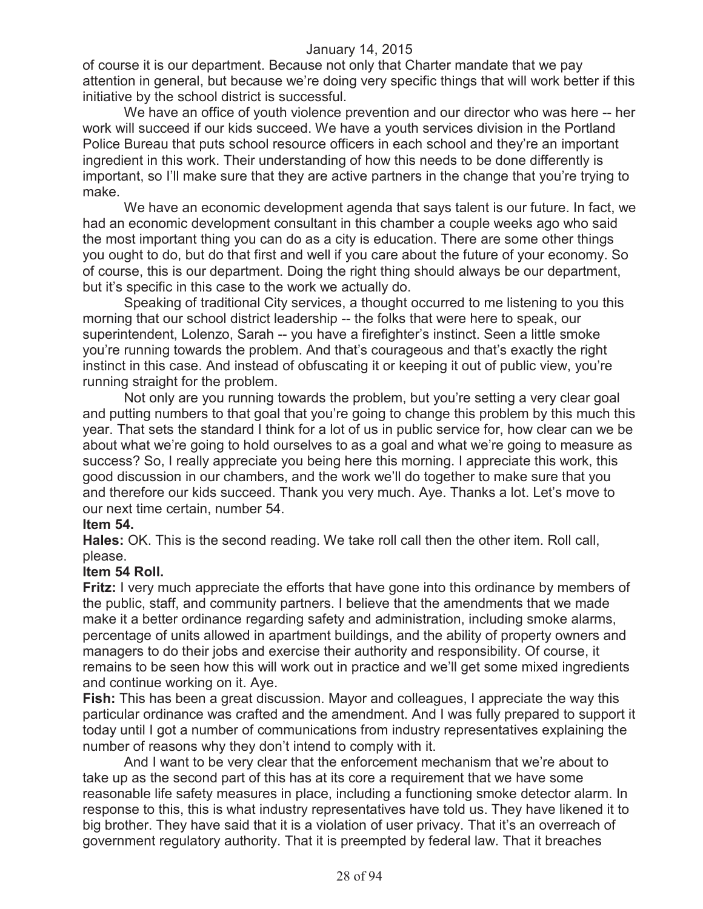of course it is our department. Because not only that Charter mandate that we pay attention in general, but because we're doing very specific things that will work better if this initiative by the school district is successful.

We have an office of youth violence prevention and our director who was here -- her work will succeed if our kids succeed. We have a youth services division in the Portland Police Bureau that puts school resource officers in each school and they're an important ingredient in this work. Their understanding of how this needs to be done differently is important, so I'll make sure that they are active partners in the change that you're trying to make.

We have an economic development agenda that says talent is our future. In fact, we had an economic development consultant in this chamber a couple weeks ago who said the most important thing you can do as a city is education. There are some other things you ought to do, but do that first and well if you care about the future of your economy. So of course, this is our department. Doing the right thing should always be our department, but it's specific in this case to the work we actually do.

Speaking of traditional City services, a thought occurred to me listening to you this morning that our school district leadership -- the folks that were here to speak, our superintendent, Lolenzo, Sarah -- you have a firefighter's instinct. Seen a little smoke you're running towards the problem. And that's courageous and that's exactly the right instinct in this case. And instead of obfuscating it or keeping it out of public view, you're running straight for the problem.

Not only are you running towards the problem, but you're setting a very clear goal and putting numbers to that goal that you're going to change this problem by this much this year. That sets the standard I think for a lot of us in public service for, how clear can we be about what we're going to hold ourselves to as a goal and what we're going to measure as success? So, I really appreciate you being here this morning. I appreciate this work, this good discussion in our chambers, and the work we'll do together to make sure that you and therefore our kids succeed. Thank you very much. Aye. Thanks a lot. Let's move to our next time certain, number 54.

# **Item 54.**

**Hales:** OK. This is the second reading. We take roll call then the other item. Roll call, please.

# **Item 54 Roll.**

**Fritz:** I very much appreciate the efforts that have gone into this ordinance by members of the public, staff, and community partners. I believe that the amendments that we made make it a better ordinance regarding safety and administration, including smoke alarms, percentage of units allowed in apartment buildings, and the ability of property owners and managers to do their jobs and exercise their authority and responsibility. Of course, it remains to be seen how this will work out in practice and we'll get some mixed ingredients and continue working on it. Aye.

**Fish:** This has been a great discussion. Mayor and colleagues, I appreciate the way this particular ordinance was crafted and the amendment. And I was fully prepared to support it today until I got a number of communications from industry representatives explaining the number of reasons why they don't intend to comply with it.

And I want to be very clear that the enforcement mechanism that we're about to take up as the second part of this has at its core a requirement that we have some reasonable life safety measures in place, including a functioning smoke detector alarm. In response to this, this is what industry representatives have told us. They have likened it to big brother. They have said that it is a violation of user privacy. That it's an overreach of government regulatory authority. That it is preempted by federal law. That it breaches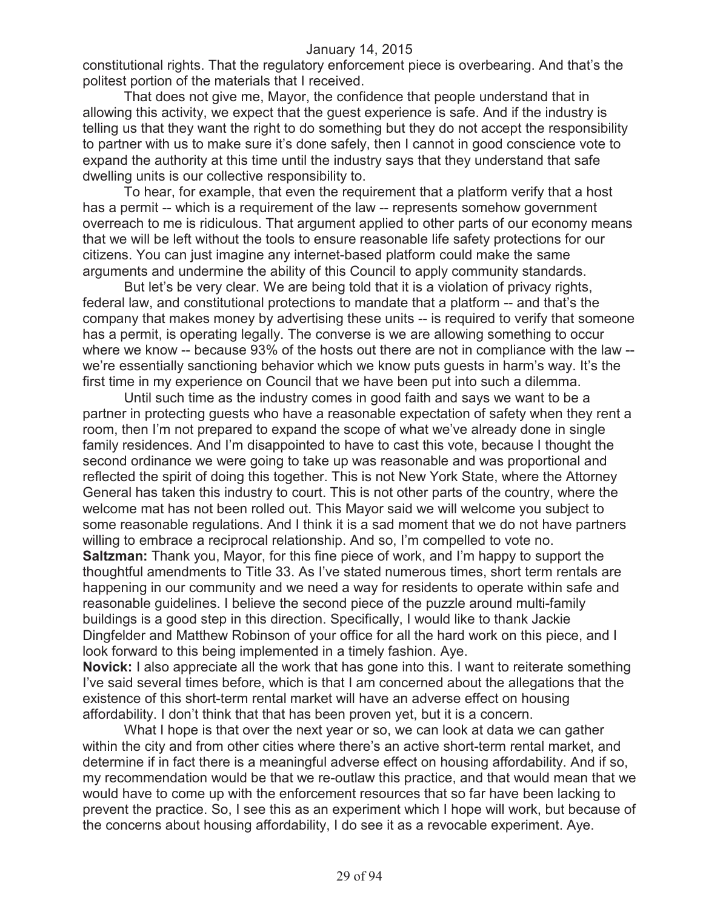constitutional rights. That the regulatory enforcement piece is overbearing. And that's the politest portion of the materials that I received.

That does not give me, Mayor, the confidence that people understand that in allowing this activity, we expect that the guest experience is safe. And if the industry is telling us that they want the right to do something but they do not accept the responsibility to partner with us to make sure it's done safely, then I cannot in good conscience vote to expand the authority at this time until the industry says that they understand that safe dwelling units is our collective responsibility to.

To hear, for example, that even the requirement that a platform verify that a host has a permit -- which is a requirement of the law -- represents somehow government overreach to me is ridiculous. That argument applied to other parts of our economy means that we will be left without the tools to ensure reasonable life safety protections for our citizens. You can just imagine any internet-based platform could make the same arguments and undermine the ability of this Council to apply community standards.

But let's be very clear. We are being told that it is a violation of privacy rights, federal law, and constitutional protections to mandate that a platform -- and that's the company that makes money by advertising these units -- is required to verify that someone has a permit, is operating legally. The converse is we are allowing something to occur where we know -- because 93% of the hosts out there are not in compliance with the law - we're essentially sanctioning behavior which we know puts guests in harm's way. It's the first time in my experience on Council that we have been put into such a dilemma.

Until such time as the industry comes in good faith and says we want to be a partner in protecting guests who have a reasonable expectation of safety when they rent a room, then I'm not prepared to expand the scope of what we've already done in single family residences. And I'm disappointed to have to cast this vote, because I thought the second ordinance we were going to take up was reasonable and was proportional and reflected the spirit of doing this together. This is not New York State, where the Attorney General has taken this industry to court. This is not other parts of the country, where the welcome mat has not been rolled out. This Mayor said we will welcome you subject to some reasonable regulations. And I think it is a sad moment that we do not have partners willing to embrace a reciprocal relationship. And so, I'm compelled to vote no.

**Saltzman:** Thank you, Mayor, for this fine piece of work, and I'm happy to support the thoughtful amendments to Title 33. As I've stated numerous times, short term rentals are happening in our community and we need a way for residents to operate within safe and reasonable guidelines. I believe the second piece of the puzzle around multi-family buildings is a good step in this direction. Specifically, I would like to thank Jackie Dingfelder and Matthew Robinson of your office for all the hard work on this piece, and I look forward to this being implemented in a timely fashion. Aye.

**Novick:** I also appreciate all the work that has gone into this. I want to reiterate something I've said several times before, which is that I am concerned about the allegations that the existence of this short-term rental market will have an adverse effect on housing affordability. I don't think that that has been proven yet, but it is a concern.

What I hope is that over the next year or so, we can look at data we can gather within the city and from other cities where there's an active short-term rental market, and determine if in fact there is a meaningful adverse effect on housing affordability. And if so, my recommendation would be that we re-outlaw this practice, and that would mean that we would have to come up with the enforcement resources that so far have been lacking to prevent the practice. So, I see this as an experiment which I hope will work, but because of the concerns about housing affordability, I do see it as a revocable experiment. Aye.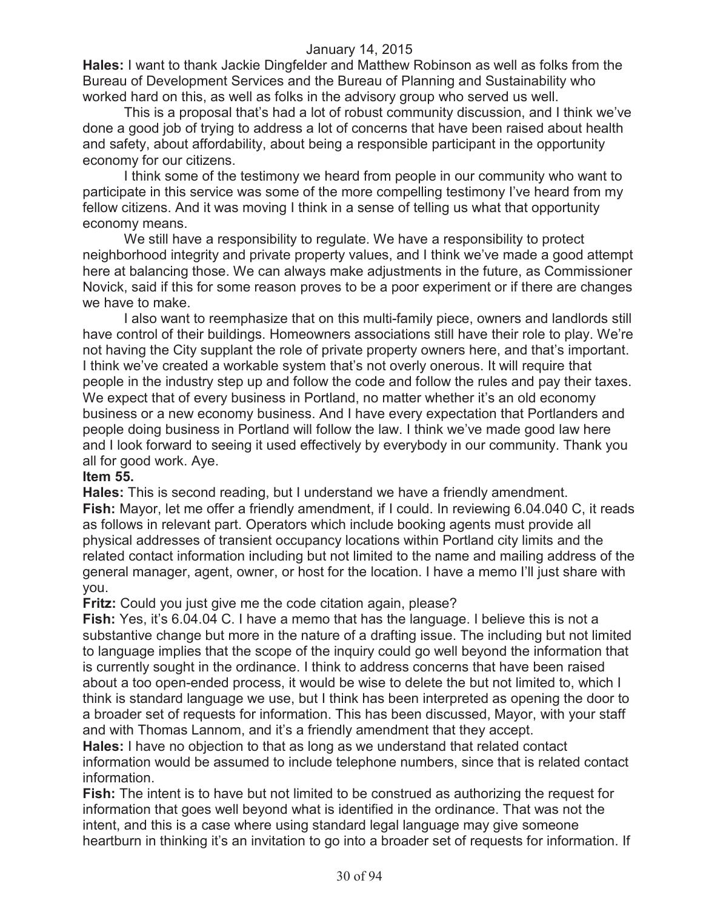**Hales:** I want to thank Jackie Dingfelder and Matthew Robinson as well as folks from the Bureau of Development Services and the Bureau of Planning and Sustainability who worked hard on this, as well as folks in the advisory group who served us well.

This is a proposal that's had a lot of robust community discussion, and I think we've done a good job of trying to address a lot of concerns that have been raised about health and safety, about affordability, about being a responsible participant in the opportunity economy for our citizens.

I think some of the testimony we heard from people in our community who want to participate in this service was some of the more compelling testimony I've heard from my fellow citizens. And it was moving I think in a sense of telling us what that opportunity economy means.

We still have a responsibility to regulate. We have a responsibility to protect neighborhood integrity and private property values, and I think we've made a good attempt here at balancing those. We can always make adjustments in the future, as Commissioner Novick, said if this for some reason proves to be a poor experiment or if there are changes we have to make.

I also want to reemphasize that on this multi-family piece, owners and landlords still have control of their buildings. Homeowners associations still have their role to play. We're not having the City supplant the role of private property owners here, and that's important. I think we've created a workable system that's not overly onerous. It will require that people in the industry step up and follow the code and follow the rules and pay their taxes. We expect that of every business in Portland, no matter whether it's an old economy business or a new economy business. And I have every expectation that Portlanders and people doing business in Portland will follow the law. I think we've made good law here and I look forward to seeing it used effectively by everybody in our community. Thank you all for good work. Aye.

#### **Item 55.**

**Hales:** This is second reading, but I understand we have a friendly amendment. **Fish:** Mayor, let me offer a friendly amendment, if I could. In reviewing 6.04.040 C, it reads as follows in relevant part. Operators which include booking agents must provide all physical addresses of transient occupancy locations within Portland city limits and the related contact information including but not limited to the name and mailing address of the general manager, agent, owner, or host for the location. I have a memo I'll just share with you.

**Fritz:** Could you just give me the code citation again, please?

**Fish:** Yes, it's 6.04.04 C. I have a memo that has the language. I believe this is not a substantive change but more in the nature of a drafting issue. The including but not limited to language implies that the scope of the inquiry could go well beyond the information that is currently sought in the ordinance. I think to address concerns that have been raised about a too open-ended process, it would be wise to delete the but not limited to, which I think is standard language we use, but I think has been interpreted as opening the door to a broader set of requests for information. This has been discussed, Mayor, with your staff and with Thomas Lannom, and it's a friendly amendment that they accept.

**Hales:** I have no objection to that as long as we understand that related contact information would be assumed to include telephone numbers, since that is related contact information.

**Fish:** The intent is to have but not limited to be construed as authorizing the request for information that goes well beyond what is identified in the ordinance. That was not the intent, and this is a case where using standard legal language may give someone heartburn in thinking it's an invitation to go into a broader set of requests for information. If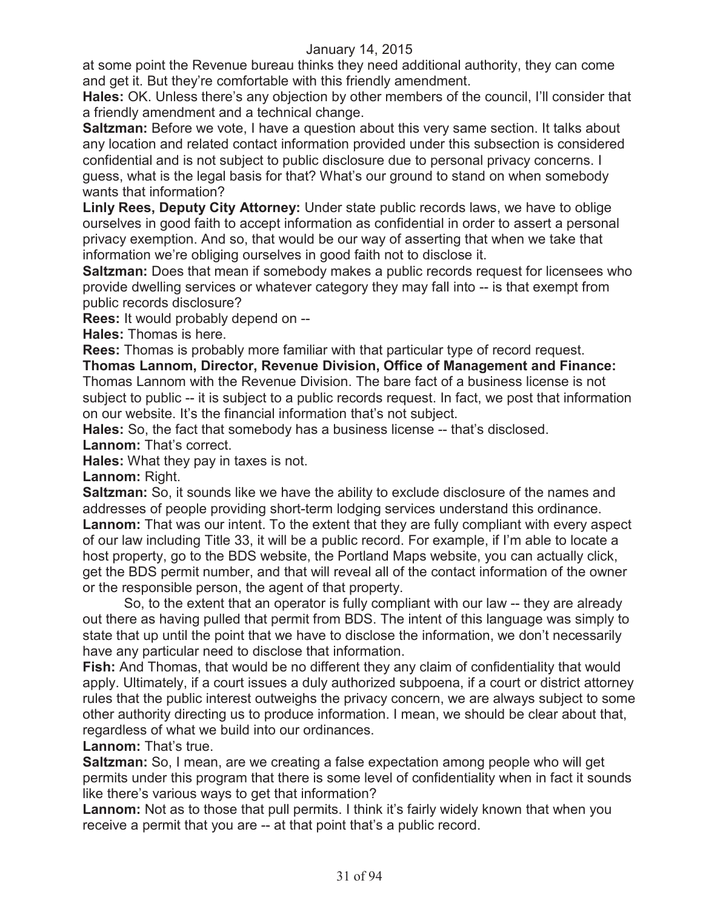at some point the Revenue bureau thinks they need additional authority, they can come and get it. But they're comfortable with this friendly amendment.

**Hales:** OK. Unless there's any objection by other members of the council, I'll consider that a friendly amendment and a technical change.

**Saltzman:** Before we vote, I have a question about this very same section. It talks about any location and related contact information provided under this subsection is considered confidential and is not subject to public disclosure due to personal privacy concerns. I guess, what is the legal basis for that? What's our ground to stand on when somebody wants that information?

**Linly Rees, Deputy City Attorney:** Under state public records laws, we have to oblige ourselves in good faith to accept information as confidential in order to assert a personal privacy exemption. And so, that would be our way of asserting that when we take that information we're obliging ourselves in good faith not to disclose it.

**Saltzman:** Does that mean if somebody makes a public records request for licensees who provide dwelling services or whatever category they may fall into -- is that exempt from public records disclosure?

**Rees:** It would probably depend on --

**Hales:** Thomas is here.

**Rees:** Thomas is probably more familiar with that particular type of record request.

**Thomas Lannom, Director, Revenue Division, Office of Management and Finance:**  Thomas Lannom with the Revenue Division. The bare fact of a business license is not subject to public -- it is subject to a public records request. In fact, we post that information on our website. It's the financial information that's not subject.

**Hales:** So, the fact that somebody has a business license -- that's disclosed.

**Lannom:** That's correct.

**Hales:** What they pay in taxes is not.

**Lannom:** Right.

**Saltzman:** So, it sounds like we have the ability to exclude disclosure of the names and addresses of people providing short-term lodging services understand this ordinance. **Lannom:** That was our intent. To the extent that they are fully compliant with every aspect of our law including Title 33, it will be a public record. For example, if I'm able to locate a host property, go to the BDS website, the Portland Maps website, you can actually click, get the BDS permit number, and that will reveal all of the contact information of the owner or the responsible person, the agent of that property.

So, to the extent that an operator is fully compliant with our law -- they are already out there as having pulled that permit from BDS. The intent of this language was simply to state that up until the point that we have to disclose the information, we don't necessarily have any particular need to disclose that information.

**Fish:** And Thomas, that would be no different they any claim of confidentiality that would apply. Ultimately, if a court issues a duly authorized subpoena, if a court or district attorney rules that the public interest outweighs the privacy concern, we are always subject to some other authority directing us to produce information. I mean, we should be clear about that, regardless of what we build into our ordinances.

**Lannom:** That's true.

**Saltzman:** So, I mean, are we creating a false expectation among people who will get permits under this program that there is some level of confidentiality when in fact it sounds like there's various ways to get that information?

Lannom: Not as to those that pull permits. I think it's fairly widely known that when you receive a permit that you are -- at that point that's a public record.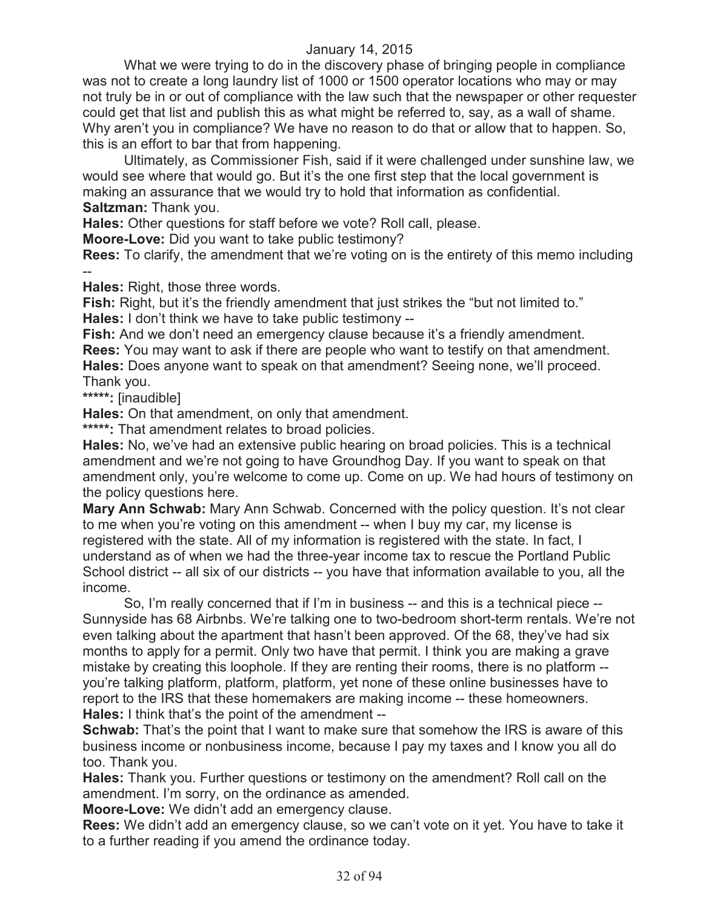What we were trying to do in the discovery phase of bringing people in compliance was not to create a long laundry list of 1000 or 1500 operator locations who may or may not truly be in or out of compliance with the law such that the newspaper or other requester could get that list and publish this as what might be referred to, say, as a wall of shame. Why aren't you in compliance? We have no reason to do that or allow that to happen. So, this is an effort to bar that from happening.

Ultimately, as Commissioner Fish, said if it were challenged under sunshine law, we would see where that would go. But it's the one first step that the local government is making an assurance that we would try to hold that information as confidential. **Saltzman:** Thank you.

**Hales:** Other questions for staff before we vote? Roll call, please.

**Moore-Love:** Did you want to take public testimony?

**Rees:** To clarify, the amendment that we're voting on is the entirety of this memo including --

**Hales:** Right, those three words.

**Fish:** Right, but it's the friendly amendment that just strikes the "but not limited to." **Hales:** I don't think we have to take public testimony --

Fish: And we don't need an emergency clause because it's a friendly amendment. **Rees:** You may want to ask if there are people who want to testify on that amendment. **Hales:** Does anyone want to speak on that amendment? Seeing none, we'll proceed. Thank you.

**\*\*\*\*\*:** [inaudible]

**Hales:** On that amendment, on only that amendment.

**\*\*\*\*\*:** That amendment relates to broad policies.

**Hales:** No, we've had an extensive public hearing on broad policies. This is a technical amendment and we're not going to have Groundhog Day. If you want to speak on that amendment only, you're welcome to come up. Come on up. We had hours of testimony on the policy questions here.

**Mary Ann Schwab:** Mary Ann Schwab. Concerned with the policy question. It's not clear to me when you're voting on this amendment -- when I buy my car, my license is registered with the state. All of my information is registered with the state. In fact, I understand as of when we had the three-year income tax to rescue the Portland Public School district -- all six of our districts -- you have that information available to you, all the income.

So, I'm really concerned that if I'm in business -- and this is a technical piece -- Sunnyside has 68 Airbnbs. We're talking one to two-bedroom short-term rentals. We're not even talking about the apartment that hasn't been approved. Of the 68, they've had six months to apply for a permit. Only two have that permit. I think you are making a grave mistake by creating this loophole. If they are renting their rooms, there is no platform - you're talking platform, platform, platform, yet none of these online businesses have to report to the IRS that these homemakers are making income -- these homeowners. **Hales:** I think that's the point of the amendment --

**Schwab:** That's the point that I want to make sure that somehow the IRS is aware of this business income or nonbusiness income, because I pay my taxes and I know you all do too. Thank you.

**Hales:** Thank you. Further questions or testimony on the amendment? Roll call on the amendment. I'm sorry, on the ordinance as amended.

**Moore-Love:** We didn't add an emergency clause.

**Rees:** We didn't add an emergency clause, so we can't vote on it yet. You have to take it to a further reading if you amend the ordinance today.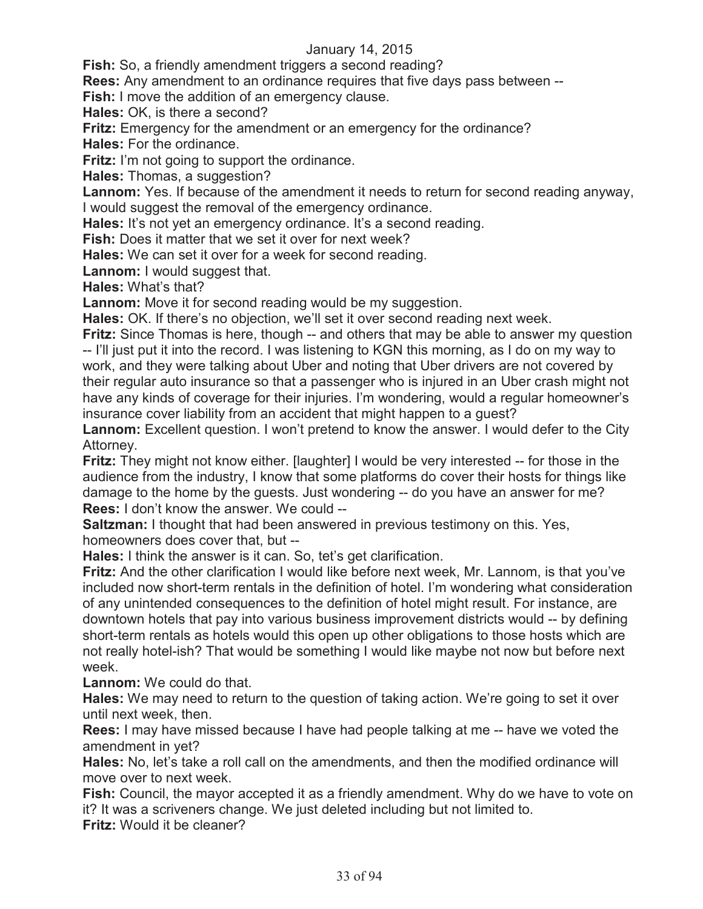**Fish:** So, a friendly amendment triggers a second reading?

**Rees:** Any amendment to an ordinance requires that five days pass between --

**Fish:** I move the addition of an emergency clause.

**Hales:** OK, is there a second?

**Fritz:** Emergency for the amendment or an emergency for the ordinance?

**Hales:** For the ordinance.

**Fritz:** I'm not going to support the ordinance.

**Hales:** Thomas, a suggestion?

**Lannom:** Yes. If because of the amendment it needs to return for second reading anyway, I would suggest the removal of the emergency ordinance.

**Hales:** It's not yet an emergency ordinance. It's a second reading.

**Fish:** Does it matter that we set it over for next week?

**Hales:** We can set it over for a week for second reading.

**Lannom:** I would suggest that.

**Hales:** What's that?

**Lannom:** Move it for second reading would be my suggestion.

**Hales:** OK. If there's no objection, we'll set it over second reading next week.

**Fritz:** Since Thomas is here, though -- and others that may be able to answer my question -- I'll just put it into the record. I was listening to KGN this morning, as I do on my way to work, and they were talking about Uber and noting that Uber drivers are not covered by their regular auto insurance so that a passenger who is injured in an Uber crash might not have any kinds of coverage for their injuries. I'm wondering, would a regular homeowner's insurance cover liability from an accident that might happen to a guest?

Lannom: Excellent question. I won't pretend to know the answer. I would defer to the City Attorney.

**Fritz:** They might not know either. [laughter] I would be very interested -- for those in the audience from the industry, I know that some platforms do cover their hosts for things like damage to the home by the guests. Just wondering -- do you have an answer for me? **Rees:** I don't know the answer. We could --

**Saltzman:** I thought that had been answered in previous testimony on this. Yes, homeowners does cover that, but --

**Hales:** I think the answer is it can. So, tet's get clarification.

**Fritz:** And the other clarification I would like before next week, Mr. Lannom, is that you've included now short-term rentals in the definition of hotel. I'm wondering what consideration of any unintended consequences to the definition of hotel might result. For instance, are downtown hotels that pay into various business improvement districts would -- by defining short-term rentals as hotels would this open up other obligations to those hosts which are not really hotel-ish? That would be something I would like maybe not now but before next week.

**Lannom:** We could do that.

**Hales:** We may need to return to the question of taking action. We're going to set it over until next week, then.

**Rees:** I may have missed because I have had people talking at me -- have we voted the amendment in yet?

**Hales:** No, let's take a roll call on the amendments, and then the modified ordinance will move over to next week.

**Fish:** Council, the mayor accepted it as a friendly amendment. Why do we have to vote on it? It was a scriveners change. We just deleted including but not limited to.

**Fritz:** Would it be cleaner?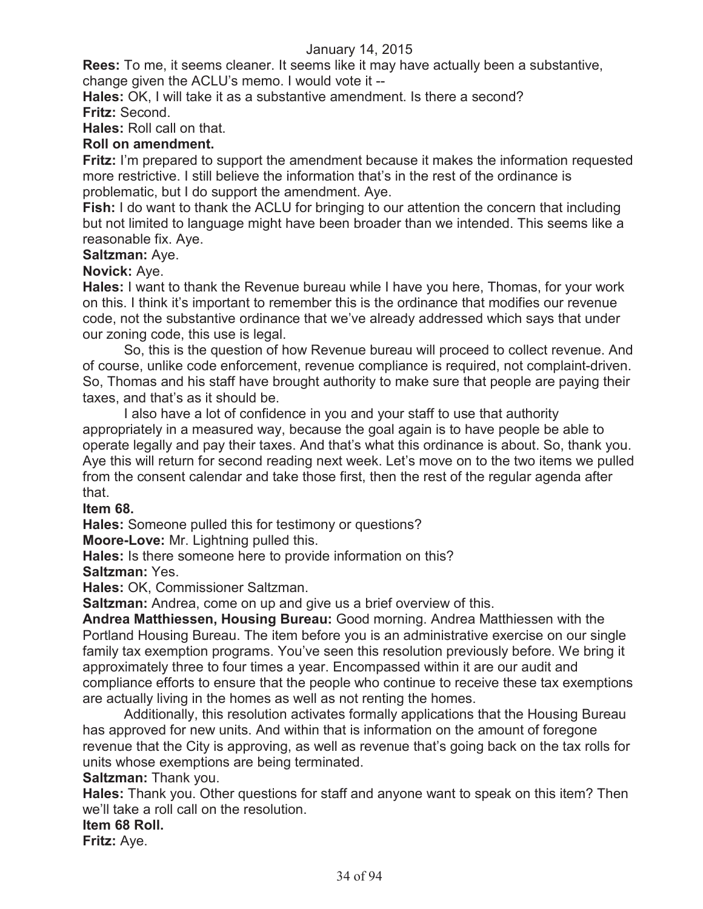**Rees:** To me, it seems cleaner. It seems like it may have actually been a substantive, change given the ACLU's memo. I would vote it --

**Hales:** OK, I will take it as a substantive amendment. Is there a second? **Fritz:** Second.

**Hales:** Roll call on that.

# **Roll on amendment.**

**Fritz:** I'm prepared to support the amendment because it makes the information requested more restrictive. I still believe the information that's in the rest of the ordinance is problematic, but I do support the amendment. Aye.

**Fish:** I do want to thank the ACLU for bringing to our attention the concern that including but not limited to language might have been broader than we intended. This seems like a reasonable fix. Aye.

# **Saltzman:** Aye.

**Novick:** Aye.

**Hales:** I want to thank the Revenue bureau while I have you here, Thomas, for your work on this. I think it's important to remember this is the ordinance that modifies our revenue code, not the substantive ordinance that we've already addressed which says that under our zoning code, this use is legal.

So, this is the question of how Revenue bureau will proceed to collect revenue. And of course, unlike code enforcement, revenue compliance is required, not complaint-driven. So, Thomas and his staff have brought authority to make sure that people are paying their taxes, and that's as it should be.

I also have a lot of confidence in you and your staff to use that authority appropriately in a measured way, because the goal again is to have people be able to operate legally and pay their taxes. And that's what this ordinance is about. So, thank you. Aye this will return for second reading next week. Let's move on to the two items we pulled from the consent calendar and take those first, then the rest of the regular agenda after that.

**Item 68.**

**Hales:** Someone pulled this for testimony or questions?

**Moore-Love:** Mr. Lightning pulled this.

**Hales:** Is there someone here to provide information on this?

**Saltzman:** Yes.

**Hales:** OK, Commissioner Saltzman.

**Saltzman:** Andrea, come on up and give us a brief overview of this.

**Andrea Matthiessen, Housing Bureau:** Good morning. Andrea Matthiessen with the Portland Housing Bureau. The item before you is an administrative exercise on our single family tax exemption programs. You've seen this resolution previously before. We bring it approximately three to four times a year. Encompassed within it are our audit and compliance efforts to ensure that the people who continue to receive these tax exemptions are actually living in the homes as well as not renting the homes.

Additionally, this resolution activates formally applications that the Housing Bureau has approved for new units. And within that is information on the amount of foregone revenue that the City is approving, as well as revenue that's going back on the tax rolls for units whose exemptions are being terminated.

**Saltzman:** Thank you.

**Hales:** Thank you. Other questions for staff and anyone want to speak on this item? Then we'll take a roll call on the resolution.

#### **Item 68 Roll.**

**Fritz:** Aye.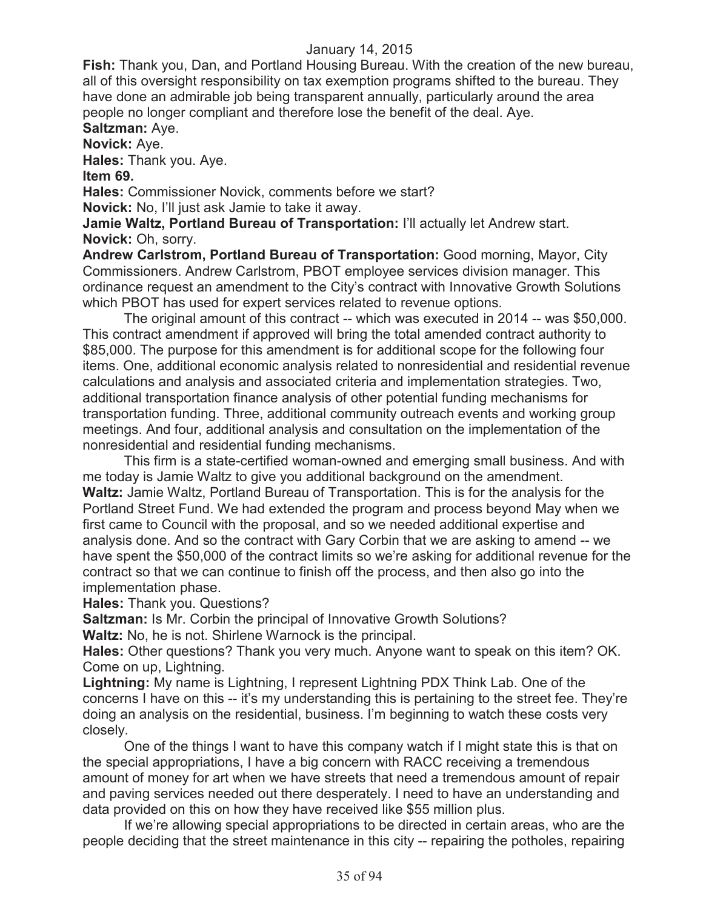**Fish:** Thank you, Dan, and Portland Housing Bureau. With the creation of the new bureau, all of this oversight responsibility on tax exemption programs shifted to the bureau. They have done an admirable job being transparent annually, particularly around the area people no longer compliant and therefore lose the benefit of the deal. Aye.

# **Saltzman:** Aye.

**Novick:** Aye. **Hales:** Thank you. Aye.

**Item 69.**

**Hales:** Commissioner Novick, comments before we start?

**Novick:** No, I'll just ask Jamie to take it away.

**Jamie Waltz, Portland Bureau of Transportation:** I'll actually let Andrew start. **Novick:** Oh, sorry.

**Andrew Carlstrom, Portland Bureau of Transportation:** Good morning, Mayor, City Commissioners. Andrew Carlstrom, PBOT employee services division manager. This ordinance request an amendment to the City's contract with Innovative Growth Solutions which PBOT has used for expert services related to revenue options.

The original amount of this contract -- which was executed in 2014 -- was \$50,000. This contract amendment if approved will bring the total amended contract authority to \$85,000. The purpose for this amendment is for additional scope for the following four items. One, additional economic analysis related to nonresidential and residential revenue calculations and analysis and associated criteria and implementation strategies. Two, additional transportation finance analysis of other potential funding mechanisms for transportation funding. Three, additional community outreach events and working group meetings. And four, additional analysis and consultation on the implementation of the nonresidential and residential funding mechanisms.

This firm is a state-certified woman-owned and emerging small business. And with me today is Jamie Waltz to give you additional background on the amendment. **Waltz:** Jamie Waltz, Portland Bureau of Transportation. This is for the analysis for the Portland Street Fund. We had extended the program and process beyond May when we first came to Council with the proposal, and so we needed additional expertise and analysis done. And so the contract with Gary Corbin that we are asking to amend -- we have spent the \$50,000 of the contract limits so we're asking for additional revenue for the contract so that we can continue to finish off the process, and then also go into the implementation phase.

**Hales:** Thank you. Questions?

**Saltzman:** Is Mr. Corbin the principal of Innovative Growth Solutions?

**Waltz:** No, he is not. Shirlene Warnock is the principal.

**Hales:** Other questions? Thank you very much. Anyone want to speak on this item? OK. Come on up, Lightning.

**Lightning:** My name is Lightning, I represent Lightning PDX Think Lab. One of the concerns I have on this -- it's my understanding this is pertaining to the street fee. They're doing an analysis on the residential, business. I'm beginning to watch these costs very closely.

One of the things I want to have this company watch if I might state this is that on the special appropriations, I have a big concern with RACC receiving a tremendous amount of money for art when we have streets that need a tremendous amount of repair and paving services needed out there desperately. I need to have an understanding and data provided on this on how they have received like \$55 million plus.

If we're allowing special appropriations to be directed in certain areas, who are the people deciding that the street maintenance in this city -- repairing the potholes, repairing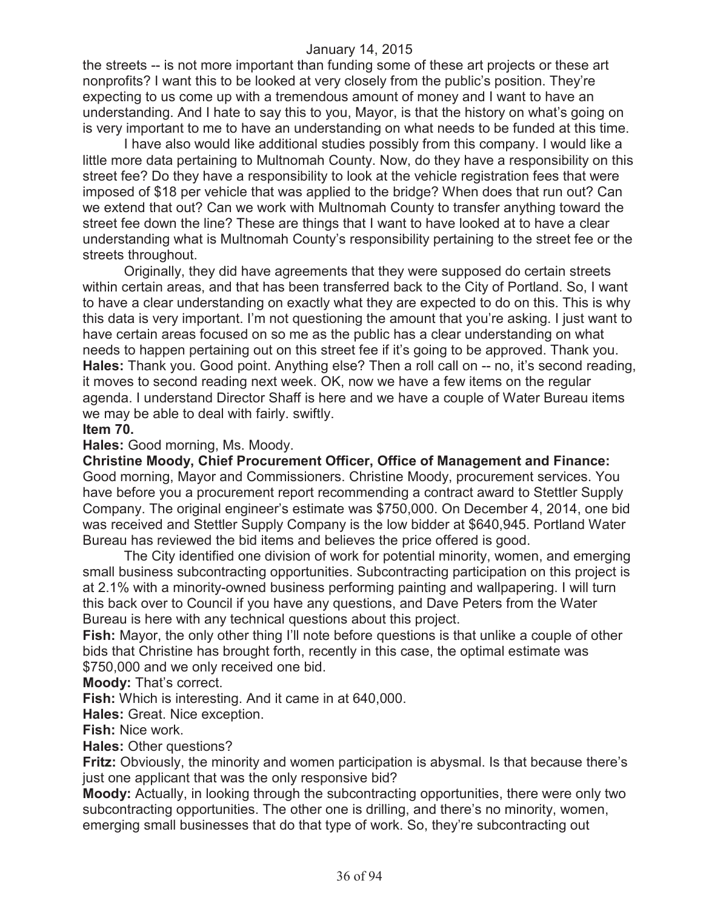the streets -- is not more important than funding some of these art projects or these art nonprofits? I want this to be looked at very closely from the public's position. They're expecting to us come up with a tremendous amount of money and I want to have an understanding. And I hate to say this to you, Mayor, is that the history on what's going on is very important to me to have an understanding on what needs to be funded at this time.

I have also would like additional studies possibly from this company. I would like a little more data pertaining to Multnomah County. Now, do they have a responsibility on this street fee? Do they have a responsibility to look at the vehicle registration fees that were imposed of \$18 per vehicle that was applied to the bridge? When does that run out? Can we extend that out? Can we work with Multnomah County to transfer anything toward the street fee down the line? These are things that I want to have looked at to have a clear understanding what is Multnomah County's responsibility pertaining to the street fee or the streets throughout.

Originally, they did have agreements that they were supposed do certain streets within certain areas, and that has been transferred back to the City of Portland. So, I want to have a clear understanding on exactly what they are expected to do on this. This is why this data is very important. I'm not questioning the amount that you're asking. I just want to have certain areas focused on so me as the public has a clear understanding on what needs to happen pertaining out on this street fee if it's going to be approved. Thank you. **Hales:** Thank you. Good point. Anything else? Then a roll call on -- no, it's second reading, it moves to second reading next week. OK, now we have a few items on the regular agenda. I understand Director Shaff is here and we have a couple of Water Bureau items we may be able to deal with fairly. swiftly.

#### **Item 70.**

#### **Hales:** Good morning, Ms. Moody.

**Christine Moody, Chief Procurement Officer, Office of Management and Finance:**  Good morning, Mayor and Commissioners. Christine Moody, procurement services. You have before you a procurement report recommending a contract award to Stettler Supply Company. The original engineer's estimate was \$750,000. On December 4, 2014, one bid was received and Stettler Supply Company is the low bidder at \$640,945. Portland Water Bureau has reviewed the bid items and believes the price offered is good.

The City identified one division of work for potential minority, women, and emerging small business subcontracting opportunities. Subcontracting participation on this project is at 2.1% with a minority-owned business performing painting and wallpapering. I will turn this back over to Council if you have any questions, and Dave Peters from the Water Bureau is here with any technical questions about this project.

**Fish:** Mayor, the only other thing I'll note before questions is that unlike a couple of other bids that Christine has brought forth, recently in this case, the optimal estimate was \$750,000 and we only received one bid.

**Moody:** That's correct.

**Fish:** Which is interesting. And it came in at 640,000.

**Hales:** Great. Nice exception.

**Fish:** Nice work.

**Hales:** Other questions?

**Fritz:** Obviously, the minority and women participation is abysmal. Is that because there's just one applicant that was the only responsive bid?

**Moody:** Actually, in looking through the subcontracting opportunities, there were only two subcontracting opportunities. The other one is drilling, and there's no minority, women, emerging small businesses that do that type of work. So, they're subcontracting out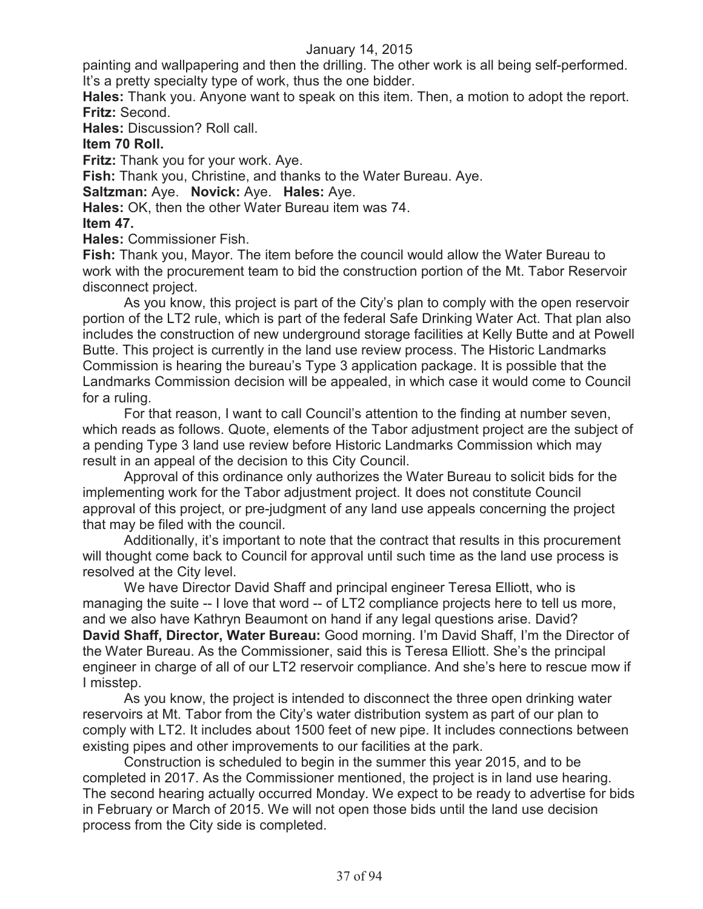painting and wallpapering and then the drilling. The other work is all being self-performed. It's a pretty specialty type of work, thus the one bidder.

**Hales:** Thank you. Anyone want to speak on this item. Then, a motion to adopt the report. **Fritz:** Second.

**Hales:** Discussion? Roll call.

# **Item 70 Roll.**

**Fritz:** Thank you for your work. Aye.

**Fish:** Thank you, Christine, and thanks to the Water Bureau. Aye.

**Saltzman:** Aye. **Novick:** Aye. **Hales:** Aye.

**Hales:** OK, then the other Water Bureau item was 74.

# **Item 47.**

**Hales:** Commissioner Fish.

Fish: Thank you, Mayor. The item before the council would allow the Water Bureau to work with the procurement team to bid the construction portion of the Mt. Tabor Reservoir disconnect project.

As you know, this project is part of the City's plan to comply with the open reservoir portion of the LT2 rule, which is part of the federal Safe Drinking Water Act. That plan also includes the construction of new underground storage facilities at Kelly Butte and at Powell Butte. This project is currently in the land use review process. The Historic Landmarks Commission is hearing the bureau's Type 3 application package. It is possible that the Landmarks Commission decision will be appealed, in which case it would come to Council for a ruling.

For that reason, I want to call Council's attention to the finding at number seven, which reads as follows. Quote, elements of the Tabor adjustment project are the subject of a pending Type 3 land use review before Historic Landmarks Commission which may result in an appeal of the decision to this City Council.

Approval of this ordinance only authorizes the Water Bureau to solicit bids for the implementing work for the Tabor adjustment project. It does not constitute Council approval of this project, or pre-judgment of any land use appeals concerning the project that may be filed with the council.

Additionally, it's important to note that the contract that results in this procurement will thought come back to Council for approval until such time as the land use process is resolved at the City level.

We have Director David Shaff and principal engineer Teresa Elliott, who is managing the suite -- I love that word -- of LT2 compliance projects here to tell us more, and we also have Kathryn Beaumont on hand if any legal questions arise. David? **David Shaff, Director, Water Bureau:** Good morning. I'm David Shaff, I'm the Director of the Water Bureau. As the Commissioner, said this is Teresa Elliott. She's the principal engineer in charge of all of our LT2 reservoir compliance. And she's here to rescue mow if I misstep.

As you know, the project is intended to disconnect the three open drinking water reservoirs at Mt. Tabor from the City's water distribution system as part of our plan to comply with LT2. It includes about 1500 feet of new pipe. It includes connections between existing pipes and other improvements to our facilities at the park.

Construction is scheduled to begin in the summer this year 2015, and to be completed in 2017. As the Commissioner mentioned, the project is in land use hearing. The second hearing actually occurred Monday. We expect to be ready to advertise for bids in February or March of 2015. We will not open those bids until the land use decision process from the City side is completed.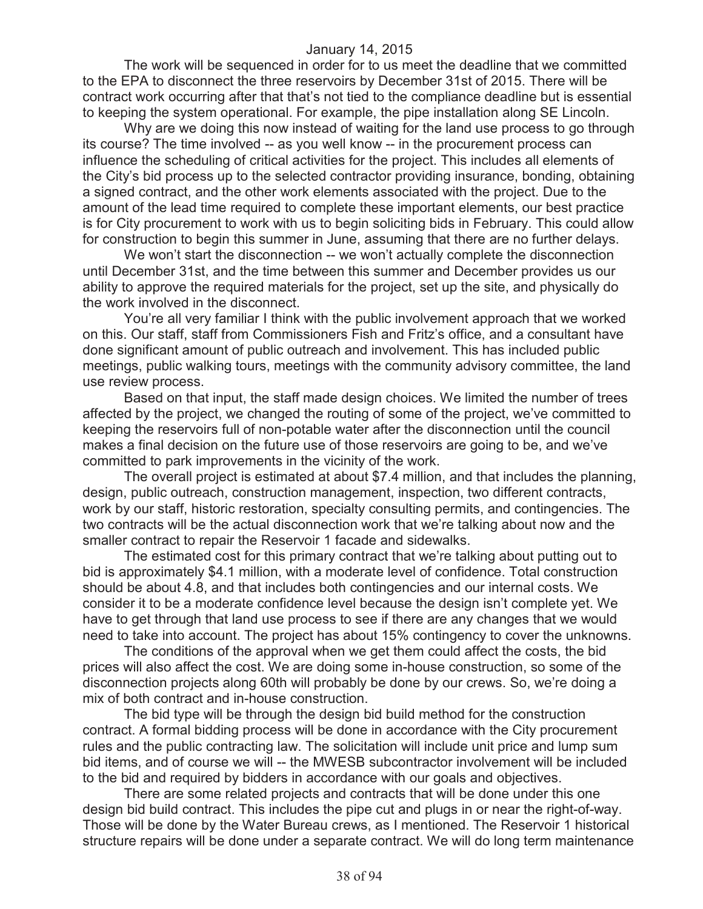The work will be sequenced in order for to us meet the deadline that we committed to the EPA to disconnect the three reservoirs by December 31st of 2015. There will be contract work occurring after that that's not tied to the compliance deadline but is essential to keeping the system operational. For example, the pipe installation along SE Lincoln.

Why are we doing this now instead of waiting for the land use process to go through its course? The time involved -- as you well know -- in the procurement process can influence the scheduling of critical activities for the project. This includes all elements of the City's bid process up to the selected contractor providing insurance, bonding, obtaining a signed contract, and the other work elements associated with the project. Due to the amount of the lead time required to complete these important elements, our best practice is for City procurement to work with us to begin soliciting bids in February. This could allow for construction to begin this summer in June, assuming that there are no further delays.

We won't start the disconnection -- we won't actually complete the disconnection until December 31st, and the time between this summer and December provides us our ability to approve the required materials for the project, set up the site, and physically do the work involved in the disconnect.

You're all very familiar I think with the public involvement approach that we worked on this. Our staff, staff from Commissioners Fish and Fritz's office, and a consultant have done significant amount of public outreach and involvement. This has included public meetings, public walking tours, meetings with the community advisory committee, the land use review process.

Based on that input, the staff made design choices. We limited the number of trees affected by the project, we changed the routing of some of the project, we've committed to keeping the reservoirs full of non-potable water after the disconnection until the council makes a final decision on the future use of those reservoirs are going to be, and we've committed to park improvements in the vicinity of the work.

The overall project is estimated at about \$7.4 million, and that includes the planning, design, public outreach, construction management, inspection, two different contracts, work by our staff, historic restoration, specialty consulting permits, and contingencies. The two contracts will be the actual disconnection work that we're talking about now and the smaller contract to repair the Reservoir 1 facade and sidewalks.

The estimated cost for this primary contract that we're talking about putting out to bid is approximately \$4.1 million, with a moderate level of confidence. Total construction should be about 4.8, and that includes both contingencies and our internal costs. We consider it to be a moderate confidence level because the design isn't complete yet. We have to get through that land use process to see if there are any changes that we would need to take into account. The project has about 15% contingency to cover the unknowns.

The conditions of the approval when we get them could affect the costs, the bid prices will also affect the cost. We are doing some in-house construction, so some of the disconnection projects along 60th will probably be done by our crews. So, we're doing a mix of both contract and in-house construction.

The bid type will be through the design bid build method for the construction contract. A formal bidding process will be done in accordance with the City procurement rules and the public contracting law. The solicitation will include unit price and lump sum bid items, and of course we will -- the MWESB subcontractor involvement will be included to the bid and required by bidders in accordance with our goals and objectives.

There are some related projects and contracts that will be done under this one design bid build contract. This includes the pipe cut and plugs in or near the right-of-way. Those will be done by the Water Bureau crews, as I mentioned. The Reservoir 1 historical structure repairs will be done under a separate contract. We will do long term maintenance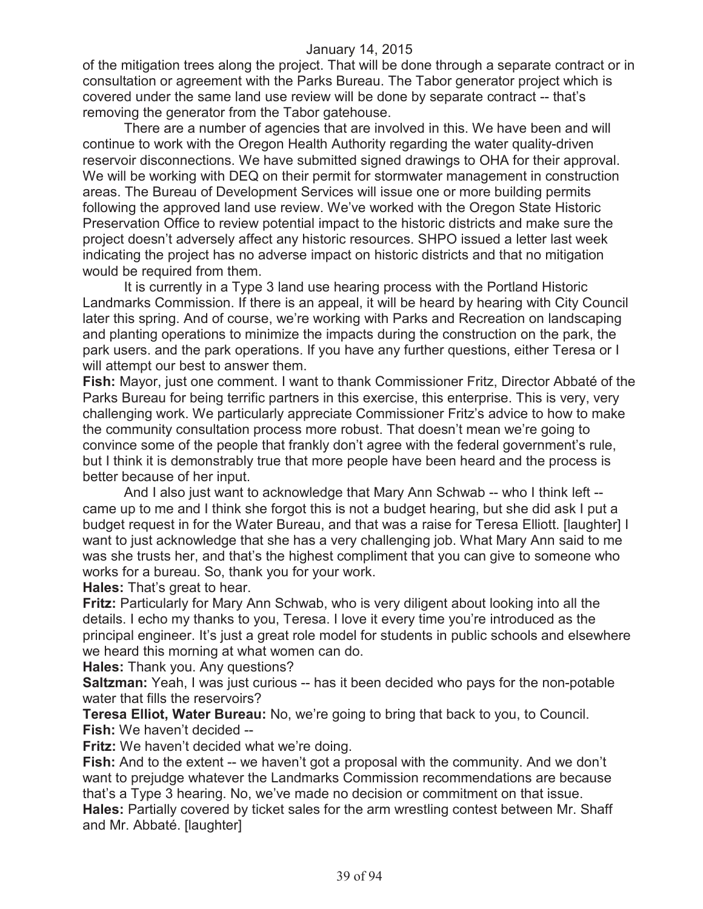of the mitigation trees along the project. That will be done through a separate contract or in consultation or agreement with the Parks Bureau. The Tabor generator project which is covered under the same land use review will be done by separate contract -- that's removing the generator from the Tabor gatehouse.

There are a number of agencies that are involved in this. We have been and will continue to work with the Oregon Health Authority regarding the water quality-driven reservoir disconnections. We have submitted signed drawings to OHA for their approval. We will be working with DEQ on their permit for stormwater management in construction areas. The Bureau of Development Services will issue one or more building permits following the approved land use review. We've worked with the Oregon State Historic Preservation Office to review potential impact to the historic districts and make sure the project doesn't adversely affect any historic resources. SHPO issued a letter last week indicating the project has no adverse impact on historic districts and that no mitigation would be required from them.

It is currently in a Type 3 land use hearing process with the Portland Historic Landmarks Commission. If there is an appeal, it will be heard by hearing with City Council later this spring. And of course, we're working with Parks and Recreation on landscaping and planting operations to minimize the impacts during the construction on the park, the park users. and the park operations. If you have any further questions, either Teresa or I will attempt our best to answer them.

**Fish:** Mayor, just one comment. I want to thank Commissioner Fritz, Director Abbaté of the Parks Bureau for being terrific partners in this exercise, this enterprise. This is very, very challenging work. We particularly appreciate Commissioner Fritz's advice to how to make the community consultation process more robust. That doesn't mean we're going to convince some of the people that frankly don't agree with the federal government's rule, but I think it is demonstrably true that more people have been heard and the process is better because of her input.

And I also just want to acknowledge that Mary Ann Schwab -- who I think left - came up to me and I think she forgot this is not a budget hearing, but she did ask I put a budget request in for the Water Bureau, and that was a raise for Teresa Elliott. [laughter] I want to just acknowledge that she has a very challenging job. What Mary Ann said to me was she trusts her, and that's the highest compliment that you can give to someone who works for a bureau. So, thank you for your work.

**Hales:** That's great to hear.

**Fritz:** Particularly for Mary Ann Schwab, who is very diligent about looking into all the details. I echo my thanks to you, Teresa. I love it every time you're introduced as the principal engineer. It's just a great role model for students in public schools and elsewhere we heard this morning at what women can do.

**Hales:** Thank you. Any questions?

**Saltzman:** Yeah, I was just curious -- has it been decided who pays for the non-potable water that fills the reservoirs?

**Teresa Elliot, Water Bureau:** No, we're going to bring that back to you, to Council. **Fish:** We haven't decided --

**Fritz:** We haven't decided what we're doing.

**Fish:** And to the extent -- we haven't got a proposal with the community. And we don't want to prejudge whatever the Landmarks Commission recommendations are because that's a Type 3 hearing. No, we've made no decision or commitment on that issue. **Hales:** Partially covered by ticket sales for the arm wrestling contest between Mr. Shaff and Mr. Abbaté. [laughter]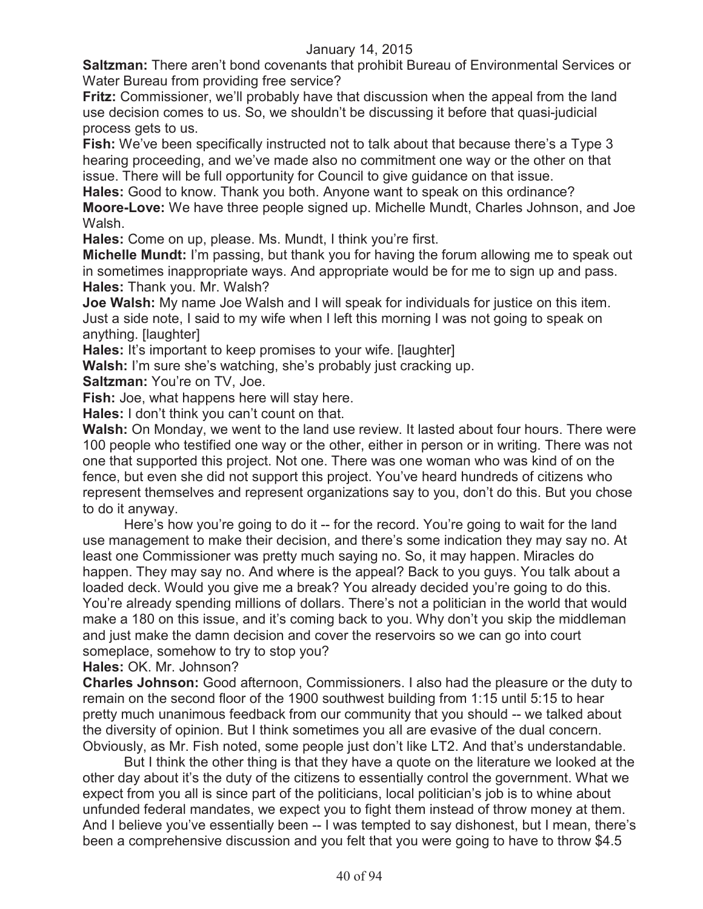**Saltzman:** There aren't bond covenants that prohibit Bureau of Environmental Services or Water Bureau from providing free service?

**Fritz:** Commissioner, we'll probably have that discussion when the appeal from the land use decision comes to us. So, we shouldn't be discussing it before that quasi-judicial process gets to us.

**Fish:** We've been specifically instructed not to talk about that because there's a Type 3 hearing proceeding, and we've made also no commitment one way or the other on that issue. There will be full opportunity for Council to give guidance on that issue.

**Hales:** Good to know. Thank you both. Anyone want to speak on this ordinance? **Moore-Love:** We have three people signed up. Michelle Mundt, Charles Johnson, and Joe Walsh.

**Hales:** Come on up, please. Ms. Mundt, I think you're first.

**Michelle Mundt:** I'm passing, but thank you for having the forum allowing me to speak out in sometimes inappropriate ways. And appropriate would be for me to sign up and pass. **Hales:** Thank you. Mr. Walsh?

**Joe Walsh:** My name Joe Walsh and I will speak for individuals for justice on this item. Just a side note, I said to my wife when I left this morning I was not going to speak on anything. [laughter]

**Hales:** It's important to keep promises to your wife. [laughter]

**Walsh:** I'm sure she's watching, she's probably just cracking up.

**Saltzman: You're on TV, Joe.** 

**Fish:** Joe, what happens here will stay here.

**Hales:** I don't think you can't count on that.

**Walsh:** On Monday, we went to the land use review. It lasted about four hours. There were 100 people who testified one way or the other, either in person or in writing. There was not one that supported this project. Not one. There was one woman who was kind of on the fence, but even she did not support this project. You've heard hundreds of citizens who represent themselves and represent organizations say to you, don't do this. But you chose to do it anyway.

Here's how you're going to do it -- for the record. You're going to wait for the land use management to make their decision, and there's some indication they may say no. At least one Commissioner was pretty much saying no. So, it may happen. Miracles do happen. They may say no. And where is the appeal? Back to you guys. You talk about a loaded deck. Would you give me a break? You already decided you're going to do this. You're already spending millions of dollars. There's not a politician in the world that would make a 180 on this issue, and it's coming back to you. Why don't you skip the middleman and just make the damn decision and cover the reservoirs so we can go into court someplace, somehow to try to stop you?

**Hales:** OK. Mr. Johnson?

**Charles Johnson:** Good afternoon, Commissioners. I also had the pleasure or the duty to remain on the second floor of the 1900 southwest building from 1:15 until 5:15 to hear pretty much unanimous feedback from our community that you should -- we talked about the diversity of opinion. But I think sometimes you all are evasive of the dual concern. Obviously, as Mr. Fish noted, some people just don't like LT2. And that's understandable.

But I think the other thing is that they have a quote on the literature we looked at the other day about it's the duty of the citizens to essentially control the government. What we expect from you all is since part of the politicians, local politician's job is to whine about unfunded federal mandates, we expect you to fight them instead of throw money at them. And I believe you've essentially been -- I was tempted to say dishonest, but I mean, there's been a comprehensive discussion and you felt that you were going to have to throw \$4.5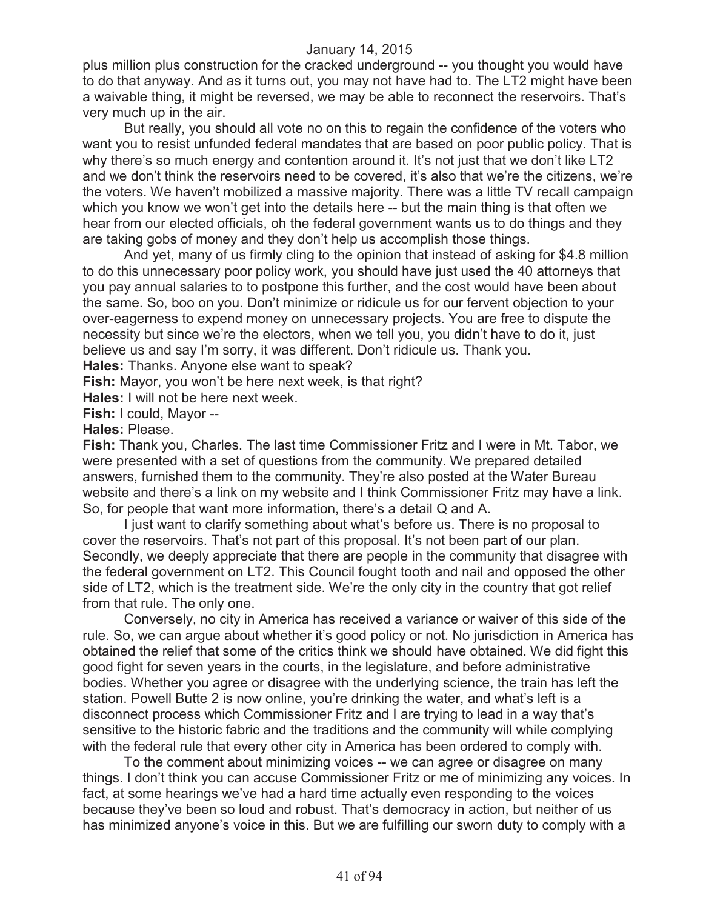plus million plus construction for the cracked underground -- you thought you would have to do that anyway. And as it turns out, you may not have had to. The LT2 might have been a waivable thing, it might be reversed, we may be able to reconnect the reservoirs. That's very much up in the air.

But really, you should all vote no on this to regain the confidence of the voters who want you to resist unfunded federal mandates that are based on poor public policy. That is why there's so much energy and contention around it. It's not just that we don't like LT2 and we don't think the reservoirs need to be covered, it's also that we're the citizens, we're the voters. We haven't mobilized a massive majority. There was a little TV recall campaign which you know we won't get into the details here -- but the main thing is that often we hear from our elected officials, oh the federal government wants us to do things and they are taking gobs of money and they don't help us accomplish those things.

And yet, many of us firmly cling to the opinion that instead of asking for \$4.8 million to do this unnecessary poor policy work, you should have just used the 40 attorneys that you pay annual salaries to to postpone this further, and the cost would have been about the same. So, boo on you. Don't minimize or ridicule us for our fervent objection to your over-eagerness to expend money on unnecessary projects. You are free to dispute the necessity but since we're the electors, when we tell you, you didn't have to do it, just believe us and say I'm sorry, it was different. Don't ridicule us. Thank you.

**Hales:** Thanks. Anyone else want to speak?

**Fish:** Mayor, you won't be here next week, is that right?

**Hales:** I will not be here next week.

**Fish:** I could, Mayor --

**Hales:** Please.

**Fish:** Thank you, Charles. The last time Commissioner Fritz and I were in Mt. Tabor, we were presented with a set of questions from the community. We prepared detailed answers, furnished them to the community. They're also posted at the Water Bureau website and there's a link on my website and I think Commissioner Fritz may have a link. So, for people that want more information, there's a detail Q and A.

I just want to clarify something about what's before us. There is no proposal to cover the reservoirs. That's not part of this proposal. It's not been part of our plan. Secondly, we deeply appreciate that there are people in the community that disagree with the federal government on LT2. This Council fought tooth and nail and opposed the other side of LT2, which is the treatment side. We're the only city in the country that got relief from that rule. The only one.

Conversely, no city in America has received a variance or waiver of this side of the rule. So, we can argue about whether it's good policy or not. No jurisdiction in America has obtained the relief that some of the critics think we should have obtained. We did fight this good fight for seven years in the courts, in the legislature, and before administrative bodies. Whether you agree or disagree with the underlying science, the train has left the station. Powell Butte 2 is now online, you're drinking the water, and what's left is a disconnect process which Commissioner Fritz and I are trying to lead in a way that's sensitive to the historic fabric and the traditions and the community will while complying with the federal rule that every other city in America has been ordered to comply with.

To the comment about minimizing voices -- we can agree or disagree on many things. I don't think you can accuse Commissioner Fritz or me of minimizing any voices. In fact, at some hearings we've had a hard time actually even responding to the voices because they've been so loud and robust. That's democracy in action, but neither of us has minimized anyone's voice in this. But we are fulfilling our sworn duty to comply with a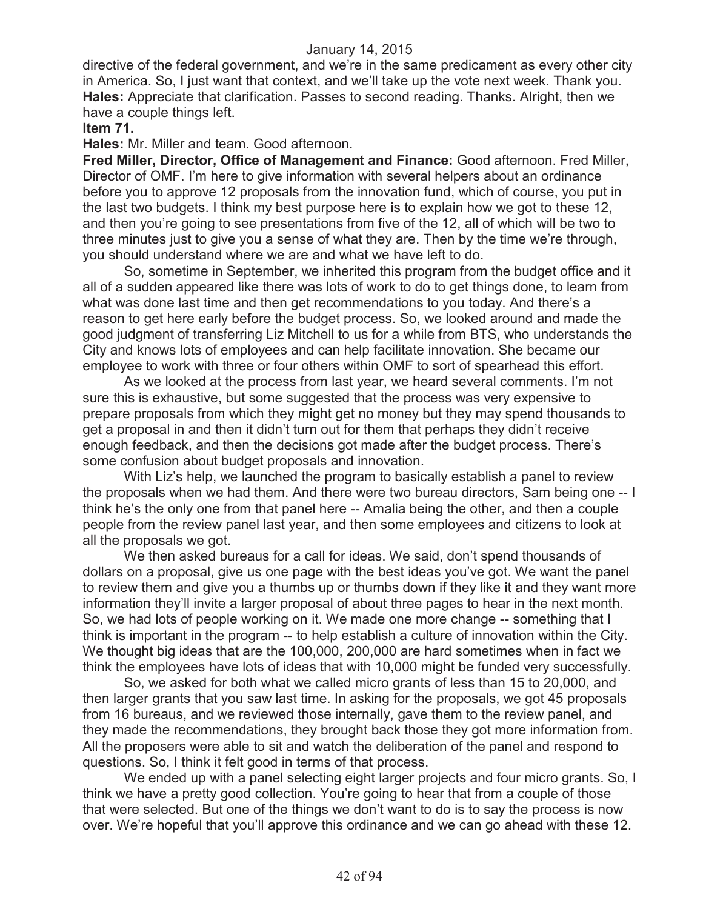directive of the federal government, and we're in the same predicament as every other city in America. So, I just want that context, and we'll take up the vote next week. Thank you. **Hales:** Appreciate that clarification. Passes to second reading. Thanks. Alright, then we have a couple things left.

#### **Item 71.**

**Hales:** Mr. Miller and team. Good afternoon.

**Fred Miller, Director, Office of Management and Finance:** Good afternoon. Fred Miller, Director of OMF. I'm here to give information with several helpers about an ordinance before you to approve 12 proposals from the innovation fund, which of course, you put in the last two budgets. I think my best purpose here is to explain how we got to these 12, and then you're going to see presentations from five of the 12, all of which will be two to three minutes just to give you a sense of what they are. Then by the time we're through, you should understand where we are and what we have left to do.

So, sometime in September, we inherited this program from the budget office and it all of a sudden appeared like there was lots of work to do to get things done, to learn from what was done last time and then get recommendations to you today. And there's a reason to get here early before the budget process. So, we looked around and made the good judgment of transferring Liz Mitchell to us for a while from BTS, who understands the City and knows lots of employees and can help facilitate innovation. She became our employee to work with three or four others within OMF to sort of spearhead this effort.

As we looked at the process from last year, we heard several comments. I'm not sure this is exhaustive, but some suggested that the process was very expensive to prepare proposals from which they might get no money but they may spend thousands to get a proposal in and then it didn't turn out for them that perhaps they didn't receive enough feedback, and then the decisions got made after the budget process. There's some confusion about budget proposals and innovation.

With Liz's help, we launched the program to basically establish a panel to review the proposals when we had them. And there were two bureau directors, Sam being one -- I think he's the only one from that panel here -- Amalia being the other, and then a couple people from the review panel last year, and then some employees and citizens to look at all the proposals we got.

We then asked bureaus for a call for ideas. We said, don't spend thousands of dollars on a proposal, give us one page with the best ideas you've got. We want the panel to review them and give you a thumbs up or thumbs down if they like it and they want more information they'll invite a larger proposal of about three pages to hear in the next month. So, we had lots of people working on it. We made one more change -- something that I think is important in the program -- to help establish a culture of innovation within the City. We thought big ideas that are the 100,000, 200,000 are hard sometimes when in fact we think the employees have lots of ideas that with 10,000 might be funded very successfully.

So, we asked for both what we called micro grants of less than 15 to 20,000, and then larger grants that you saw last time. In asking for the proposals, we got 45 proposals from 16 bureaus, and we reviewed those internally, gave them to the review panel, and they made the recommendations, they brought back those they got more information from. All the proposers were able to sit and watch the deliberation of the panel and respond to questions. So, I think it felt good in terms of that process.

We ended up with a panel selecting eight larger projects and four micro grants. So, I think we have a pretty good collection. You're going to hear that from a couple of those that were selected. But one of the things we don't want to do is to say the process is now over. We're hopeful that you'll approve this ordinance and we can go ahead with these 12.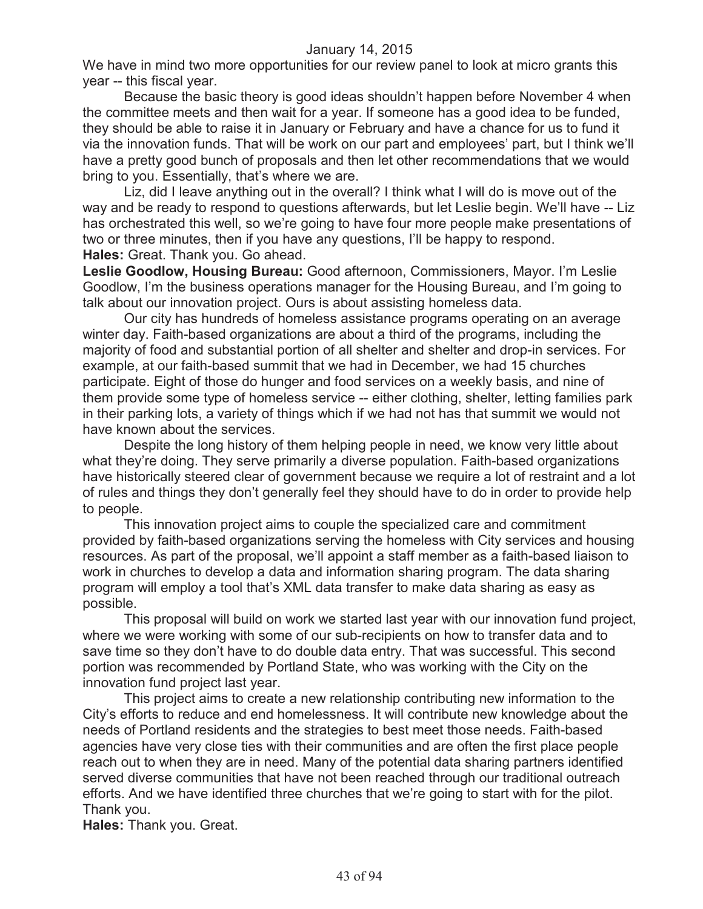We have in mind two more opportunities for our review panel to look at micro grants this year -- this fiscal year.

Because the basic theory is good ideas shouldn't happen before November 4 when the committee meets and then wait for a year. If someone has a good idea to be funded, they should be able to raise it in January or February and have a chance for us to fund it via the innovation funds. That will be work on our part and employees' part, but I think we'll have a pretty good bunch of proposals and then let other recommendations that we would bring to you. Essentially, that's where we are.

Liz, did I leave anything out in the overall? I think what I will do is move out of the way and be ready to respond to questions afterwards, but let Leslie begin. We'll have -- Liz has orchestrated this well, so we're going to have four more people make presentations of two or three minutes, then if you have any questions, I'll be happy to respond. **Hales:** Great. Thank you. Go ahead.

**Leslie Goodlow, Housing Bureau:** Good afternoon, Commissioners, Mayor. I'm Leslie Goodlow, I'm the business operations manager for the Housing Bureau, and I'm going to talk about our innovation project. Ours is about assisting homeless data.

Our city has hundreds of homeless assistance programs operating on an average winter day. Faith-based organizations are about a third of the programs, including the majority of food and substantial portion of all shelter and shelter and drop-in services. For example, at our faith-based summit that we had in December, we had 15 churches participate. Eight of those do hunger and food services on a weekly basis, and nine of them provide some type of homeless service -- either clothing, shelter, letting families park in their parking lots, a variety of things which if we had not has that summit we would not have known about the services.

Despite the long history of them helping people in need, we know very little about what they're doing. They serve primarily a diverse population. Faith-based organizations have historically steered clear of government because we require a lot of restraint and a lot of rules and things they don't generally feel they should have to do in order to provide help to people.

This innovation project aims to couple the specialized care and commitment provided by faith-based organizations serving the homeless with City services and housing resources. As part of the proposal, we'll appoint a staff member as a faith-based liaison to work in churches to develop a data and information sharing program. The data sharing program will employ a tool that's XML data transfer to make data sharing as easy as possible.

This proposal will build on work we started last year with our innovation fund project, where we were working with some of our sub-recipients on how to transfer data and to save time so they don't have to do double data entry. That was successful. This second portion was recommended by Portland State, who was working with the City on the innovation fund project last year.

This project aims to create a new relationship contributing new information to the City's efforts to reduce and end homelessness. It will contribute new knowledge about the needs of Portland residents and the strategies to best meet those needs. Faith-based agencies have very close ties with their communities and are often the first place people reach out to when they are in need. Many of the potential data sharing partners identified served diverse communities that have not been reached through our traditional outreach efforts. And we have identified three churches that we're going to start with for the pilot. Thank you.

**Hales:** Thank you. Great.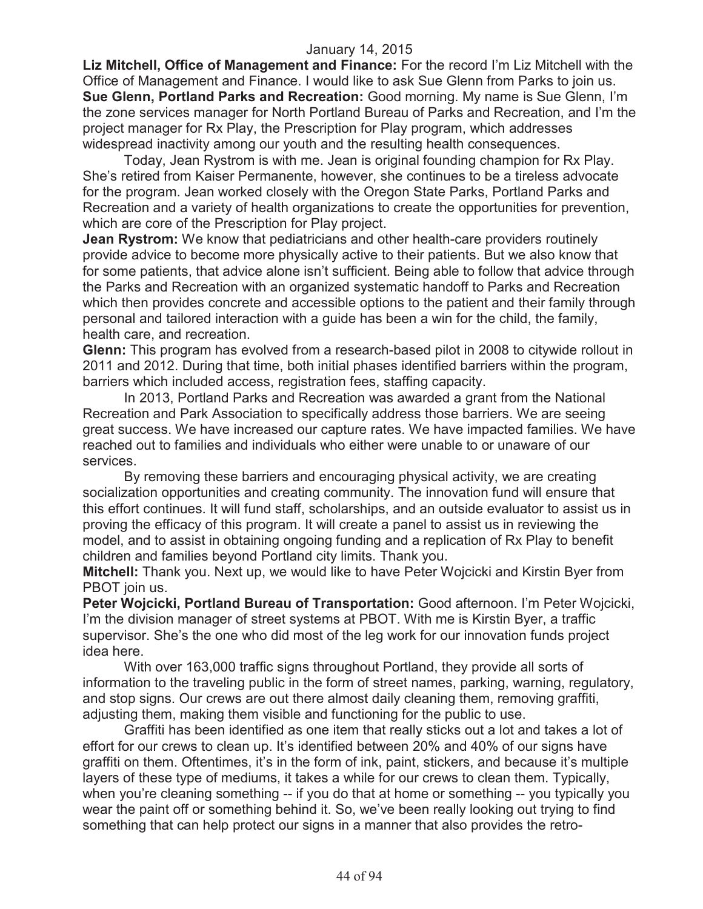**Liz Mitchell, Office of Management and Finance:** For the record I'm Liz Mitchell with the Office of Management and Finance. I would like to ask Sue Glenn from Parks to join us. **Sue Glenn, Portland Parks and Recreation:** Good morning. My name is Sue Glenn, I'm the zone services manager for North Portland Bureau of Parks and Recreation, and I'm the project manager for Rx Play, the Prescription for Play program, which addresses widespread inactivity among our youth and the resulting health consequences.

Today, Jean Rystrom is with me. Jean is original founding champion for Rx Play. She's retired from Kaiser Permanente, however, she continues to be a tireless advocate for the program. Jean worked closely with the Oregon State Parks, Portland Parks and Recreation and a variety of health organizations to create the opportunities for prevention, which are core of the Prescription for Play project.

**Jean Rystrom:** We know that pediatricians and other health-care providers routinely provide advice to become more physically active to their patients. But we also know that for some patients, that advice alone isn't sufficient. Being able to follow that advice through the Parks and Recreation with an organized systematic handoff to Parks and Recreation which then provides concrete and accessible options to the patient and their family through personal and tailored interaction with a guide has been a win for the child, the family, health care, and recreation.

**Glenn:** This program has evolved from a research-based pilot in 2008 to citywide rollout in 2011 and 2012. During that time, both initial phases identified barriers within the program, barriers which included access, registration fees, staffing capacity.

In 2013, Portland Parks and Recreation was awarded a grant from the National Recreation and Park Association to specifically address those barriers. We are seeing great success. We have increased our capture rates. We have impacted families. We have reached out to families and individuals who either were unable to or unaware of our services.

By removing these barriers and encouraging physical activity, we are creating socialization opportunities and creating community. The innovation fund will ensure that this effort continues. It will fund staff, scholarships, and an outside evaluator to assist us in proving the efficacy of this program. It will create a panel to assist us in reviewing the model, and to assist in obtaining ongoing funding and a replication of Rx Play to benefit children and families beyond Portland city limits. Thank you.

**Mitchell:** Thank you. Next up, we would like to have Peter Wojcicki and Kirstin Byer from PBOT join us.

**Peter Wojcicki, Portland Bureau of Transportation:** Good afternoon. I'm Peter Wojcicki, I'm the division manager of street systems at PBOT. With me is Kirstin Byer, a traffic supervisor. She's the one who did most of the leg work for our innovation funds project idea here.

With over 163,000 traffic signs throughout Portland, they provide all sorts of information to the traveling public in the form of street names, parking, warning, regulatory, and stop signs. Our crews are out there almost daily cleaning them, removing graffiti, adjusting them, making them visible and functioning for the public to use.

Graffiti has been identified as one item that really sticks out a lot and takes a lot of effort for our crews to clean up. It's identified between 20% and 40% of our signs have graffiti on them. Oftentimes, it's in the form of ink, paint, stickers, and because it's multiple layers of these type of mediums, it takes a while for our crews to clean them. Typically, when you're cleaning something -- if you do that at home or something -- you typically you wear the paint off or something behind it. So, we've been really looking out trying to find something that can help protect our signs in a manner that also provides the retro-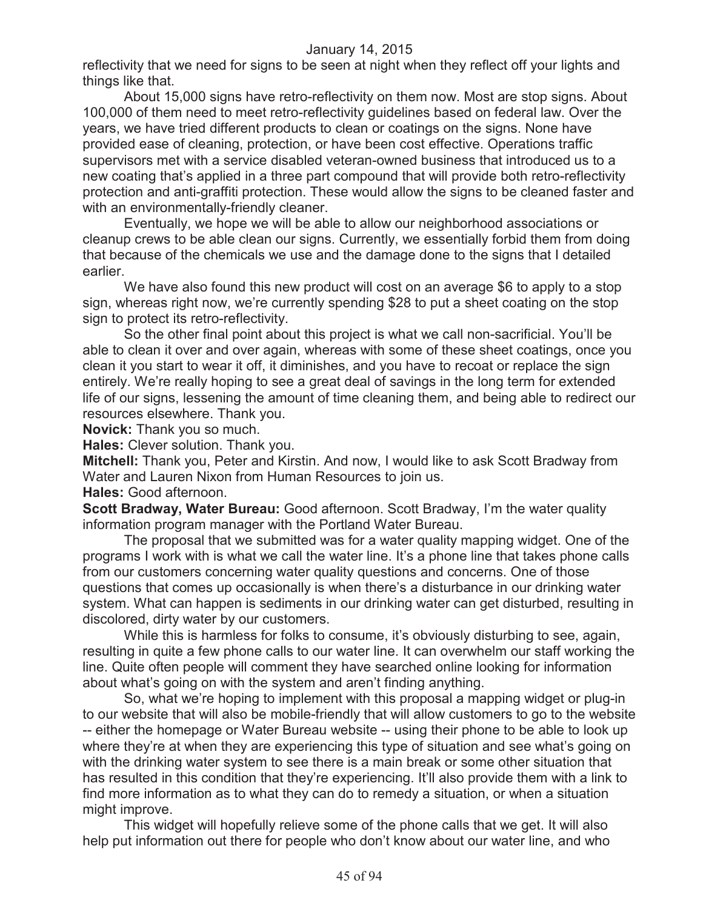reflectivity that we need for signs to be seen at night when they reflect off your lights and things like that.

About 15,000 signs have retro-reflectivity on them now. Most are stop signs. About 100,000 of them need to meet retro-reflectivity guidelines based on federal law. Over the years, we have tried different products to clean or coatings on the signs. None have provided ease of cleaning, protection, or have been cost effective. Operations traffic supervisors met with a service disabled veteran-owned business that introduced us to a new coating that's applied in a three part compound that will provide both retro-reflectivity protection and anti-graffiti protection. These would allow the signs to be cleaned faster and with an environmentally-friendly cleaner.

Eventually, we hope we will be able to allow our neighborhood associations or cleanup crews to be able clean our signs. Currently, we essentially forbid them from doing that because of the chemicals we use and the damage done to the signs that I detailed earlier.

We have also found this new product will cost on an average \$6 to apply to a stop sign, whereas right now, we're currently spending \$28 to put a sheet coating on the stop sign to protect its retro-reflectivity.

So the other final point about this project is what we call non-sacrificial. You'll be able to clean it over and over again, whereas with some of these sheet coatings, once you clean it you start to wear it off, it diminishes, and you have to recoat or replace the sign entirely. We're really hoping to see a great deal of savings in the long term for extended life of our signs, lessening the amount of time cleaning them, and being able to redirect our resources elsewhere. Thank you.

**Novick:** Thank you so much.

**Hales:** Clever solution. Thank you.

**Mitchell:** Thank you, Peter and Kirstin. And now, I would like to ask Scott Bradway from Water and Lauren Nixon from Human Resources to join us.

**Hales:** Good afternoon.

**Scott Bradway, Water Bureau:** Good afternoon. Scott Bradway, I'm the water quality information program manager with the Portland Water Bureau.

The proposal that we submitted was for a water quality mapping widget. One of the programs I work with is what we call the water line. It's a phone line that takes phone calls from our customers concerning water quality questions and concerns. One of those questions that comes up occasionally is when there's a disturbance in our drinking water system. What can happen is sediments in our drinking water can get disturbed, resulting in discolored, dirty water by our customers.

While this is harmless for folks to consume, it's obviously disturbing to see, again, resulting in quite a few phone calls to our water line. It can overwhelm our staff working the line. Quite often people will comment they have searched online looking for information about what's going on with the system and aren't finding anything.

So, what we're hoping to implement with this proposal a mapping widget or plug-in to our website that will also be mobile-friendly that will allow customers to go to the website -- either the homepage or Water Bureau website -- using their phone to be able to look up where they're at when they are experiencing this type of situation and see what's going on with the drinking water system to see there is a main break or some other situation that has resulted in this condition that they're experiencing. It'll also provide them with a link to find more information as to what they can do to remedy a situation, or when a situation might improve.

This widget will hopefully relieve some of the phone calls that we get. It will also help put information out there for people who don't know about our water line, and who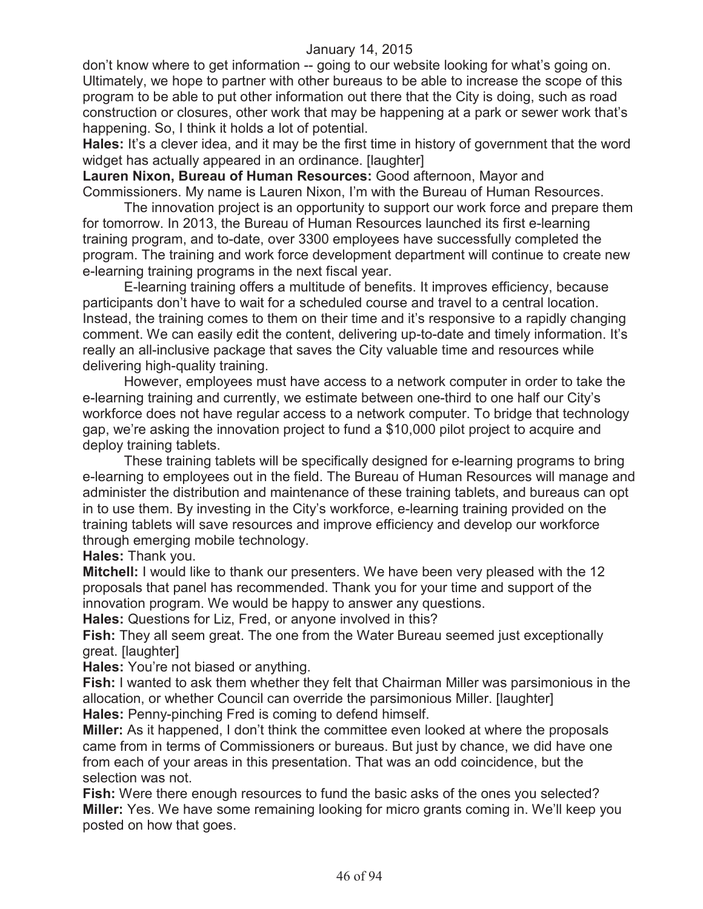don't know where to get information -- going to our website looking for what's going on. Ultimately, we hope to partner with other bureaus to be able to increase the scope of this program to be able to put other information out there that the City is doing, such as road construction or closures, other work that may be happening at a park or sewer work that's happening. So, I think it holds a lot of potential.

**Hales:** It's a clever idea, and it may be the first time in history of government that the word widget has actually appeared in an ordinance. [laughter]

**Lauren Nixon, Bureau of Human Resources:** Good afternoon, Mayor and Commissioners. My name is Lauren Nixon, I'm with the Bureau of Human Resources.

The innovation project is an opportunity to support our work force and prepare them for tomorrow. In 2013, the Bureau of Human Resources launched its first e-learning training program, and to-date, over 3300 employees have successfully completed the program. The training and work force development department will continue to create new e-learning training programs in the next fiscal year.

E-learning training offers a multitude of benefits. It improves efficiency, because participants don't have to wait for a scheduled course and travel to a central location. Instead, the training comes to them on their time and it's responsive to a rapidly changing comment. We can easily edit the content, delivering up-to-date and timely information. It's really an all-inclusive package that saves the City valuable time and resources while delivering high-quality training.

However, employees must have access to a network computer in order to take the e-learning training and currently, we estimate between one-third to one half our City's workforce does not have regular access to a network computer. To bridge that technology gap, we're asking the innovation project to fund a \$10,000 pilot project to acquire and deploy training tablets.

These training tablets will be specifically designed for e-learning programs to bring e-learning to employees out in the field. The Bureau of Human Resources will manage and administer the distribution and maintenance of these training tablets, and bureaus can opt in to use them. By investing in the City's workforce, e-learning training provided on the training tablets will save resources and improve efficiency and develop our workforce through emerging mobile technology.

**Hales:** Thank you.

**Mitchell:** I would like to thank our presenters. We have been very pleased with the 12 proposals that panel has recommended. Thank you for your time and support of the innovation program. We would be happy to answer any questions.

**Hales:** Questions for Liz, Fred, or anyone involved in this?

**Fish:** They all seem great. The one from the Water Bureau seemed just exceptionally great. [laughter]

**Hales:** You're not biased or anything.

**Fish:** I wanted to ask them whether they felt that Chairman Miller was parsimonious in the allocation, or whether Council can override the parsimonious Miller. [laughter] **Hales:** Penny-pinching Fred is coming to defend himself.

**Miller:** As it happened, I don't think the committee even looked at where the proposals came from in terms of Commissioners or bureaus. But just by chance, we did have one from each of your areas in this presentation. That was an odd coincidence, but the selection was not.

**Fish:** Were there enough resources to fund the basic asks of the ones you selected? **Miller:** Yes. We have some remaining looking for micro grants coming in. We'll keep you posted on how that goes.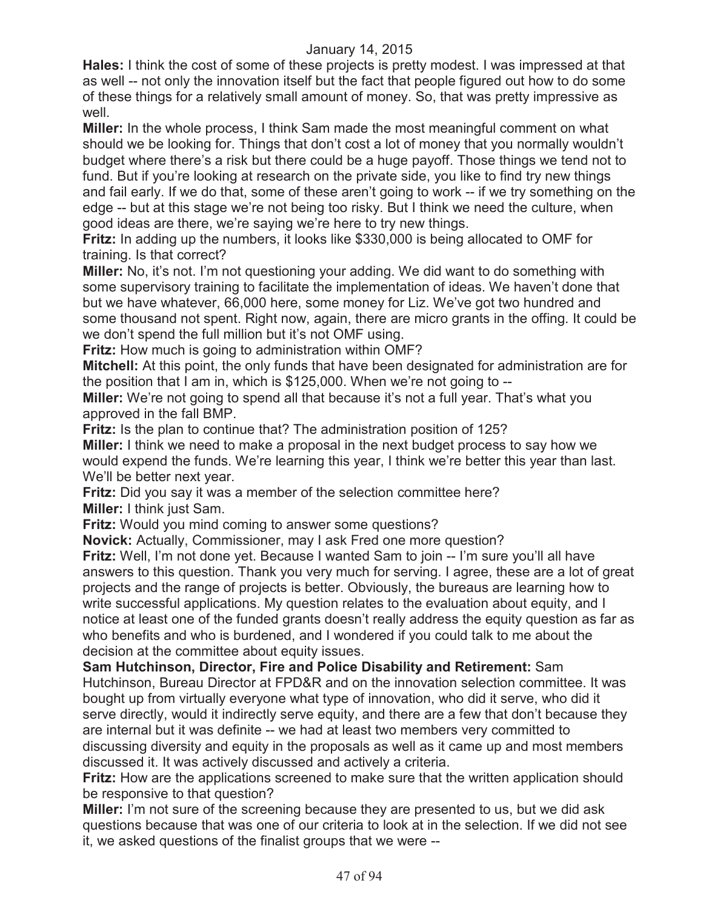**Hales:** I think the cost of some of these projects is pretty modest. I was impressed at that as well -- not only the innovation itself but the fact that people figured out how to do some of these things for a relatively small amount of money. So, that was pretty impressive as well.

**Miller:** In the whole process, I think Sam made the most meaningful comment on what should we be looking for. Things that don't cost a lot of money that you normally wouldn't budget where there's a risk but there could be a huge payoff. Those things we tend not to fund. But if you're looking at research on the private side, you like to find try new things and fail early. If we do that, some of these aren't going to work -- if we try something on the edge -- but at this stage we're not being too risky. But I think we need the culture, when good ideas are there, we're saying we're here to try new things.

**Fritz:** In adding up the numbers, it looks like \$330,000 is being allocated to OMF for training. Is that correct?

**Miller:** No, it's not. I'm not questioning your adding. We did want to do something with some supervisory training to facilitate the implementation of ideas. We haven't done that but we have whatever, 66,000 here, some money for Liz. We've got two hundred and some thousand not spent. Right now, again, there are micro grants in the offing. It could be we don't spend the full million but it's not OMF using.

**Fritz:** How much is going to administration within OMF?

**Mitchell:** At this point, the only funds that have been designated for administration are for the position that I am in, which is \$125,000. When we're not going to --

**Miller:** We're not going to spend all that because it's not a full year. That's what you approved in the fall BMP.

**Fritz:** Is the plan to continue that? The administration position of 125?

**Miller:** I think we need to make a proposal in the next budget process to say how we would expend the funds. We're learning this year, I think we're better this year than last. We'll be better next year.

**Fritz:** Did you say it was a member of the selection committee here? **Miller:** I think just Sam.

**Fritz:** Would you mind coming to answer some questions?

**Novick:** Actually, Commissioner, may I ask Fred one more question?

**Fritz:** Well, I'm not done yet. Because I wanted Sam to join -- I'm sure you'll all have answers to this question. Thank you very much for serving. I agree, these are a lot of great projects and the range of projects is better. Obviously, the bureaus are learning how to write successful applications. My question relates to the evaluation about equity, and I notice at least one of the funded grants doesn't really address the equity question as far as who benefits and who is burdened, and I wondered if you could talk to me about the decision at the committee about equity issues.

**Sam Hutchinson, Director, Fire and Police Disability and Retirement:** Sam Hutchinson, Bureau Director at FPD&R and on the innovation selection committee. It was bought up from virtually everyone what type of innovation, who did it serve, who did it serve directly, would it indirectly serve equity, and there are a few that don't because they are internal but it was definite -- we had at least two members very committed to discussing diversity and equity in the proposals as well as it came up and most members discussed it. It was actively discussed and actively a criteria.

**Fritz:** How are the applications screened to make sure that the written application should be responsive to that question?

**Miller:** I'm not sure of the screening because they are presented to us, but we did ask questions because that was one of our criteria to look at in the selection. If we did not see it, we asked questions of the finalist groups that we were --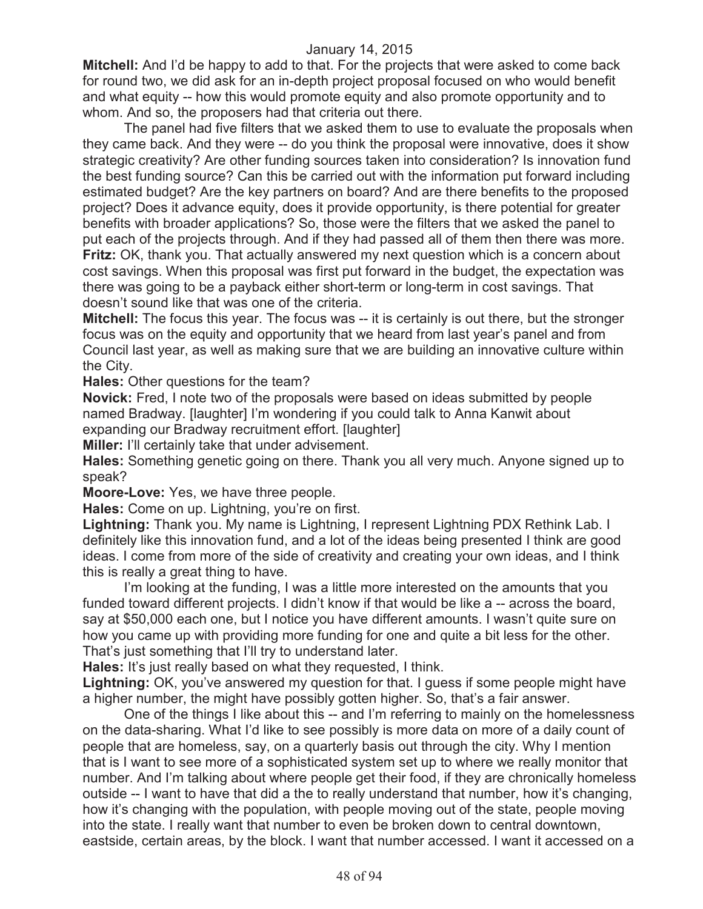**Mitchell:** And I'd be happy to add to that. For the projects that were asked to come back for round two, we did ask for an in-depth project proposal focused on who would benefit and what equity -- how this would promote equity and also promote opportunity and to whom. And so, the proposers had that criteria out there.

The panel had five filters that we asked them to use to evaluate the proposals when they came back. And they were -- do you think the proposal were innovative, does it show strategic creativity? Are other funding sources taken into consideration? Is innovation fund the best funding source? Can this be carried out with the information put forward including estimated budget? Are the key partners on board? And are there benefits to the proposed project? Does it advance equity, does it provide opportunity, is there potential for greater benefits with broader applications? So, those were the filters that we asked the panel to put each of the projects through. And if they had passed all of them then there was more. **Fritz:** OK, thank you. That actually answered my next question which is a concern about cost savings. When this proposal was first put forward in the budget, the expectation was there was going to be a payback either short-term or long-term in cost savings. That doesn't sound like that was one of the criteria.

**Mitchell:** The focus this year. The focus was -- it is certainly is out there, but the stronger focus was on the equity and opportunity that we heard from last year's panel and from Council last year, as well as making sure that we are building an innovative culture within the City.

**Hales:** Other questions for the team?

**Novick:** Fred, I note two of the proposals were based on ideas submitted by people named Bradway. [laughter] I'm wondering if you could talk to Anna Kanwit about expanding our Bradway recruitment effort. [laughter]

**Miller:** I'll certainly take that under advisement.

**Hales:** Something genetic going on there. Thank you all very much. Anyone signed up to speak?

**Moore-Love:** Yes, we have three people.

**Hales:** Come on up. Lightning, you're on first.

**Lightning:** Thank you. My name is Lightning, I represent Lightning PDX Rethink Lab. I definitely like this innovation fund, and a lot of the ideas being presented I think are good ideas. I come from more of the side of creativity and creating your own ideas, and I think this is really a great thing to have.

I'm looking at the funding, I was a little more interested on the amounts that you funded toward different projects. I didn't know if that would be like a -- across the board, say at \$50,000 each one, but I notice you have different amounts. I wasn't quite sure on how you came up with providing more funding for one and quite a bit less for the other. That's just something that I'll try to understand later.

**Hales:** It's just really based on what they requested, I think.

**Lightning:** OK, you've answered my question for that. I guess if some people might have a higher number, the might have possibly gotten higher. So, that's a fair answer.

One of the things I like about this -- and I'm referring to mainly on the homelessness on the data-sharing. What I'd like to see possibly is more data on more of a daily count of people that are homeless, say, on a quarterly basis out through the city. Why I mention that is I want to see more of a sophisticated system set up to where we really monitor that number. And I'm talking about where people get their food, if they are chronically homeless outside -- I want to have that did a the to really understand that number, how it's changing, how it's changing with the population, with people moving out of the state, people moving into the state. I really want that number to even be broken down to central downtown, eastside, certain areas, by the block. I want that number accessed. I want it accessed on a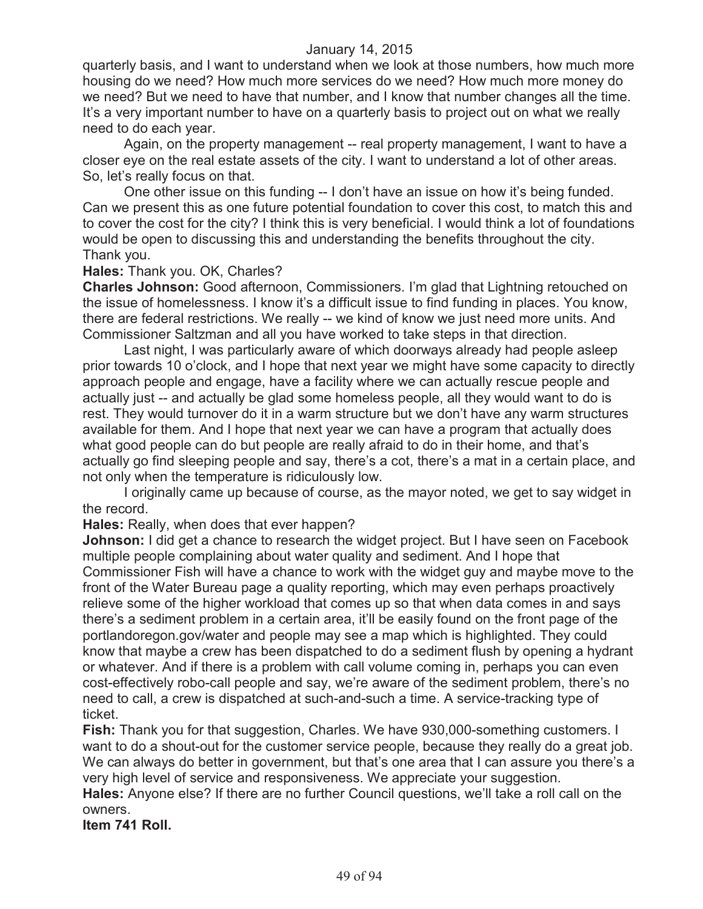quarterly basis, and I want to understand when we look at those numbers, how much more housing do we need? How much more services do we need? How much more money do we need? But we need to have that number, and I know that number changes all the time. It's a very important number to have on a quarterly basis to project out on what we really need to do each year.

Again, on the property management -- real property management, I want to have a closer eye on the real estate assets of the city. I want to understand a lot of other areas. So, let's really focus on that.

One other issue on this funding -- I don't have an issue on how it's being funded. Can we present this as one future potential foundation to cover this cost, to match this and to cover the cost for the city? I think this is very beneficial. I would think a lot of foundations would be open to discussing this and understanding the benefits throughout the city. Thank you.

#### **Hales:** Thank you. OK, Charles?

**Charles Johnson:** Good afternoon, Commissioners. I'm glad that Lightning retouched on the issue of homelessness. I know it's a difficult issue to find funding in places. You know, there are federal restrictions. We really -- we kind of know we just need more units. And Commissioner Saltzman and all you have worked to take steps in that direction.

Last night, I was particularly aware of which doorways already had people asleep prior towards 10 o'clock, and I hope that next year we might have some capacity to directly approach people and engage, have a facility where we can actually rescue people and actually just -- and actually be glad some homeless people, all they would want to do is rest. They would turnover do it in a warm structure but we don't have any warm structures available for them. And I hope that next year we can have a program that actually does what good people can do but people are really afraid to do in their home, and that's actually go find sleeping people and say, there's a cot, there's a mat in a certain place, and not only when the temperature is ridiculously low.

I originally came up because of course, as the mayor noted, we get to say widget in the record.

**Hales:** Really, when does that ever happen?

**Johnson:** I did get a chance to research the widget project. But I have seen on Facebook multiple people complaining about water quality and sediment. And I hope that Commissioner Fish will have a chance to work with the widget guy and maybe move to the front of the Water Bureau page a quality reporting, which may even perhaps proactively relieve some of the higher workload that comes up so that when data comes in and says there's a sediment problem in a certain area, it'll be easily found on the front page of the portlandoregon.gov/water and people may see a map which is highlighted. They could know that maybe a crew has been dispatched to do a sediment flush by opening a hydrant or whatever. And if there is a problem with call volume coming in, perhaps you can even cost-effectively robo-call people and say, we're aware of the sediment problem, there's no need to call, a crew is dispatched at such-and-such a time. A service-tracking type of ticket.

**Fish:** Thank you for that suggestion, Charles. We have 930,000-something customers. I want to do a shout-out for the customer service people, because they really do a great job. We can always do better in government, but that's one area that I can assure you there's a very high level of service and responsiveness. We appreciate your suggestion.

**Hales:** Anyone else? If there are no further Council questions, we'll take a roll call on the owners.

**Item 741 Roll.**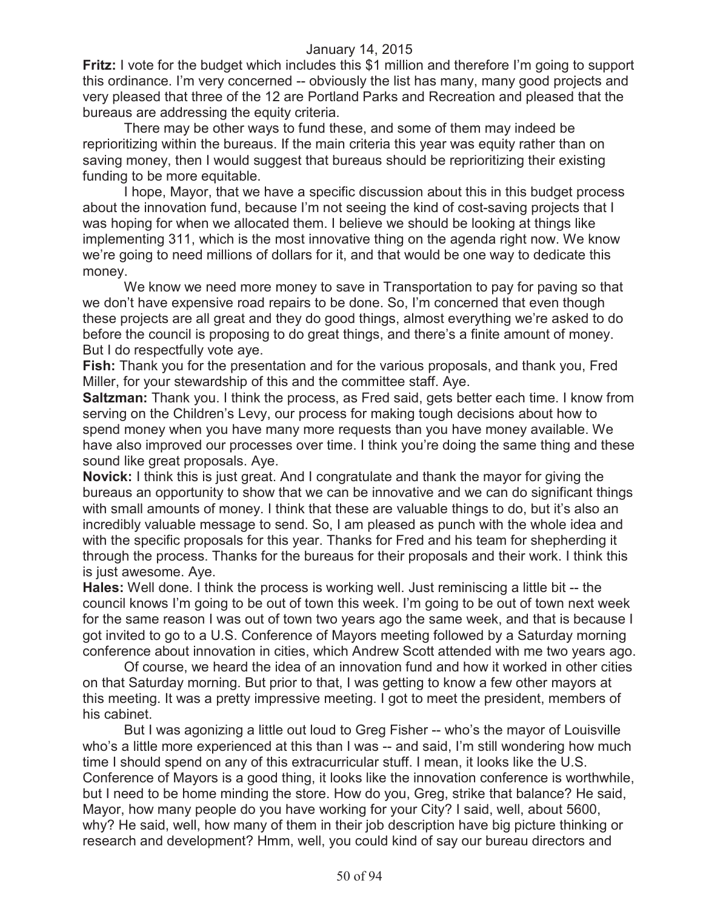**Fritz:** I vote for the budget which includes this \$1 million and therefore I'm going to support this ordinance. I'm very concerned -- obviously the list has many, many good projects and very pleased that three of the 12 are Portland Parks and Recreation and pleased that the bureaus are addressing the equity criteria.

There may be other ways to fund these, and some of them may indeed be reprioritizing within the bureaus. If the main criteria this year was equity rather than on saving money, then I would suggest that bureaus should be reprioritizing their existing funding to be more equitable.

I hope, Mayor, that we have a specific discussion about this in this budget process about the innovation fund, because I'm not seeing the kind of cost-saving projects that I was hoping for when we allocated them. I believe we should be looking at things like implementing 311, which is the most innovative thing on the agenda right now. We know we're going to need millions of dollars for it, and that would be one way to dedicate this money.

We know we need more money to save in Transportation to pay for paving so that we don't have expensive road repairs to be done. So, I'm concerned that even though these projects are all great and they do good things, almost everything we're asked to do before the council is proposing to do great things, and there's a finite amount of money. But I do respectfully vote aye.

**Fish:** Thank you for the presentation and for the various proposals, and thank you, Fred Miller, for your stewardship of this and the committee staff. Aye.

**Saltzman:** Thank you. I think the process, as Fred said, gets better each time. I know from serving on the Children's Levy, our process for making tough decisions about how to spend money when you have many more requests than you have money available. We have also improved our processes over time. I think you're doing the same thing and these sound like great proposals. Aye.

**Novick:** I think this is just great. And I congratulate and thank the mayor for giving the bureaus an opportunity to show that we can be innovative and we can do significant things with small amounts of money. I think that these are valuable things to do, but it's also an incredibly valuable message to send. So, I am pleased as punch with the whole idea and with the specific proposals for this year. Thanks for Fred and his team for shepherding it through the process. Thanks for the bureaus for their proposals and their work. I think this is just awesome. Aye.

**Hales:** Well done. I think the process is working well. Just reminiscing a little bit -- the council knows I'm going to be out of town this week. I'm going to be out of town next week for the same reason I was out of town two years ago the same week, and that is because I got invited to go to a U.S. Conference of Mayors meeting followed by a Saturday morning conference about innovation in cities, which Andrew Scott attended with me two years ago.

Of course, we heard the idea of an innovation fund and how it worked in other cities on that Saturday morning. But prior to that, I was getting to know a few other mayors at this meeting. It was a pretty impressive meeting. I got to meet the president, members of his cabinet.

But I was agonizing a little out loud to Greg Fisher -- who's the mayor of Louisville who's a little more experienced at this than I was -- and said, I'm still wondering how much time I should spend on any of this extracurricular stuff. I mean, it looks like the U.S. Conference of Mayors is a good thing, it looks like the innovation conference is worthwhile, but I need to be home minding the store. How do you, Greg, strike that balance? He said, Mayor, how many people do you have working for your City? I said, well, about 5600, why? He said, well, how many of them in their job description have big picture thinking or research and development? Hmm, well, you could kind of say our bureau directors and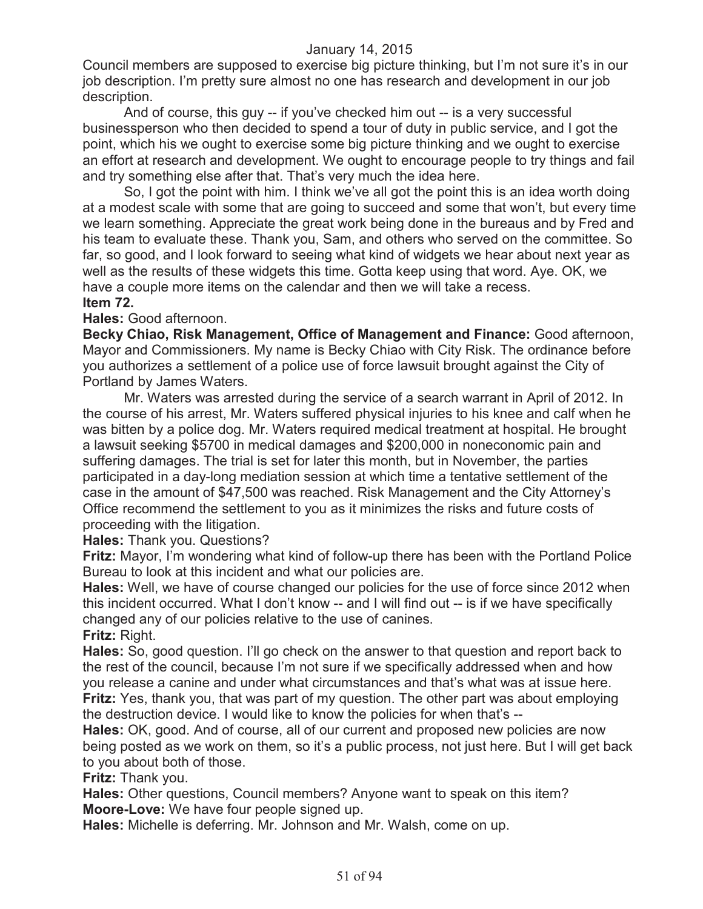Council members are supposed to exercise big picture thinking, but I'm not sure it's in our job description. I'm pretty sure almost no one has research and development in our job description.

And of course, this guy -- if you've checked him out -- is a very successful businessperson who then decided to spend a tour of duty in public service, and I got the point, which his we ought to exercise some big picture thinking and we ought to exercise an effort at research and development. We ought to encourage people to try things and fail and try something else after that. That's very much the idea here.

So, I got the point with him. I think we've all got the point this is an idea worth doing at a modest scale with some that are going to succeed and some that won't, but every time we learn something. Appreciate the great work being done in the bureaus and by Fred and his team to evaluate these. Thank you, Sam, and others who served on the committee. So far, so good, and I look forward to seeing what kind of widgets we hear about next year as well as the results of these widgets this time. Gotta keep using that word. Aye. OK, we have a couple more items on the calendar and then we will take a recess. **Item 72.**

## **Hales:** Good afternoon.

**Becky Chiao, Risk Management, Office of Management and Finance:** Good afternoon, Mayor and Commissioners. My name is Becky Chiao with City Risk. The ordinance before you authorizes a settlement of a police use of force lawsuit brought against the City of Portland by James Waters.

Mr. Waters was arrested during the service of a search warrant in April of 2012. In the course of his arrest, Mr. Waters suffered physical injuries to his knee and calf when he was bitten by a police dog. Mr. Waters required medical treatment at hospital. He brought a lawsuit seeking \$5700 in medical damages and \$200,000 in noneconomic pain and suffering damages. The trial is set for later this month, but in November, the parties participated in a day-long mediation session at which time a tentative settlement of the case in the amount of \$47,500 was reached. Risk Management and the City Attorney's Office recommend the settlement to you as it minimizes the risks and future costs of proceeding with the litigation.

**Hales:** Thank you. Questions?

**Fritz:** Mayor, I'm wondering what kind of follow-up there has been with the Portland Police Bureau to look at this incident and what our policies are.

**Hales:** Well, we have of course changed our policies for the use of force since 2012 when this incident occurred. What I don't know -- and I will find out -- is if we have specifically changed any of our policies relative to the use of canines.

**Fritz:** Right.

**Hales:** So, good question. I'll go check on the answer to that question and report back to the rest of the council, because I'm not sure if we specifically addressed when and how you release a canine and under what circumstances and that's what was at issue here. **Fritz:** Yes, thank you, that was part of my question. The other part was about employing the destruction device. I would like to know the policies for when that's --

**Hales:** OK, good. And of course, all of our current and proposed new policies are now being posted as we work on them, so it's a public process, not just here. But I will get back to you about both of those.

**Fritz:** Thank you.

**Hales:** Other questions, Council members? Anyone want to speak on this item? **Moore-Love:** We have four people signed up.

**Hales:** Michelle is deferring. Mr. Johnson and Mr. Walsh, come on up.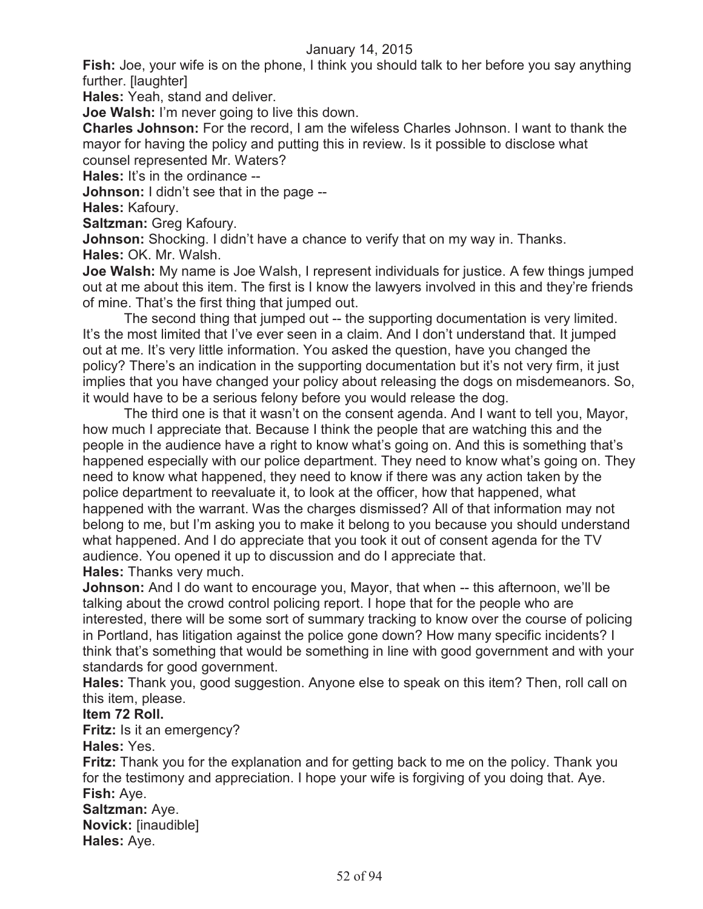**Fish:** Joe, your wife is on the phone, I think you should talk to her before you say anything further. [laughter]

**Hales:** Yeah, stand and deliver.

**Joe Walsh:** I'm never going to live this down.

**Charles Johnson:** For the record, I am the wifeless Charles Johnson. I want to thank the mayor for having the policy and putting this in review. Is it possible to disclose what counsel represented Mr. Waters?

**Hales:** It's in the ordinance --

**Johnson:** I didn't see that in the page --

**Hales:** Kafoury.

**Saltzman:** Greg Kafoury.

**Johnson:** Shocking. I didn't have a chance to verify that on my way in. Thanks. **Hales:** OK. Mr. Walsh.

**Joe Walsh:** My name is Joe Walsh, I represent individuals for justice. A few things jumped out at me about this item. The first is I know the lawyers involved in this and they're friends of mine. That's the first thing that jumped out.

The second thing that jumped out -- the supporting documentation is very limited. It's the most limited that I've ever seen in a claim. And I don't understand that. It jumped out at me. It's very little information. You asked the question, have you changed the policy? There's an indication in the supporting documentation but it's not very firm, it just implies that you have changed your policy about releasing the dogs on misdemeanors. So, it would have to be a serious felony before you would release the dog.

The third one is that it wasn't on the consent agenda. And I want to tell you, Mayor, how much I appreciate that. Because I think the people that are watching this and the people in the audience have a right to know what's going on. And this is something that's happened especially with our police department. They need to know what's going on. They need to know what happened, they need to know if there was any action taken by the police department to reevaluate it, to look at the officer, how that happened, what happened with the warrant. Was the charges dismissed? All of that information may not belong to me, but I'm asking you to make it belong to you because you should understand what happened. And I do appreciate that you took it out of consent agenda for the TV audience. You opened it up to discussion and do I appreciate that. **Hales:** Thanks very much.

**Johnson:** And I do want to encourage you, Mayor, that when -- this afternoon, we'll be talking about the crowd control policing report. I hope that for the people who are interested, there will be some sort of summary tracking to know over the course of policing in Portland, has litigation against the police gone down? How many specific incidents? I think that's something that would be something in line with good government and with your standards for good government.

**Hales:** Thank you, good suggestion. Anyone else to speak on this item? Then, roll call on this item, please.

# **Item 72 Roll.**

**Fritz:** Is it an emergency?

**Hales:** Yes.

**Fritz:** Thank you for the explanation and for getting back to me on the policy. Thank you for the testimony and appreciation. I hope your wife is forgiving of you doing that. Aye. **Fish:** Aye.

**Saltzman:** Aye. **Novick:** [inaudible]

**Hales:** Aye.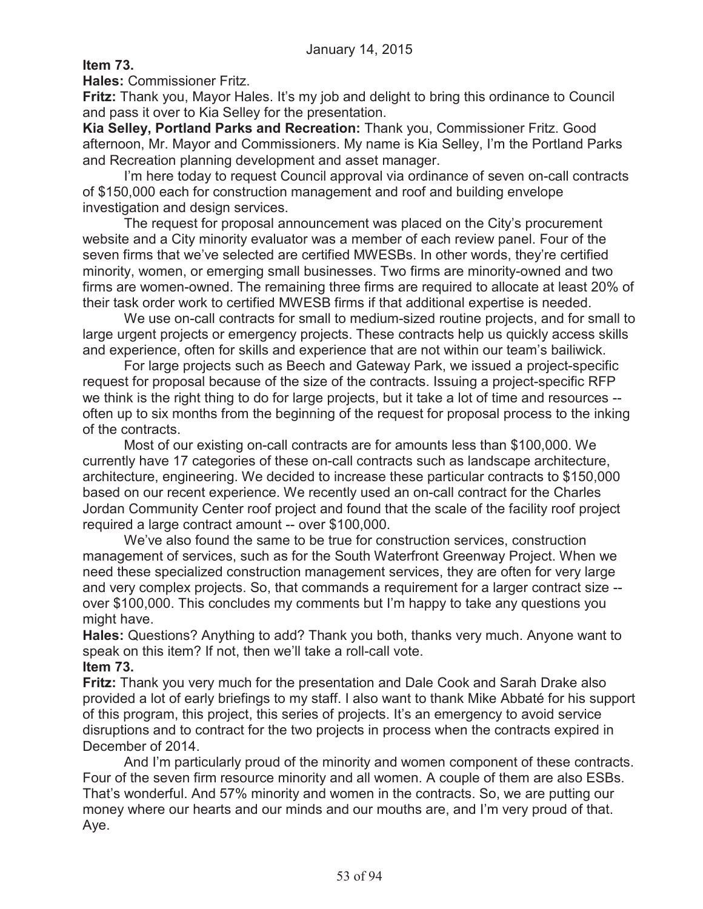**Item 73.**

**Hales:** Commissioner Fritz.

**Fritz:** Thank you, Mayor Hales. It's my job and delight to bring this ordinance to Council and pass it over to Kia Selley for the presentation.

**Kia Selley, Portland Parks and Recreation:** Thank you, Commissioner Fritz. Good afternoon, Mr. Mayor and Commissioners. My name is Kia Selley, I'm the Portland Parks and Recreation planning development and asset manager.

I'm here today to request Council approval via ordinance of seven on-call contracts of \$150,000 each for construction management and roof and building envelope investigation and design services.

The request for proposal announcement was placed on the City's procurement website and a City minority evaluator was a member of each review panel. Four of the seven firms that we've selected are certified MWESBs. In other words, they're certified minority, women, or emerging small businesses. Two firms are minority-owned and two firms are women-owned. The remaining three firms are required to allocate at least 20% of their task order work to certified MWESB firms if that additional expertise is needed.

We use on-call contracts for small to medium-sized routine projects, and for small to large urgent projects or emergency projects. These contracts help us quickly access skills and experience, often for skills and experience that are not within our team's bailiwick.

For large projects such as Beech and Gateway Park, we issued a project-specific request for proposal because of the size of the contracts. Issuing a project-specific RFP we think is the right thing to do for large projects, but it take a lot of time and resources - often up to six months from the beginning of the request for proposal process to the inking of the contracts.

Most of our existing on-call contracts are for amounts less than \$100,000. We currently have 17 categories of these on-call contracts such as landscape architecture, architecture, engineering. We decided to increase these particular contracts to \$150,000 based on our recent experience. We recently used an on-call contract for the Charles Jordan Community Center roof project and found that the scale of the facility roof project required a large contract amount -- over \$100,000.

We've also found the same to be true for construction services, construction management of services, such as for the South Waterfront Greenway Project. When we need these specialized construction management services, they are often for very large and very complex projects. So, that commands a requirement for a larger contract size - over \$100,000. This concludes my comments but I'm happy to take any questions you might have.

**Hales:** Questions? Anything to add? Thank you both, thanks very much. Anyone want to speak on this item? If not, then we'll take a roll-call vote.

**Item 73.**

**Fritz:** Thank you very much for the presentation and Dale Cook and Sarah Drake also provided a lot of early briefings to my staff. I also want to thank Mike Abbaté for his support of this program, this project, this series of projects. It's an emergency to avoid service disruptions and to contract for the two projects in process when the contracts expired in December of 2014.

And I'm particularly proud of the minority and women component of these contracts. Four of the seven firm resource minority and all women. A couple of them are also ESBs. That's wonderful. And 57% minority and women in the contracts. So, we are putting our money where our hearts and our minds and our mouths are, and I'm very proud of that. Aye.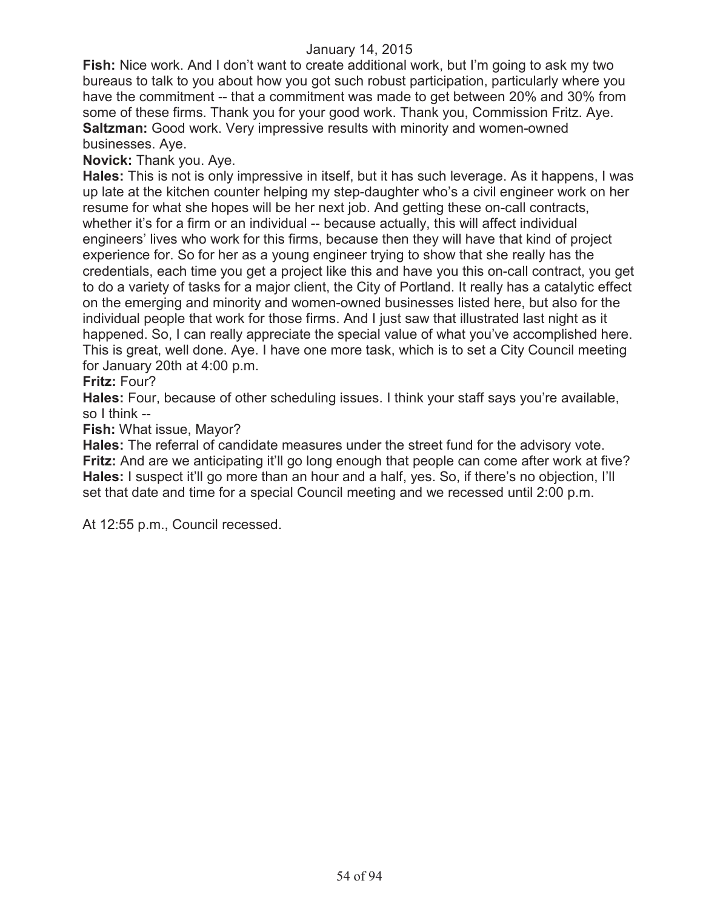**Fish:** Nice work. And I don't want to create additional work, but I'm going to ask my two bureaus to talk to you about how you got such robust participation, particularly where you have the commitment -- that a commitment was made to get between 20% and 30% from some of these firms. Thank you for your good work. Thank you, Commission Fritz. Aye. **Saltzman:** Good work. Very impressive results with minority and women-owned businesses. Aye.

### **Novick:** Thank you. Aye.

**Hales:** This is not is only impressive in itself, but it has such leverage. As it happens, I was up late at the kitchen counter helping my step-daughter who's a civil engineer work on her resume for what she hopes will be her next job. And getting these on-call contracts, whether it's for a firm or an individual -- because actually, this will affect individual engineers' lives who work for this firms, because then they will have that kind of project experience for. So for her as a young engineer trying to show that she really has the credentials, each time you get a project like this and have you this on-call contract, you get to do a variety of tasks for a major client, the City of Portland. It really has a catalytic effect on the emerging and minority and women-owned businesses listed here, but also for the individual people that work for those firms. And I just saw that illustrated last night as it happened. So, I can really appreciate the special value of what you've accomplished here. This is great, well done. Aye. I have one more task, which is to set a City Council meeting for January 20th at 4:00 p.m.

## **Fritz:** Four?

**Hales:** Four, because of other scheduling issues. I think your staff says you're available, so I think --

#### **Fish:** What issue, Mayor?

**Hales:** The referral of candidate measures under the street fund for the advisory vote. **Fritz:** And are we anticipating it'll go long enough that people can come after work at five? **Hales:** I suspect it'll go more than an hour and a half, yes. So, if there's no objection, I'll set that date and time for a special Council meeting and we recessed until 2:00 p.m.

At 12:55 p.m., Council recessed.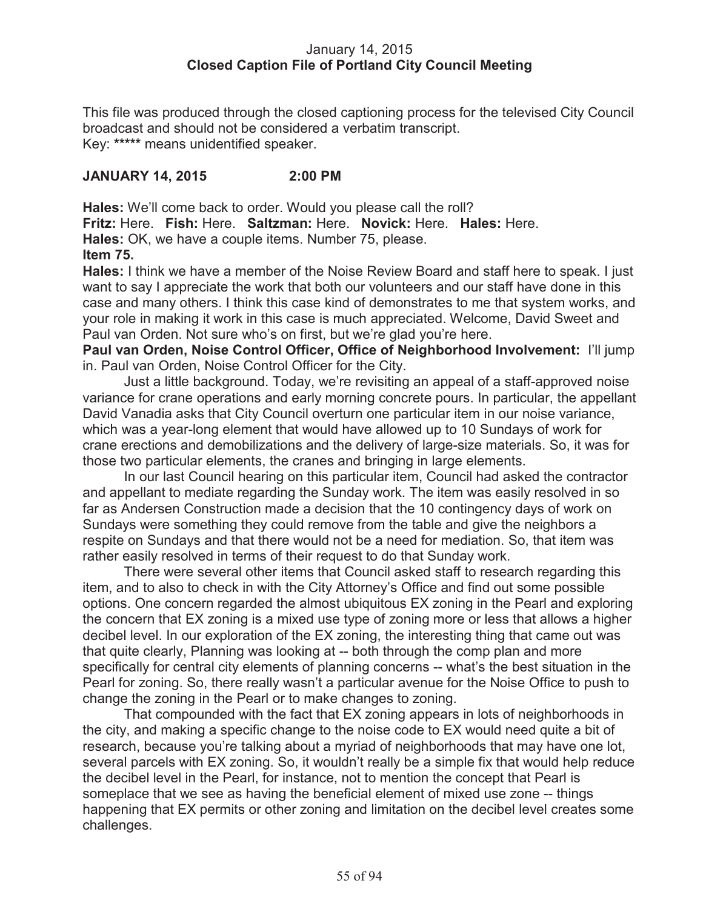# January 14, 2015 **Closed Caption File of Portland City Council Meeting**

This file was produced through the closed captioning process for the televised City Council broadcast and should not be considered a verbatim transcript. Key: **\*\*\*\*\*** means unidentified speaker.

# **JANUARY 14, 2015 2:00 PM**

**Hales:** We'll come back to order. Would you please call the roll? **Fritz:** Here. **Fish:** Here. **Saltzman:** Here. **Novick:** Here. **Hales:** Here. **Hales:** OK, we have a couple items. Number 75, please. **Item 75.**

**Hales:** I think we have a member of the Noise Review Board and staff here to speak. I just want to say I appreciate the work that both our volunteers and our staff have done in this case and many others. I think this case kind of demonstrates to me that system works, and your role in making it work in this case is much appreciated. Welcome, David Sweet and Paul van Orden. Not sure who's on first, but we're glad you're here.

**Paul van Orden, Noise Control Officer, Office of Neighborhood Involvement:** I'll jump in. Paul van Orden, Noise Control Officer for the City.

Just a little background. Today, we're revisiting an appeal of a staff-approved noise variance for crane operations and early morning concrete pours. In particular, the appellant David Vanadia asks that City Council overturn one particular item in our noise variance, which was a year-long element that would have allowed up to 10 Sundays of work for crane erections and demobilizations and the delivery of large-size materials. So, it was for those two particular elements, the cranes and bringing in large elements.

In our last Council hearing on this particular item, Council had asked the contractor and appellant to mediate regarding the Sunday work. The item was easily resolved in so far as Andersen Construction made a decision that the 10 contingency days of work on Sundays were something they could remove from the table and give the neighbors a respite on Sundays and that there would not be a need for mediation. So, that item was rather easily resolved in terms of their request to do that Sunday work.

There were several other items that Council asked staff to research regarding this item, and to also to check in with the City Attorney's Office and find out some possible options. One concern regarded the almost ubiquitous EX zoning in the Pearl and exploring the concern that EX zoning is a mixed use type of zoning more or less that allows a higher decibel level. In our exploration of the EX zoning, the interesting thing that came out was that quite clearly, Planning was looking at -- both through the comp plan and more specifically for central city elements of planning concerns -- what's the best situation in the Pearl for zoning. So, there really wasn't a particular avenue for the Noise Office to push to change the zoning in the Pearl or to make changes to zoning.

That compounded with the fact that EX zoning appears in lots of neighborhoods in the city, and making a specific change to the noise code to EX would need quite a bit of research, because you're talking about a myriad of neighborhoods that may have one lot, several parcels with EX zoning. So, it wouldn't really be a simple fix that would help reduce the decibel level in the Pearl, for instance, not to mention the concept that Pearl is someplace that we see as having the beneficial element of mixed use zone -- things happening that EX permits or other zoning and limitation on the decibel level creates some challenges.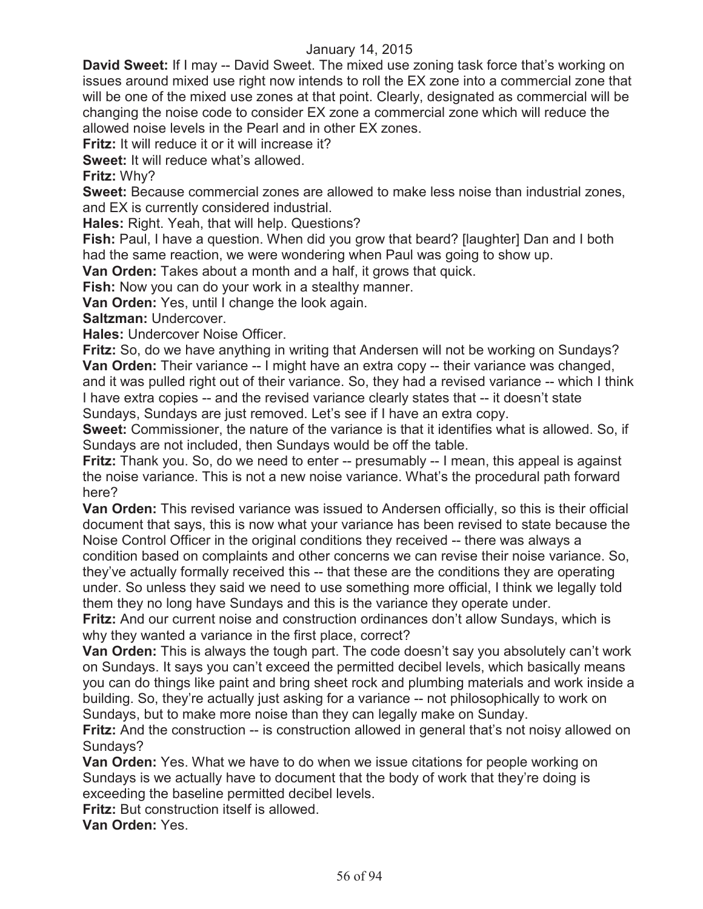**David Sweet:** If I may -- David Sweet. The mixed use zoning task force that's working on issues around mixed use right now intends to roll the EX zone into a commercial zone that will be one of the mixed use zones at that point. Clearly, designated as commercial will be changing the noise code to consider EX zone a commercial zone which will reduce the allowed noise levels in the Pearl and in other EX zones.

**Fritz:** It will reduce it or it will increase it?

**Sweet:** It will reduce what's allowed.

**Fritz:** Why?

**Sweet:** Because commercial zones are allowed to make less noise than industrial zones, and EX is currently considered industrial.

**Hales:** Right. Yeah, that will help. Questions?

**Fish:** Paul, I have a question. When did you grow that beard? [laughter] Dan and I both had the same reaction, we were wondering when Paul was going to show up.

**Van Orden:** Takes about a month and a half, it grows that quick.

**Fish:** Now you can do your work in a stealthy manner.

**Van Orden:** Yes, until I change the look again.

**Saltzman:** Undercover.

**Hales:** Undercover Noise Officer.

**Fritz:** So, do we have anything in writing that Andersen will not be working on Sundays? **Van Orden:** Their variance -- I might have an extra copy -- their variance was changed, and it was pulled right out of their variance. So, they had a revised variance -- which I think I have extra copies -- and the revised variance clearly states that -- it doesn't state Sundays, Sundays are just removed. Let's see if I have an extra copy.

**Sweet:** Commissioner, the nature of the variance is that it identifies what is allowed. So, if Sundays are not included, then Sundays would be off the table.

**Fritz:** Thank you. So, do we need to enter -- presumably -- I mean, this appeal is against the noise variance. This is not a new noise variance. What's the procedural path forward here?

**Van Orden:** This revised variance was issued to Andersen officially, so this is their official document that says, this is now what your variance has been revised to state because the Noise Control Officer in the original conditions they received -- there was always a condition based on complaints and other concerns we can revise their noise variance. So, they've actually formally received this -- that these are the conditions they are operating under. So unless they said we need to use something more official, I think we legally told them they no long have Sundays and this is the variance they operate under.

**Fritz:** And our current noise and construction ordinances don't allow Sundays, which is why they wanted a variance in the first place, correct?

**Van Orden:** This is always the tough part. The code doesn't say you absolutely can't work on Sundays. It says you can't exceed the permitted decibel levels, which basically means you can do things like paint and bring sheet rock and plumbing materials and work inside a building. So, they're actually just asking for a variance -- not philosophically to work on Sundays, but to make more noise than they can legally make on Sunday.

**Fritz:** And the construction -- is construction allowed in general that's not noisy allowed on Sundays?

**Van Orden:** Yes. What we have to do when we issue citations for people working on Sundays is we actually have to document that the body of work that they're doing is exceeding the baseline permitted decibel levels.

**Fritz:** But construction itself is allowed.

**Van Orden:** Yes.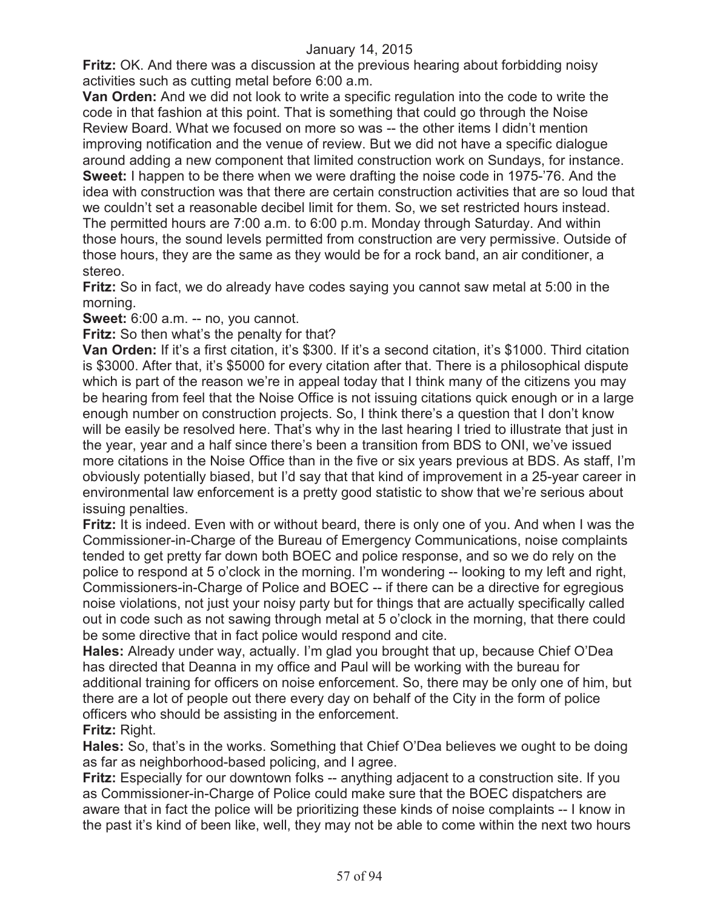**Fritz:** OK. And there was a discussion at the previous hearing about forbidding noisy activities such as cutting metal before 6:00 a.m.

**Van Orden:** And we did not look to write a specific regulation into the code to write the code in that fashion at this point. That is something that could go through the Noise Review Board. What we focused on more so was -- the other items I didn't mention improving notification and the venue of review. But we did not have a specific dialogue around adding a new component that limited construction work on Sundays, for instance. **Sweet:** I happen to be there when we were drafting the noise code in 1975-'76. And the idea with construction was that there are certain construction activities that are so loud that we couldn't set a reasonable decibel limit for them. So, we set restricted hours instead. The permitted hours are 7:00 a.m. to 6:00 p.m. Monday through Saturday. And within those hours, the sound levels permitted from construction are very permissive. Outside of those hours, they are the same as they would be for a rock band, an air conditioner, a stereo.

**Fritz:** So in fact, we do already have codes saying you cannot saw metal at 5:00 in the morning.

**Sweet:** 6:00 a.m. -- no, you cannot.

**Fritz:** So then what's the penalty for that?

**Van Orden:** If it's a first citation, it's \$300. If it's a second citation, it's \$1000. Third citation is \$3000. After that, it's \$5000 for every citation after that. There is a philosophical dispute which is part of the reason we're in appeal today that I think many of the citizens you may be hearing from feel that the Noise Office is not issuing citations quick enough or in a large enough number on construction projects. So, I think there's a question that I don't know will be easily be resolved here. That's why in the last hearing I tried to illustrate that just in the year, year and a half since there's been a transition from BDS to ONI, we've issued more citations in the Noise Office than in the five or six years previous at BDS. As staff, I'm obviously potentially biased, but I'd say that that kind of improvement in a 25-year career in environmental law enforcement is a pretty good statistic to show that we're serious about issuing penalties.

**Fritz:** It is indeed. Even with or without beard, there is only one of you. And when I was the Commissioner-in-Charge of the Bureau of Emergency Communications, noise complaints tended to get pretty far down both BOEC and police response, and so we do rely on the police to respond at 5 o'clock in the morning. I'm wondering -- looking to my left and right, Commissioners-in-Charge of Police and BOEC -- if there can be a directive for egregious noise violations, not just your noisy party but for things that are actually specifically called out in code such as not sawing through metal at 5 o'clock in the morning, that there could be some directive that in fact police would respond and cite.

**Hales:** Already under way, actually. I'm glad you brought that up, because Chief O'Dea has directed that Deanna in my office and Paul will be working with the bureau for additional training for officers on noise enforcement. So, there may be only one of him, but there are a lot of people out there every day on behalf of the City in the form of police officers who should be assisting in the enforcement. **Fritz:** Right.

**Hales:** So, that's in the works. Something that Chief O'Dea believes we ought to be doing as far as neighborhood-based policing, and I agree.

**Fritz:** Especially for our downtown folks -- anything adjacent to a construction site. If you as Commissioner-in-Charge of Police could make sure that the BOEC dispatchers are aware that in fact the police will be prioritizing these kinds of noise complaints -- I know in the past it's kind of been like, well, they may not be able to come within the next two hours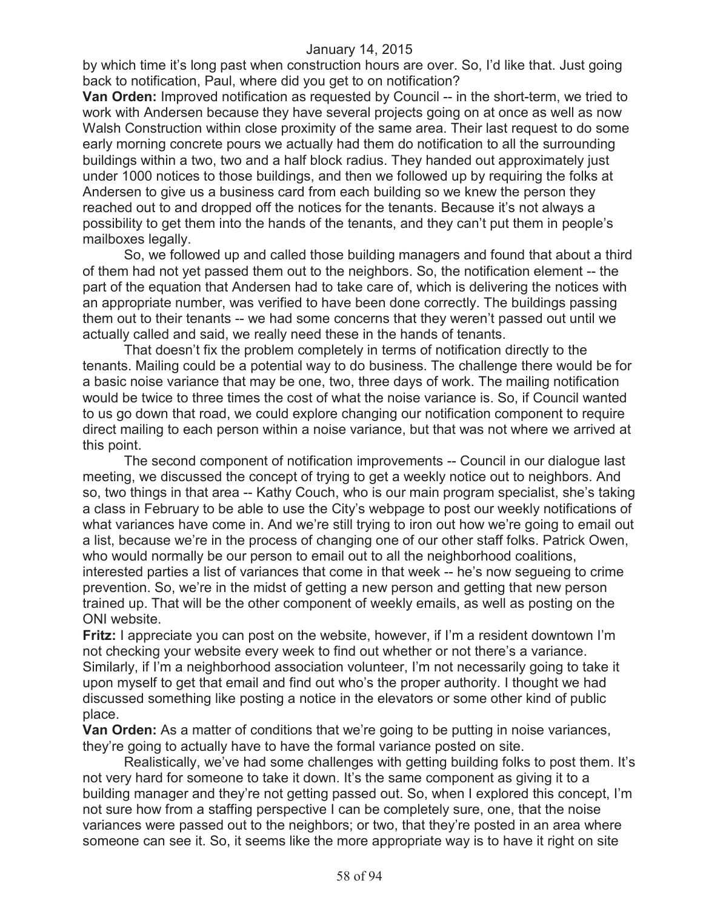by which time it's long past when construction hours are over. So, I'd like that. Just going back to notification, Paul, where did you get to on notification?

**Van Orden:** Improved notification as requested by Council -- in the short-term, we tried to work with Andersen because they have several projects going on at once as well as now Walsh Construction within close proximity of the same area. Their last request to do some early morning concrete pours we actually had them do notification to all the surrounding buildings within a two, two and a half block radius. They handed out approximately just under 1000 notices to those buildings, and then we followed up by requiring the folks at Andersen to give us a business card from each building so we knew the person they reached out to and dropped off the notices for the tenants. Because it's not always a possibility to get them into the hands of the tenants, and they can't put them in people's mailboxes legally.

So, we followed up and called those building managers and found that about a third of them had not yet passed them out to the neighbors. So, the notification element -- the part of the equation that Andersen had to take care of, which is delivering the notices with an appropriate number, was verified to have been done correctly. The buildings passing them out to their tenants -- we had some concerns that they weren't passed out until we actually called and said, we really need these in the hands of tenants.

That doesn't fix the problem completely in terms of notification directly to the tenants. Mailing could be a potential way to do business. The challenge there would be for a basic noise variance that may be one, two, three days of work. The mailing notification would be twice to three times the cost of what the noise variance is. So, if Council wanted to us go down that road, we could explore changing our notification component to require direct mailing to each person within a noise variance, but that was not where we arrived at this point.

The second component of notification improvements -- Council in our dialogue last meeting, we discussed the concept of trying to get a weekly notice out to neighbors. And so, two things in that area -- Kathy Couch, who is our main program specialist, she's taking a class in February to be able to use the City's webpage to post our weekly notifications of what variances have come in. And we're still trying to iron out how we're going to email out a list, because we're in the process of changing one of our other staff folks. Patrick Owen, who would normally be our person to email out to all the neighborhood coalitions, interested parties a list of variances that come in that week -- he's now segueing to crime prevention. So, we're in the midst of getting a new person and getting that new person trained up. That will be the other component of weekly emails, as well as posting on the ONI website.

**Fritz:** I appreciate you can post on the website, however, if I'm a resident downtown I'm not checking your website every week to find out whether or not there's a variance. Similarly, if I'm a neighborhood association volunteer, I'm not necessarily going to take it upon myself to get that email and find out who's the proper authority. I thought we had discussed something like posting a notice in the elevators or some other kind of public place.

**Van Orden:** As a matter of conditions that we're going to be putting in noise variances, they're going to actually have to have the formal variance posted on site.

Realistically, we've had some challenges with getting building folks to post them. It's not very hard for someone to take it down. It's the same component as giving it to a building manager and they're not getting passed out. So, when I explored this concept, I'm not sure how from a staffing perspective I can be completely sure, one, that the noise variances were passed out to the neighbors; or two, that they're posted in an area where someone can see it. So, it seems like the more appropriate way is to have it right on site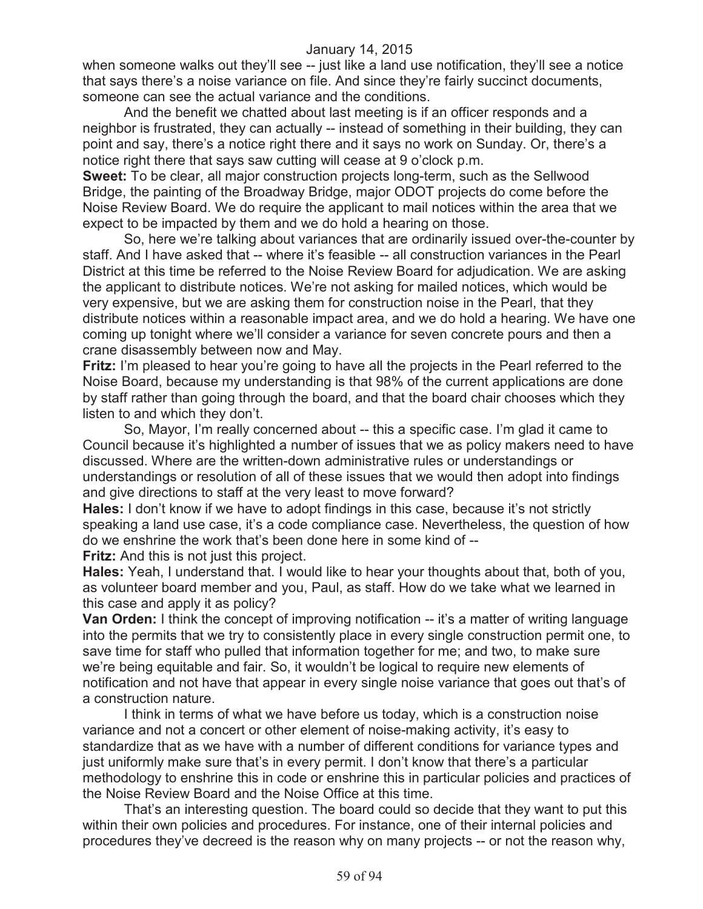when someone walks out they'll see -- just like a land use notification, they'll see a notice that says there's a noise variance on file. And since they're fairly succinct documents, someone can see the actual variance and the conditions.

And the benefit we chatted about last meeting is if an officer responds and a neighbor is frustrated, they can actually -- instead of something in their building, they can point and say, there's a notice right there and it says no work on Sunday. Or, there's a notice right there that says saw cutting will cease at 9 o'clock p.m.

**Sweet:** To be clear, all major construction projects long-term, such as the Sellwood Bridge, the painting of the Broadway Bridge, major ODOT projects do come before the Noise Review Board. We do require the applicant to mail notices within the area that we expect to be impacted by them and we do hold a hearing on those.

So, here we're talking about variances that are ordinarily issued over-the-counter by staff. And I have asked that -- where it's feasible -- all construction variances in the Pearl District at this time be referred to the Noise Review Board for adjudication. We are asking the applicant to distribute notices. We're not asking for mailed notices, which would be very expensive, but we are asking them for construction noise in the Pearl, that they distribute notices within a reasonable impact area, and we do hold a hearing. We have one coming up tonight where we'll consider a variance for seven concrete pours and then a crane disassembly between now and May.

**Fritz:** I'm pleased to hear you're going to have all the projects in the Pearl referred to the Noise Board, because my understanding is that 98% of the current applications are done by staff rather than going through the board, and that the board chair chooses which they listen to and which they don't.

So, Mayor, I'm really concerned about -- this a specific case. I'm glad it came to Council because it's highlighted a number of issues that we as policy makers need to have discussed. Where are the written-down administrative rules or understandings or understandings or resolution of all of these issues that we would then adopt into findings and give directions to staff at the very least to move forward?

**Hales:** I don't know if we have to adopt findings in this case, because it's not strictly speaking a land use case, it's a code compliance case. Nevertheless, the question of how do we enshrine the work that's been done here in some kind of --

**Fritz:** And this is not just this project.

**Hales:** Yeah, I understand that. I would like to hear your thoughts about that, both of you, as volunteer board member and you, Paul, as staff. How do we take what we learned in this case and apply it as policy?

**Van Orden:** I think the concept of improving notification -- it's a matter of writing language into the permits that we try to consistently place in every single construction permit one, to save time for staff who pulled that information together for me; and two, to make sure we're being equitable and fair. So, it wouldn't be logical to require new elements of notification and not have that appear in every single noise variance that goes out that's of a construction nature.

I think in terms of what we have before us today, which is a construction noise variance and not a concert or other element of noise-making activity, it's easy to standardize that as we have with a number of different conditions for variance types and just uniformly make sure that's in every permit. I don't know that there's a particular methodology to enshrine this in code or enshrine this in particular policies and practices of the Noise Review Board and the Noise Office at this time.

That's an interesting question. The board could so decide that they want to put this within their own policies and procedures. For instance, one of their internal policies and procedures they've decreed is the reason why on many projects -- or not the reason why,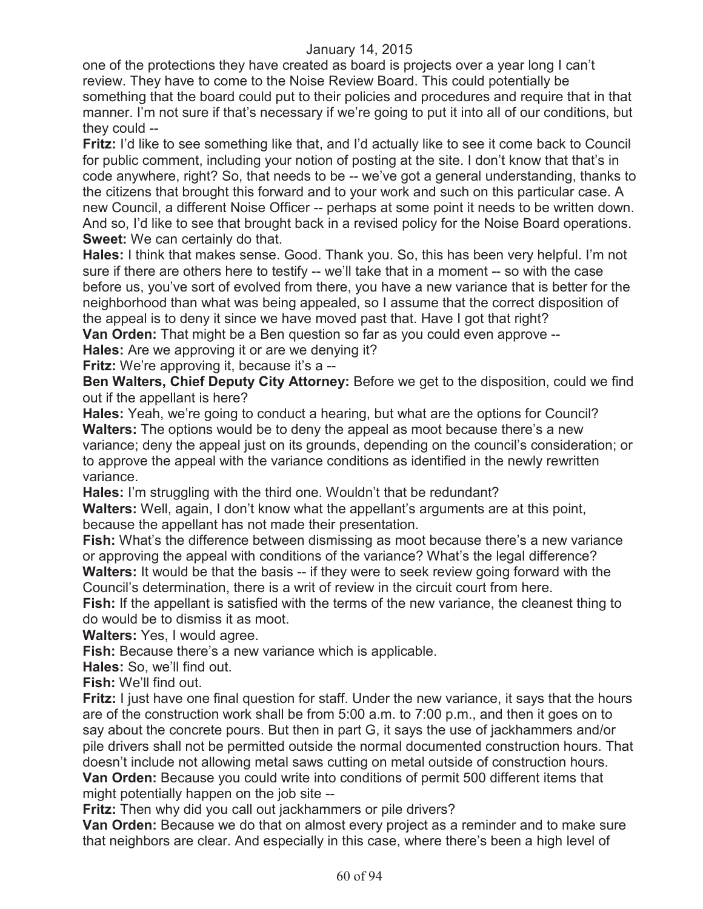one of the protections they have created as board is projects over a year long I can't review. They have to come to the Noise Review Board. This could potentially be something that the board could put to their policies and procedures and require that in that manner. I'm not sure if that's necessary if we're going to put it into all of our conditions, but they could --

**Fritz:** I'd like to see something like that, and I'd actually like to see it come back to Council for public comment, including your notion of posting at the site. I don't know that that's in code anywhere, right? So, that needs to be -- we've got a general understanding, thanks to the citizens that brought this forward and to your work and such on this particular case. A new Council, a different Noise Officer -- perhaps at some point it needs to be written down. And so, I'd like to see that brought back in a revised policy for the Noise Board operations. **Sweet:** We can certainly do that.

**Hales:** I think that makes sense. Good. Thank you. So, this has been very helpful. I'm not sure if there are others here to testify -- we'll take that in a moment -- so with the case before us, you've sort of evolved from there, you have a new variance that is better for the neighborhood than what was being appealed, so I assume that the correct disposition of the appeal is to deny it since we have moved past that. Have I got that right?

**Van Orden:** That might be a Ben question so far as you could even approve --

**Hales:** Are we approving it or are we denying it?

**Fritz:** We're approving it, because it's a --

**Ben Walters, Chief Deputy City Attorney:** Before we get to the disposition, could we find out if the appellant is here?

**Hales:** Yeah, we're going to conduct a hearing, but what are the options for Council? **Walters:** The options would be to deny the appeal as moot because there's a new variance; deny the appeal just on its grounds, depending on the council's consideration; or to approve the appeal with the variance conditions as identified in the newly rewritten variance.

**Hales:** I'm struggling with the third one. Wouldn't that be redundant?

**Walters:** Well, again, I don't know what the appellant's arguments are at this point, because the appellant has not made their presentation.

**Fish:** What's the difference between dismissing as moot because there's a new variance or approving the appeal with conditions of the variance? What's the legal difference? **Walters:** It would be that the basis -- if they were to seek review going forward with the Council's determination, there is a writ of review in the circuit court from here.

**Fish:** If the appellant is satisfied with the terms of the new variance, the cleanest thing to do would be to dismiss it as moot.

**Walters:** Yes, I would agree.

**Fish:** Because there's a new variance which is applicable.

**Hales:** So, we'll find out.

**Fish:** We'll find out.

**Fritz:** I just have one final question for staff. Under the new variance, it says that the hours are of the construction work shall be from 5:00 a.m. to 7:00 p.m., and then it goes on to say about the concrete pours. But then in part G, it says the use of jackhammers and/or pile drivers shall not be permitted outside the normal documented construction hours. That doesn't include not allowing metal saws cutting on metal outside of construction hours. **Van Orden:** Because you could write into conditions of permit 500 different items that might potentially happen on the job site --

**Fritz:** Then why did you call out jackhammers or pile drivers?

**Van Orden:** Because we do that on almost every project as a reminder and to make sure that neighbors are clear. And especially in this case, where there's been a high level of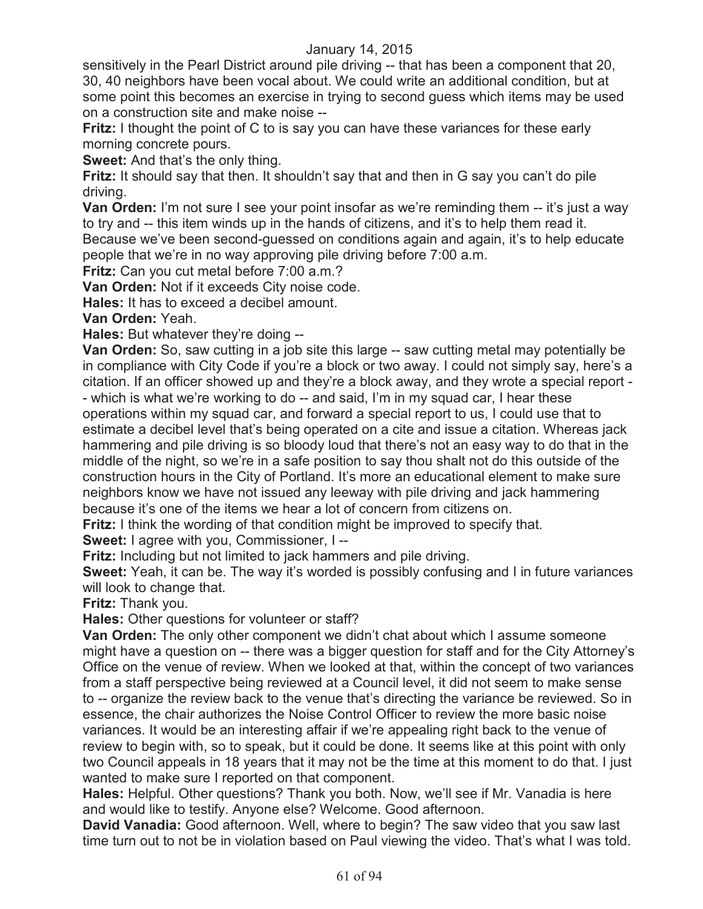sensitively in the Pearl District around pile driving -- that has been a component that 20, 30, 40 neighbors have been vocal about. We could write an additional condition, but at some point this becomes an exercise in trying to second guess which items may be used on a construction site and make noise --

**Fritz:** I thought the point of C to is say you can have these variances for these early morning concrete pours.

**Sweet:** And that's the only thing.

**Fritz:** It should say that then. It shouldn't say that and then in G say you can't do pile driving.

**Van Orden:** I'm not sure I see your point insofar as we're reminding them -- it's just a way to try and -- this item winds up in the hands of citizens, and it's to help them read it. Because we've been second-guessed on conditions again and again, it's to help educate people that we're in no way approving pile driving before 7:00 a.m.

**Fritz:** Can you cut metal before 7:00 a.m.?

**Van Orden:** Not if it exceeds City noise code.

**Hales:** It has to exceed a decibel amount.

**Van Orden:** Yeah.

**Hales:** But whatever they're doing --

**Van Orden:** So, saw cutting in a job site this large -- saw cutting metal may potentially be in compliance with City Code if you're a block or two away. I could not simply say, here's a citation. If an officer showed up and they're a block away, and they wrote a special report - - which is what we're working to do -- and said, I'm in my squad car, I hear these operations within my squad car, and forward a special report to us, I could use that to estimate a decibel level that's being operated on a cite and issue a citation. Whereas jack hammering and pile driving is so bloody loud that there's not an easy way to do that in the middle of the night, so we're in a safe position to say thou shalt not do this outside of the construction hours in the City of Portland. It's more an educational element to make sure neighbors know we have not issued any leeway with pile driving and jack hammering because it's one of the items we hear a lot of concern from citizens on.

**Fritz:** I think the wording of that condition might be improved to specify that.

**Sweet:** I agree with you, Commissioner, I --

**Fritz:** Including but not limited to jack hammers and pile driving.

**Sweet:** Yeah, it can be. The way it's worded is possibly confusing and I in future variances will look to change that.

**Fritz:** Thank you.

**Hales:** Other questions for volunteer or staff?

**Van Orden:** The only other component we didn't chat about which I assume someone might have a question on -- there was a bigger question for staff and for the City Attorney's Office on the venue of review. When we looked at that, within the concept of two variances from a staff perspective being reviewed at a Council level, it did not seem to make sense to -- organize the review back to the venue that's directing the variance be reviewed. So in essence, the chair authorizes the Noise Control Officer to review the more basic noise variances. It would be an interesting affair if we're appealing right back to the venue of review to begin with, so to speak, but it could be done. It seems like at this point with only two Council appeals in 18 years that it may not be the time at this moment to do that. I just wanted to make sure I reported on that component.

**Hales:** Helpful. Other questions? Thank you both. Now, we'll see if Mr. Vanadia is here and would like to testify. Anyone else? Welcome. Good afternoon.

**David Vanadia:** Good afternoon. Well, where to begin? The saw video that you saw last time turn out to not be in violation based on Paul viewing the video. That's what I was told.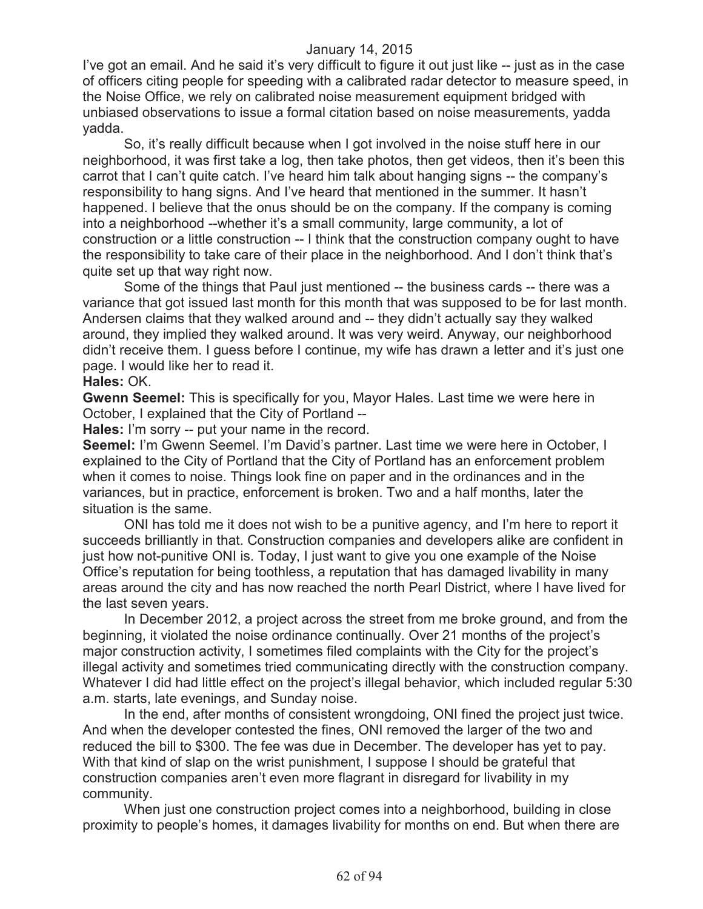I've got an email. And he said it's very difficult to figure it out just like -- just as in the case of officers citing people for speeding with a calibrated radar detector to measure speed, in the Noise Office, we rely on calibrated noise measurement equipment bridged with unbiased observations to issue a formal citation based on noise measurements, yadda yadda.

So, it's really difficult because when I got involved in the noise stuff here in our neighborhood, it was first take a log, then take photos, then get videos, then it's been this carrot that I can't quite catch. I've heard him talk about hanging signs -- the company's responsibility to hang signs. And I've heard that mentioned in the summer. It hasn't happened. I believe that the onus should be on the company. If the company is coming into a neighborhood --whether it's a small community, large community, a lot of construction or a little construction -- I think that the construction company ought to have the responsibility to take care of their place in the neighborhood. And I don't think that's quite set up that way right now.

Some of the things that Paul just mentioned -- the business cards -- there was a variance that got issued last month for this month that was supposed to be for last month. Andersen claims that they walked around and -- they didn't actually say they walked around, they implied they walked around. It was very weird. Anyway, our neighborhood didn't receive them. I guess before I continue, my wife has drawn a letter and it's just one page. I would like her to read it.

#### **Hales:** OK.

**Gwenn Seemel:** This is specifically for you, Mayor Hales. Last time we were here in October, I explained that the City of Portland --

**Hales:** I'm sorry -- put your name in the record.

**Seemel:** I'm Gwenn Seemel. I'm David's partner. Last time we were here in October, I explained to the City of Portland that the City of Portland has an enforcement problem when it comes to noise. Things look fine on paper and in the ordinances and in the variances, but in practice, enforcement is broken. Two and a half months, later the situation is the same.

ONI has told me it does not wish to be a punitive agency, and I'm here to report it succeeds brilliantly in that. Construction companies and developers alike are confident in just how not-punitive ONI is. Today, I just want to give you one example of the Noise Office's reputation for being toothless, a reputation that has damaged livability in many areas around the city and has now reached the north Pearl District, where I have lived for the last seven years.

In December 2012, a project across the street from me broke ground, and from the beginning, it violated the noise ordinance continually. Over 21 months of the project's major construction activity, I sometimes filed complaints with the City for the project's illegal activity and sometimes tried communicating directly with the construction company. Whatever I did had little effect on the project's illegal behavior, which included regular 5:30 a.m. starts, late evenings, and Sunday noise.

In the end, after months of consistent wrongdoing, ONI fined the project just twice. And when the developer contested the fines, ONI removed the larger of the two and reduced the bill to \$300. The fee was due in December. The developer has yet to pay. With that kind of slap on the wrist punishment, I suppose I should be grateful that construction companies aren't even more flagrant in disregard for livability in my community.

When just one construction project comes into a neighborhood, building in close proximity to people's homes, it damages livability for months on end. But when there are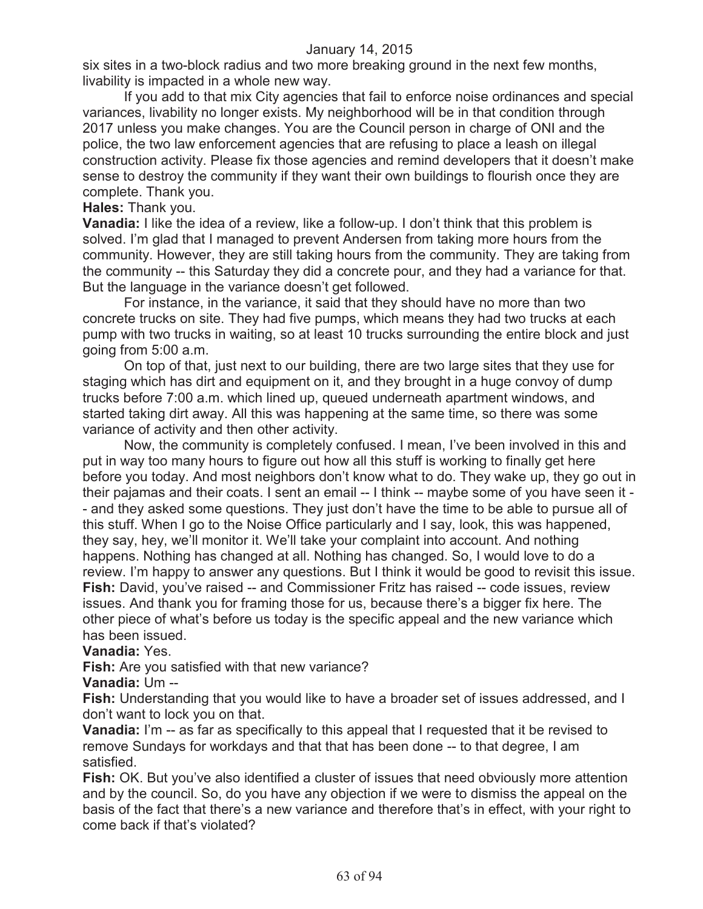six sites in a two-block radius and two more breaking ground in the next few months, livability is impacted in a whole new way.

If you add to that mix City agencies that fail to enforce noise ordinances and special variances, livability no longer exists. My neighborhood will be in that condition through 2017 unless you make changes. You are the Council person in charge of ONI and the police, the two law enforcement agencies that are refusing to place a leash on illegal construction activity. Please fix those agencies and remind developers that it doesn't make sense to destroy the community if they want their own buildings to flourish once they are complete. Thank you.

# **Hales:** Thank you.

**Vanadia:** I like the idea of a review, like a follow-up. I don't think that this problem is solved. I'm glad that I managed to prevent Andersen from taking more hours from the community. However, they are still taking hours from the community. They are taking from the community -- this Saturday they did a concrete pour, and they had a variance for that. But the language in the variance doesn't get followed.

For instance, in the variance, it said that they should have no more than two concrete trucks on site. They had five pumps, which means they had two trucks at each pump with two trucks in waiting, so at least 10 trucks surrounding the entire block and just going from 5:00 a.m.

On top of that, just next to our building, there are two large sites that they use for staging which has dirt and equipment on it, and they brought in a huge convoy of dump trucks before 7:00 a.m. which lined up, queued underneath apartment windows, and started taking dirt away. All this was happening at the same time, so there was some variance of activity and then other activity.

Now, the community is completely confused. I mean, I've been involved in this and put in way too many hours to figure out how all this stuff is working to finally get here before you today. And most neighbors don't know what to do. They wake up, they go out in their pajamas and their coats. I sent an email -- I think -- maybe some of you have seen it - - and they asked some questions. They just don't have the time to be able to pursue all of this stuff. When I go to the Noise Office particularly and I say, look, this was happened, they say, hey, we'll monitor it. We'll take your complaint into account. And nothing happens. Nothing has changed at all. Nothing has changed. So, I would love to do a review. I'm happy to answer any questions. But I think it would be good to revisit this issue. **Fish:** David, you've raised -- and Commissioner Fritz has raised -- code issues, review issues. And thank you for framing those for us, because there's a bigger fix here. The other piece of what's before us today is the specific appeal and the new variance which has been issued.

# **Vanadia:** Yes.

**Fish:** Are you satisfied with that new variance?

**Vanadia:** Um --

**Fish:** Understanding that you would like to have a broader set of issues addressed, and I don't want to lock you on that.

**Vanadia:** I'm -- as far as specifically to this appeal that I requested that it be revised to remove Sundays for workdays and that that has been done -- to that degree, I am satisfied.

**Fish:** OK. But you've also identified a cluster of issues that need obviously more attention and by the council. So, do you have any objection if we were to dismiss the appeal on the basis of the fact that there's a new variance and therefore that's in effect, with your right to come back if that's violated?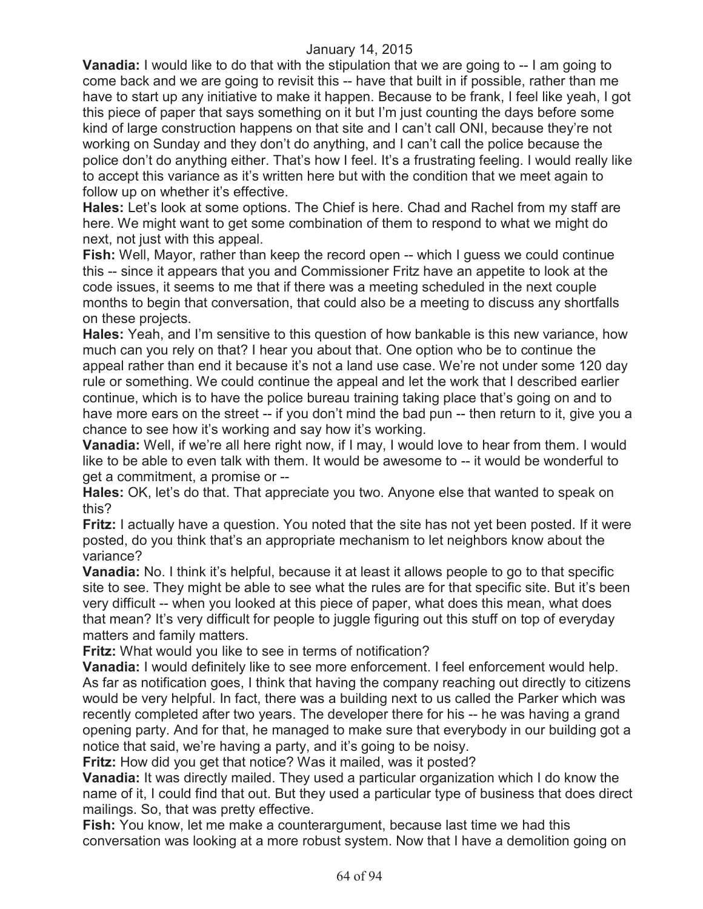**Vanadia:** I would like to do that with the stipulation that we are going to -- I am going to come back and we are going to revisit this -- have that built in if possible, rather than me have to start up any initiative to make it happen. Because to be frank, I feel like yeah, I got this piece of paper that says something on it but I'm just counting the days before some kind of large construction happens on that site and I can't call ONI, because they're not working on Sunday and they don't do anything, and I can't call the police because the police don't do anything either. That's how I feel. It's a frustrating feeling. I would really like to accept this variance as it's written here but with the condition that we meet again to follow up on whether it's effective.

**Hales:** Let's look at some options. The Chief is here. Chad and Rachel from my staff are here. We might want to get some combination of them to respond to what we might do next, not just with this appeal.

**Fish:** Well, Mayor, rather than keep the record open -- which I guess we could continue this -- since it appears that you and Commissioner Fritz have an appetite to look at the code issues, it seems to me that if there was a meeting scheduled in the next couple months to begin that conversation, that could also be a meeting to discuss any shortfalls on these projects.

**Hales:** Yeah, and I'm sensitive to this question of how bankable is this new variance, how much can you rely on that? I hear you about that. One option who be to continue the appeal rather than end it because it's not a land use case. We're not under some 120 day rule or something. We could continue the appeal and let the work that I described earlier continue, which is to have the police bureau training taking place that's going on and to have more ears on the street -- if you don't mind the bad pun -- then return to it, give you a chance to see how it's working and say how it's working.

**Vanadia:** Well, if we're all here right now, if I may, I would love to hear from them. I would like to be able to even talk with them. It would be awesome to -- it would be wonderful to get a commitment, a promise or --

**Hales:** OK, let's do that. That appreciate you two. Anyone else that wanted to speak on this?

**Fritz:** I actually have a question. You noted that the site has not yet been posted. If it were posted, do you think that's an appropriate mechanism to let neighbors know about the variance?

**Vanadia:** No. I think it's helpful, because it at least it allows people to go to that specific site to see. They might be able to see what the rules are for that specific site. But it's been very difficult -- when you looked at this piece of paper, what does this mean, what does that mean? It's very difficult for people to juggle figuring out this stuff on top of everyday matters and family matters.

**Fritz:** What would you like to see in terms of notification?

**Vanadia:** I would definitely like to see more enforcement. I feel enforcement would help. As far as notification goes, I think that having the company reaching out directly to citizens would be very helpful. In fact, there was a building next to us called the Parker which was recently completed after two years. The developer there for his -- he was having a grand opening party. And for that, he managed to make sure that everybody in our building got a notice that said, we're having a party, and it's going to be noisy.

**Fritz:** How did you get that notice? Was it mailed, was it posted?

**Vanadia:** It was directly mailed. They used a particular organization which I do know the name of it, I could find that out. But they used a particular type of business that does direct mailings. So, that was pretty effective.

**Fish:** You know, let me make a counterargument, because last time we had this conversation was looking at a more robust system. Now that I have a demolition going on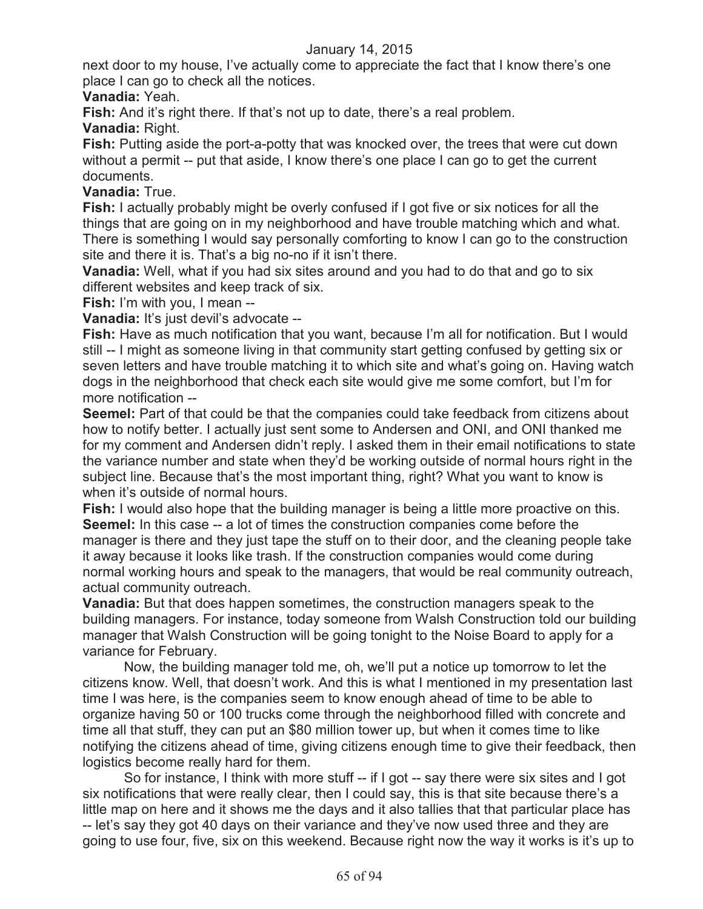next door to my house, I've actually come to appreciate the fact that I know there's one place I can go to check all the notices.

**Vanadia:** Yeah.

**Fish:** And it's right there. If that's not up to date, there's a real problem.

**Vanadia:** Right.

**Fish:** Putting aside the port-a-potty that was knocked over, the trees that were cut down without a permit -- put that aside, I know there's one place I can go to get the current documents.

# **Vanadia:** True.

**Fish:** I actually probably might be overly confused if I got five or six notices for all the things that are going on in my neighborhood and have trouble matching which and what. There is something I would say personally comforting to know I can go to the construction site and there it is. That's a big no-no if it isn't there.

**Vanadia:** Well, what if you had six sites around and you had to do that and go to six different websites and keep track of six.

**Fish:** I'm with you, I mean --

**Vanadia:** It's just devil's advocate --

Fish: Have as much notification that you want, because I'm all for notification. But I would still -- I might as someone living in that community start getting confused by getting six or seven letters and have trouble matching it to which site and what's going on. Having watch dogs in the neighborhood that check each site would give me some comfort, but I'm for more notification --

**Seemel:** Part of that could be that the companies could take feedback from citizens about how to notify better. I actually just sent some to Andersen and ONI, and ONI thanked me for my comment and Andersen didn't reply. I asked them in their email notifications to state the variance number and state when they'd be working outside of normal hours right in the subject line. Because that's the most important thing, right? What you want to know is when it's outside of normal hours.

**Fish:** I would also hope that the building manager is being a little more proactive on this. **Seemel:** In this case -- a lot of times the construction companies come before the manager is there and they just tape the stuff on to their door, and the cleaning people take it away because it looks like trash. If the construction companies would come during normal working hours and speak to the managers, that would be real community outreach, actual community outreach.

**Vanadia:** But that does happen sometimes, the construction managers speak to the building managers. For instance, today someone from Walsh Construction told our building manager that Walsh Construction will be going tonight to the Noise Board to apply for a variance for February.

Now, the building manager told me, oh, we'll put a notice up tomorrow to let the citizens know. Well, that doesn't work. And this is what I mentioned in my presentation last time I was here, is the companies seem to know enough ahead of time to be able to organize having 50 or 100 trucks come through the neighborhood filled with concrete and time all that stuff, they can put an \$80 million tower up, but when it comes time to like notifying the citizens ahead of time, giving citizens enough time to give their feedback, then logistics become really hard for them.

So for instance, I think with more stuff -- if I got -- say there were six sites and I got six notifications that were really clear, then I could say, this is that site because there's a little map on here and it shows me the days and it also tallies that that particular place has -- let's say they got 40 days on their variance and they've now used three and they are going to use four, five, six on this weekend. Because right now the way it works is it's up to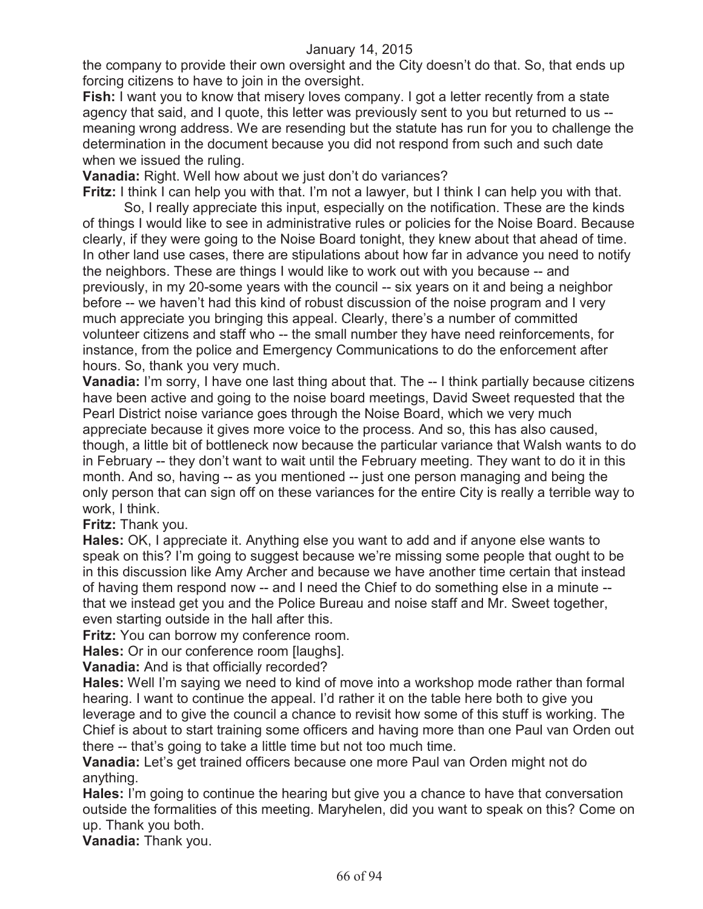the company to provide their own oversight and the City doesn't do that. So, that ends up forcing citizens to have to join in the oversight.

**Fish:** I want you to know that misery loves company. I got a letter recently from a state agency that said, and I quote, this letter was previously sent to you but returned to us - meaning wrong address. We are resending but the statute has run for you to challenge the determination in the document because you did not respond from such and such date when we issued the ruling.

**Vanadia:** Right. Well how about we just don't do variances?

**Fritz:** I think I can help you with that. I'm not a lawyer, but I think I can help you with that.

So, I really appreciate this input, especially on the notification. These are the kinds of things I would like to see in administrative rules or policies for the Noise Board. Because clearly, if they were going to the Noise Board tonight, they knew about that ahead of time. In other land use cases, there are stipulations about how far in advance you need to notify the neighbors. These are things I would like to work out with you because -- and previously, in my 20-some years with the council -- six years on it and being a neighbor before -- we haven't had this kind of robust discussion of the noise program and I very much appreciate you bringing this appeal. Clearly, there's a number of committed volunteer citizens and staff who -- the small number they have need reinforcements, for instance, from the police and Emergency Communications to do the enforcement after hours. So, thank you very much.

**Vanadia:** I'm sorry, I have one last thing about that. The -- I think partially because citizens have been active and going to the noise board meetings, David Sweet requested that the Pearl District noise variance goes through the Noise Board, which we very much appreciate because it gives more voice to the process. And so, this has also caused, though, a little bit of bottleneck now because the particular variance that Walsh wants to do in February -- they don't want to wait until the February meeting. They want to do it in this month. And so, having -- as you mentioned -- just one person managing and being the only person that can sign off on these variances for the entire City is really a terrible way to work, I think.

**Fritz:** Thank you.

**Hales:** OK, I appreciate it. Anything else you want to add and if anyone else wants to speak on this? I'm going to suggest because we're missing some people that ought to be in this discussion like Amy Archer and because we have another time certain that instead of having them respond now -- and I need the Chief to do something else in a minute - that we instead get you and the Police Bureau and noise staff and Mr. Sweet together, even starting outside in the hall after this.

**Fritz:** You can borrow my conference room.

**Hales:** Or in our conference room [laughs].

**Vanadia:** And is that officially recorded?

**Hales:** Well I'm saying we need to kind of move into a workshop mode rather than formal hearing. I want to continue the appeal. I'd rather it on the table here both to give you leverage and to give the council a chance to revisit how some of this stuff is working. The Chief is about to start training some officers and having more than one Paul van Orden out there -- that's going to take a little time but not too much time.

**Vanadia:** Let's get trained officers because one more Paul van Orden might not do anything.

**Hales:** I'm going to continue the hearing but give you a chance to have that conversation outside the formalities of this meeting. Maryhelen, did you want to speak on this? Come on up. Thank you both.

**Vanadia:** Thank you.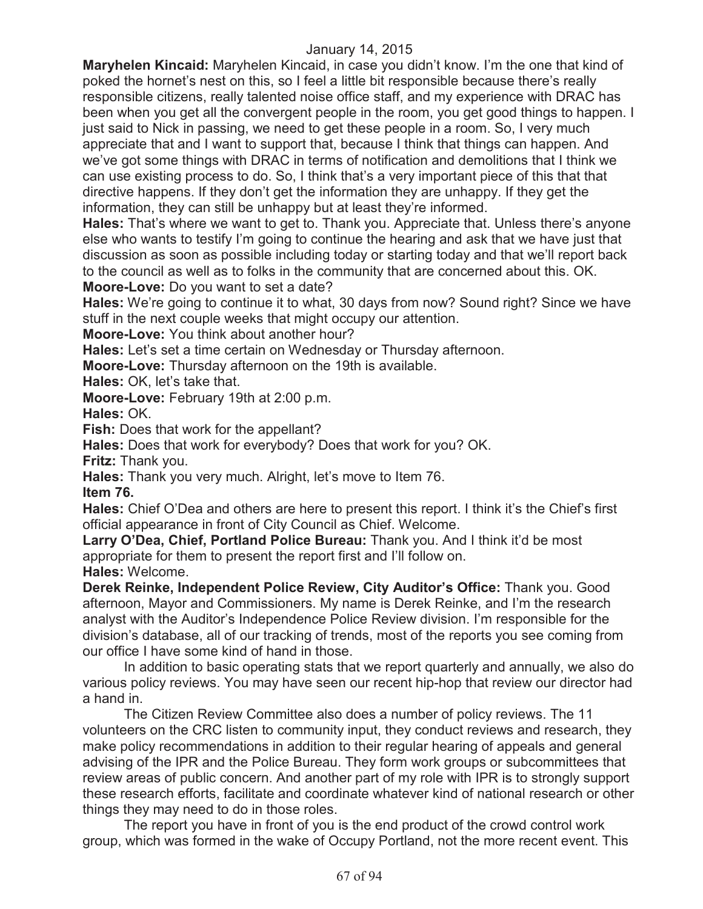**Maryhelen Kincaid:** Maryhelen Kincaid, in case you didn't know. I'm the one that kind of poked the hornet's nest on this, so I feel a little bit responsible because there's really responsible citizens, really talented noise office staff, and my experience with DRAC has been when you get all the convergent people in the room, you get good things to happen. I just said to Nick in passing, we need to get these people in a room. So, I very much appreciate that and I want to support that, because I think that things can happen. And we've got some things with DRAC in terms of notification and demolitions that I think we can use existing process to do. So, I think that's a very important piece of this that that directive happens. If they don't get the information they are unhappy. If they get the information, they can still be unhappy but at least they're informed.

**Hales:** That's where we want to get to. Thank you. Appreciate that. Unless there's anyone else who wants to testify I'm going to continue the hearing and ask that we have just that discussion as soon as possible including today or starting today and that we'll report back to the council as well as to folks in the community that are concerned about this. OK. **Moore-Love:** Do you want to set a date?

**Hales:** We're going to continue it to what, 30 days from now? Sound right? Since we have stuff in the next couple weeks that might occupy our attention.

**Moore-Love:** You think about another hour?

**Hales:** Let's set a time certain on Wednesday or Thursday afternoon.

**Moore-Love:** Thursday afternoon on the 19th is available.

**Hales:** OK, let's take that.

**Moore-Love:** February 19th at 2:00 p.m.

**Hales:** OK.

Fish: Does that work for the appellant?

**Hales:** Does that work for everybody? Does that work for you? OK.

**Fritz:** Thank you.

**Hales:** Thank you very much. Alright, let's move to Item 76.

**Item 76.**

**Hales:** Chief O'Dea and others are here to present this report. I think it's the Chief's first official appearance in front of City Council as Chief. Welcome.

**Larry O'Dea, Chief, Portland Police Bureau:** Thank you. And I think it'd be most appropriate for them to present the report first and I'll follow on. **Hales:** Welcome.

**Derek Reinke, Independent Police Review, City Auditor's Office:** Thank you. Good afternoon, Mayor and Commissioners. My name is Derek Reinke, and I'm the research analyst with the Auditor's Independence Police Review division. I'm responsible for the division's database, all of our tracking of trends, most of the reports you see coming from our office I have some kind of hand in those.

In addition to basic operating stats that we report quarterly and annually, we also do various policy reviews. You may have seen our recent hip-hop that review our director had a hand in.

The Citizen Review Committee also does a number of policy reviews. The 11 volunteers on the CRC listen to community input, they conduct reviews and research, they make policy recommendations in addition to their regular hearing of appeals and general advising of the IPR and the Police Bureau. They form work groups or subcommittees that review areas of public concern. And another part of my role with IPR is to strongly support these research efforts, facilitate and coordinate whatever kind of national research or other things they may need to do in those roles.

The report you have in front of you is the end product of the crowd control work group, which was formed in the wake of Occupy Portland, not the more recent event. This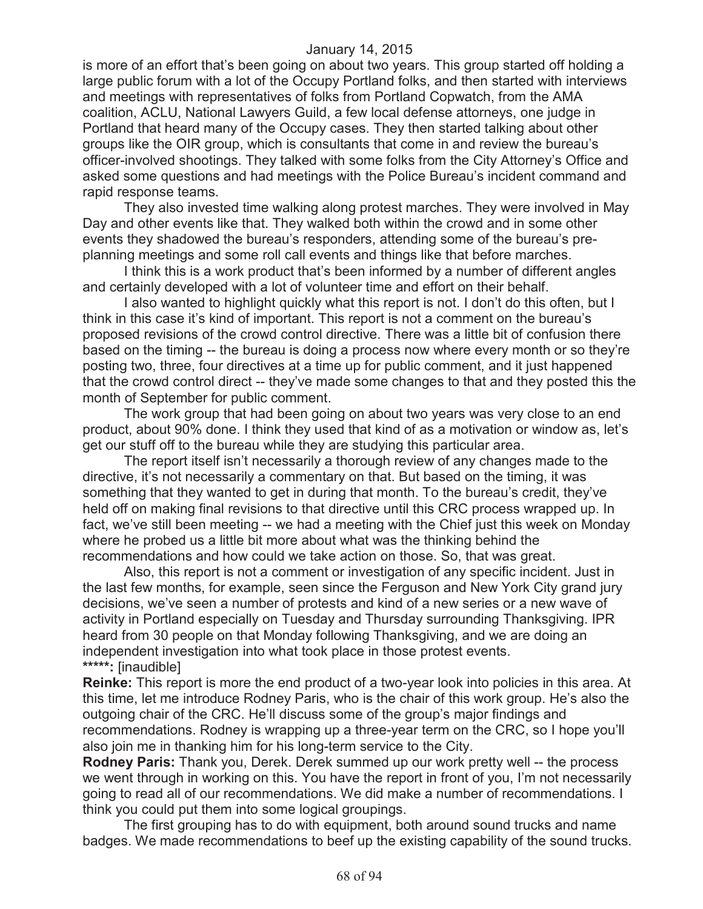is more of an effort that's been going on about two years. This group started off holding a large public forum with a lot of the Occupy Portland folks, and then started with interviews and meetings with representatives of folks from Portland Copwatch, from the AMA coalition, ACLU, National Lawyers Guild, a few local defense attorneys, one judge in Portland that heard many of the Occupy cases. They then started talking about other groups like the OIR group, which is consultants that come in and review the bureau's officer-involved shootings. They talked with some folks from the City Attorney's Office and asked some questions and had meetings with the Police Bureau's incident command and rapid response teams.

They also invested time walking along protest marches. They were involved in May Day and other events like that. They walked both within the crowd and in some other events they shadowed the bureau's responders, attending some of the bureau's preplanning meetings and some roll call events and things like that before marches.

I think this is a work product that's been informed by a number of different angles and certainly developed with a lot of volunteer time and effort on their behalf.

I also wanted to highlight quickly what this report is not. I don't do this often, but I think in this case it's kind of important. This report is not a comment on the bureau's proposed revisions of the crowd control directive. There was a little bit of confusion there based on the timing -- the bureau is doing a process now where every month or so they're posting two, three, four directives at a time up for public comment, and it just happened that the crowd control direct -- they've made some changes to that and they posted this the month of September for public comment.

The work group that had been going on about two years was very close to an end product, about 90% done. I think they used that kind of as a motivation or window as, let's get our stuff off to the bureau while they are studying this particular area.

The report itself isn't necessarily a thorough review of any changes made to the directive, it's not necessarily a commentary on that. But based on the timing, it was something that they wanted to get in during that month. To the bureau's credit, they've held off on making final revisions to that directive until this CRC process wrapped up. In fact, we've still been meeting -- we had a meeting with the Chief just this week on Monday where he probed us a little bit more about what was the thinking behind the recommendations and how could we take action on those. So, that was great.

Also, this report is not a comment or investigation of any specific incident. Just in the last few months, for example, seen since the Ferguson and New York City grand jury decisions, we've seen a number of protests and kind of a new series or a new wave of activity in Portland especially on Tuesday and Thursday surrounding Thanksgiving. IPR heard from 30 people on that Monday following Thanksgiving, and we are doing an independent investigation into what took place in those protest events. **\*\*\*\*\*:** [inaudible]

**Reinke:** This report is more the end product of a two-year look into policies in this area. At this time, let me introduce Rodney Paris, who is the chair of this work group. He's also the outgoing chair of the CRC. He'll discuss some of the group's major findings and recommendations. Rodney is wrapping up a three-year term on the CRC, so I hope you'll also join me in thanking him for his long-term service to the City.

**Rodney Paris:** Thank you, Derek. Derek summed up our work pretty well -- the process we went through in working on this. You have the report in front of you, I'm not necessarily going to read all of our recommendations. We did make a number of recommendations. I think you could put them into some logical groupings.

The first grouping has to do with equipment, both around sound trucks and name badges. We made recommendations to beef up the existing capability of the sound trucks.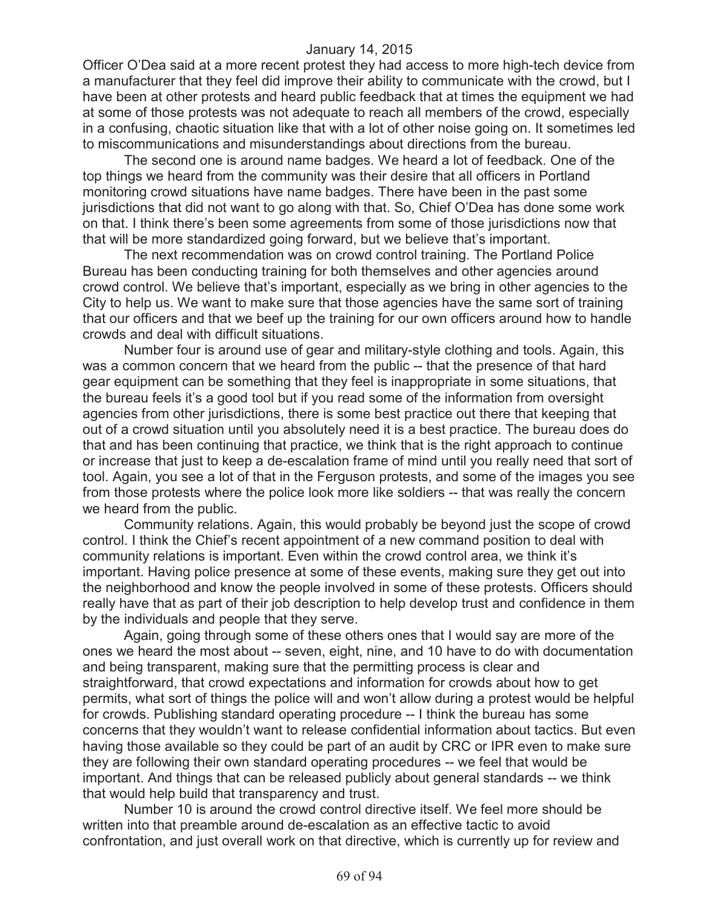Officer O'Dea said at a more recent protest they had access to more high-tech device from a manufacturer that they feel did improve their ability to communicate with the crowd, but I have been at other protests and heard public feedback that at times the equipment we had at some of those protests was not adequate to reach all members of the crowd, especially in a confusing, chaotic situation like that with a lot of other noise going on. It sometimes led to miscommunications and misunderstandings about directions from the bureau.

The second one is around name badges. We heard a lot of feedback. One of the top things we heard from the community was their desire that all officers in Portland monitoring crowd situations have name badges. There have been in the past some jurisdictions that did not want to go along with that. So, Chief O'Dea has done some work on that. I think there's been some agreements from some of those jurisdictions now that that will be more standardized going forward, but we believe that's important.

The next recommendation was on crowd control training. The Portland Police Bureau has been conducting training for both themselves and other agencies around crowd control. We believe that's important, especially as we bring in other agencies to the City to help us. We want to make sure that those agencies have the same sort of training that our officers and that we beef up the training for our own officers around how to handle crowds and deal with difficult situations.

Number four is around use of gear and military-style clothing and tools. Again, this was a common concern that we heard from the public -- that the presence of that hard gear equipment can be something that they feel is inappropriate in some situations, that the bureau feels it's a good tool but if you read some of the information from oversight agencies from other jurisdictions, there is some best practice out there that keeping that out of a crowd situation until you absolutely need it is a best practice. The bureau does do that and has been continuing that practice, we think that is the right approach to continue or increase that just to keep a de-escalation frame of mind until you really need that sort of tool. Again, you see a lot of that in the Ferguson protests, and some of the images you see from those protests where the police look more like soldiers -- that was really the concern we heard from the public.

Community relations. Again, this would probably be beyond just the scope of crowd control. I think the Chief's recent appointment of a new command position to deal with community relations is important. Even within the crowd control area, we think it's important. Having police presence at some of these events, making sure they get out into the neighborhood and know the people involved in some of these protests. Officers should really have that as part of their job description to help develop trust and confidence in them by the individuals and people that they serve.

Again, going through some of these others ones that I would say are more of the ones we heard the most about -- seven, eight, nine, and 10 have to do with documentation and being transparent, making sure that the permitting process is clear and straightforward, that crowd expectations and information for crowds about how to get permits, what sort of things the police will and won't allow during a protest would be helpful for crowds. Publishing standard operating procedure -- I think the bureau has some concerns that they wouldn't want to release confidential information about tactics. But even having those available so they could be part of an audit by CRC or IPR even to make sure they are following their own standard operating procedures -- we feel that would be important. And things that can be released publicly about general standards -- we think that would help build that transparency and trust.

Number 10 is around the crowd control directive itself. We feel more should be written into that preamble around de-escalation as an effective tactic to avoid confrontation, and just overall work on that directive, which is currently up for review and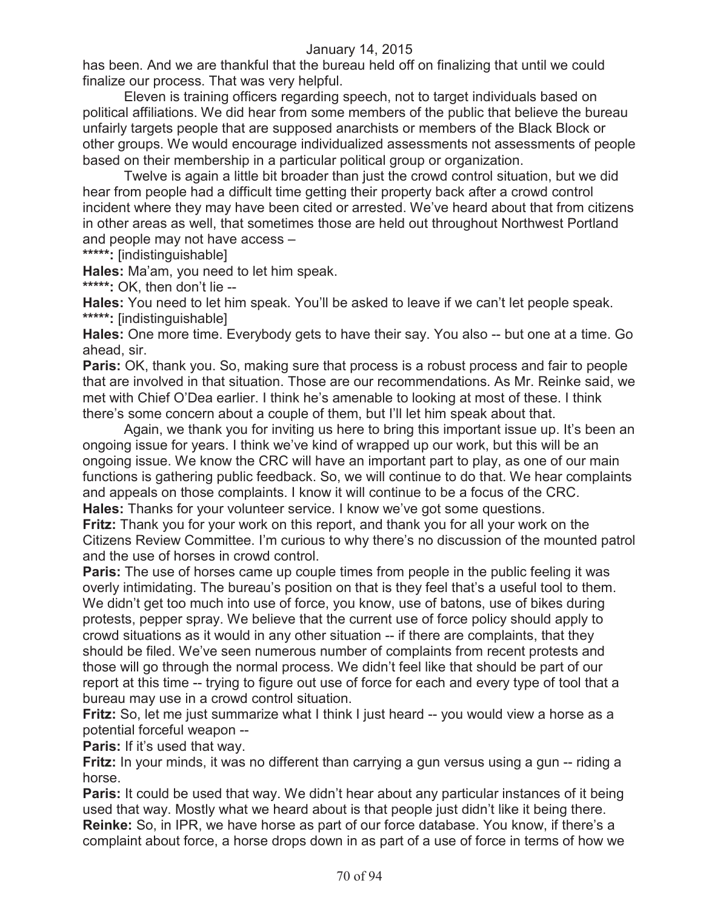has been. And we are thankful that the bureau held off on finalizing that until we could finalize our process. That was very helpful.

Eleven is training officers regarding speech, not to target individuals based on political affiliations. We did hear from some members of the public that believe the bureau unfairly targets people that are supposed anarchists or members of the Black Block or other groups. We would encourage individualized assessments not assessments of people based on their membership in a particular political group or organization.

Twelve is again a little bit broader than just the crowd control situation, but we did hear from people had a difficult time getting their property back after a crowd control incident where they may have been cited or arrested. We've heard about that from citizens in other areas as well, that sometimes those are held out throughout Northwest Portland and people may not have access –

**\*\*\*\*\*:** [indistinguishable]

**Hales:** Ma'am, you need to let him speak.

**\*\*\*\*\*:** OK, then don't lie --

**Hales:** You need to let him speak. You'll be asked to leave if we can't let people speak. **\*\*\*\*\*:** [indistinguishable]

**Hales:** One more time. Everybody gets to have their say. You also -- but one at a time. Go ahead, sir.

**Paris:** OK, thank you. So, making sure that process is a robust process and fair to people that are involved in that situation. Those are our recommendations. As Mr. Reinke said, we met with Chief O'Dea earlier. I think he's amenable to looking at most of these. I think there's some concern about a couple of them, but I'll let him speak about that.

Again, we thank you for inviting us here to bring this important issue up. It's been an ongoing issue for years. I think we've kind of wrapped up our work, but this will be an ongoing issue. We know the CRC will have an important part to play, as one of our main functions is gathering public feedback. So, we will continue to do that. We hear complaints and appeals on those complaints. I know it will continue to be a focus of the CRC. **Hales:** Thanks for your volunteer service. I know we've got some questions.

**Fritz:** Thank you for your work on this report, and thank you for all your work on the Citizens Review Committee. I'm curious to why there's no discussion of the mounted patrol and the use of horses in crowd control.

**Paris:** The use of horses came up couple times from people in the public feeling it was overly intimidating. The bureau's position on that is they feel that's a useful tool to them. We didn't get too much into use of force, you know, use of batons, use of bikes during protests, pepper spray. We believe that the current use of force policy should apply to crowd situations as it would in any other situation -- if there are complaints, that they should be filed. We've seen numerous number of complaints from recent protests and those will go through the normal process. We didn't feel like that should be part of our report at this time -- trying to figure out use of force for each and every type of tool that a bureau may use in a crowd control situation.

**Fritz:** So, let me just summarize what I think I just heard -- you would view a horse as a potential forceful weapon --

**Paris:** If it's used that way.

**Fritz:** In your minds, it was no different than carrying a gun versus using a gun -- riding a horse.

**Paris:** It could be used that way. We didn't hear about any particular instances of it being used that way. Mostly what we heard about is that people just didn't like it being there. **Reinke:** So, in IPR, we have horse as part of our force database. You know, if there's a complaint about force, a horse drops down in as part of a use of force in terms of how we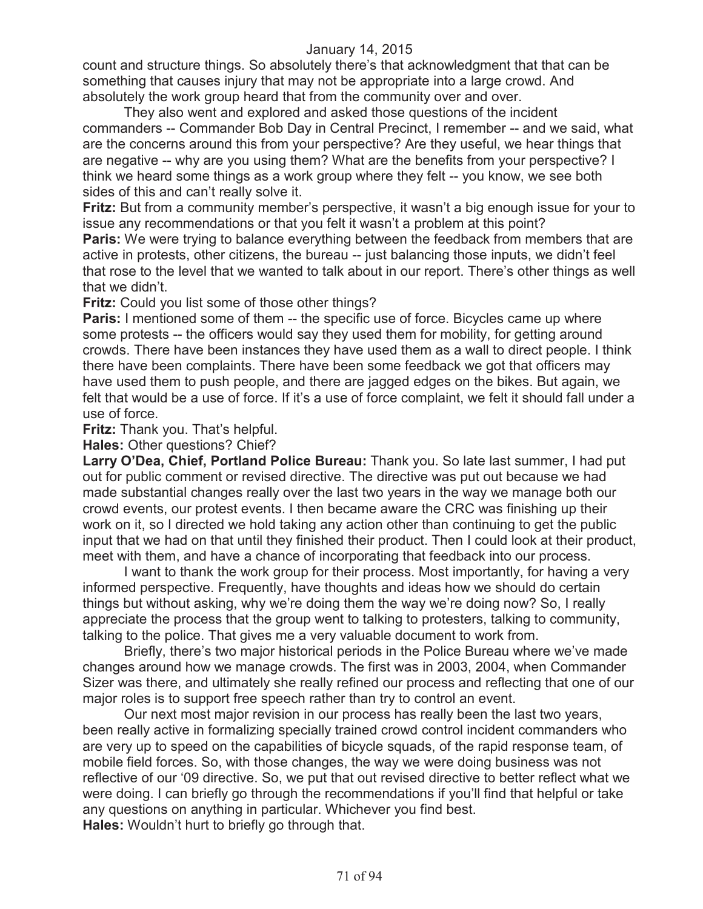count and structure things. So absolutely there's that acknowledgment that that can be something that causes injury that may not be appropriate into a large crowd. And absolutely the work group heard that from the community over and over.

They also went and explored and asked those questions of the incident commanders -- Commander Bob Day in Central Precinct, I remember -- and we said, what are the concerns around this from your perspective? Are they useful, we hear things that are negative -- why are you using them? What are the benefits from your perspective? I think we heard some things as a work group where they felt -- you know, we see both sides of this and can't really solve it.

**Fritz:** But from a community member's perspective, it wasn't a big enough issue for your to issue any recommendations or that you felt it wasn't a problem at this point?

**Paris:** We were trying to balance everything between the feedback from members that are active in protests, other citizens, the bureau -- just balancing those inputs, we didn't feel that rose to the level that we wanted to talk about in our report. There's other things as well that we didn't.

**Fritz:** Could you list some of those other things?

**Paris:** I mentioned some of them -- the specific use of force. Bicycles came up where some protests -- the officers would say they used them for mobility, for getting around crowds. There have been instances they have used them as a wall to direct people. I think there have been complaints. There have been some feedback we got that officers may have used them to push people, and there are jagged edges on the bikes. But again, we felt that would be a use of force. If it's a use of force complaint, we felt it should fall under a use of force.

**Fritz:** Thank you. That's helpful.

**Hales:** Other questions? Chief?

**Larry O'Dea, Chief, Portland Police Bureau:** Thank you. So late last summer, I had put out for public comment or revised directive. The directive was put out because we had made substantial changes really over the last two years in the way we manage both our crowd events, our protest events. I then became aware the CRC was finishing up their work on it, so I directed we hold taking any action other than continuing to get the public input that we had on that until they finished their product. Then I could look at their product, meet with them, and have a chance of incorporating that feedback into our process.

I want to thank the work group for their process. Most importantly, for having a very informed perspective. Frequently, have thoughts and ideas how we should do certain things but without asking, why we're doing them the way we're doing now? So, I really appreciate the process that the group went to talking to protesters, talking to community, talking to the police. That gives me a very valuable document to work from.

Briefly, there's two major historical periods in the Police Bureau where we've made changes around how we manage crowds. The first was in 2003, 2004, when Commander Sizer was there, and ultimately she really refined our process and reflecting that one of our major roles is to support free speech rather than try to control an event.

Our next most major revision in our process has really been the last two years, been really active in formalizing specially trained crowd control incident commanders who are very up to speed on the capabilities of bicycle squads, of the rapid response team, of mobile field forces. So, with those changes, the way we were doing business was not reflective of our '09 directive. So, we put that out revised directive to better reflect what we were doing. I can briefly go through the recommendations if you'll find that helpful or take any questions on anything in particular. Whichever you find best. **Hales:** Wouldn't hurt to briefly go through that.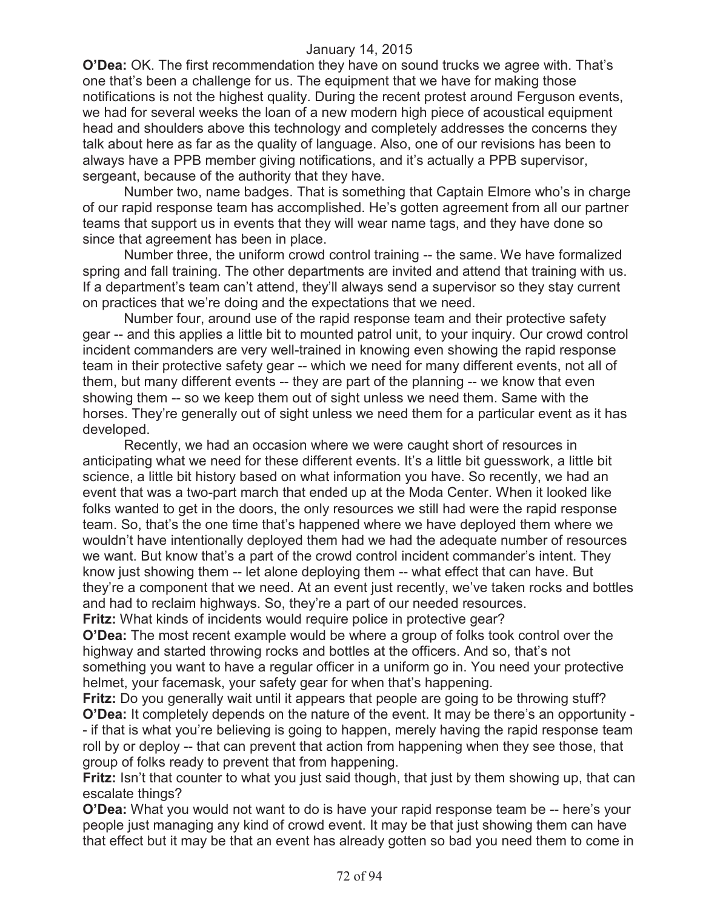**O'Dea:** OK. The first recommendation they have on sound trucks we agree with. That's one that's been a challenge for us. The equipment that we have for making those notifications is not the highest quality. During the recent protest around Ferguson events, we had for several weeks the loan of a new modern high piece of acoustical equipment head and shoulders above this technology and completely addresses the concerns they talk about here as far as the quality of language. Also, one of our revisions has been to always have a PPB member giving notifications, and it's actually a PPB supervisor, sergeant, because of the authority that they have.

Number two, name badges. That is something that Captain Elmore who's in charge of our rapid response team has accomplished. He's gotten agreement from all our partner teams that support us in events that they will wear name tags, and they have done so since that agreement has been in place.

Number three, the uniform crowd control training -- the same. We have formalized spring and fall training. The other departments are invited and attend that training with us. If a department's team can't attend, they'll always send a supervisor so they stay current on practices that we're doing and the expectations that we need.

Number four, around use of the rapid response team and their protective safety gear -- and this applies a little bit to mounted patrol unit, to your inquiry. Our crowd control incident commanders are very well-trained in knowing even showing the rapid response team in their protective safety gear -- which we need for many different events, not all of them, but many different events -- they are part of the planning -- we know that even showing them -- so we keep them out of sight unless we need them. Same with the horses. They're generally out of sight unless we need them for a particular event as it has developed.

Recently, we had an occasion where we were caught short of resources in anticipating what we need for these different events. It's a little bit guesswork, a little bit science, a little bit history based on what information you have. So recently, we had an event that was a two-part march that ended up at the Moda Center. When it looked like folks wanted to get in the doors, the only resources we still had were the rapid response team. So, that's the one time that's happened where we have deployed them where we wouldn't have intentionally deployed them had we had the adequate number of resources we want. But know that's a part of the crowd control incident commander's intent. They know just showing them -- let alone deploying them -- what effect that can have. But they're a component that we need. At an event just recently, we've taken rocks and bottles and had to reclaim highways. So, they're a part of our needed resources. **Fritz:** What kinds of incidents would require police in protective gear?

**O'Dea:** The most recent example would be where a group of folks took control over the highway and started throwing rocks and bottles at the officers. And so, that's not something you want to have a regular officer in a uniform go in. You need your protective helmet, your facemask, your safety gear for when that's happening.

**Fritz:** Do you generally wait until it appears that people are going to be throwing stuff? **O'Dea:** It completely depends on the nature of the event. It may be there's an opportunity - - if that is what you're believing is going to happen, merely having the rapid response team roll by or deploy -- that can prevent that action from happening when they see those, that group of folks ready to prevent that from happening.

**Fritz:** Isn't that counter to what you just said though, that just by them showing up, that can escalate things?

**O'Dea:** What you would not want to do is have your rapid response team be -- here's your people just managing any kind of crowd event. It may be that just showing them can have that effect but it may be that an event has already gotten so bad you need them to come in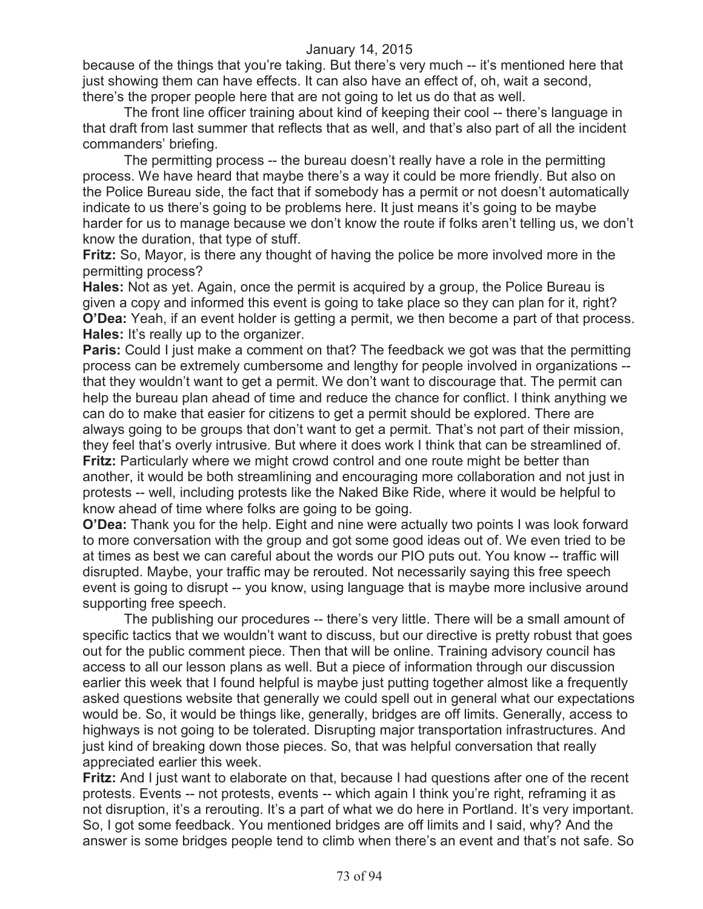because of the things that you're taking. But there's very much -- it's mentioned here that just showing them can have effects. It can also have an effect of, oh, wait a second, there's the proper people here that are not going to let us do that as well.

The front line officer training about kind of keeping their cool -- there's language in that draft from last summer that reflects that as well, and that's also part of all the incident commanders' briefing.

The permitting process -- the bureau doesn't really have a role in the permitting process. We have heard that maybe there's a way it could be more friendly. But also on the Police Bureau side, the fact that if somebody has a permit or not doesn't automatically indicate to us there's going to be problems here. It just means it's going to be maybe harder for us to manage because we don't know the route if folks aren't telling us, we don't know the duration, that type of stuff.

**Fritz:** So, Mayor, is there any thought of having the police be more involved more in the permitting process?

**Hales:** Not as yet. Again, once the permit is acquired by a group, the Police Bureau is given a copy and informed this event is going to take place so they can plan for it, right? **O'Dea:** Yeah, if an event holder is getting a permit, we then become a part of that process. **Hales:** It's really up to the organizer.

**Paris:** Could I just make a comment on that? The feedback we got was that the permitting process can be extremely cumbersome and lengthy for people involved in organizations - that they wouldn't want to get a permit. We don't want to discourage that. The permit can help the bureau plan ahead of time and reduce the chance for conflict. I think anything we can do to make that easier for citizens to get a permit should be explored. There are always going to be groups that don't want to get a permit. That's not part of their mission, they feel that's overly intrusive. But where it does work I think that can be streamlined of. **Fritz:** Particularly where we might crowd control and one route might be better than another, it would be both streamlining and encouraging more collaboration and not just in protests -- well, including protests like the Naked Bike Ride, where it would be helpful to know ahead of time where folks are going to be going.

**O'Dea:** Thank you for the help. Eight and nine were actually two points I was look forward to more conversation with the group and got some good ideas out of. We even tried to be at times as best we can careful about the words our PIO puts out. You know -- traffic will disrupted. Maybe, your traffic may be rerouted. Not necessarily saying this free speech event is going to disrupt -- you know, using language that is maybe more inclusive around supporting free speech.

The publishing our procedures -- there's very little. There will be a small amount of specific tactics that we wouldn't want to discuss, but our directive is pretty robust that goes out for the public comment piece. Then that will be online. Training advisory council has access to all our lesson plans as well. But a piece of information through our discussion earlier this week that I found helpful is maybe just putting together almost like a frequently asked questions website that generally we could spell out in general what our expectations would be. So, it would be things like, generally, bridges are off limits. Generally, access to highways is not going to be tolerated. Disrupting major transportation infrastructures. And just kind of breaking down those pieces. So, that was helpful conversation that really appreciated earlier this week.

**Fritz:** And I just want to elaborate on that, because I had questions after one of the recent protests. Events -- not protests, events -- which again I think you're right, reframing it as not disruption, it's a rerouting. It's a part of what we do here in Portland. It's very important. So, I got some feedback. You mentioned bridges are off limits and I said, why? And the answer is some bridges people tend to climb when there's an event and that's not safe. So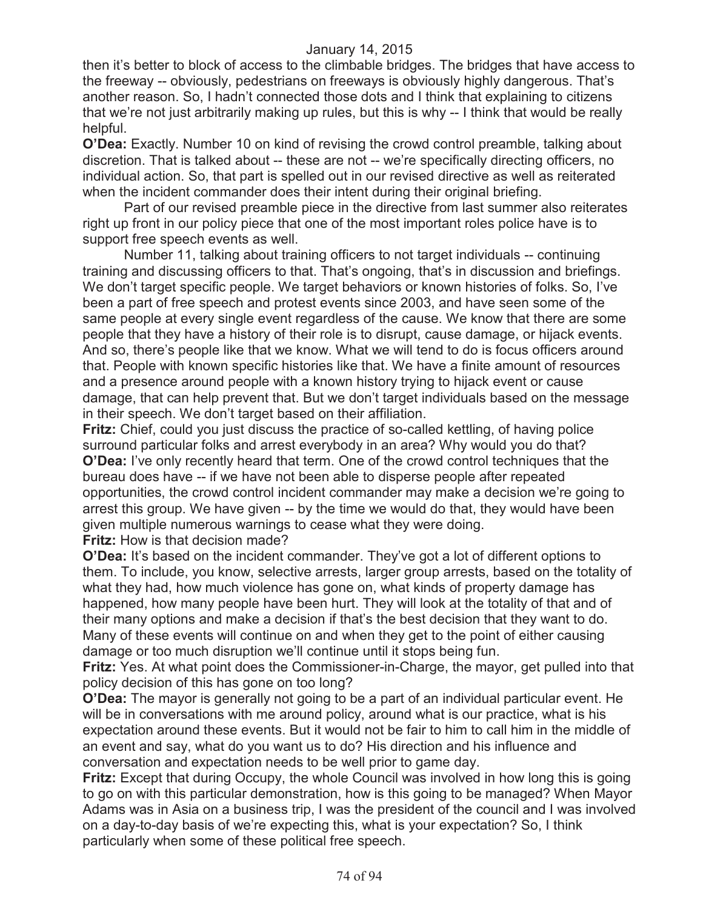then it's better to block of access to the climbable bridges. The bridges that have access to the freeway -- obviously, pedestrians on freeways is obviously highly dangerous. That's another reason. So, I hadn't connected those dots and I think that explaining to citizens that we're not just arbitrarily making up rules, but this is why -- I think that would be really helpful.

**O'Dea:** Exactly. Number 10 on kind of revising the crowd control preamble, talking about discretion. That is talked about -- these are not -- we're specifically directing officers, no individual action. So, that part is spelled out in our revised directive as well as reiterated when the incident commander does their intent during their original briefing.

Part of our revised preamble piece in the directive from last summer also reiterates right up front in our policy piece that one of the most important roles police have is to support free speech events as well.

Number 11, talking about training officers to not target individuals -- continuing training and discussing officers to that. That's ongoing, that's in discussion and briefings. We don't target specific people. We target behaviors or known histories of folks. So, I've been a part of free speech and protest events since 2003, and have seen some of the same people at every single event regardless of the cause. We know that there are some people that they have a history of their role is to disrupt, cause damage, or hijack events. And so, there's people like that we know. What we will tend to do is focus officers around that. People with known specific histories like that. We have a finite amount of resources and a presence around people with a known history trying to hijack event or cause damage, that can help prevent that. But we don't target individuals based on the message in their speech. We don't target based on their affiliation.

**Fritz:** Chief, could you just discuss the practice of so-called kettling, of having police surround particular folks and arrest everybody in an area? Why would you do that? **O'Dea:** I've only recently heard that term. One of the crowd control techniques that the bureau does have -- if we have not been able to disperse people after repeated opportunities, the crowd control incident commander may make a decision we're going to arrest this group. We have given -- by the time we would do that, they would have been given multiple numerous warnings to cease what they were doing. **Fritz:** How is that decision made?

**O'Dea:** It's based on the incident commander. They've got a lot of different options to them. To include, you know, selective arrests, larger group arrests, based on the totality of what they had, how much violence has gone on, what kinds of property damage has happened, how many people have been hurt. They will look at the totality of that and of their many options and make a decision if that's the best decision that they want to do. Many of these events will continue on and when they get to the point of either causing damage or too much disruption we'll continue until it stops being fun.

**Fritz:** Yes. At what point does the Commissioner-in-Charge, the mayor, get pulled into that policy decision of this has gone on too long?

**O'Dea:** The mayor is generally not going to be a part of an individual particular event. He will be in conversations with me around policy, around what is our practice, what is his expectation around these events. But it would not be fair to him to call him in the middle of an event and say, what do you want us to do? His direction and his influence and conversation and expectation needs to be well prior to game day.

**Fritz:** Except that during Occupy, the whole Council was involved in how long this is going to go on with this particular demonstration, how is this going to be managed? When Mayor Adams was in Asia on a business trip, I was the president of the council and I was involved on a day-to-day basis of we're expecting this, what is your expectation? So, I think particularly when some of these political free speech.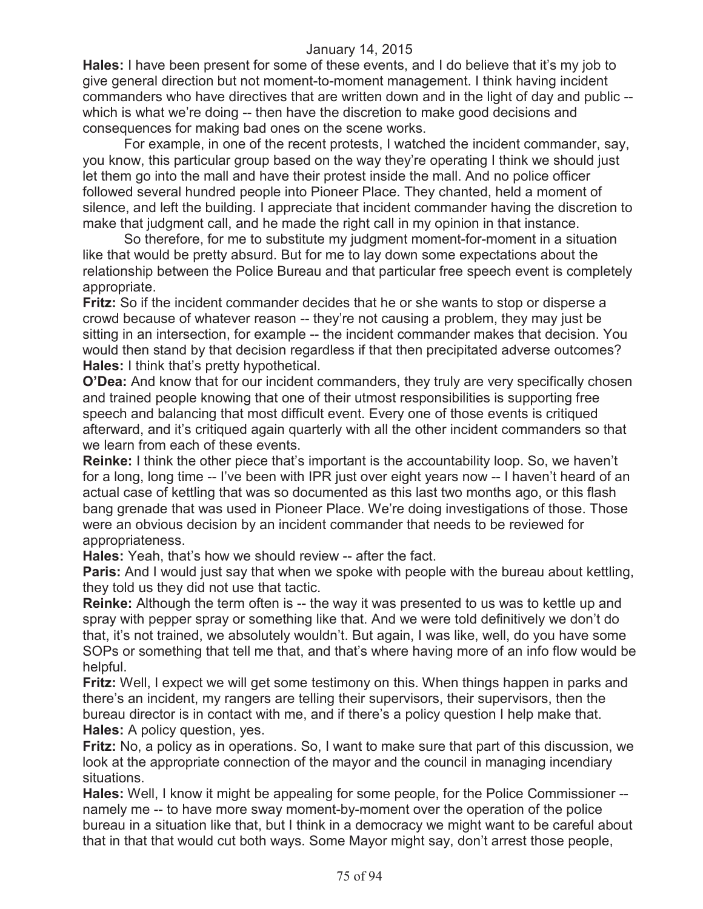**Hales:** I have been present for some of these events, and I do believe that it's my job to give general direction but not moment-to-moment management. I think having incident commanders who have directives that are written down and in the light of day and public - which is what we're doing -- then have the discretion to make good decisions and consequences for making bad ones on the scene works.

For example, in one of the recent protests, I watched the incident commander, say, you know, this particular group based on the way they're operating I think we should just let them go into the mall and have their protest inside the mall. And no police officer followed several hundred people into Pioneer Place. They chanted, held a moment of silence, and left the building. I appreciate that incident commander having the discretion to make that judgment call, and he made the right call in my opinion in that instance.

So therefore, for me to substitute my judgment moment-for-moment in a situation like that would be pretty absurd. But for me to lay down some expectations about the relationship between the Police Bureau and that particular free speech event is completely appropriate.

**Fritz:** So if the incident commander decides that he or she wants to stop or disperse a crowd because of whatever reason -- they're not causing a problem, they may just be sitting in an intersection, for example -- the incident commander makes that decision. You would then stand by that decision regardless if that then precipitated adverse outcomes? **Hales:** I think that's pretty hypothetical.

**O'Dea:** And know that for our incident commanders, they truly are very specifically chosen and trained people knowing that one of their utmost responsibilities is supporting free speech and balancing that most difficult event. Every one of those events is critiqued afterward, and it's critiqued again quarterly with all the other incident commanders so that we learn from each of these events.

**Reinke:** I think the other piece that's important is the accountability loop. So, we haven't for a long, long time -- I've been with IPR just over eight years now -- I haven't heard of an actual case of kettling that was so documented as this last two months ago, or this flash bang grenade that was used in Pioneer Place. We're doing investigations of those. Those were an obvious decision by an incident commander that needs to be reviewed for appropriateness.

**Hales:** Yeah, that's how we should review -- after the fact.

**Paris:** And I would just say that when we spoke with people with the bureau about kettling, they told us they did not use that tactic.

**Reinke:** Although the term often is -- the way it was presented to us was to kettle up and spray with pepper spray or something like that. And we were told definitively we don't do that, it's not trained, we absolutely wouldn't. But again, I was like, well, do you have some SOPs or something that tell me that, and that's where having more of an info flow would be helpful.

**Fritz:** Well, I expect we will get some testimony on this. When things happen in parks and there's an incident, my rangers are telling their supervisors, their supervisors, then the bureau director is in contact with me, and if there's a policy question I help make that. **Hales:** A policy question, yes.

**Fritz:** No, a policy as in operations. So, I want to make sure that part of this discussion, we look at the appropriate connection of the mayor and the council in managing incendiary situations.

**Hales:** Well, I know it might be appealing for some people, for the Police Commissioner - namely me -- to have more sway moment-by-moment over the operation of the police bureau in a situation like that, but I think in a democracy we might want to be careful about that in that that would cut both ways. Some Mayor might say, don't arrest those people,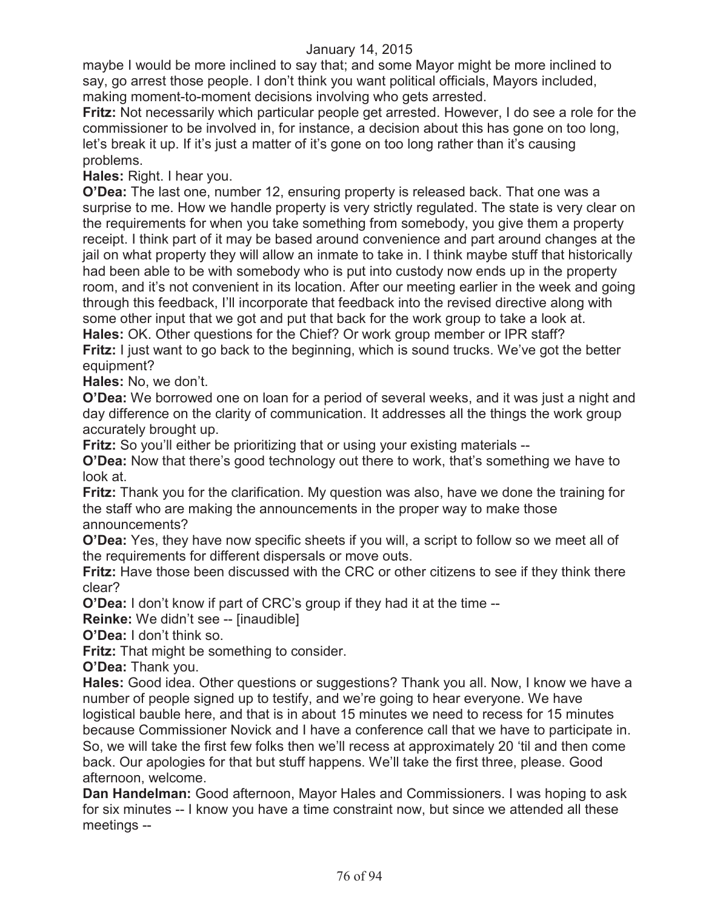maybe I would be more inclined to say that; and some Mayor might be more inclined to say, go arrest those people. I don't think you want political officials, Mayors included, making moment-to-moment decisions involving who gets arrested.

**Fritz:** Not necessarily which particular people get arrested. However, I do see a role for the commissioner to be involved in, for instance, a decision about this has gone on too long, let's break it up. If it's just a matter of it's gone on too long rather than it's causing problems.

**Hales:** Right. I hear you.

**O'Dea:** The last one, number 12, ensuring property is released back. That one was a surprise to me. How we handle property is very strictly regulated. The state is very clear on the requirements for when you take something from somebody, you give them a property receipt. I think part of it may be based around convenience and part around changes at the jail on what property they will allow an inmate to take in. I think maybe stuff that historically had been able to be with somebody who is put into custody now ends up in the property room, and it's not convenient in its location. After our meeting earlier in the week and going through this feedback, I'll incorporate that feedback into the revised directive along with some other input that we got and put that back for the work group to take a look at. **Hales:** OK. Other questions for the Chief? Or work group member or IPR staff?

**Fritz:** I just want to go back to the beginning, which is sound trucks. We've got the better equipment?

**Hales:** No, we don't.

**O'Dea:** We borrowed one on loan for a period of several weeks, and it was just a night and day difference on the clarity of communication. It addresses all the things the work group accurately brought up.

**Fritz:** So you'll either be prioritizing that or using your existing materials --

**O'Dea:** Now that there's good technology out there to work, that's something we have to look at.

**Fritz:** Thank you for the clarification. My question was also, have we done the training for the staff who are making the announcements in the proper way to make those announcements?

**O'Dea:** Yes, they have now specific sheets if you will, a script to follow so we meet all of the requirements for different dispersals or move outs.

**Fritz:** Have those been discussed with the CRC or other citizens to see if they think there clear?

**O'Dea:** I don't know if part of CRC's group if they had it at the time --

**Reinke:** We didn't see -- [inaudible]

**O'Dea:** I don't think so.

**Fritz:** That might be something to consider.

**O'Dea:** Thank you.

**Hales:** Good idea. Other questions or suggestions? Thank you all. Now, I know we have a number of people signed up to testify, and we're going to hear everyone. We have logistical bauble here, and that is in about 15 minutes we need to recess for 15 minutes because Commissioner Novick and I have a conference call that we have to participate in. So, we will take the first few folks then we'll recess at approximately 20 'til and then come back. Our apologies for that but stuff happens. We'll take the first three, please. Good afternoon, welcome.

**Dan Handelman:** Good afternoon, Mayor Hales and Commissioners. I was hoping to ask for six minutes -- I know you have a time constraint now, but since we attended all these meetings --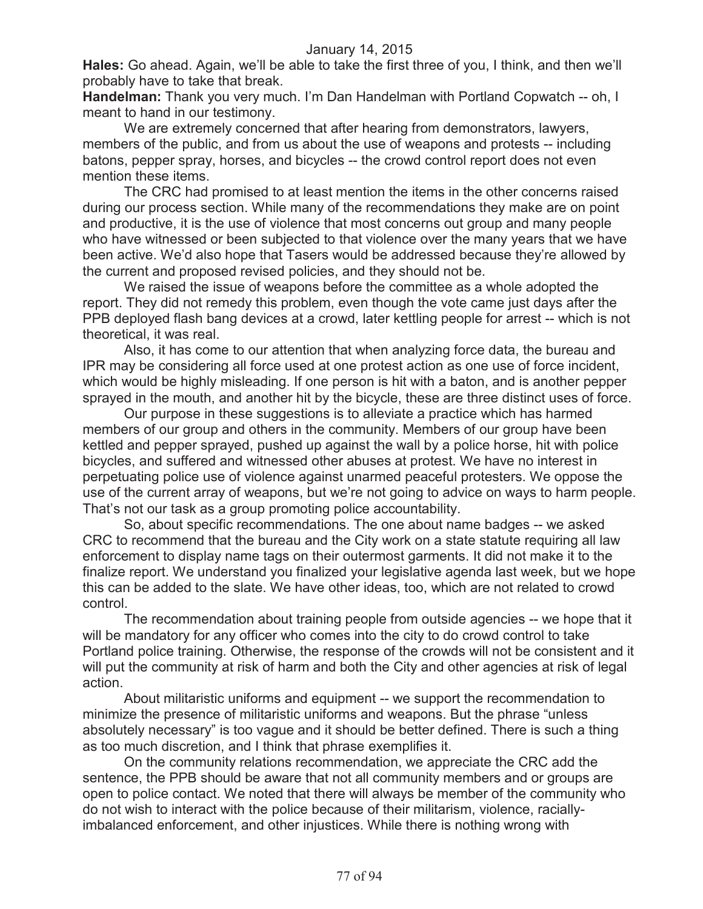**Hales:** Go ahead. Again, we'll be able to take the first three of you, I think, and then we'll probably have to take that break.

**Handelman:** Thank you very much. I'm Dan Handelman with Portland Copwatch -- oh, I meant to hand in our testimony.

We are extremely concerned that after hearing from demonstrators, lawyers, members of the public, and from us about the use of weapons and protests -- including batons, pepper spray, horses, and bicycles -- the crowd control report does not even mention these items.

The CRC had promised to at least mention the items in the other concerns raised during our process section. While many of the recommendations they make are on point and productive, it is the use of violence that most concerns out group and many people who have witnessed or been subjected to that violence over the many years that we have been active. We'd also hope that Tasers would be addressed because they're allowed by the current and proposed revised policies, and they should not be.

We raised the issue of weapons before the committee as a whole adopted the report. They did not remedy this problem, even though the vote came just days after the PPB deployed flash bang devices at a crowd, later kettling people for arrest -- which is not theoretical, it was real.

Also, it has come to our attention that when analyzing force data, the bureau and IPR may be considering all force used at one protest action as one use of force incident, which would be highly misleading. If one person is hit with a baton, and is another pepper sprayed in the mouth, and another hit by the bicycle, these are three distinct uses of force.

Our purpose in these suggestions is to alleviate a practice which has harmed members of our group and others in the community. Members of our group have been kettled and pepper sprayed, pushed up against the wall by a police horse, hit with police bicycles, and suffered and witnessed other abuses at protest. We have no interest in perpetuating police use of violence against unarmed peaceful protesters. We oppose the use of the current array of weapons, but we're not going to advice on ways to harm people. That's not our task as a group promoting police accountability.

So, about specific recommendations. The one about name badges -- we asked CRC to recommend that the bureau and the City work on a state statute requiring all law enforcement to display name tags on their outermost garments. It did not make it to the finalize report. We understand you finalized your legislative agenda last week, but we hope this can be added to the slate. We have other ideas, too, which are not related to crowd control.

The recommendation about training people from outside agencies -- we hope that it will be mandatory for any officer who comes into the city to do crowd control to take Portland police training. Otherwise, the response of the crowds will not be consistent and it will put the community at risk of harm and both the City and other agencies at risk of legal action.

About militaristic uniforms and equipment -- we support the recommendation to minimize the presence of militaristic uniforms and weapons. But the phrase "unless absolutely necessary" is too vague and it should be better defined. There is such a thing as too much discretion, and I think that phrase exemplifies it.

On the community relations recommendation, we appreciate the CRC add the sentence, the PPB should be aware that not all community members and or groups are open to police contact. We noted that there will always be member of the community who do not wish to interact with the police because of their militarism, violence, raciallyimbalanced enforcement, and other injustices. While there is nothing wrong with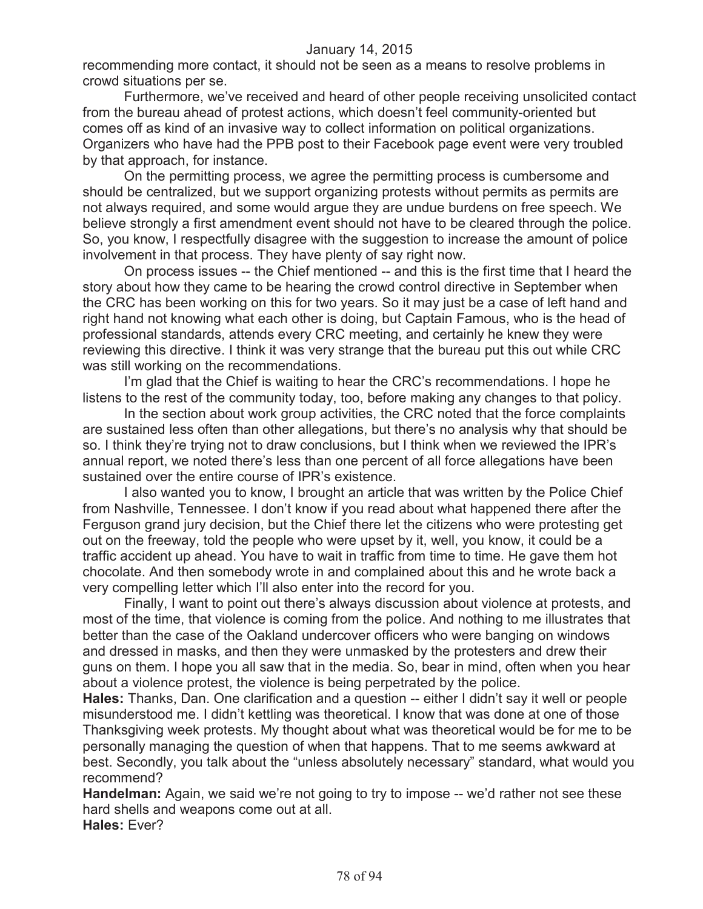recommending more contact, it should not be seen as a means to resolve problems in crowd situations per se.

Furthermore, we've received and heard of other people receiving unsolicited contact from the bureau ahead of protest actions, which doesn't feel community-oriented but comes off as kind of an invasive way to collect information on political organizations. Organizers who have had the PPB post to their Facebook page event were very troubled by that approach, for instance.

On the permitting process, we agree the permitting process is cumbersome and should be centralized, but we support organizing protests without permits as permits are not always required, and some would argue they are undue burdens on free speech. We believe strongly a first amendment event should not have to be cleared through the police. So, you know, I respectfully disagree with the suggestion to increase the amount of police involvement in that process. They have plenty of say right now.

On process issues -- the Chief mentioned -- and this is the first time that I heard the story about how they came to be hearing the crowd control directive in September when the CRC has been working on this for two years. So it may just be a case of left hand and right hand not knowing what each other is doing, but Captain Famous, who is the head of professional standards, attends every CRC meeting, and certainly he knew they were reviewing this directive. I think it was very strange that the bureau put this out while CRC was still working on the recommendations.

I'm glad that the Chief is waiting to hear the CRC's recommendations. I hope he listens to the rest of the community today, too, before making any changes to that policy.

In the section about work group activities, the CRC noted that the force complaints are sustained less often than other allegations, but there's no analysis why that should be so. I think they're trying not to draw conclusions, but I think when we reviewed the IPR's annual report, we noted there's less than one percent of all force allegations have been sustained over the entire course of IPR's existence.

I also wanted you to know, I brought an article that was written by the Police Chief from Nashville, Tennessee. I don't know if you read about what happened there after the Ferguson grand jury decision, but the Chief there let the citizens who were protesting get out on the freeway, told the people who were upset by it, well, you know, it could be a traffic accident up ahead. You have to wait in traffic from time to time. He gave them hot chocolate. And then somebody wrote in and complained about this and he wrote back a very compelling letter which I'll also enter into the record for you.

Finally, I want to point out there's always discussion about violence at protests, and most of the time, that violence is coming from the police. And nothing to me illustrates that better than the case of the Oakland undercover officers who were banging on windows and dressed in masks, and then they were unmasked by the protesters and drew their guns on them. I hope you all saw that in the media. So, bear in mind, often when you hear about a violence protest, the violence is being perpetrated by the police.

**Hales:** Thanks, Dan. One clarification and a question -- either I didn't say it well or people misunderstood me. I didn't kettling was theoretical. I know that was done at one of those Thanksgiving week protests. My thought about what was theoretical would be for me to be personally managing the question of when that happens. That to me seems awkward at best. Secondly, you talk about the "unless absolutely necessary" standard, what would you recommend?

**Handelman:** Again, we said we're not going to try to impose -- we'd rather not see these hard shells and weapons come out at all. **Hales:** Ever?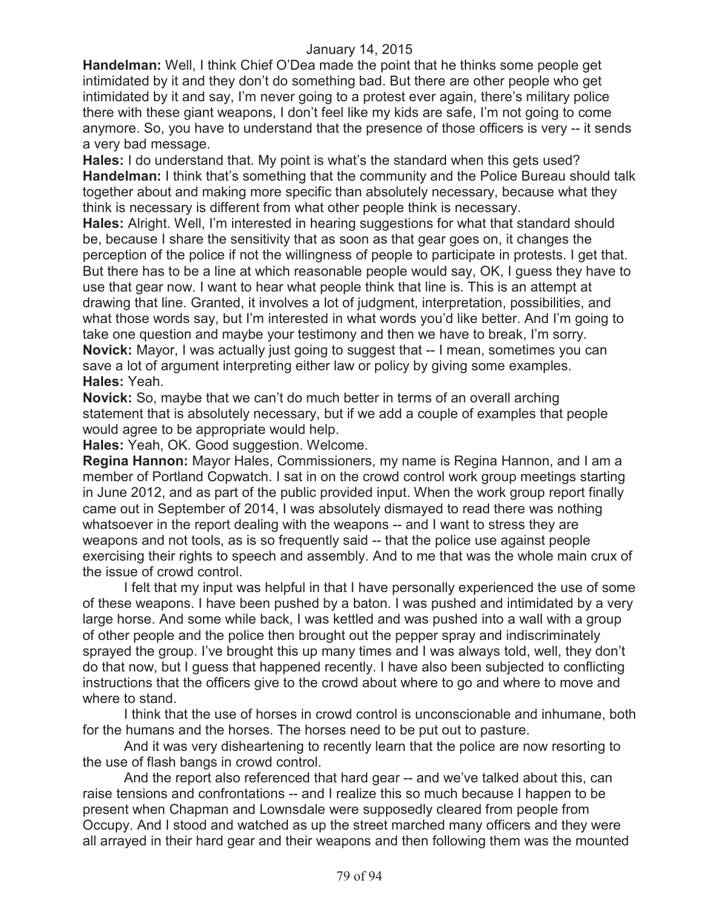**Handelman:** Well, I think Chief O'Dea made the point that he thinks some people get intimidated by it and they don't do something bad. But there are other people who get intimidated by it and say, I'm never going to a protest ever again, there's military police there with these giant weapons, I don't feel like my kids are safe, I'm not going to come anymore. So, you have to understand that the presence of those officers is very -- it sends a very bad message.

**Hales:** I do understand that. My point is what's the standard when this gets used? **Handelman:** I think that's something that the community and the Police Bureau should talk together about and making more specific than absolutely necessary, because what they think is necessary is different from what other people think is necessary.

**Hales:** Alright. Well, I'm interested in hearing suggestions for what that standard should be, because I share the sensitivity that as soon as that gear goes on, it changes the perception of the police if not the willingness of people to participate in protests. I get that. But there has to be a line at which reasonable people would say, OK, I guess they have to use that gear now. I want to hear what people think that line is. This is an attempt at drawing that line. Granted, it involves a lot of judgment, interpretation, possibilities, and what those words say, but I'm interested in what words you'd like better. And I'm going to take one question and maybe your testimony and then we have to break, I'm sorry. **Novick:** Mayor, I was actually just going to suggest that -- I mean, sometimes you can save a lot of argument interpreting either law or policy by giving some examples. **Hales:** Yeah.

**Novick:** So, maybe that we can't do much better in terms of an overall arching statement that is absolutely necessary, but if we add a couple of examples that people would agree to be appropriate would help.

**Hales:** Yeah, OK. Good suggestion. Welcome.

**Regina Hannon:** Mayor Hales, Commissioners, my name is Regina Hannon, and I am a member of Portland Copwatch. I sat in on the crowd control work group meetings starting in June 2012, and as part of the public provided input. When the work group report finally came out in September of 2014, I was absolutely dismayed to read there was nothing whatsoever in the report dealing with the weapons -- and I want to stress they are weapons and not tools, as is so frequently said -- that the police use against people exercising their rights to speech and assembly. And to me that was the whole main crux of the issue of crowd control.

I felt that my input was helpful in that I have personally experienced the use of some of these weapons. I have been pushed by a baton. I was pushed and intimidated by a very large horse. And some while back, I was kettled and was pushed into a wall with a group of other people and the police then brought out the pepper spray and indiscriminately sprayed the group. I've brought this up many times and I was always told, well, they don't do that now, but I guess that happened recently. I have also been subjected to conflicting instructions that the officers give to the crowd about where to go and where to move and where to stand.

I think that the use of horses in crowd control is unconscionable and inhumane, both for the humans and the horses. The horses need to be put out to pasture.

And it was very disheartening to recently learn that the police are now resorting to the use of flash bangs in crowd control.

And the report also referenced that hard gear -- and we've talked about this, can raise tensions and confrontations -- and I realize this so much because I happen to be present when Chapman and Lownsdale were supposedly cleared from people from Occupy. And I stood and watched as up the street marched many officers and they were all arrayed in their hard gear and their weapons and then following them was the mounted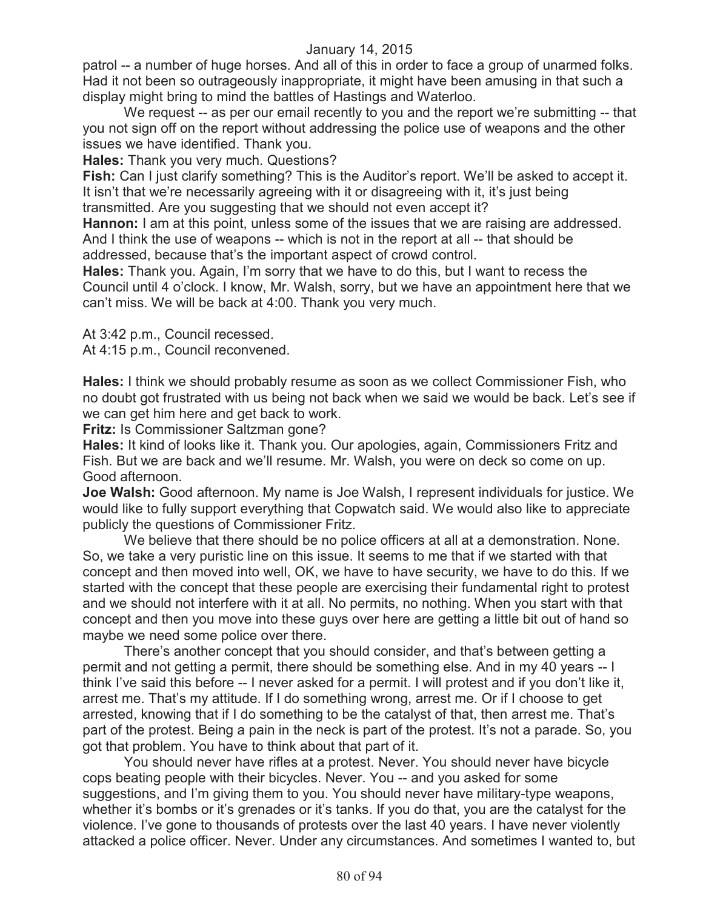patrol -- a number of huge horses. And all of this in order to face a group of unarmed folks. Had it not been so outrageously inappropriate, it might have been amusing in that such a display might bring to mind the battles of Hastings and Waterloo.

We request -- as per our email recently to you and the report we're submitting -- that you not sign off on the report without addressing the police use of weapons and the other issues we have identified. Thank you.

**Hales:** Thank you very much. Questions?

**Fish:** Can I just clarify something? This is the Auditor's report. We'll be asked to accept it. It isn't that we're necessarily agreeing with it or disagreeing with it, it's just being transmitted. Are you suggesting that we should not even accept it?

**Hannon:** I am at this point, unless some of the issues that we are raising are addressed. And I think the use of weapons -- which is not in the report at all -- that should be addressed, because that's the important aspect of crowd control.

**Hales:** Thank you. Again, I'm sorry that we have to do this, but I want to recess the Council until 4 o'clock. I know, Mr. Walsh, sorry, but we have an appointment here that we can't miss. We will be back at 4:00. Thank you very much.

At 3:42 p.m., Council recessed.

At 4:15 p.m., Council reconvened.

**Hales:** I think we should probably resume as soon as we collect Commissioner Fish, who no doubt got frustrated with us being not back when we said we would be back. Let's see if we can get him here and get back to work.

**Fritz:** Is Commissioner Saltzman gone?

**Hales:** It kind of looks like it. Thank you. Our apologies, again, Commissioners Fritz and Fish. But we are back and we'll resume. Mr. Walsh, you were on deck so come on up. Good afternoon.

**Joe Walsh:** Good afternoon. My name is Joe Walsh, I represent individuals for justice. We would like to fully support everything that Copwatch said. We would also like to appreciate publicly the questions of Commissioner Fritz.

We believe that there should be no police officers at all at a demonstration. None. So, we take a very puristic line on this issue. It seems to me that if we started with that concept and then moved into well, OK, we have to have security, we have to do this. If we started with the concept that these people are exercising their fundamental right to protest and we should not interfere with it at all. No permits, no nothing. When you start with that concept and then you move into these guys over here are getting a little bit out of hand so maybe we need some police over there.

There's another concept that you should consider, and that's between getting a permit and not getting a permit, there should be something else. And in my 40 years -- I think I've said this before -- I never asked for a permit. I will protest and if you don't like it, arrest me. That's my attitude. If I do something wrong, arrest me. Or if I choose to get arrested, knowing that if I do something to be the catalyst of that, then arrest me. That's part of the protest. Being a pain in the neck is part of the protest. It's not a parade. So, you got that problem. You have to think about that part of it.

You should never have rifles at a protest. Never. You should never have bicycle cops beating people with their bicycles. Never. You -- and you asked for some suggestions, and I'm giving them to you. You should never have military-type weapons, whether it's bombs or it's grenades or it's tanks. If you do that, you are the catalyst for the violence. I've gone to thousands of protests over the last 40 years. I have never violently attacked a police officer. Never. Under any circumstances. And sometimes I wanted to, but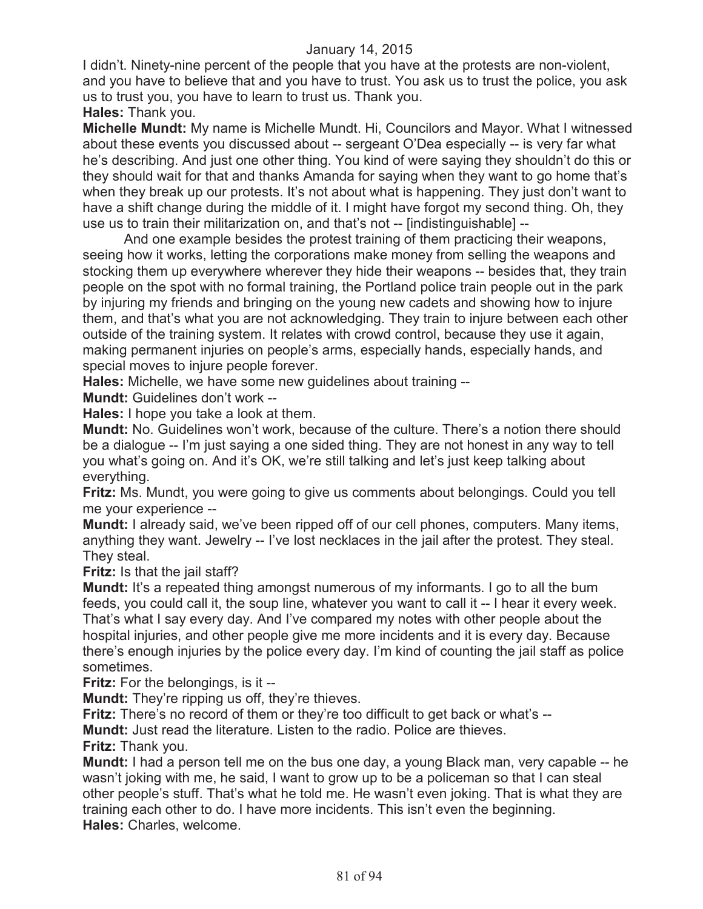I didn't. Ninety-nine percent of the people that you have at the protests are non-violent, and you have to believe that and you have to trust. You ask us to trust the police, you ask us to trust you, you have to learn to trust us. Thank you.

**Hales:** Thank you.

**Michelle Mundt:** My name is Michelle Mundt. Hi, Councilors and Mayor. What I witnessed about these events you discussed about -- sergeant O'Dea especially -- is very far what he's describing. And just one other thing. You kind of were saying they shouldn't do this or they should wait for that and thanks Amanda for saying when they want to go home that's when they break up our protests. It's not about what is happening. They just don't want to have a shift change during the middle of it. I might have forgot my second thing. Oh, they use us to train their militarization on, and that's not -- [indistinguishable] --

And one example besides the protest training of them practicing their weapons, seeing how it works, letting the corporations make money from selling the weapons and stocking them up everywhere wherever they hide their weapons -- besides that, they train people on the spot with no formal training, the Portland police train people out in the park by injuring my friends and bringing on the young new cadets and showing how to injure them, and that's what you are not acknowledging. They train to injure between each other outside of the training system. It relates with crowd control, because they use it again, making permanent injuries on people's arms, especially hands, especially hands, and special moves to injure people forever.

**Hales:** Michelle, we have some new guidelines about training --

**Mundt:** Guidelines don't work --

**Hales:** I hope you take a look at them.

**Mundt:** No. Guidelines won't work, because of the culture. There's a notion there should be a dialogue -- I'm just saying a one sided thing. They are not honest in any way to tell you what's going on. And it's OK, we're still talking and let's just keep talking about everything.

**Fritz:** Ms. Mundt, you were going to give us comments about belongings. Could you tell me your experience --

**Mundt:** I already said, we've been ripped off of our cell phones, computers. Many items, anything they want. Jewelry -- I've lost necklaces in the jail after the protest. They steal. They steal.

**Fritz:** Is that the jail staff?

**Mundt:** It's a repeated thing amongst numerous of my informants. I go to all the bum feeds, you could call it, the soup line, whatever you want to call it -- I hear it every week. That's what I say every day. And I've compared my notes with other people about the hospital injuries, and other people give me more incidents and it is every day. Because there's enough injuries by the police every day. I'm kind of counting the jail staff as police sometimes.

**Fritz:** For the belongings, is it --

**Mundt:** They're ripping us off, they're thieves.

**Fritz:** There's no record of them or they're too difficult to get back or what's --

**Mundt:** Just read the literature. Listen to the radio. Police are thieves.

**Fritz:** Thank you.

**Mundt:** I had a person tell me on the bus one day, a young Black man, very capable -- he wasn't joking with me, he said, I want to grow up to be a policeman so that I can steal other people's stuff. That's what he told me. He wasn't even joking. That is what they are training each other to do. I have more incidents. This isn't even the beginning. **Hales:** Charles, welcome.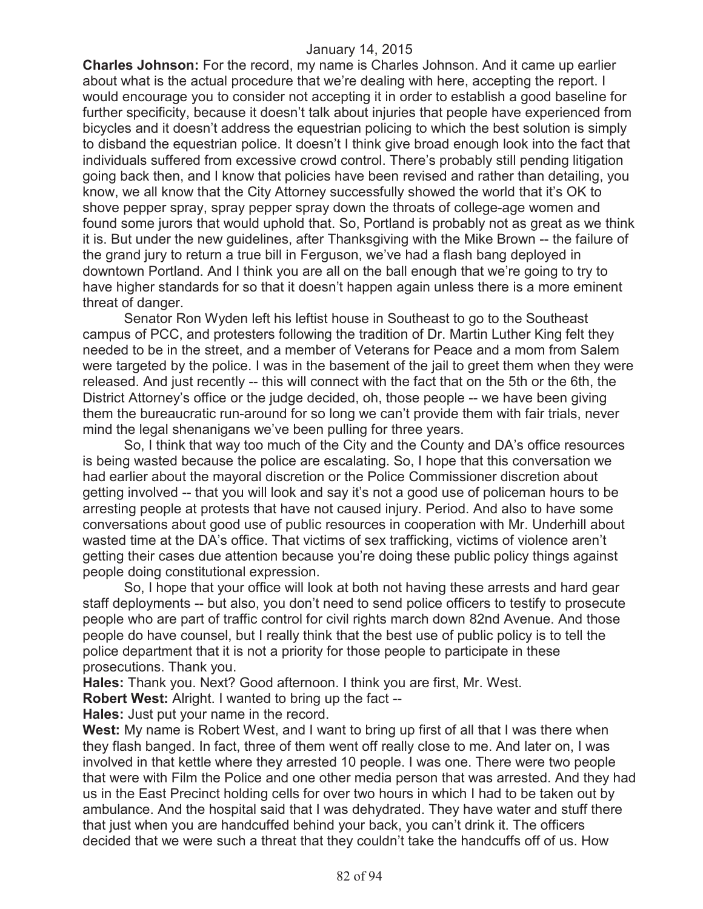**Charles Johnson:** For the record, my name is Charles Johnson. And it came up earlier about what is the actual procedure that we're dealing with here, accepting the report. I would encourage you to consider not accepting it in order to establish a good baseline for further specificity, because it doesn't talk about injuries that people have experienced from bicycles and it doesn't address the equestrian policing to which the best solution is simply to disband the equestrian police. It doesn't I think give broad enough look into the fact that individuals suffered from excessive crowd control. There's probably still pending litigation going back then, and I know that policies have been revised and rather than detailing, you know, we all know that the City Attorney successfully showed the world that it's OK to shove pepper spray, spray pepper spray down the throats of college-age women and found some jurors that would uphold that. So, Portland is probably not as great as we think it is. But under the new guidelines, after Thanksgiving with the Mike Brown -- the failure of the grand jury to return a true bill in Ferguson, we've had a flash bang deployed in downtown Portland. And I think you are all on the ball enough that we're going to try to have higher standards for so that it doesn't happen again unless there is a more eminent threat of danger.

Senator Ron Wyden left his leftist house in Southeast to go to the Southeast campus of PCC, and protesters following the tradition of Dr. Martin Luther King felt they needed to be in the street, and a member of Veterans for Peace and a mom from Salem were targeted by the police. I was in the basement of the jail to greet them when they were released. And just recently -- this will connect with the fact that on the 5th or the 6th, the District Attorney's office or the judge decided, oh, those people -- we have been giving them the bureaucratic run-around for so long we can't provide them with fair trials, never mind the legal shenanigans we've been pulling for three years.

So, I think that way too much of the City and the County and DA's office resources is being wasted because the police are escalating. So, I hope that this conversation we had earlier about the mayoral discretion or the Police Commissioner discretion about getting involved -- that you will look and say it's not a good use of policeman hours to be arresting people at protests that have not caused injury. Period. And also to have some conversations about good use of public resources in cooperation with Mr. Underhill about wasted time at the DA's office. That victims of sex trafficking, victims of violence aren't getting their cases due attention because you're doing these public policy things against people doing constitutional expression.

So, I hope that your office will look at both not having these arrests and hard gear staff deployments -- but also, you don't need to send police officers to testify to prosecute people who are part of traffic control for civil rights march down 82nd Avenue. And those people do have counsel, but I really think that the best use of public policy is to tell the police department that it is not a priority for those people to participate in these prosecutions. Thank you.

**Hales:** Thank you. Next? Good afternoon. I think you are first, Mr. West.

**Robert West:** Alright. I wanted to bring up the fact --

**Hales:** Just put your name in the record.

**West:** My name is Robert West, and I want to bring up first of all that I was there when they flash banged. In fact, three of them went off really close to me. And later on, I was involved in that kettle where they arrested 10 people. I was one. There were two people that were with Film the Police and one other media person that was arrested. And they had us in the East Precinct holding cells for over two hours in which I had to be taken out by ambulance. And the hospital said that I was dehydrated. They have water and stuff there that just when you are handcuffed behind your back, you can't drink it. The officers decided that we were such a threat that they couldn't take the handcuffs off of us. How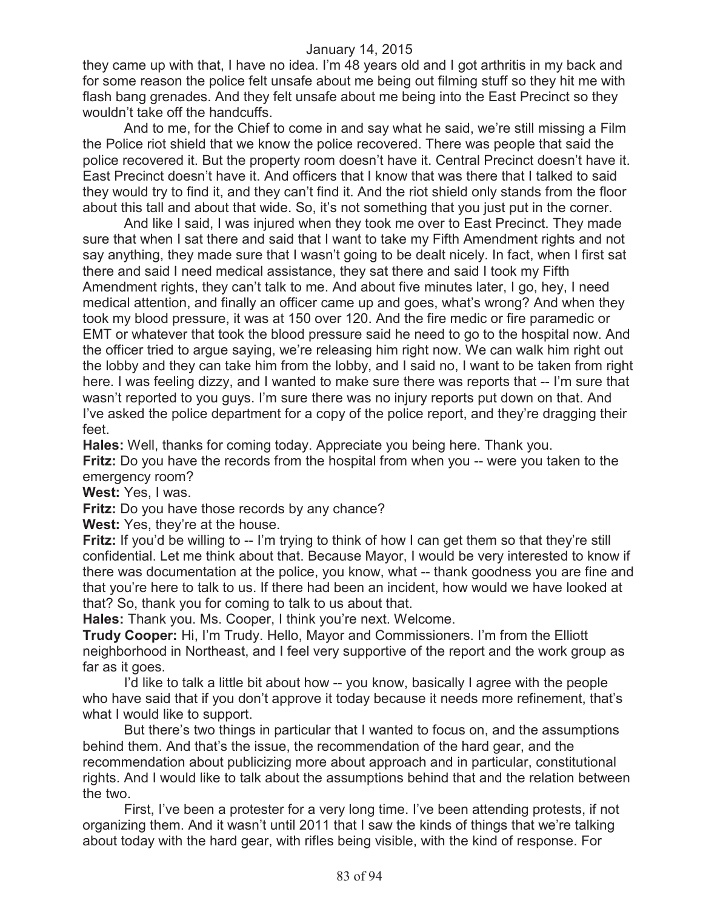they came up with that, I have no idea. I'm 48 years old and I got arthritis in my back and for some reason the police felt unsafe about me being out filming stuff so they hit me with flash bang grenades. And they felt unsafe about me being into the East Precinct so they wouldn't take off the handcuffs.

And to me, for the Chief to come in and say what he said, we're still missing a Film the Police riot shield that we know the police recovered. There was people that said the police recovered it. But the property room doesn't have it. Central Precinct doesn't have it. East Precinct doesn't have it. And officers that I know that was there that I talked to said they would try to find it, and they can't find it. And the riot shield only stands from the floor about this tall and about that wide. So, it's not something that you just put in the corner.

And like I said, I was injured when they took me over to East Precinct. They made sure that when I sat there and said that I want to take my Fifth Amendment rights and not say anything, they made sure that I wasn't going to be dealt nicely. In fact, when I first sat there and said I need medical assistance, they sat there and said I took my Fifth Amendment rights, they can't talk to me. And about five minutes later, I go, hey, I need medical attention, and finally an officer came up and goes, what's wrong? And when they took my blood pressure, it was at 150 over 120. And the fire medic or fire paramedic or EMT or whatever that took the blood pressure said he need to go to the hospital now. And the officer tried to argue saying, we're releasing him right now. We can walk him right out the lobby and they can take him from the lobby, and I said no, I want to be taken from right here. I was feeling dizzy, and I wanted to make sure there was reports that -- I'm sure that wasn't reported to you guys. I'm sure there was no injury reports put down on that. And I've asked the police department for a copy of the police report, and they're dragging their feet.

**Hales:** Well, thanks for coming today. Appreciate you being here. Thank you.

**Fritz:** Do you have the records from the hospital from when you -- were you taken to the emergency room?

**West:** Yes, I was.

**Fritz:** Do you have those records by any chance?

**West:** Yes, they're at the house.

**Fritz:** If you'd be willing to -- I'm trying to think of how I can get them so that they're still confidential. Let me think about that. Because Mayor, I would be very interested to know if there was documentation at the police, you know, what -- thank goodness you are fine and that you're here to talk to us. If there had been an incident, how would we have looked at that? So, thank you for coming to talk to us about that.

**Hales:** Thank you. Ms. Cooper, I think you're next. Welcome.

**Trudy Cooper:** Hi, I'm Trudy. Hello, Mayor and Commissioners. I'm from the Elliott neighborhood in Northeast, and I feel very supportive of the report and the work group as far as it goes.

I'd like to talk a little bit about how -- you know, basically I agree with the people who have said that if you don't approve it today because it needs more refinement, that's what I would like to support.

But there's two things in particular that I wanted to focus on, and the assumptions behind them. And that's the issue, the recommendation of the hard gear, and the recommendation about publicizing more about approach and in particular, constitutional rights. And I would like to talk about the assumptions behind that and the relation between the two.

First, I've been a protester for a very long time. I've been attending protests, if not organizing them. And it wasn't until 2011 that I saw the kinds of things that we're talking about today with the hard gear, with rifles being visible, with the kind of response. For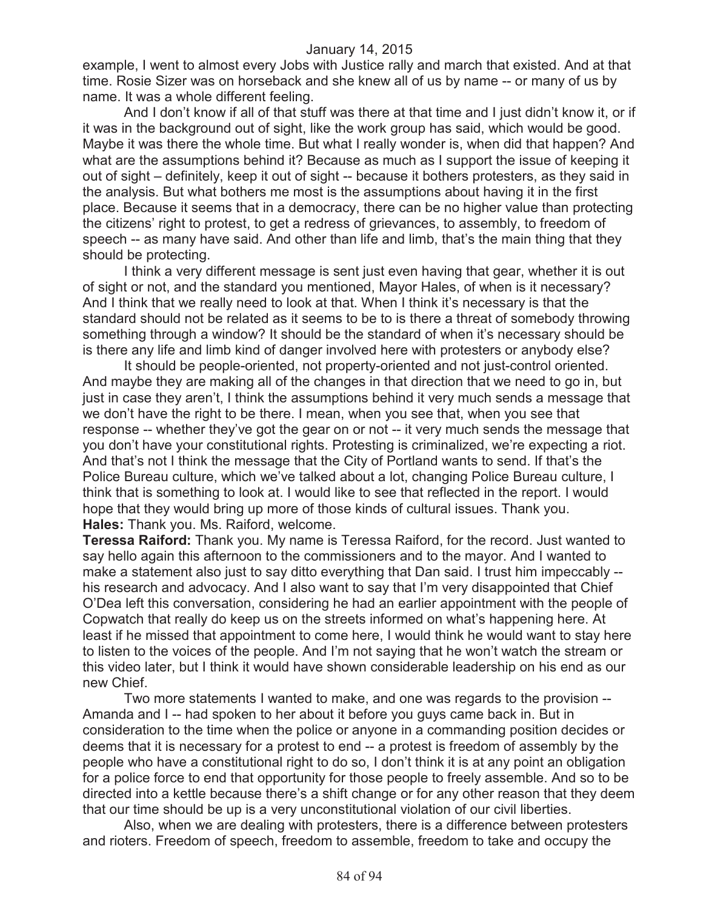example, I went to almost every Jobs with Justice rally and march that existed. And at that time. Rosie Sizer was on horseback and she knew all of us by name -- or many of us by name. It was a whole different feeling.

And I don't know if all of that stuff was there at that time and I just didn't know it, or if it was in the background out of sight, like the work group has said, which would be good. Maybe it was there the whole time. But what I really wonder is, when did that happen? And what are the assumptions behind it? Because as much as I support the issue of keeping it out of sight – definitely, keep it out of sight -- because it bothers protesters, as they said in the analysis. But what bothers me most is the assumptions about having it in the first place. Because it seems that in a democracy, there can be no higher value than protecting the citizens' right to protest, to get a redress of grievances, to assembly, to freedom of speech -- as many have said. And other than life and limb, that's the main thing that they should be protecting.

I think a very different message is sent just even having that gear, whether it is out of sight or not, and the standard you mentioned, Mayor Hales, of when is it necessary? And I think that we really need to look at that. When I think it's necessary is that the standard should not be related as it seems to be to is there a threat of somebody throwing something through a window? It should be the standard of when it's necessary should be is there any life and limb kind of danger involved here with protesters or anybody else?

It should be people-oriented, not property-oriented and not just-control oriented. And maybe they are making all of the changes in that direction that we need to go in, but just in case they aren't, I think the assumptions behind it very much sends a message that we don't have the right to be there. I mean, when you see that, when you see that response -- whether they've got the gear on or not -- it very much sends the message that you don't have your constitutional rights. Protesting is criminalized, we're expecting a riot. And that's not I think the message that the City of Portland wants to send. If that's the Police Bureau culture, which we've talked about a lot, changing Police Bureau culture, I think that is something to look at. I would like to see that reflected in the report. I would hope that they would bring up more of those kinds of cultural issues. Thank you. **Hales:** Thank you. Ms. Raiford, welcome.

**Teressa Raiford:** Thank you. My name is Teressa Raiford, for the record. Just wanted to say hello again this afternoon to the commissioners and to the mayor. And I wanted to make a statement also just to say ditto everything that Dan said. I trust him impeccably - his research and advocacy. And I also want to say that I'm very disappointed that Chief O'Dea left this conversation, considering he had an earlier appointment with the people of Copwatch that really do keep us on the streets informed on what's happening here. At least if he missed that appointment to come here, I would think he would want to stay here to listen to the voices of the people. And I'm not saying that he won't watch the stream or this video later, but I think it would have shown considerable leadership on his end as our new Chief.

Two more statements I wanted to make, and one was regards to the provision -- Amanda and I -- had spoken to her about it before you guys came back in. But in consideration to the time when the police or anyone in a commanding position decides or deems that it is necessary for a protest to end -- a protest is freedom of assembly by the people who have a constitutional right to do so, I don't think it is at any point an obligation for a police force to end that opportunity for those people to freely assemble. And so to be directed into a kettle because there's a shift change or for any other reason that they deem that our time should be up is a very unconstitutional violation of our civil liberties.

Also, when we are dealing with protesters, there is a difference between protesters and rioters. Freedom of speech, freedom to assemble, freedom to take and occupy the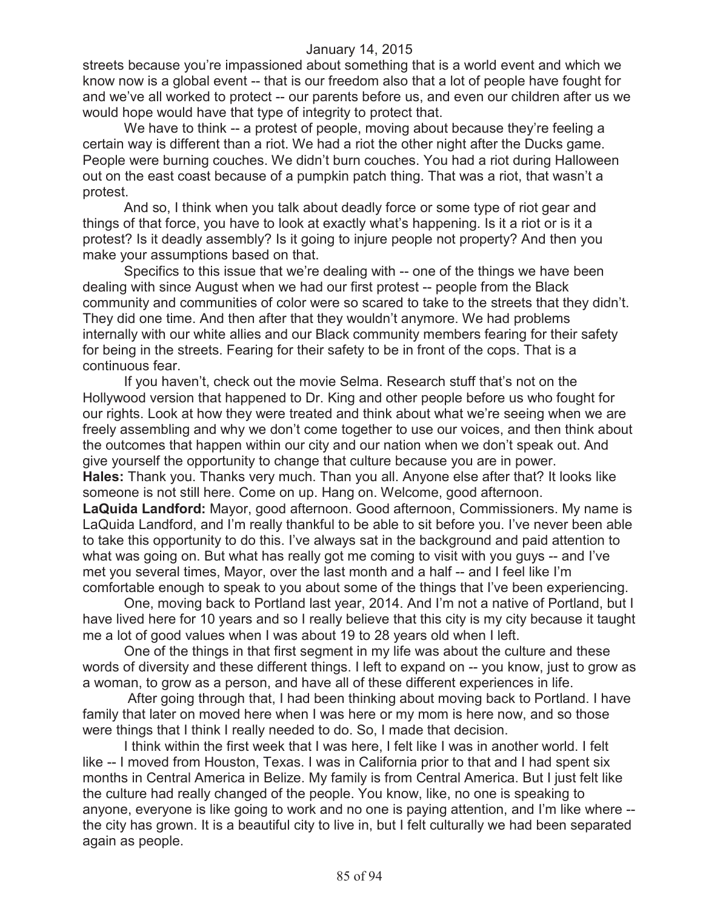streets because you're impassioned about something that is a world event and which we know now is a global event -- that is our freedom also that a lot of people have fought for and we've all worked to protect -- our parents before us, and even our children after us we would hope would have that type of integrity to protect that.

We have to think -- a protest of people, moving about because they're feeling a certain way is different than a riot. We had a riot the other night after the Ducks game. People were burning couches. We didn't burn couches. You had a riot during Halloween out on the east coast because of a pumpkin patch thing. That was a riot, that wasn't a protest.

And so, I think when you talk about deadly force or some type of riot gear and things of that force, you have to look at exactly what's happening. Is it a riot or is it a protest? Is it deadly assembly? Is it going to injure people not property? And then you make your assumptions based on that.

Specifics to this issue that we're dealing with -- one of the things we have been dealing with since August when we had our first protest -- people from the Black community and communities of color were so scared to take to the streets that they didn't. They did one time. And then after that they wouldn't anymore. We had problems internally with our white allies and our Black community members fearing for their safety for being in the streets. Fearing for their safety to be in front of the cops. That is a continuous fear.

If you haven't, check out the movie Selma. Research stuff that's not on the Hollywood version that happened to Dr. King and other people before us who fought for our rights. Look at how they were treated and think about what we're seeing when we are freely assembling and why we don't come together to use our voices, and then think about the outcomes that happen within our city and our nation when we don't speak out. And give yourself the opportunity to change that culture because you are in power. **Hales:** Thank you. Thanks very much. Than you all. Anyone else after that? It looks like someone is not still here. Come on up. Hang on. Welcome, good afternoon. **LaQuida Landford:** Mayor, good afternoon. Good afternoon, Commissioners. My name is LaQuida Landford, and I'm really thankful to be able to sit before you. I've never been able to take this opportunity to do this. I've always sat in the background and paid attention to what was going on. But what has really got me coming to visit with you guys -- and I've met you several times, Mayor, over the last month and a half -- and I feel like I'm comfortable enough to speak to you about some of the things that I've been experiencing.

One, moving back to Portland last year, 2014. And I'm not a native of Portland, but I have lived here for 10 years and so I really believe that this city is my city because it taught me a lot of good values when I was about 19 to 28 years old when I left.

One of the things in that first segment in my life was about the culture and these words of diversity and these different things. I left to expand on -- you know, just to grow as a woman, to grow as a person, and have all of these different experiences in life.

After going through that, I had been thinking about moving back to Portland. I have family that later on moved here when I was here or my mom is here now, and so those were things that I think I really needed to do. So, I made that decision.

I think within the first week that I was here, I felt like I was in another world. I felt like -- I moved from Houston, Texas. I was in California prior to that and I had spent six months in Central America in Belize. My family is from Central America. But I just felt like the culture had really changed of the people. You know, like, no one is speaking to anyone, everyone is like going to work and no one is paying attention, and I'm like where - the city has grown. It is a beautiful city to live in, but I felt culturally we had been separated again as people.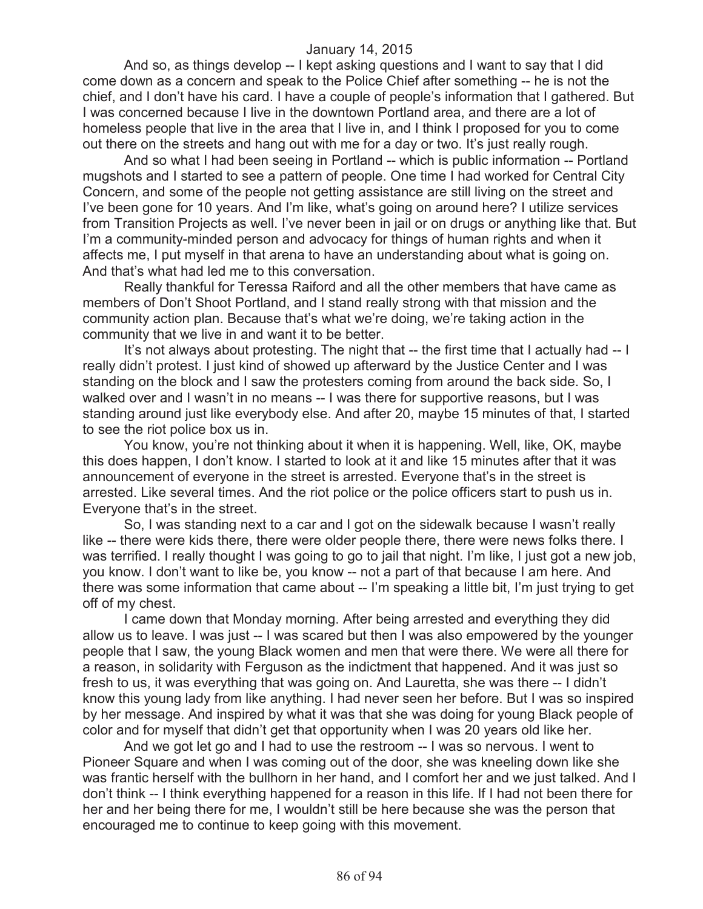And so, as things develop -- I kept asking questions and I want to say that I did come down as a concern and speak to the Police Chief after something -- he is not the chief, and I don't have his card. I have a couple of people's information that I gathered. But I was concerned because I live in the downtown Portland area, and there are a lot of homeless people that live in the area that I live in, and I think I proposed for you to come out there on the streets and hang out with me for a day or two. It's just really rough.

And so what I had been seeing in Portland -- which is public information -- Portland mugshots and I started to see a pattern of people. One time I had worked for Central City Concern, and some of the people not getting assistance are still living on the street and I've been gone for 10 years. And I'm like, what's going on around here? I utilize services from Transition Projects as well. I've never been in jail or on drugs or anything like that. But I'm a community-minded person and advocacy for things of human rights and when it affects me, I put myself in that arena to have an understanding about what is going on. And that's what had led me to this conversation.

Really thankful for Teressa Raiford and all the other members that have came as members of Don't Shoot Portland, and I stand really strong with that mission and the community action plan. Because that's what we're doing, we're taking action in the community that we live in and want it to be better.

It's not always about protesting. The night that -- the first time that I actually had -- I really didn't protest. I just kind of showed up afterward by the Justice Center and I was standing on the block and I saw the protesters coming from around the back side. So, I walked over and I wasn't in no means -- I was there for supportive reasons, but I was standing around just like everybody else. And after 20, maybe 15 minutes of that, I started to see the riot police box us in.

You know, you're not thinking about it when it is happening. Well, like, OK, maybe this does happen, I don't know. I started to look at it and like 15 minutes after that it was announcement of everyone in the street is arrested. Everyone that's in the street is arrested. Like several times. And the riot police or the police officers start to push us in. Everyone that's in the street.

So, I was standing next to a car and I got on the sidewalk because I wasn't really like -- there were kids there, there were older people there, there were news folks there. I was terrified. I really thought I was going to go to jail that night. I'm like, I just got a new job, you know. I don't want to like be, you know -- not a part of that because I am here. And there was some information that came about -- I'm speaking a little bit, I'm just trying to get off of my chest.

I came down that Monday morning. After being arrested and everything they did allow us to leave. I was just -- I was scared but then I was also empowered by the younger people that I saw, the young Black women and men that were there. We were all there for a reason, in solidarity with Ferguson as the indictment that happened. And it was just so fresh to us, it was everything that was going on. And Lauretta, she was there -- I didn't know this young lady from like anything. I had never seen her before. But I was so inspired by her message. And inspired by what it was that she was doing for young Black people of color and for myself that didn't get that opportunity when I was 20 years old like her.

And we got let go and I had to use the restroom -- I was so nervous. I went to Pioneer Square and when I was coming out of the door, she was kneeling down like she was frantic herself with the bullhorn in her hand, and I comfort her and we just talked. And I don't think -- I think everything happened for a reason in this life. If I had not been there for her and her being there for me, I wouldn't still be here because she was the person that encouraged me to continue to keep going with this movement.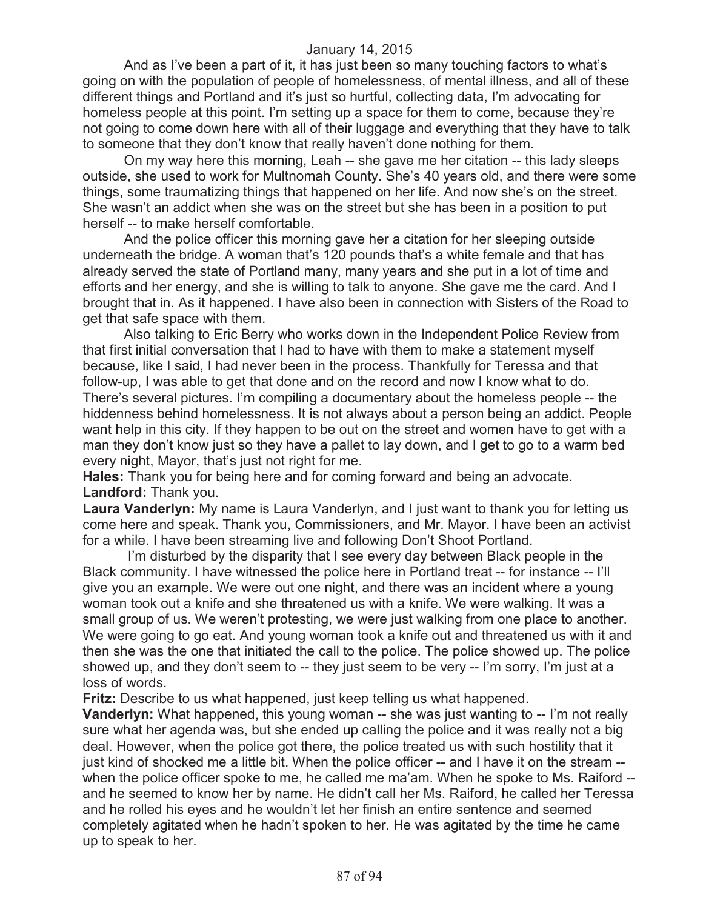And as I've been a part of it, it has just been so many touching factors to what's going on with the population of people of homelessness, of mental illness, and all of these different things and Portland and it's just so hurtful, collecting data, I'm advocating for homeless people at this point. I'm setting up a space for them to come, because they're not going to come down here with all of their luggage and everything that they have to talk to someone that they don't know that really haven't done nothing for them.

On my way here this morning, Leah -- she gave me her citation -- this lady sleeps outside, she used to work for Multnomah County. She's 40 years old, and there were some things, some traumatizing things that happened on her life. And now she's on the street. She wasn't an addict when she was on the street but she has been in a position to put herself -- to make herself comfortable.

And the police officer this morning gave her a citation for her sleeping outside underneath the bridge. A woman that's 120 pounds that's a white female and that has already served the state of Portland many, many years and she put in a lot of time and efforts and her energy, and she is willing to talk to anyone. She gave me the card. And I brought that in. As it happened. I have also been in connection with Sisters of the Road to get that safe space with them.

Also talking to Eric Berry who works down in the Independent Police Review from that first initial conversation that I had to have with them to make a statement myself because, like I said, I had never been in the process. Thankfully for Teressa and that follow-up, I was able to get that done and on the record and now I know what to do. There's several pictures. I'm compiling a documentary about the homeless people -- the hiddenness behind homelessness. It is not always about a person being an addict. People want help in this city. If they happen to be out on the street and women have to get with a man they don't know just so they have a pallet to lay down, and I get to go to a warm bed every night, Mayor, that's just not right for me.

**Hales:** Thank you for being here and for coming forward and being an advocate. **Landford:** Thank you.

**Laura Vanderlyn:** My name is Laura Vanderlyn, and I just want to thank you for letting us come here and speak. Thank you, Commissioners, and Mr. Mayor. I have been an activist for a while. I have been streaming live and following Don't Shoot Portland.

I'm disturbed by the disparity that I see every day between Black people in the Black community. I have witnessed the police here in Portland treat -- for instance -- I'll give you an example. We were out one night, and there was an incident where a young woman took out a knife and she threatened us with a knife. We were walking. It was a small group of us. We weren't protesting, we were just walking from one place to another. We were going to go eat. And young woman took a knife out and threatened us with it and then she was the one that initiated the call to the police. The police showed up. The police showed up, and they don't seem to -- they just seem to be very -- I'm sorry, I'm just at a loss of words.

**Fritz:** Describe to us what happened, just keep telling us what happened.

**Vanderlyn:** What happened, this young woman -- she was just wanting to -- I'm not really sure what her agenda was, but she ended up calling the police and it was really not a big deal. However, when the police got there, the police treated us with such hostility that it just kind of shocked me a little bit. When the police officer -- and I have it on the stream - when the police officer spoke to me, he called me ma'am. When he spoke to Ms. Raiford -and he seemed to know her by name. He didn't call her Ms. Raiford, he called her Teressa and he rolled his eyes and he wouldn't let her finish an entire sentence and seemed completely agitated when he hadn't spoken to her. He was agitated by the time he came up to speak to her.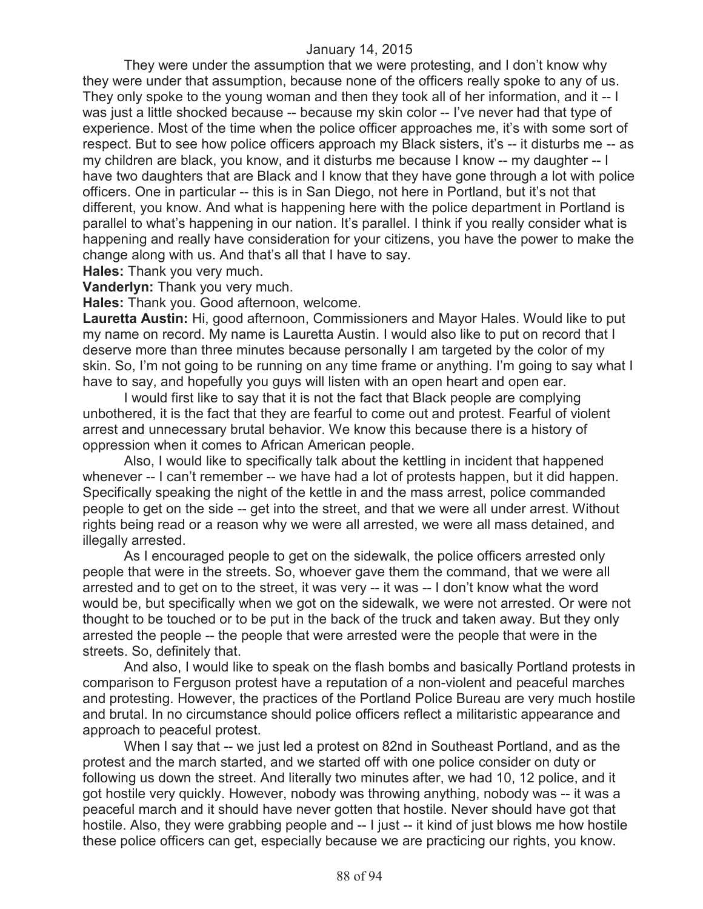They were under the assumption that we were protesting, and I don't know why they were under that assumption, because none of the officers really spoke to any of us. They only spoke to the young woman and then they took all of her information, and it -- I was just a little shocked because -- because my skin color -- I've never had that type of experience. Most of the time when the police officer approaches me, it's with some sort of respect. But to see how police officers approach my Black sisters, it's -- it disturbs me -- as my children are black, you know, and it disturbs me because I know -- my daughter -- I have two daughters that are Black and I know that they have gone through a lot with police officers. One in particular -- this is in San Diego, not here in Portland, but it's not that different, you know. And what is happening here with the police department in Portland is parallel to what's happening in our nation. It's parallel. I think if you really consider what is happening and really have consideration for your citizens, you have the power to make the change along with us. And that's all that I have to say.

**Hales:** Thank you very much.

**Vanderlyn:** Thank you very much.

**Hales:** Thank you. Good afternoon, welcome.

**Lauretta Austin:** Hi, good afternoon, Commissioners and Mayor Hales. Would like to put my name on record. My name is Lauretta Austin. I would also like to put on record that I deserve more than three minutes because personally I am targeted by the color of my skin. So, I'm not going to be running on any time frame or anything. I'm going to say what I have to say, and hopefully you guys will listen with an open heart and open ear.

I would first like to say that it is not the fact that Black people are complying unbothered, it is the fact that they are fearful to come out and protest. Fearful of violent arrest and unnecessary brutal behavior. We know this because there is a history of oppression when it comes to African American people.

Also, I would like to specifically talk about the kettling in incident that happened whenever -- I can't remember -- we have had a lot of protests happen, but it did happen. Specifically speaking the night of the kettle in and the mass arrest, police commanded people to get on the side -- get into the street, and that we were all under arrest. Without rights being read or a reason why we were all arrested, we were all mass detained, and illegally arrested.

As I encouraged people to get on the sidewalk, the police officers arrested only people that were in the streets. So, whoever gave them the command, that we were all arrested and to get on to the street, it was very -- it was -- I don't know what the word would be, but specifically when we got on the sidewalk, we were not arrested. Or were not thought to be touched or to be put in the back of the truck and taken away. But they only arrested the people -- the people that were arrested were the people that were in the streets. So, definitely that.

And also, I would like to speak on the flash bombs and basically Portland protests in comparison to Ferguson protest have a reputation of a non-violent and peaceful marches and protesting. However, the practices of the Portland Police Bureau are very much hostile and brutal. In no circumstance should police officers reflect a militaristic appearance and approach to peaceful protest.

When I say that -- we just led a protest on 82nd in Southeast Portland, and as the protest and the march started, and we started off with one police consider on duty or following us down the street. And literally two minutes after, we had 10, 12 police, and it got hostile very quickly. However, nobody was throwing anything, nobody was -- it was a peaceful march and it should have never gotten that hostile. Never should have got that hostile. Also, they were grabbing people and -- I just -- it kind of just blows me how hostile these police officers can get, especially because we are practicing our rights, you know.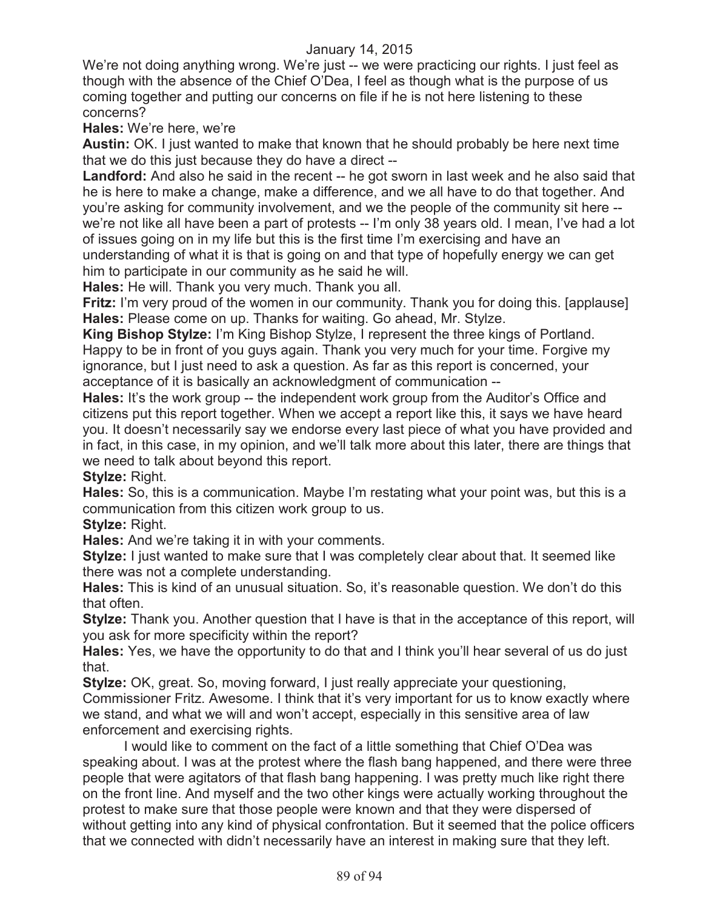We're not doing anything wrong. We're just -- we were practicing our rights. I just feel as though with the absence of the Chief O'Dea, I feel as though what is the purpose of us coming together and putting our concerns on file if he is not here listening to these concerns?

**Hales:** We're here, we're

**Austin:** OK. I just wanted to make that known that he should probably be here next time that we do this just because they do have a direct --

Landford: And also he said in the recent -- he got sworn in last week and he also said that he is here to make a change, make a difference, and we all have to do that together. And you're asking for community involvement, and we the people of the community sit here - we're not like all have been a part of protests -- I'm only 38 years old. I mean, I've had a lot of issues going on in my life but this is the first time I'm exercising and have an understanding of what it is that is going on and that type of hopefully energy we can get him to participate in our community as he said he will.

**Hales:** He will. Thank you very much. Thank you all.

**Fritz:** I'm very proud of the women in our community. Thank you for doing this. [applause] **Hales:** Please come on up. Thanks for waiting. Go ahead, Mr. Stylze.

**King Bishop Stylze:** I'm King Bishop Stylze, I represent the three kings of Portland. Happy to be in front of you guys again. Thank you very much for your time. Forgive my ignorance, but I just need to ask a question. As far as this report is concerned, your acceptance of it is basically an acknowledgment of communication --

**Hales:** It's the work group -- the independent work group from the Auditor's Office and citizens put this report together. When we accept a report like this, it says we have heard you. It doesn't necessarily say we endorse every last piece of what you have provided and in fact, in this case, in my opinion, and we'll talk more about this later, there are things that we need to talk about beyond this report.

**Stylze:** Right.

**Hales:** So, this is a communication. Maybe I'm restating what your point was, but this is a communication from this citizen work group to us.

**Stylze:** Right.

**Hales:** And we're taking it in with your comments.

**Stylze:** I just wanted to make sure that I was completely clear about that. It seemed like there was not a complete understanding.

**Hales:** This is kind of an unusual situation. So, it's reasonable question. We don't do this that often.

**Stylze:** Thank you. Another question that I have is that in the acceptance of this report, will you ask for more specificity within the report?

**Hales:** Yes, we have the opportunity to do that and I think you'll hear several of us do just that.

**Stylze:** OK, great. So, moving forward, I just really appreciate your questioning, Commissioner Fritz. Awesome. I think that it's very important for us to know exactly where we stand, and what we will and won't accept, especially in this sensitive area of law enforcement and exercising rights.

I would like to comment on the fact of a little something that Chief O'Dea was speaking about. I was at the protest where the flash bang happened, and there were three people that were agitators of that flash bang happening. I was pretty much like right there on the front line. And myself and the two other kings were actually working throughout the protest to make sure that those people were known and that they were dispersed of without getting into any kind of physical confrontation. But it seemed that the police officers that we connected with didn't necessarily have an interest in making sure that they left.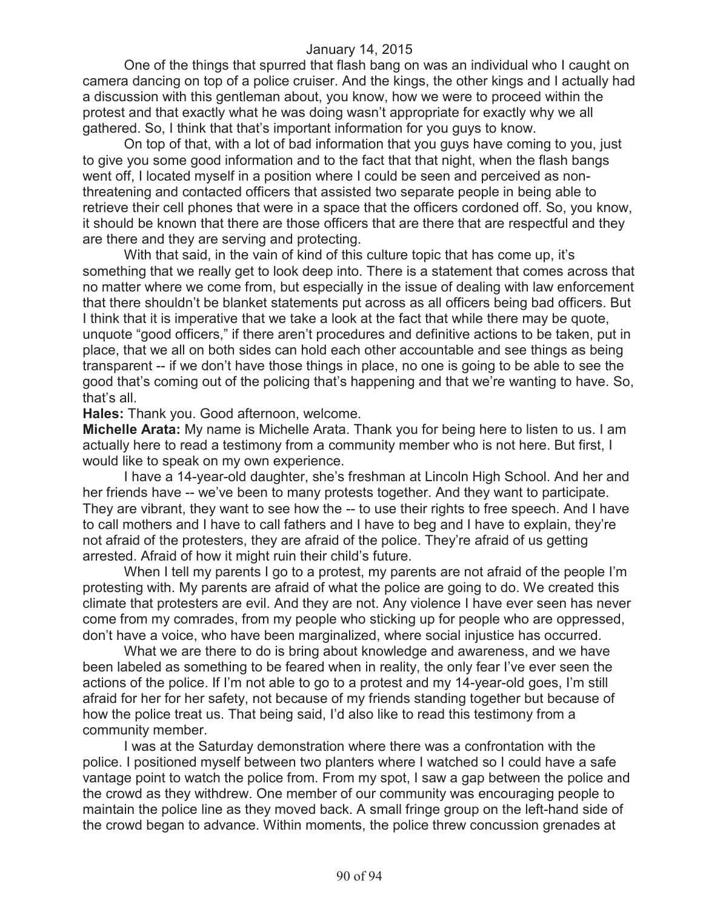One of the things that spurred that flash bang on was an individual who I caught on camera dancing on top of a police cruiser. And the kings, the other kings and I actually had a discussion with this gentleman about, you know, how we were to proceed within the protest and that exactly what he was doing wasn't appropriate for exactly why we all gathered. So, I think that that's important information for you guys to know.

On top of that, with a lot of bad information that you guys have coming to you, just to give you some good information and to the fact that that night, when the flash bangs went off, I located myself in a position where I could be seen and perceived as nonthreatening and contacted officers that assisted two separate people in being able to retrieve their cell phones that were in a space that the officers cordoned off. So, you know, it should be known that there are those officers that are there that are respectful and they are there and they are serving and protecting.

With that said, in the vain of kind of this culture topic that has come up, it's something that we really get to look deep into. There is a statement that comes across that no matter where we come from, but especially in the issue of dealing with law enforcement that there shouldn't be blanket statements put across as all officers being bad officers. But I think that it is imperative that we take a look at the fact that while there may be quote, unquote "good officers," if there aren't procedures and definitive actions to be taken, put in place, that we all on both sides can hold each other accountable and see things as being transparent -- if we don't have those things in place, no one is going to be able to see the good that's coming out of the policing that's happening and that we're wanting to have. So, that's all.

**Hales:** Thank you. Good afternoon, welcome.

**Michelle Arata:** My name is Michelle Arata. Thank you for being here to listen to us. I am actually here to read a testimony from a community member who is not here. But first, I would like to speak on my own experience.

I have a 14-year-old daughter, she's freshman at Lincoln High School. And her and her friends have -- we've been to many protests together. And they want to participate. They are vibrant, they want to see how the -- to use their rights to free speech. And I have to call mothers and I have to call fathers and I have to beg and I have to explain, they're not afraid of the protesters, they are afraid of the police. They're afraid of us getting arrested. Afraid of how it might ruin their child's future.

When I tell my parents I go to a protest, my parents are not afraid of the people I'm protesting with. My parents are afraid of what the police are going to do. We created this climate that protesters are evil. And they are not. Any violence I have ever seen has never come from my comrades, from my people who sticking up for people who are oppressed, don't have a voice, who have been marginalized, where social injustice has occurred.

What we are there to do is bring about knowledge and awareness, and we have been labeled as something to be feared when in reality, the only fear I've ever seen the actions of the police. If I'm not able to go to a protest and my 14-year-old goes, I'm still afraid for her for her safety, not because of my friends standing together but because of how the police treat us. That being said, I'd also like to read this testimony from a community member.

I was at the Saturday demonstration where there was a confrontation with the police. I positioned myself between two planters where I watched so I could have a safe vantage point to watch the police from. From my spot, I saw a gap between the police and the crowd as they withdrew. One member of our community was encouraging people to maintain the police line as they moved back. A small fringe group on the left-hand side of the crowd began to advance. Within moments, the police threw concussion grenades at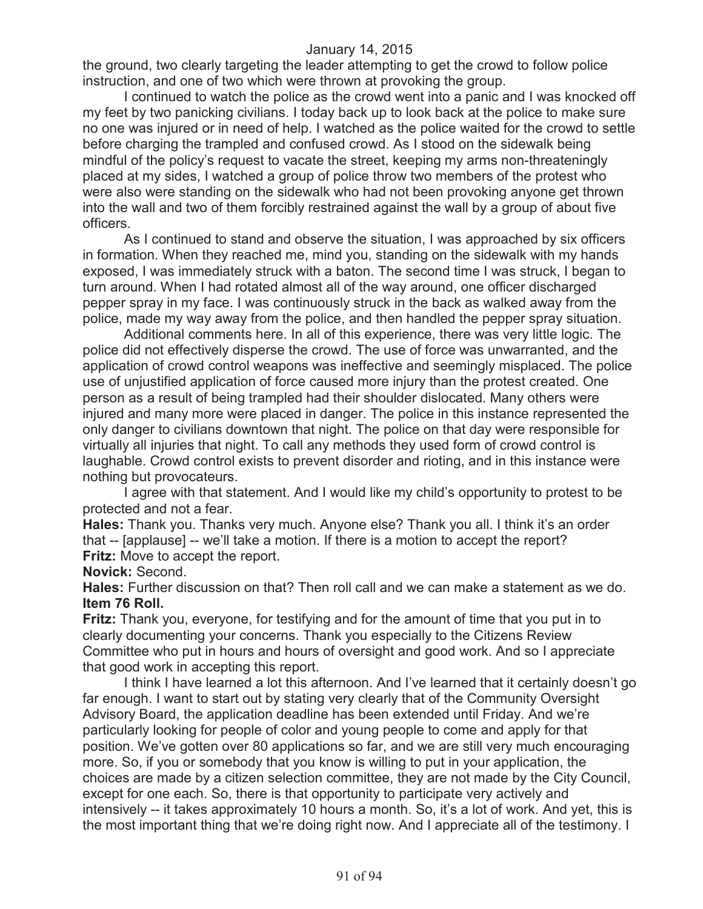the ground, two clearly targeting the leader attempting to get the crowd to follow police instruction, and one of two which were thrown at provoking the group.

I continued to watch the police as the crowd went into a panic and I was knocked off my feet by two panicking civilians. I today back up to look back at the police to make sure no one was injured or in need of help. I watched as the police waited for the crowd to settle before charging the trampled and confused crowd. As I stood on the sidewalk being mindful of the policy's request to vacate the street, keeping my arms non-threateningly placed at my sides, I watched a group of police throw two members of the protest who were also were standing on the sidewalk who had not been provoking anyone get thrown into the wall and two of them forcibly restrained against the wall by a group of about five officers.

As I continued to stand and observe the situation, I was approached by six officers in formation. When they reached me, mind you, standing on the sidewalk with my hands exposed, I was immediately struck with a baton. The second time I was struck, I began to turn around. When I had rotated almost all of the way around, one officer discharged pepper spray in my face. I was continuously struck in the back as walked away from the police, made my way away from the police, and then handled the pepper spray situation.

Additional comments here. In all of this experience, there was very little logic. The police did not effectively disperse the crowd. The use of force was unwarranted, and the application of crowd control weapons was ineffective and seemingly misplaced. The police use of unjustified application of force caused more injury than the protest created. One person as a result of being trampled had their shoulder dislocated. Many others were injured and many more were placed in danger. The police in this instance represented the only danger to civilians downtown that night. The police on that day were responsible for virtually all injuries that night. To call any methods they used form of crowd control is laughable. Crowd control exists to prevent disorder and rioting, and in this instance were nothing but provocateurs.

I agree with that statement. And I would like my child's opportunity to protest to be protected and not a fear.

**Hales:** Thank you. Thanks very much. Anyone else? Thank you all. I think it's an order that -- [applause] -- we'll take a motion. If there is a motion to accept the report? **Fritz:** Move to accept the report.

# **Novick:** Second.

**Hales:** Further discussion on that? Then roll call and we can make a statement as we do. **Item 76 Roll.**

**Fritz:** Thank you, everyone, for testifying and for the amount of time that you put in to clearly documenting your concerns. Thank you especially to the Citizens Review Committee who put in hours and hours of oversight and good work. And so I appreciate that good work in accepting this report.

I think I have learned a lot this afternoon. And I've learned that it certainly doesn't go far enough. I want to start out by stating very clearly that of the Community Oversight Advisory Board, the application deadline has been extended until Friday. And we're particularly looking for people of color and young people to come and apply for that position. We've gotten over 80 applications so far, and we are still very much encouraging more. So, if you or somebody that you know is willing to put in your application, the choices are made by a citizen selection committee, they are not made by the City Council, except for one each. So, there is that opportunity to participate very actively and intensively -- it takes approximately 10 hours a month. So, it's a lot of work. And yet, this is the most important thing that we're doing right now. And I appreciate all of the testimony. I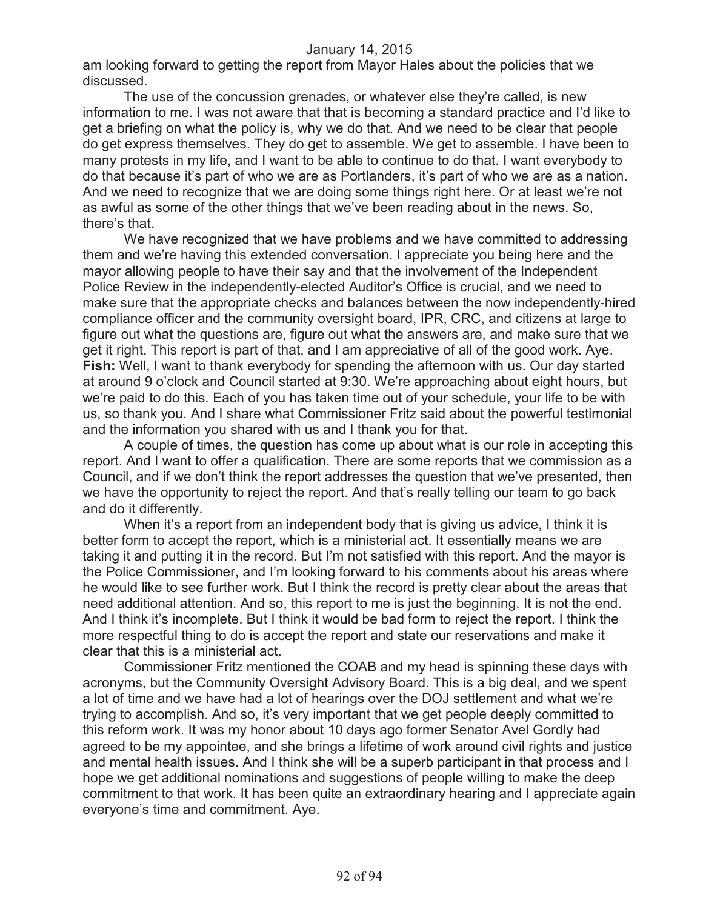am looking forward to getting the report from Mayor Hales about the policies that we discussed.

The use of the concussion grenades, or whatever else they're called, is new information to me. I was not aware that that is becoming a standard practice and I'd like to get a briefing on what the policy is, why we do that. And we need to be clear that people do get express themselves. They do get to assemble. We get to assemble. I have been to many protests in my life, and I want to be able to continue to do that. I want everybody to do that because it's part of who we are as Portlanders, it's part of who we are as a nation. And we need to recognize that we are doing some things right here. Or at least we're not as awful as some of the other things that we've been reading about in the news. So, there's that.

We have recognized that we have problems and we have committed to addressing them and we're having this extended conversation. I appreciate you being here and the mayor allowing people to have their say and that the involvement of the Independent Police Review in the independently-elected Auditor's Office is crucial, and we need to make sure that the appropriate checks and balances between the now independently-hired compliance officer and the community oversight board, IPR, CRC, and citizens at large to figure out what the questions are, figure out what the answers are, and make sure that we get it right. This report is part of that, and I am appreciative of all of the good work. Aye. **Fish:** Well, I want to thank everybody for spending the afternoon with us. Our day started at around 9 o'clock and Council started at 9:30. We're approaching about eight hours, but we're paid to do this. Each of you has taken time out of your schedule, your life to be with us, so thank you. And I share what Commissioner Fritz said about the powerful testimonial and the information you shared with us and I thank you for that.

A couple of times, the question has come up about what is our role in accepting this report. And I want to offer a qualification. There are some reports that we commission as a Council, and if we don't think the report addresses the question that we've presented, then we have the opportunity to reject the report. And that's really telling our team to go back and do it differently.

When it's a report from an independent body that is giving us advice, I think it is better form to accept the report, which is a ministerial act. It essentially means we are taking it and putting it in the record. But I'm not satisfied with this report. And the mayor is the Police Commissioner, and I'm looking forward to his comments about his areas where he would like to see further work. But I think the record is pretty clear about the areas that need additional attention. And so, this report to me is just the beginning. It is not the end. And I think it's incomplete. But I think it would be bad form to reject the report. I think the more respectful thing to do is accept the report and state our reservations and make it clear that this is a ministerial act.

Commissioner Fritz mentioned the COAB and my head is spinning these days with acronyms, but the Community Oversight Advisory Board. This is a big deal, and we spent a lot of time and we have had a lot of hearings over the DOJ settlement and what we're trying to accomplish. And so, it's very important that we get people deeply committed to this reform work. It was my honor about 10 days ago former Senator Avel Gordly had agreed to be my appointee, and she brings a lifetime of work around civil rights and justice and mental health issues. And I think she will be a superb participant in that process and I hope we get additional nominations and suggestions of people willing to make the deep commitment to that work. It has been quite an extraordinary hearing and I appreciate again everyone's time and commitment. Aye.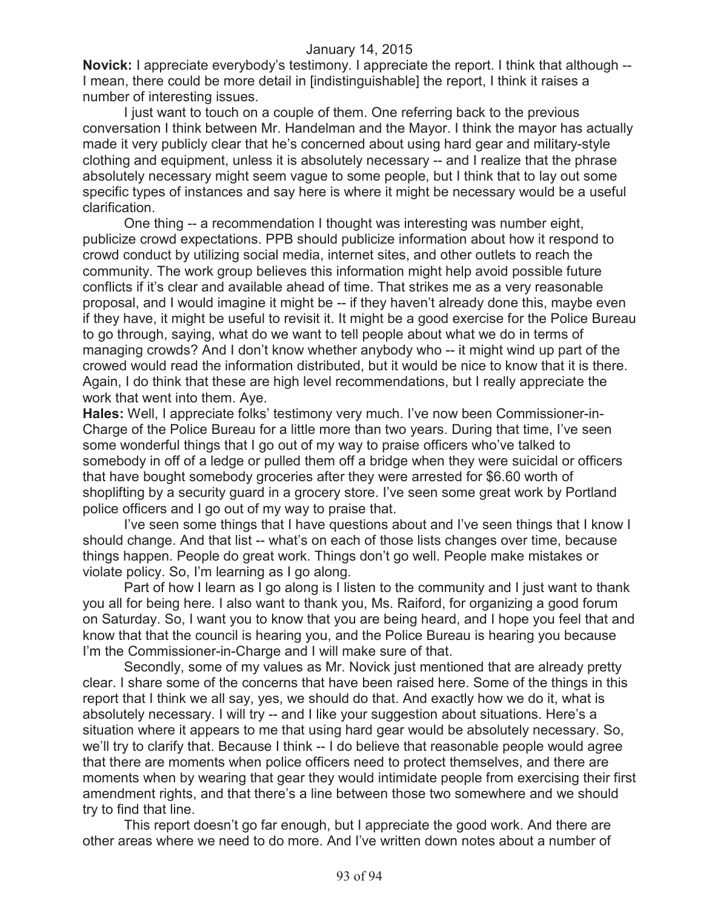**Novick:** I appreciate everybody's testimony. I appreciate the report. I think that although -- I mean, there could be more detail in [indistinguishable] the report, I think it raises a number of interesting issues.

I just want to touch on a couple of them. One referring back to the previous conversation I think between Mr. Handelman and the Mayor. I think the mayor has actually made it very publicly clear that he's concerned about using hard gear and military-style clothing and equipment, unless it is absolutely necessary -- and I realize that the phrase absolutely necessary might seem vague to some people, but I think that to lay out some specific types of instances and say here is where it might be necessary would be a useful clarification.

One thing -- a recommendation I thought was interesting was number eight, publicize crowd expectations. PPB should publicize information about how it respond to crowd conduct by utilizing social media, internet sites, and other outlets to reach the community. The work group believes this information might help avoid possible future conflicts if it's clear and available ahead of time. That strikes me as a very reasonable proposal, and I would imagine it might be -- if they haven't already done this, maybe even if they have, it might be useful to revisit it. It might be a good exercise for the Police Bureau to go through, saying, what do we want to tell people about what we do in terms of managing crowds? And I don't know whether anybody who -- it might wind up part of the crowed would read the information distributed, but it would be nice to know that it is there. Again, I do think that these are high level recommendations, but I really appreciate the work that went into them. Aye.

**Hales:** Well, I appreciate folks' testimony very much. I've now been Commissioner-in-Charge of the Police Bureau for a little more than two years. During that time, I've seen some wonderful things that I go out of my way to praise officers who've talked to somebody in off of a ledge or pulled them off a bridge when they were suicidal or officers that have bought somebody groceries after they were arrested for \$6.60 worth of shoplifting by a security guard in a grocery store. I've seen some great work by Portland police officers and I go out of my way to praise that.

I've seen some things that I have questions about and I've seen things that I know I should change. And that list -- what's on each of those lists changes over time, because things happen. People do great work. Things don't go well. People make mistakes or violate policy. So, I'm learning as I go along.

Part of how I learn as I go along is I listen to the community and I just want to thank you all for being here. I also want to thank you, Ms. Raiford, for organizing a good forum on Saturday. So, I want you to know that you are being heard, and I hope you feel that and know that that the council is hearing you, and the Police Bureau is hearing you because I'm the Commissioner-in-Charge and I will make sure of that.

Secondly, some of my values as Mr. Novick just mentioned that are already pretty clear. I share some of the concerns that have been raised here. Some of the things in this report that I think we all say, yes, we should do that. And exactly how we do it, what is absolutely necessary. I will try -- and I like your suggestion about situations. Here's a situation where it appears to me that using hard gear would be absolutely necessary. So, we'll try to clarify that. Because I think -- I do believe that reasonable people would agree that there are moments when police officers need to protect themselves, and there are moments when by wearing that gear they would intimidate people from exercising their first amendment rights, and that there's a line between those two somewhere and we should try to find that line.

This report doesn't go far enough, but I appreciate the good work. And there are other areas where we need to do more. And I've written down notes about a number of